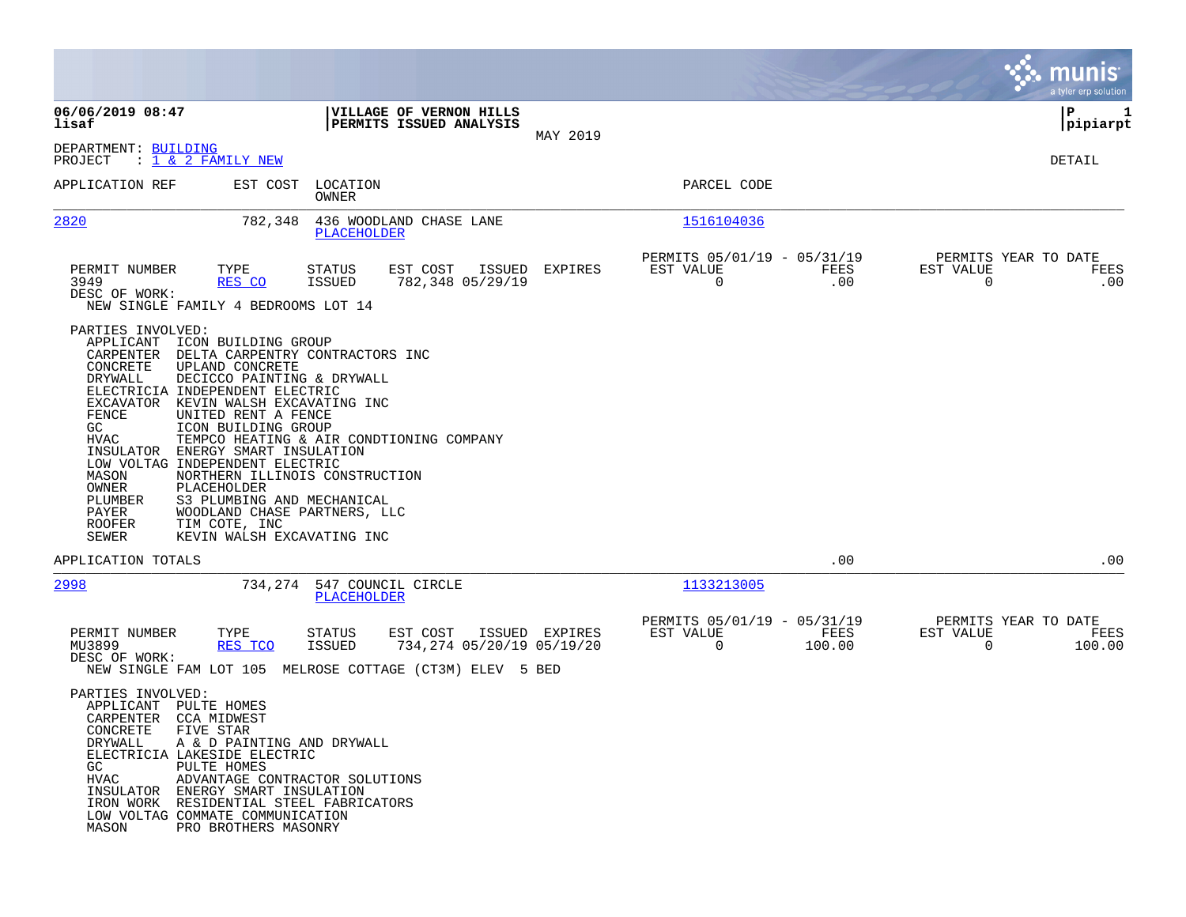|                                                                                                                                                                                                                                                                  |                                                                                                                                                                                                                                                                                                                                                                              |                                           |                                                                                                   |                |                                                         |                |                                               | munis<br>a tyler erp solution |
|------------------------------------------------------------------------------------------------------------------------------------------------------------------------------------------------------------------------------------------------------------------|------------------------------------------------------------------------------------------------------------------------------------------------------------------------------------------------------------------------------------------------------------------------------------------------------------------------------------------------------------------------------|-------------------------------------------|---------------------------------------------------------------------------------------------------|----------------|---------------------------------------------------------|----------------|-----------------------------------------------|-------------------------------|
| 06/06/2019 08:47<br>lisaf                                                                                                                                                                                                                                        |                                                                                                                                                                                                                                                                                                                                                                              |                                           | VILLAGE OF VERNON HILLS<br>PERMITS ISSUED ANALYSIS                                                |                |                                                         |                |                                               | l P<br>1<br> pipiarpt         |
| DEPARTMENT: BUILDING<br>PROJECT                                                                                                                                                                                                                                  | : <u>1 &amp; 2 FAMILY NEW</u>                                                                                                                                                                                                                                                                                                                                                |                                           |                                                                                                   | MAY 2019       |                                                         |                |                                               | DETAIL                        |
| APPLICATION REF                                                                                                                                                                                                                                                  | EST COST                                                                                                                                                                                                                                                                                                                                                                     | LOCATION<br>OWNER                         |                                                                                                   |                | PARCEL CODE                                             |                |                                               |                               |
| 2820                                                                                                                                                                                                                                                             | 782,348                                                                                                                                                                                                                                                                                                                                                                      | PLACEHOLDER                               | 436 WOODLAND CHASE LANE                                                                           |                | 1516104036                                              |                |                                               |                               |
| PERMIT NUMBER<br>3949<br>DESC OF WORK:<br>NEW SINGLE FAMILY 4 BEDROOMS LOT 14                                                                                                                                                                                    | TYPE<br>RES CO                                                                                                                                                                                                                                                                                                                                                               | <b>STATUS</b><br><b>ISSUED</b>            | EST COST<br>ISSUED<br>782,348 05/29/19                                                            | <b>EXPIRES</b> | PERMITS 05/01/19 - 05/31/19<br>EST VALUE<br>$\mathbf 0$ | FEES<br>.00    | PERMITS YEAR TO DATE<br>EST VALUE<br>0        | FEES<br>.00                   |
| PARTIES INVOLVED:<br>APPLICANT<br>CARPENTER<br>CONCRETE<br>DRYWALL<br>ELECTRICIA INDEPENDENT ELECTRIC<br>EXCAVATOR<br>FENCE<br>GC<br>HVAC<br>INSULATOR<br>LOW VOLTAG INDEPENDENT ELECTRIC<br>MASON<br>OWNER<br>PLUMBER<br>PAYER<br><b>ROOFER</b><br><b>SEWER</b> | ICON BUILDING GROUP<br>DELTA CARPENTRY CONTRACTORS INC<br>UPLAND CONCRETE<br>DECICCO PAINTING & DRYWALL<br>KEVIN WALSH EXCAVATING INC<br>UNITED RENT A FENCE<br>ICON BUILDING GROUP<br>ENERGY SMART INSULATION<br>NORTHERN ILLINOIS CONSTRUCTION<br>PLACEHOLDER<br>S3 PLUMBING AND MECHANICAL<br>WOODLAND CHASE PARTNERS, LLC<br>TIM COTE, INC<br>KEVIN WALSH EXCAVATING INC |                                           | TEMPCO HEATING & AIR CONDTIONING COMPANY                                                          |                |                                                         |                |                                               |                               |
| APPLICATION TOTALS                                                                                                                                                                                                                                               |                                                                                                                                                                                                                                                                                                                                                                              |                                           |                                                                                                   |                |                                                         | .00            |                                               | .00                           |
| 2998                                                                                                                                                                                                                                                             |                                                                                                                                                                                                                                                                                                                                                                              | 734,274 547 COUNCIL CIRCLE<br>PLACEHOLDER |                                                                                                   |                | 1133213005                                              |                |                                               |                               |
| PERMIT NUMBER<br>MU3899<br>DESC OF WORK:                                                                                                                                                                                                                         | TYPE<br>RES TCO                                                                                                                                                                                                                                                                                                                                                              | <b>STATUS</b><br><b>ISSUED</b>            | EST COST<br>734,274 05/20/19 05/19/20<br>NEW SINGLE FAM LOT 105 MELROSE COTTAGE (CT3M) ELEV 5 BED | ISSUED EXPIRES | PERMITS 05/01/19 - 05/31/19<br>EST VALUE<br>$\mathbf 0$ | FEES<br>100.00 | PERMITS YEAR TO DATE<br>EST VALUE<br>$\Omega$ | FEES<br>100.00                |
| PARTIES INVOLVED:<br>APPLICANT<br>CARPENTER CCA MIDWEST<br>CONCRETE<br>DRYWALL<br>ELECTRICIA LAKESIDE ELECTRIC<br>GC<br><b>HVAC</b><br>INSULATOR ENERGY SMART INSULATION<br>IRON WORK RESIDENTIAL STEEL FABRICATORS<br>LOW VOLTAG COMMATE COMMUNICATION<br>MASON | PULTE HOMES<br>FIVE STAR<br>A & D PAINTING AND DRYWALL<br>PULTE HOMES<br>ADVANTAGE CONTRACTOR SOLUTIONS<br>PRO BROTHERS MASONRY                                                                                                                                                                                                                                              |                                           |                                                                                                   |                |                                                         |                |                                               |                               |

**Contract**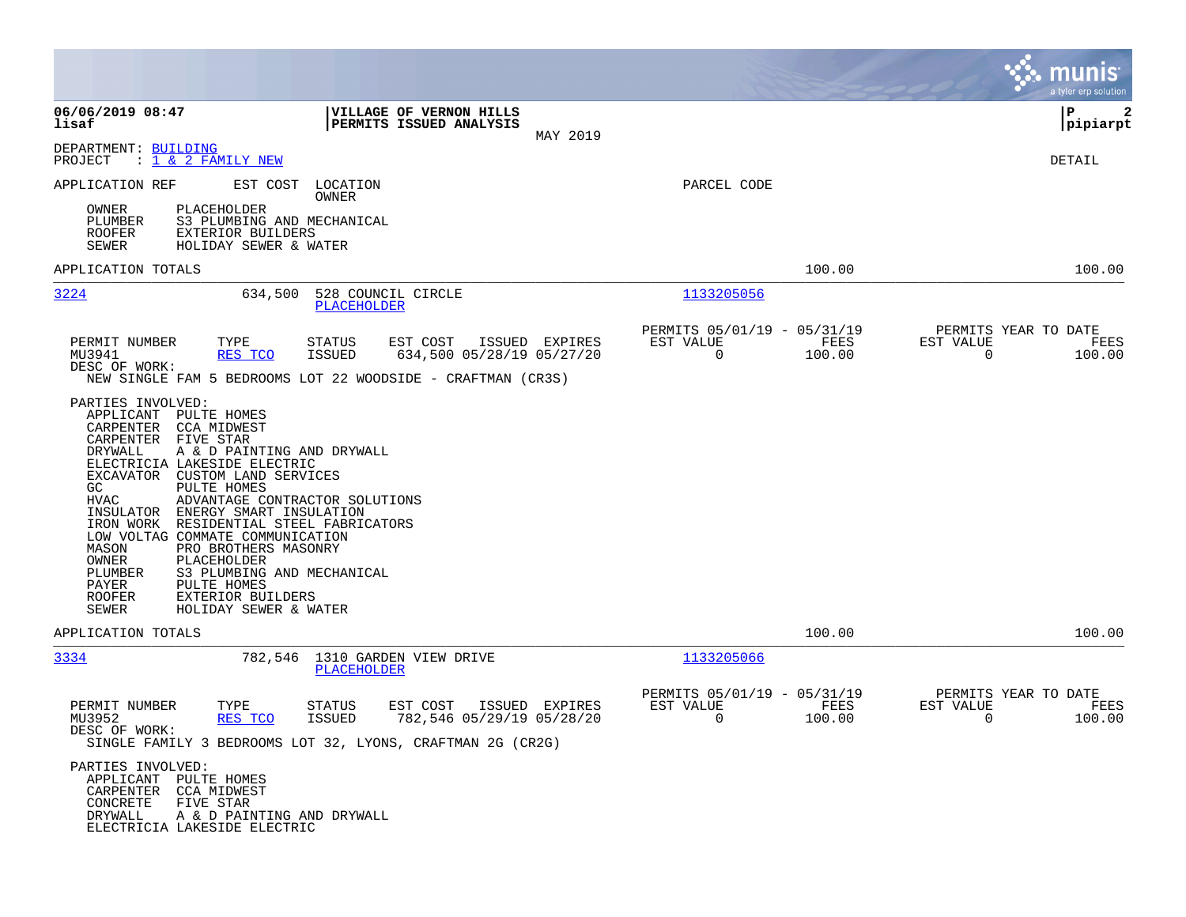|                                                                                                                                                                                                                                                                                                                                                                                                                                                                                                                                                                                                      |                                                                                                                                                  |                                                                 | munis<br>a tyler erp solution                                   |
|------------------------------------------------------------------------------------------------------------------------------------------------------------------------------------------------------------------------------------------------------------------------------------------------------------------------------------------------------------------------------------------------------------------------------------------------------------------------------------------------------------------------------------------------------------------------------------------------------|--------------------------------------------------------------------------------------------------------------------------------------------------|-----------------------------------------------------------------|-----------------------------------------------------------------|
| 06/06/2019 08:47<br>lisaf                                                                                                                                                                                                                                                                                                                                                                                                                                                                                                                                                                            | VILLAGE OF VERNON HILLS<br>PERMITS ISSUED ANALYSIS<br>MAY 2019                                                                                   |                                                                 | l P<br>2<br> pipiarpt                                           |
| DEPARTMENT: BUILDING<br>PROJECT<br>: <u>1 &amp; 2 FAMILY NEW</u>                                                                                                                                                                                                                                                                                                                                                                                                                                                                                                                                     |                                                                                                                                                  |                                                                 | <b>DETAIL</b>                                                   |
| APPLICATION REF<br>EST COST                                                                                                                                                                                                                                                                                                                                                                                                                                                                                                                                                                          | LOCATION<br>OWNER                                                                                                                                | PARCEL CODE                                                     |                                                                 |
| PLACEHOLDER<br>OWNER<br>PLUMBER<br>S3 PLUMBING AND MECHANICAL<br><b>ROOFER</b><br>EXTERIOR BUILDERS<br>SEWER<br>HOLIDAY SEWER & WATER                                                                                                                                                                                                                                                                                                                                                                                                                                                                |                                                                                                                                                  |                                                                 |                                                                 |
| APPLICATION TOTALS                                                                                                                                                                                                                                                                                                                                                                                                                                                                                                                                                                                   |                                                                                                                                                  | 100.00                                                          | 100.00                                                          |
| 3224<br>634,500                                                                                                                                                                                                                                                                                                                                                                                                                                                                                                                                                                                      | 528 COUNCIL CIRCLE<br><b>PLACEHOLDER</b>                                                                                                         | 1133205056                                                      |                                                                 |
|                                                                                                                                                                                                                                                                                                                                                                                                                                                                                                                                                                                                      |                                                                                                                                                  | PERMITS 05/01/19 - 05/31/19                                     | PERMITS YEAR TO DATE                                            |
| PERMIT NUMBER<br>TYPE<br>RES TCO<br>MU3941                                                                                                                                                                                                                                                                                                                                                                                                                                                                                                                                                           | <b>STATUS</b><br>EST COST<br>ISSUED EXPIRES<br>634,500 05/28/19 05/27/20<br>ISSUED                                                               | FEES<br>EST VALUE<br>$\mathbf 0$<br>100.00                      | EST VALUE<br>FEES<br>100.00<br>0                                |
| DESC OF WORK:                                                                                                                                                                                                                                                                                                                                                                                                                                                                                                                                                                                        | NEW SINGLE FAM 5 BEDROOMS LOT 22 WOODSIDE - CRAFTMAN (CR3S)                                                                                      |                                                                 |                                                                 |
| PARTIES INVOLVED:<br>APPLICANT PULTE HOMES<br>CARPENTER CCA MIDWEST<br>CARPENTER FIVE STAR<br>DRYWALL<br>A & D PAINTING AND DRYWALL<br>ELECTRICIA LAKESIDE ELECTRIC<br>EXCAVATOR CUSTOM LAND SERVICES<br>GC<br>PULTE HOMES<br>ADVANTAGE CONTRACTOR SOLUTIONS<br><b>HVAC</b><br>ENERGY SMART INSULATION<br>INSULATOR<br>IRON WORK RESIDENTIAL STEEL FABRICATORS<br>LOW VOLTAG COMMATE COMMUNICATION<br>MASON<br>PRO BROTHERS MASONRY<br>OWNER<br>PLACEHOLDER<br>PLUMBER<br>S3 PLUMBING AND MECHANICAL<br>PAYER<br>PULTE HOMES<br><b>ROOFER</b><br>EXTERIOR BUILDERS<br>SEWER<br>HOLIDAY SEWER & WATER |                                                                                                                                                  |                                                                 |                                                                 |
| APPLICATION TOTALS                                                                                                                                                                                                                                                                                                                                                                                                                                                                                                                                                                                   |                                                                                                                                                  | 100.00                                                          | 100.00                                                          |
| 3334                                                                                                                                                                                                                                                                                                                                                                                                                                                                                                                                                                                                 | 782,546 1310 GARDEN VIEW DRIVE<br>PLACEHOLDER                                                                                                    | 1133205066                                                      |                                                                 |
| PERMIT NUMBER<br>TYPE<br>MU3952<br>RES TCO<br>DESC OF WORK:                                                                                                                                                                                                                                                                                                                                                                                                                                                                                                                                          | <b>STATUS</b><br>EST COST<br>ISSUED EXPIRES<br>ISSUED<br>782,546 05/29/19 05/28/20<br>SINGLE FAMILY 3 BEDROOMS LOT 32, LYONS, CRAFTMAN 2G (CR2G) | PERMITS 05/01/19 - 05/31/19<br>EST VALUE<br>FEES<br>0<br>100.00 | PERMITS YEAR TO DATE<br>EST VALUE<br>FEES<br>$\Omega$<br>100.00 |
| PARTIES INVOLVED:<br>APPLICANT PULTE HOMES<br>CARPENTER<br>CCA MIDWEST<br>CONCRETE<br>FIVE STAR<br>A & D PAINTING AND DRYWALL<br>DRYWALL<br>ELECTRICIA LAKESIDE ELECTRIC                                                                                                                                                                                                                                                                                                                                                                                                                             |                                                                                                                                                  |                                                                 |                                                                 |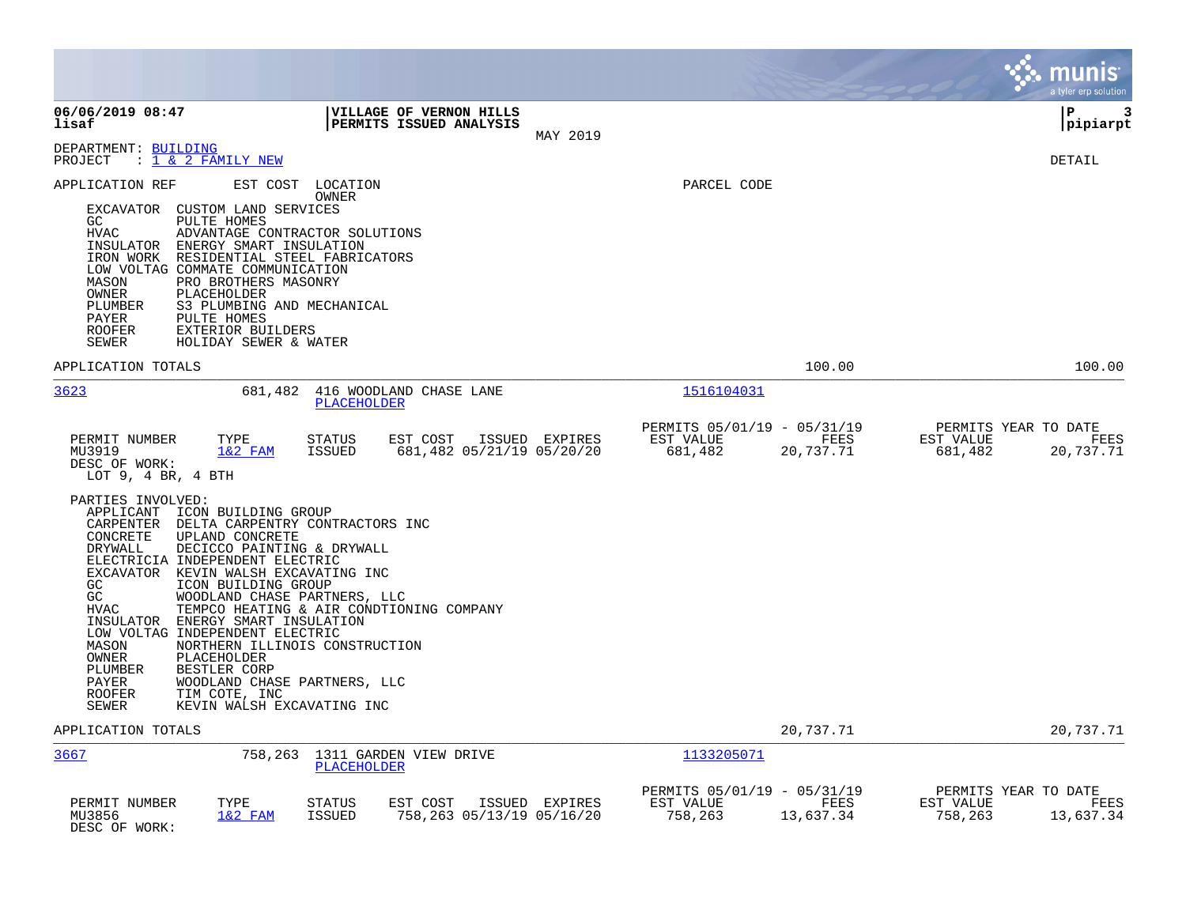|                                                                                                                                                                                                                                                                                                                                                                                                                                                                                                                                                                                                                              |                                                                                 |                |                                                     |                          |                      | munis<br>a tyler erp solution             |
|------------------------------------------------------------------------------------------------------------------------------------------------------------------------------------------------------------------------------------------------------------------------------------------------------------------------------------------------------------------------------------------------------------------------------------------------------------------------------------------------------------------------------------------------------------------------------------------------------------------------------|---------------------------------------------------------------------------------|----------------|-----------------------------------------------------|--------------------------|----------------------|-------------------------------------------|
| 06/06/2019 08:47<br>lisaf                                                                                                                                                                                                                                                                                                                                                                                                                                                                                                                                                                                                    | VILLAGE OF VERNON HILLS<br>PERMITS ISSUED ANALYSIS                              | MAY 2019       |                                                     |                          |                      | l P<br>3<br> pipiarpt                     |
| DEPARTMENT: BUILDING<br>PROJECT<br>: 1 & 2 FAMILY NEW                                                                                                                                                                                                                                                                                                                                                                                                                                                                                                                                                                        |                                                                                 |                |                                                     |                          |                      | <b>DETAIL</b>                             |
| APPLICATION REF<br>EXCAVATOR CUSTOM LAND SERVICES<br>GC<br>PULTE HOMES<br>ADVANTAGE CONTRACTOR SOLUTIONS<br>HVAC<br>INSULATOR ENERGY SMART INSULATION<br>IRON WORK RESIDENTIAL STEEL FABRICATORS<br>LOW VOLTAG COMMATE COMMUNICATION<br>PRO BROTHERS MASONRY<br>MASON<br>OWNER<br>PLACEHOLDER<br>PLUMBER<br>S3 PLUMBING AND MECHANICAL<br>PAYER<br>PULTE HOMES<br><b>ROOFER</b><br>EXTERIOR BUILDERS<br>SEWER<br>HOLIDAY SEWER & WATER                                                                                                                                                                                       | EST COST LOCATION<br>OWNER                                                      |                | PARCEL CODE                                         |                          |                      |                                           |
| APPLICATION TOTALS                                                                                                                                                                                                                                                                                                                                                                                                                                                                                                                                                                                                           |                                                                                 |                |                                                     | 100.00                   |                      | 100.00                                    |
| 3623<br>681,482                                                                                                                                                                                                                                                                                                                                                                                                                                                                                                                                                                                                              | 416 WOODLAND CHASE LANE<br><b>PLACEHOLDER</b>                                   |                | 1516104031                                          |                          |                      |                                           |
| PERMIT NUMBER<br>TYPE<br>MU3919<br>$1&2$ FAM<br>DESC OF WORK:<br>LOT 9, 4 BR, 4 BTH                                                                                                                                                                                                                                                                                                                                                                                                                                                                                                                                          | EST COST ISSUED EXPIRES<br>STATUS<br>681,482 05/21/19 05/20/20<br><b>ISSUED</b> |                | PERMITS 05/01/19 - 05/31/19<br>EST VALUE<br>681,482 | FEES<br>20,737.71        | EST VALUE<br>681,482 | PERMITS YEAR TO DATE<br>FEES<br>20,737.71 |
| PARTIES INVOLVED:<br>APPLICANT ICON BUILDING GROUP<br>CARPENTER DELTA CARPENTRY CONTRACTORS INC<br>CONCRETE<br>UPLAND CONCRETE<br>DRYWALL<br>DECICCO PAINTING & DRYWALL<br>ELECTRICIA INDEPENDENT ELECTRIC<br>EXCAVATOR KEVIN WALSH EXCAVATING INC<br>ICON BUILDING GROUP<br>GC<br>GC<br>WOODLAND CHASE PARTNERS, LLC<br><b>HVAC</b><br>INSULATOR ENERGY SMART INSULATION<br>LOW VOLTAG INDEPENDENT ELECTRIC<br>MASON<br>NORTHERN ILLINOIS CONSTRUCTION<br>PLACEHOLDER<br>OWNER<br>PLUMBER<br><b>BESTLER CORP</b><br>WOODLAND CHASE PARTNERS, LLC<br>PAYER<br>TIM COTE, INC<br>ROOFER<br>KEVIN WALSH EXCAVATING INC<br>SEWER | TEMPCO HEATING & AIR CONDTIONING COMPANY                                        |                |                                                     |                          |                      |                                           |
| APPLICATION TOTALS                                                                                                                                                                                                                                                                                                                                                                                                                                                                                                                                                                                                           |                                                                                 |                |                                                     | 20,737.71                |                      | 20,737.71                                 |
| 3667<br>758,263                                                                                                                                                                                                                                                                                                                                                                                                                                                                                                                                                                                                              | 1311 GARDEN VIEW DRIVE<br>PLACEHOLDER                                           |                | 1133205071                                          |                          |                      |                                           |
| PERMIT NUMBER<br>TYPE<br>MU3856<br>$1&2$ FAM<br>DESC OF WORK:                                                                                                                                                                                                                                                                                                                                                                                                                                                                                                                                                                | EST COST<br>STATUS<br><b>ISSUED</b><br>758,263 05/13/19 05/16/20                | ISSUED EXPIRES | PERMITS 05/01/19 - 05/31/19<br>EST VALUE<br>758,263 | <b>FEES</b><br>13,637.34 | EST VALUE<br>758,263 | PERMITS YEAR TO DATE<br>FEES<br>13,637.34 |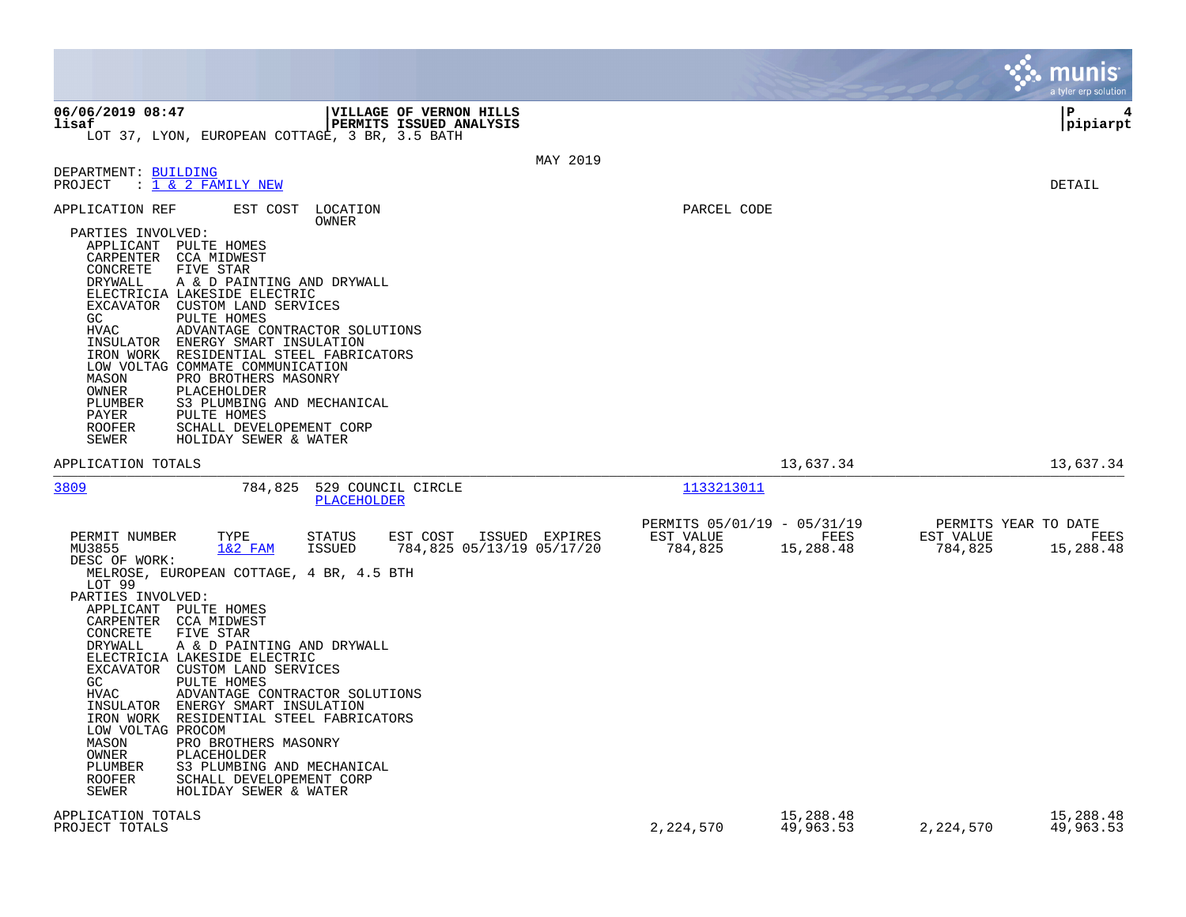|                                                                                                                                                                                                                                                                                                                                                                                                                                                                                                                                                                                                                                                                                                                                                                       |                                                                                                                          | a tyler erp solution   |
|-----------------------------------------------------------------------------------------------------------------------------------------------------------------------------------------------------------------------------------------------------------------------------------------------------------------------------------------------------------------------------------------------------------------------------------------------------------------------------------------------------------------------------------------------------------------------------------------------------------------------------------------------------------------------------------------------------------------------------------------------------------------------|--------------------------------------------------------------------------------------------------------------------------|------------------------|
| 06/06/2019 08:47<br>VILLAGE OF VERNON HILLS<br>lisaf<br>PERMITS ISSUED ANALYSIS<br>LOT 37, LYON, EUROPEAN COTTAGE, 3 BR, 3.5 BATH                                                                                                                                                                                                                                                                                                                                                                                                                                                                                                                                                                                                                                     |                                                                                                                          | P<br> pipiarpt         |
| MAY 2019<br>DEPARTMENT: BUILDING<br>PROJECT<br>: <u>1 &amp; 2 FAMILY NEW</u>                                                                                                                                                                                                                                                                                                                                                                                                                                                                                                                                                                                                                                                                                          |                                                                                                                          | DETAIL                 |
| EST COST LOCATION<br>APPLICATION REF<br>OWNER<br>PARTIES INVOLVED:<br>APPLICANT PULTE HOMES<br>CARPENTER<br>CCA MIDWEST<br>CONCRETE<br>FIVE STAR<br>DRYWALL<br>A & D PAINTING AND DRYWALL<br>ELECTRICIA LAKESIDE ELECTRIC<br>EXCAVATOR<br>CUSTOM LAND SERVICES<br>GC.<br>PULTE HOMES<br>HVAC<br>ADVANTAGE CONTRACTOR SOLUTIONS<br>INSULATOR ENERGY SMART INSULATION<br>IRON WORK RESIDENTIAL STEEL FABRICATORS<br>LOW VOLTAG COMMATE COMMUNICATION<br>MASON<br>PRO BROTHERS MASONRY<br>OWNER<br>PLACEHOLDER<br>S3 PLUMBING AND MECHANICAL<br>PLUMBER<br>PAYER<br>PULTE HOMES<br>ROOFER<br>SCHALL DEVELOPEMENT CORP<br>SEWER<br>HOLIDAY SEWER & WATER                                                                                                                  | PARCEL CODE                                                                                                              |                        |
| APPLICATION TOTALS                                                                                                                                                                                                                                                                                                                                                                                                                                                                                                                                                                                                                                                                                                                                                    | 13,637.34                                                                                                                | 13,637.34              |
| 3809<br>784,825<br>529 COUNCIL CIRCLE<br>PLACEHOLDER                                                                                                                                                                                                                                                                                                                                                                                                                                                                                                                                                                                                                                                                                                                  | <u> 1133213011</u>                                                                                                       |                        |
| PERMIT NUMBER<br>TYPE<br><b>STATUS</b><br>EST COST<br>ISSUED EXPIRES<br>784,825 05/13/19 05/17/20<br>MU3855<br>$1&2$ FAM<br>ISSUED<br>DESC OF WORK:<br>MELROSE, EUROPEAN COTTAGE, 4 BR, 4.5 BTH<br>LOT 99<br>PARTIES INVOLVED:<br>APPLICANT PULTE HOMES<br>CARPENTER<br>CCA MIDWEST<br>CONCRETE<br>FIVE STAR<br>DRYWALL<br>A & D PAINTING AND DRYWALL<br>ELECTRICIA LAKESIDE ELECTRIC<br>EXCAVATOR CUSTOM LAND SERVICES<br>GC<br>PULTE HOMES<br>HVAC<br>ADVANTAGE CONTRACTOR SOLUTIONS<br>INSULATOR ENERGY SMART INSULATION<br>IRON WORK RESIDENTIAL STEEL FABRICATORS<br>LOW VOLTAG PROCOM<br>MASON<br>PRO BROTHERS MASONRY<br>OWNER<br>PLACEHOLDER<br>PLUMBER<br>S3 PLUMBING AND MECHANICAL<br>ROOFER<br>SCHALL DEVELOPEMENT CORP<br>SEWER<br>HOLIDAY SEWER & WATER | PERMITS 05/01/19 - 05/31/19<br>PERMITS YEAR TO DATE<br>EST VALUE<br>FEES<br>EST VALUE<br>784,825<br>784,825<br>15,288.48 | FEES<br>15,288.48      |
| APPLICATION TOTALS<br>PROJECT TOTALS                                                                                                                                                                                                                                                                                                                                                                                                                                                                                                                                                                                                                                                                                                                                  | 15,288.48<br>2,224,570<br>49,963.53<br>2,224,570                                                                         | 15,288.48<br>49,963.53 |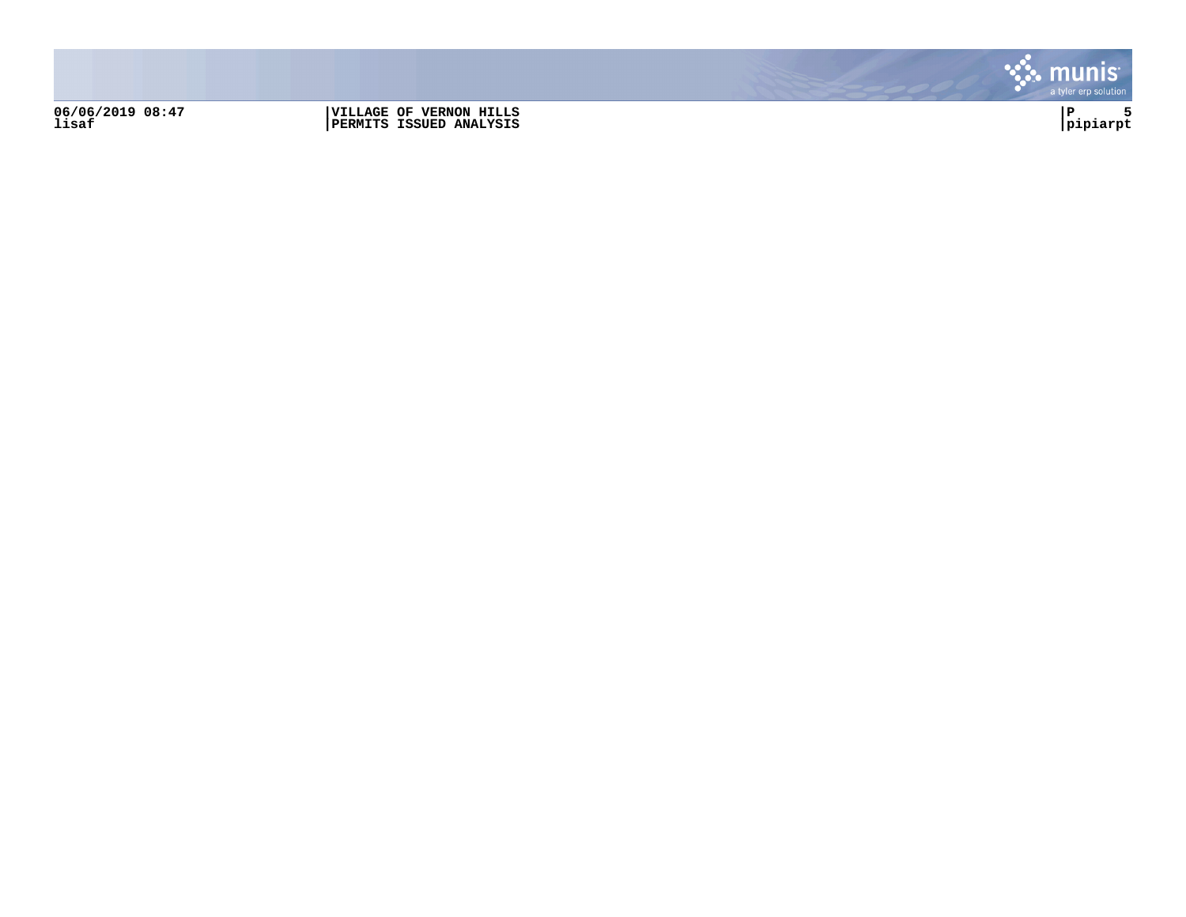**06/06/2019 08:47 |VILLAGE OF VERNON HILLS |P 5 lisaf |PERMITS ISSUED ANALYSIS |pipiarpt**

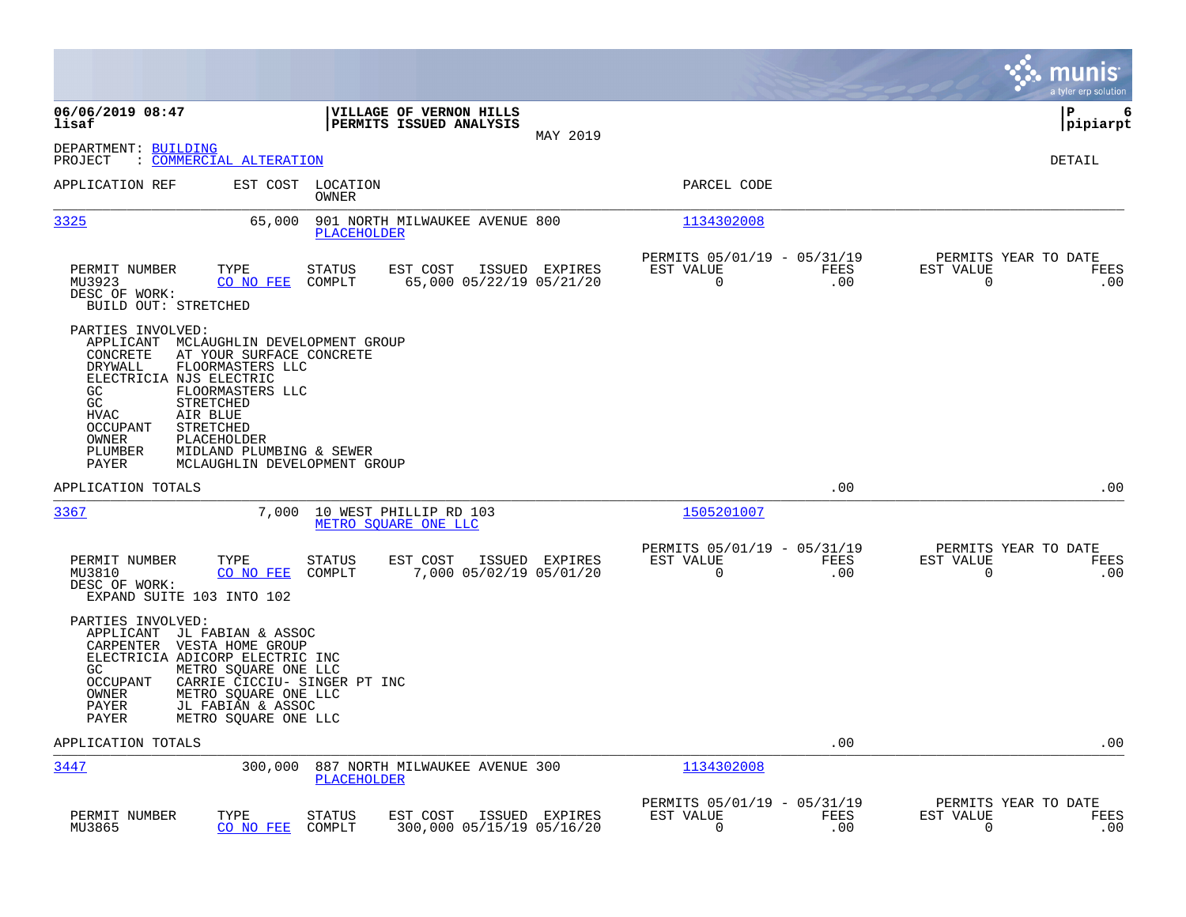|                                                                                                                                                                                                                                                                     |                                                                                                                      |                                                                               | munis<br>a tyler erp solution                                   |
|---------------------------------------------------------------------------------------------------------------------------------------------------------------------------------------------------------------------------------------------------------------------|----------------------------------------------------------------------------------------------------------------------|-------------------------------------------------------------------------------|-----------------------------------------------------------------|
| 06/06/2019 08:47<br>lisaf                                                                                                                                                                                                                                           | VILLAGE OF VERNON HILLS<br>PERMITS ISSUED ANALYSIS<br>MAY 2019                                                       |                                                                               | P<br>6<br> pipiarpt                                             |
| DEPARTMENT: BUILDING<br>: COMMERCIAL ALTERATION<br>PROJECT                                                                                                                                                                                                          |                                                                                                                      |                                                                               | DETAIL                                                          |
| APPLICATION REF                                                                                                                                                                                                                                                     | EST COST LOCATION<br>OWNER                                                                                           | PARCEL CODE                                                                   |                                                                 |
| 3325                                                                                                                                                                                                                                                                | 65,000<br>901 NORTH MILWAUKEE AVENUE 800<br>PLACEHOLDER                                                              | 1134302008                                                                    |                                                                 |
| PERMIT NUMBER<br>TYPE<br>MU3923<br>CO NO FEE<br>DESC OF WORK:<br>BUILD OUT: STRETCHED                                                                                                                                                                               | STATUS<br>EST COST<br>ISSUED EXPIRES<br>COMPLT<br>65,000 05/22/19 05/21/20                                           | PERMITS 05/01/19 - 05/31/19<br>EST VALUE<br>FEES<br>0<br>.00                  | PERMITS YEAR TO DATE<br>EST VALUE<br>FEES<br>$\mathbf 0$<br>.00 |
| PARTIES INVOLVED:<br>APPLICANT<br>CONCRETE<br>DRYWALL<br>FLOORMASTERS LLC<br>ELECTRICIA NJS ELECTRIC<br>GC<br>FLOORMASTERS LLC<br>GC<br>STRETCHED<br>HVAC<br>AIR BLUE<br><b>OCCUPANT</b><br>STRETCHED<br>OWNER<br>PLACEHOLDER<br>PLUMBER<br>PAYER                   | MCLAUGHLIN DEVELOPMENT GROUP<br>AT YOUR SURFACE CONCRETE<br>MIDLAND PLUMBING & SEWER<br>MCLAUGHLIN DEVELOPMENT GROUP |                                                                               |                                                                 |
| APPLICATION TOTALS                                                                                                                                                                                                                                                  |                                                                                                                      | .00                                                                           | .00                                                             |
| 3367                                                                                                                                                                                                                                                                | 7,000<br>10 WEST PHILLIP RD 103<br>METRO SQUARE ONE LLC                                                              | 1505201007                                                                    |                                                                 |
| PERMIT NUMBER<br>TYPE<br>MU3810<br>CO NO FEE<br>DESC OF WORK:<br>EXPAND SUITE 103 INTO 102                                                                                                                                                                          | EST COST<br>ISSUED EXPIRES<br>STATUS<br>COMPLT<br>7,000 05/02/19 05/01/20                                            | PERMITS 05/01/19 - 05/31/19<br>EST VALUE<br><b>FEES</b><br>$\mathbf 0$<br>.00 | PERMITS YEAR TO DATE<br>EST VALUE<br>FEES<br>$\mathbf 0$<br>.00 |
| PARTIES INVOLVED:<br>APPLICANT JL FABIAN & ASSOC<br>CARPENTER VESTA HOME GROUP<br>ELECTRICIA ADICORP ELECTRIC INC<br>GC.<br>METRO SOUARE ONE LLC<br><b>OCCUPANT</b><br>OWNER<br>METRO SQUARE ONE LLC<br>JL FABIAN & ASSOC<br>PAYER<br>PAYER<br>METRO SQUARE ONE LLC | CARRIE CICCIU- SINGER PT INC                                                                                         |                                                                               |                                                                 |
| APPLICATION TOTALS                                                                                                                                                                                                                                                  |                                                                                                                      | .00                                                                           | .00                                                             |
| 3447                                                                                                                                                                                                                                                                | 300,000<br>887 NORTH MILWAUKEE AVENUE 300<br>PLACEHOLDER                                                             | 1134302008                                                                    |                                                                 |
| PERMIT NUMBER<br>TYPE<br>MU3865<br>CO NO FEE                                                                                                                                                                                                                        | <b>STATUS</b><br>EST COST<br>ISSUED EXPIRES<br>COMPLT<br>300,000 05/15/19 05/16/20                                   | PERMITS 05/01/19 - 05/31/19<br>EST VALUE<br>FEES<br>$\Omega$<br>.00           | PERMITS YEAR TO DATE<br>EST VALUE<br>FEES<br>0<br>.00           |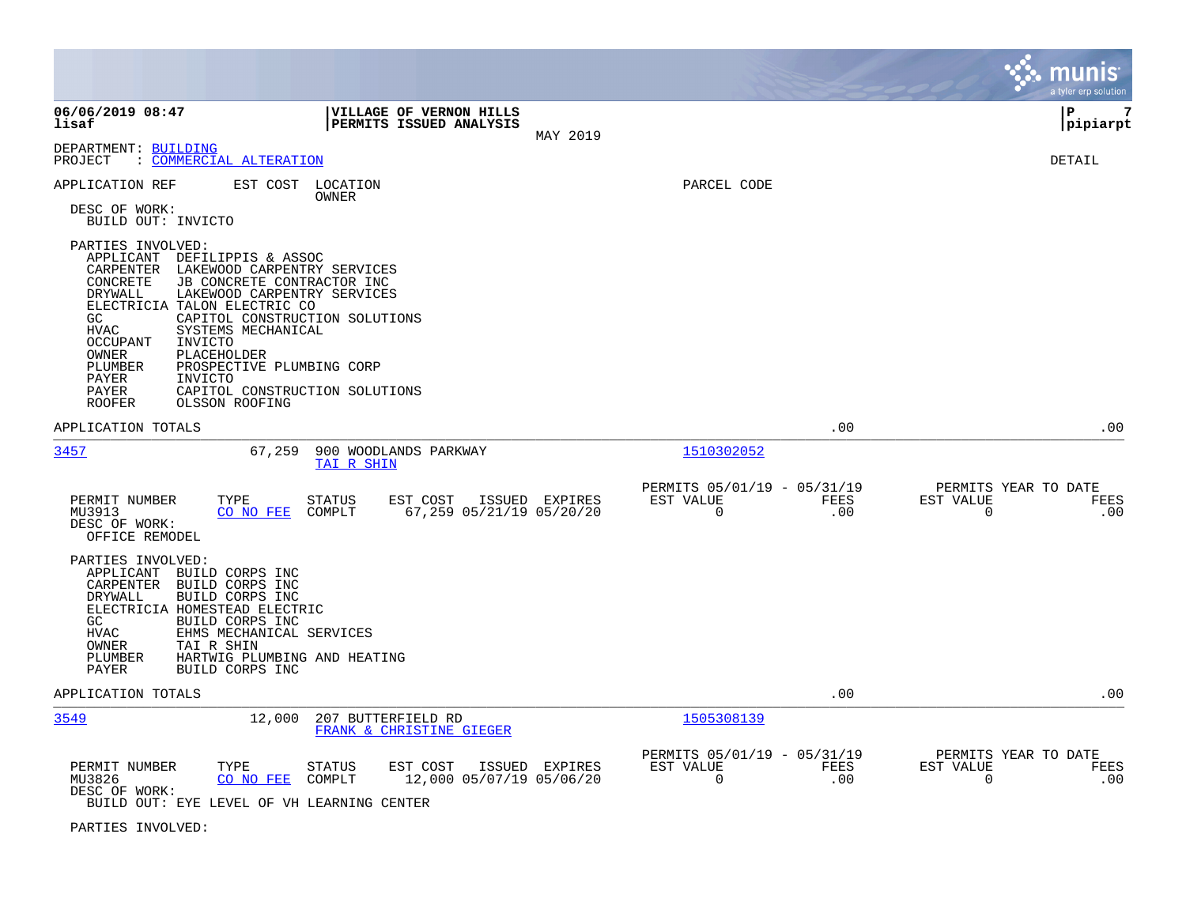|                                                                                                                                                                                                                                                                                                   |                                                                                                                                                                                           |                                                                           |                    | munis<br>a tyler erp solution                                |
|---------------------------------------------------------------------------------------------------------------------------------------------------------------------------------------------------------------------------------------------------------------------------------------------------|-------------------------------------------------------------------------------------------------------------------------------------------------------------------------------------------|---------------------------------------------------------------------------|--------------------|--------------------------------------------------------------|
| 06/06/2019 08:47<br>lisaf                                                                                                                                                                                                                                                                         | <b>VILLAGE OF VERNON HILLS</b><br>PERMITS ISSUED ANALYSIS                                                                                                                                 | MAY 2019                                                                  |                    | l P<br>7<br> pipiarpt                                        |
| DEPARTMENT: BUILDING<br>: COMMERCIAL ALTERATION<br>PROJECT                                                                                                                                                                                                                                        |                                                                                                                                                                                           |                                                                           |                    | DETAIL                                                       |
| APPLICATION REF<br>DESC OF WORK:<br>BUILD OUT: INVICTO                                                                                                                                                                                                                                            | EST COST<br>LOCATION<br>OWNER                                                                                                                                                             | PARCEL CODE                                                               |                    |                                                              |
| PARTIES INVOLVED:<br>APPLICANT DEFILIPPIS & ASSOC<br>CARPENTER<br>CONCRETE<br>DRYWALL<br>ELECTRICIA TALON ELECTRIC CO<br>GC<br>HVAC<br>SYSTEMS MECHANICAL<br><b>OCCUPANT</b><br>INVICTO<br>PLACEHOLDER<br>OWNER<br>PLUMBER<br><b>PAYER</b><br>INVICTO<br>PAYER<br><b>ROOFER</b><br>OLSSON ROOFING | LAKEWOOD CARPENTRY SERVICES<br>JB CONCRETE CONTRACTOR INC<br>LAKEWOOD CARPENTRY SERVICES<br>CAPITOL CONSTRUCTION SOLUTIONS<br>PROSPECTIVE PLUMBING CORP<br>CAPITOL CONSTRUCTION SOLUTIONS |                                                                           |                    |                                                              |
| APPLICATION TOTALS                                                                                                                                                                                                                                                                                |                                                                                                                                                                                           |                                                                           | .00                | .00                                                          |
| 3457                                                                                                                                                                                                                                                                                              | 67,259<br>900 WOODLANDS PARKWAY<br>TAI R SHIN                                                                                                                                             | 1510302052                                                                |                    |                                                              |
| PERMIT NUMBER<br>TYPE<br>MU3913<br>CO NO FEE<br>DESC OF WORK:<br>OFFICE REMODEL                                                                                                                                                                                                                   | EST COST<br><b>STATUS</b><br>COMPLT<br>67,259 05/21/19 05/20/20                                                                                                                           | PERMITS 05/01/19 - 05/31/19<br>EST VALUE<br>ISSUED EXPIRES<br>$\Omega$    | FEES<br>.00        | PERMITS YEAR TO DATE<br>EST VALUE<br>FEES<br>$\Omega$<br>.00 |
| PARTIES INVOLVED:<br>APPLICANT BUILD CORPS INC<br>CARPENTER BUILD CORPS INC<br>BUILD CORPS INC<br>DRYWALL<br>ELECTRICIA HOMESTEAD ELECTRIC<br>GC<br>BUILD CORPS INC<br><b>HVAC</b><br>OWNER<br>TAI R SHIN<br>PLUMBER<br>BUILD CORPS INC<br>PAYER                                                  | EHMS MECHANICAL SERVICES<br>HARTWIG PLUMBING AND HEATING                                                                                                                                  |                                                                           |                    |                                                              |
| APPLICATION TOTALS                                                                                                                                                                                                                                                                                |                                                                                                                                                                                           |                                                                           | .00                | .00                                                          |
| 3549                                                                                                                                                                                                                                                                                              | 12,000<br>207 BUTTERFIELD RD<br>FRANK & CHRISTINE GIEGER                                                                                                                                  | 1505308139                                                                |                    |                                                              |
| PERMIT NUMBER<br>TYPE<br>MU3826<br>CO NO FEE<br>DESC OF WORK:<br>BUILD OUT: EYE LEVEL OF VH LEARNING CENTER                                                                                                                                                                                       | STATUS<br>EST COST<br>12,000 05/07/19 05/06/20<br>COMPLT                                                                                                                                  | PERMITS 05/01/19 - 05/31/19<br>EST VALUE<br>ISSUED EXPIRES<br>$\mathbf 0$ | <b>FEES</b><br>.00 | PERMITS YEAR TO DATE<br>EST VALUE<br>FEES<br>0<br>.00        |

PARTIES INVOLVED: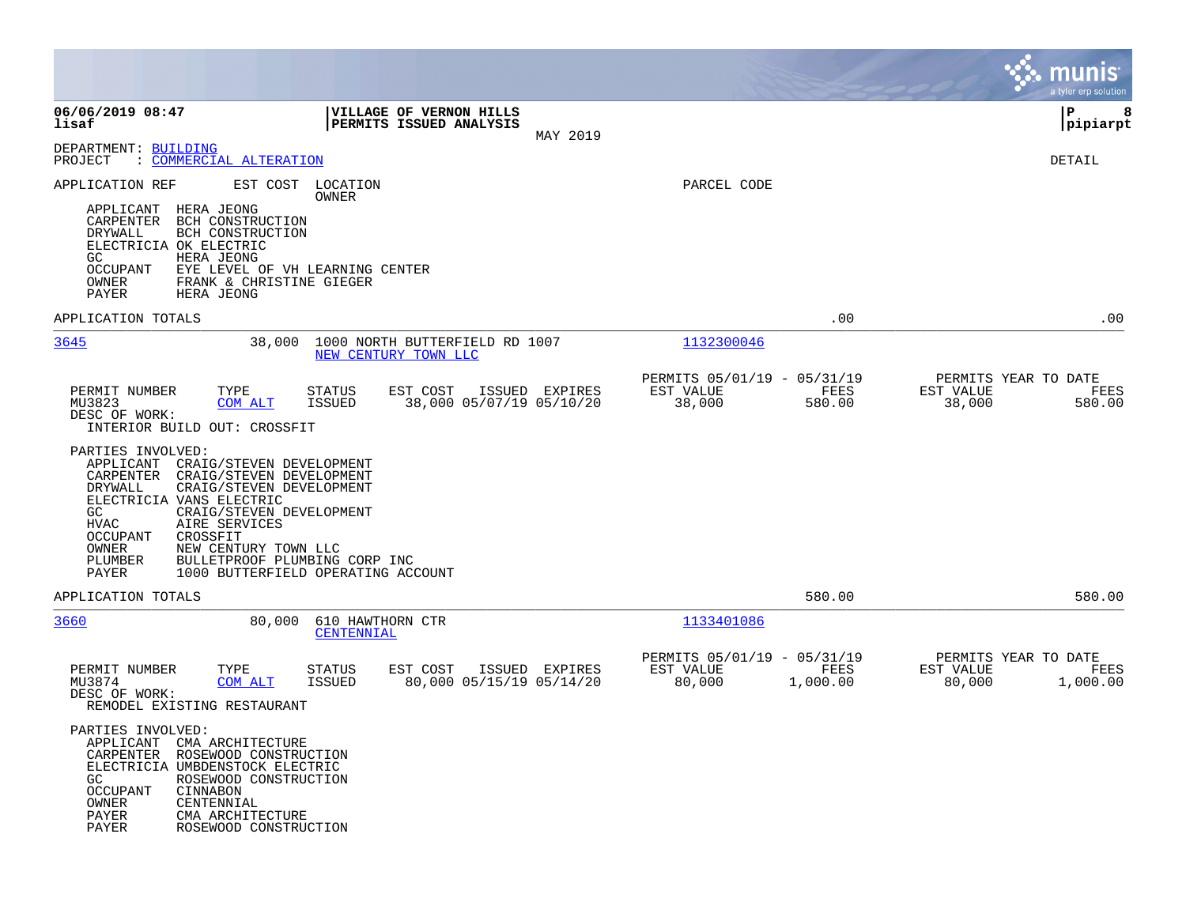|                                                                                                                      | munis<br>a tyler erp solution                                                  |
|----------------------------------------------------------------------------------------------------------------------|--------------------------------------------------------------------------------|
| MAY 2019                                                                                                             | l P<br>8<br> pipiarpt                                                          |
|                                                                                                                      | DETAIL                                                                         |
| PARCEL CODE                                                                                                          |                                                                                |
|                                                                                                                      | .00                                                                            |
|                                                                                                                      |                                                                                |
| PERMITS 05/01/19 - 05/31/19<br>ISSUED EXPIRES<br>EST VALUE<br>FEES<br>38,000 05/07/19 05/10/20<br>38,000<br>580.00   | PERMITS YEAR TO DATE<br>EST VALUE<br><b>FEES</b><br>38,000<br>580.00<br>580.00 |
|                                                                                                                      |                                                                                |
| PERMITS 05/01/19 - 05/31/19<br>ISSUED EXPIRES<br>EST VALUE<br>FEES<br>80,000 05/15/19 05/14/20<br>80,000<br>1,000.00 | PERMITS YEAR TO DATE<br>EST VALUE<br>FEES<br>80,000<br>1,000.00                |
|                                                                                                                      | .00<br>1132300046<br>580.00<br>1133401086                                      |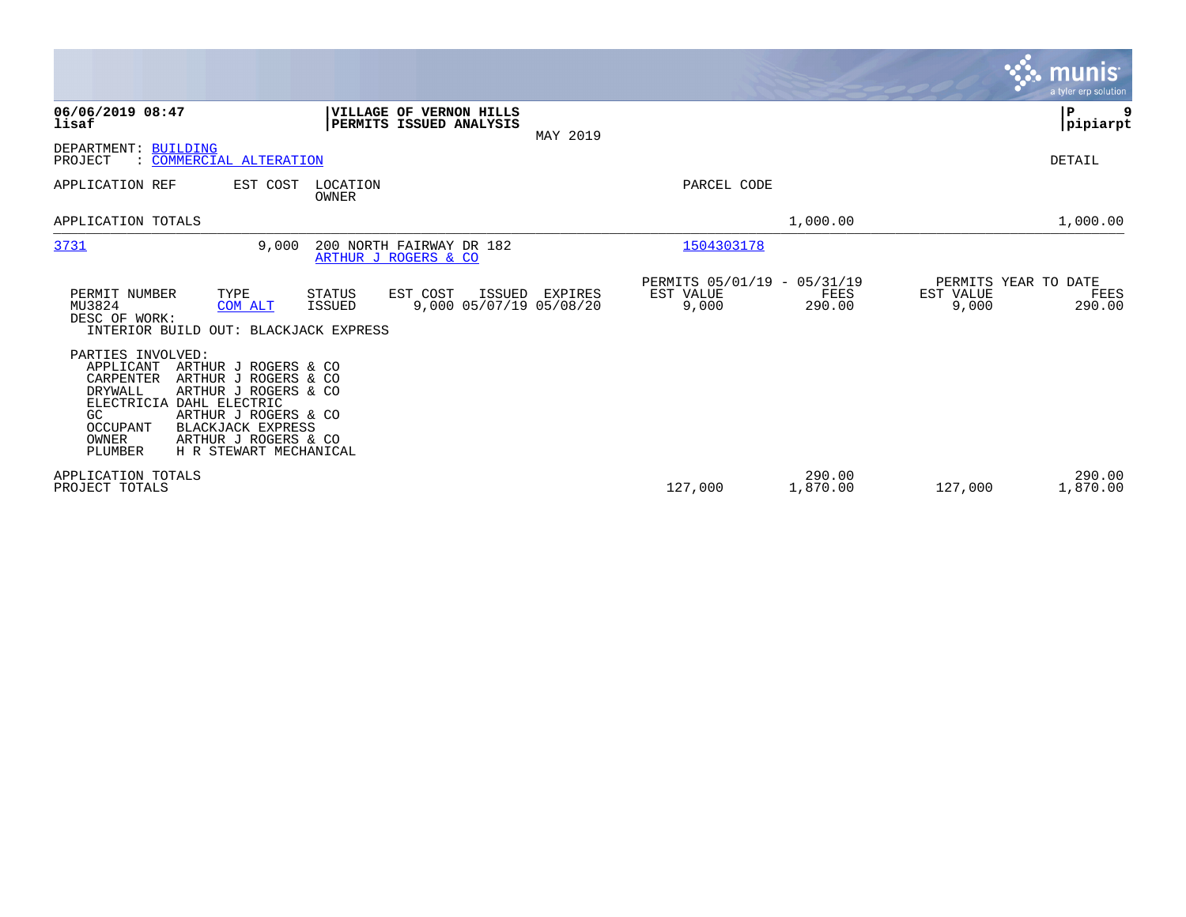|                                                                                                                                                         |                                                                                                                                                                     |                                                    |          |                                                   |                    |                                            | munis<br>a tyler erp solution |
|---------------------------------------------------------------------------------------------------------------------------------------------------------|---------------------------------------------------------------------------------------------------------------------------------------------------------------------|----------------------------------------------------|----------|---------------------------------------------------|--------------------|--------------------------------------------|-------------------------------|
| 06/06/2019 08:47<br>lisaf                                                                                                                               |                                                                                                                                                                     | VILLAGE OF VERNON HILLS<br>PERMITS ISSUED ANALYSIS | MAY 2019 |                                                   |                    |                                            | P<br> pipiarpt                |
| DEPARTMENT:<br><b>BUILDING</b><br>: COMMERCIAL ALTERATION<br>PROJECT                                                                                    |                                                                                                                                                                     |                                                    |          |                                                   |                    |                                            | DETAIL                        |
| APPLICATION REF                                                                                                                                         | EST COST<br>LOCATION<br>OWNER                                                                                                                                       |                                                    |          | PARCEL CODE                                       |                    |                                            |                               |
| APPLICATION TOTALS                                                                                                                                      |                                                                                                                                                                     |                                                    |          |                                                   | 1,000.00           |                                            | 1,000.00                      |
| 3731                                                                                                                                                    | 9,000                                                                                                                                                               | 200 NORTH FAIRWAY DR 182<br>ARTHUR J ROGERS & CO   |          | 1504303178                                        |                    |                                            |                               |
| PERMIT NUMBER<br>TYPE<br>MU3824<br>DESC OF WORK:<br>INTERIOR BUILD OUT: BLACKJACK EXPRESS                                                               | <b>STATUS</b><br>COM ALT<br>ISSUED                                                                                                                                  | EST COST<br>ISSUED<br>9,000 05/07/19 05/08/20      | EXPIRES  | PERMITS 05/01/19 - 05/31/19<br>EST VALUE<br>9,000 | FEES<br>290.00     | PERMITS YEAR TO DATE<br>EST VALUE<br>9,000 | FEES<br>290.00                |
| PARTIES INVOLVED:<br>APPLICANT<br>CARPENTER<br><b>DRYWALL</b><br><b>ELECTRICIA</b><br>DAHL ELECTRIC<br><b>GC</b><br>OCCUPANT<br>OWNER<br><b>PLUMBER</b> | ARTHUR J ROGERS & CO<br>ARTHUR J ROGERS & CO<br>ARTHUR J ROGERS & CO<br>ARTHUR J ROGERS & CO<br>BLACKJACK EXPRESS<br>ARTHUR J ROGERS & CO<br>H R STEWART MECHANICAL |                                                    |          |                                                   |                    |                                            |                               |
| APPLICATION TOTALS<br>PROJECT TOTALS                                                                                                                    |                                                                                                                                                                     |                                                    |          | 127,000                                           | 290.00<br>1,870.00 | 127,000                                    | 290.00<br>1,870.00            |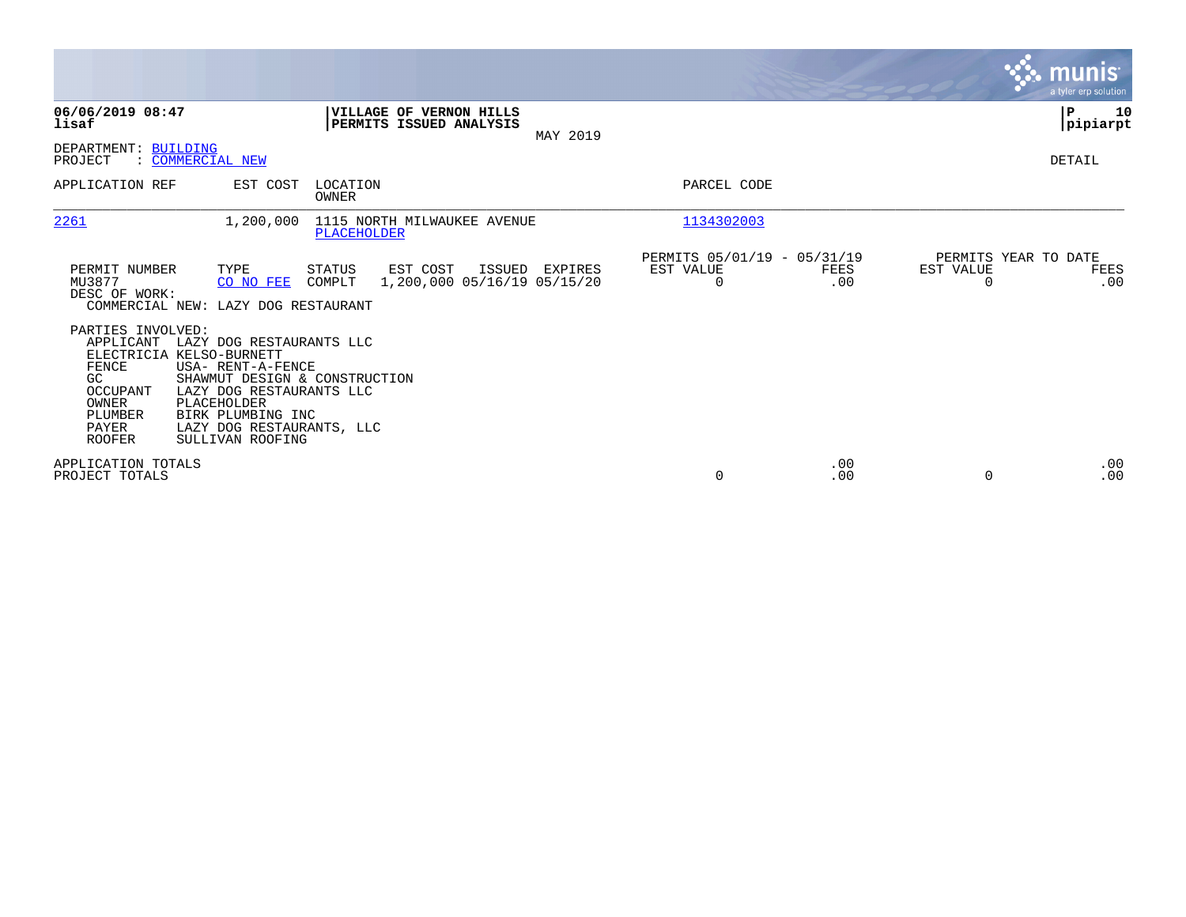|                                                                                                                                                                                                                                                                                                                                               |                                                                                         |                                               |             | munis<br>a tyler erp solution                    |    |
|-----------------------------------------------------------------------------------------------------------------------------------------------------------------------------------------------------------------------------------------------------------------------------------------------------------------------------------------------|-----------------------------------------------------------------------------------------|-----------------------------------------------|-------------|--------------------------------------------------|----|
| 06/06/2019 08:47<br>lisaf                                                                                                                                                                                                                                                                                                                     | VILLAGE OF VERNON HILLS<br>PERMITS ISSUED ANALYSIS<br>MAY 2019                          |                                               |             | ${\bf P}$<br> pipiarpt                           | 10 |
| DEPARTMENT: BUILDING<br>: COMMERCIAL NEW<br>PROJECT                                                                                                                                                                                                                                                                                           |                                                                                         |                                               |             | DETAIL                                           |    |
| APPLICATION REF<br>EST COST                                                                                                                                                                                                                                                                                                                   | LOCATION<br>OWNER                                                                       | PARCEL CODE                                   |             |                                                  |    |
| 2261<br>1,200,000                                                                                                                                                                                                                                                                                                                             | 1115 NORTH MILWAUKEE AVENUE<br><b>PLACEHOLDER</b>                                       | 1134302003                                    |             |                                                  |    |
| PERMIT NUMBER<br>TYPE<br>MU3877<br>CO NO FEE<br>DESC OF WORK:<br>COMMERCIAL NEW: LAZY DOG RESTAURANT                                                                                                                                                                                                                                          | EST COST<br><b>STATUS</b><br>ISSUED<br>EXPIRES<br>1,200,000 05/16/19 05/15/20<br>COMPLT | PERMITS 05/01/19 - 05/31/19<br>EST VALUE<br>0 | FEES<br>.00 | PERMITS YEAR TO DATE<br>EST VALUE<br>FEES<br>.00 |    |
| PARTIES INVOLVED:<br>APPLICANT<br>LAZY DOG RESTAURANTS LLC<br>ELECTRICIA KELSO-BURNETT<br>FENCE<br>USA- RENT-A-FENCE<br>GC<br>SHAWMUT DESIGN & CONSTRUCTION<br>OCCUPANT<br>LAZY DOG RESTAURANTS LLC<br><b>OWNER</b><br>PLACEHOLDER<br>PLUMBER<br>BIRK PLUMBING INC<br>PAYER<br>LAZY DOG RESTAURANTS, LLC<br><b>ROOFER</b><br>SULLIVAN ROOFING |                                                                                         |                                               |             |                                                  |    |
| APPLICATION TOTALS<br>PROJECT TOTALS                                                                                                                                                                                                                                                                                                          |                                                                                         | 0                                             | .00<br>.00  | .00<br>.00<br>$\Omega$                           |    |

**Contract**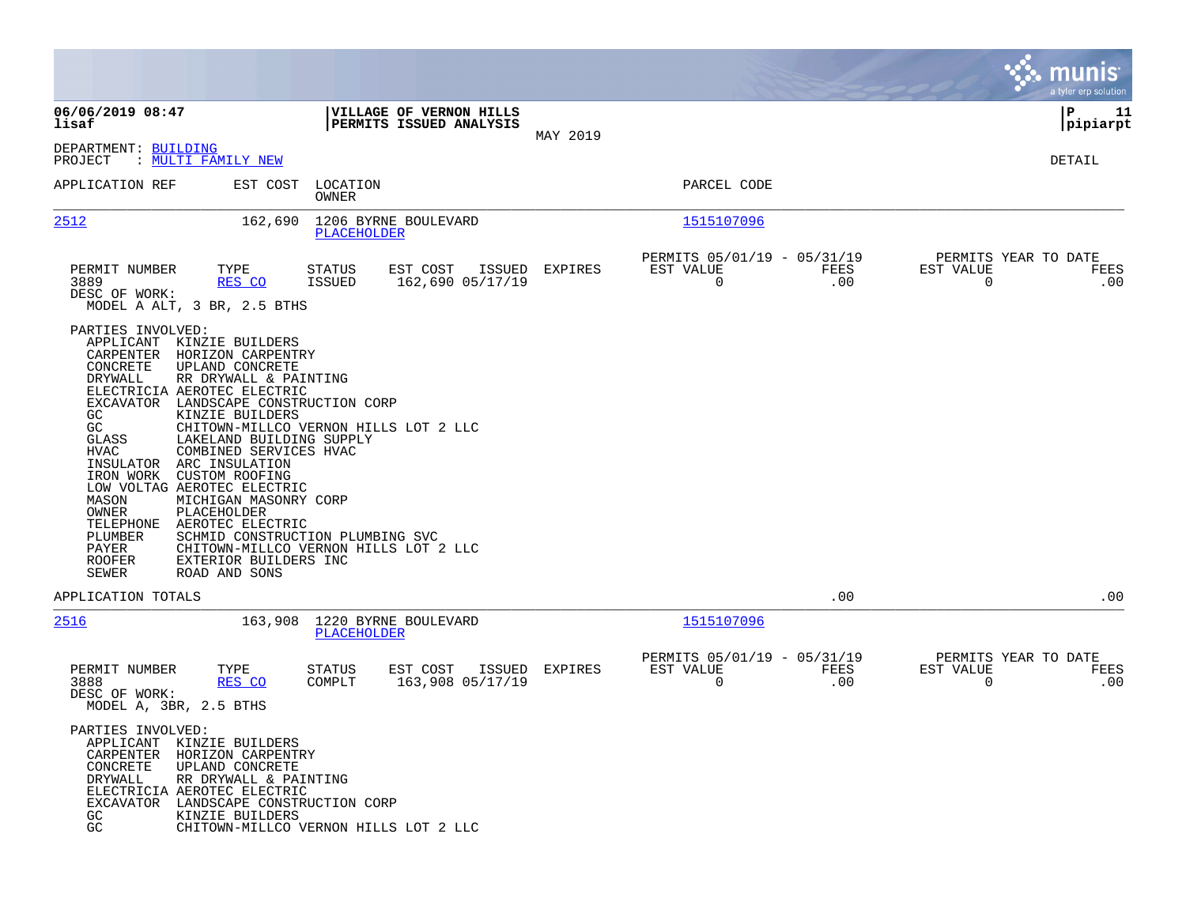|                                                                                                                                                                                                                                                                                                                                                                                                                                                                                                                                                                                                       |                                                                                                                    |          |                                                            |                                                                                                                            | munis<br>a tyler erp solution                                      |
|-------------------------------------------------------------------------------------------------------------------------------------------------------------------------------------------------------------------------------------------------------------------------------------------------------------------------------------------------------------------------------------------------------------------------------------------------------------------------------------------------------------------------------------------------------------------------------------------------------|--------------------------------------------------------------------------------------------------------------------|----------|------------------------------------------------------------|----------------------------------------------------------------------------------------------------------------------------|--------------------------------------------------------------------|
| 06/06/2019 08:47<br>lisaf                                                                                                                                                                                                                                                                                                                                                                                                                                                                                                                                                                             | VILLAGE OF VERNON HILLS<br>PERMITS ISSUED ANALYSIS                                                                 | MAY 2019 |                                                            |                                                                                                                            | l P<br>11<br> pipiarpt                                             |
| DEPARTMENT: BUILDING<br>PROJECT<br>: <u>MULTI FAMILY NEW</u>                                                                                                                                                                                                                                                                                                                                                                                                                                                                                                                                          |                                                                                                                    |          |                                                            |                                                                                                                            | <b>DETAIL</b>                                                      |
| APPLICATION REF                                                                                                                                                                                                                                                                                                                                                                                                                                                                                                                                                                                       | EST COST LOCATION<br>OWNER                                                                                         |          | PARCEL CODE                                                |                                                                                                                            |                                                                    |
| 2512                                                                                                                                                                                                                                                                                                                                                                                                                                                                                                                                                                                                  | 162,690 1206 BYRNE BOULEVARD<br><b>PLACEHOLDER</b>                                                                 |          | 1515107096                                                 |                                                                                                                            |                                                                    |
| PERMIT NUMBER<br>TYPE<br>RES CO<br>3889<br>DESC OF WORK:<br>MODEL A ALT, 3 BR, 2.5 BTHS                                                                                                                                                                                                                                                                                                                                                                                                                                                                                                               | STATUS<br>EST COST ISSUED EXPIRES<br>ISSUED<br>162,690 05/17/19                                                    |          | PERMITS 05/01/19 - 05/31/19<br>EST VALUE<br>$\overline{0}$ | <b>EXERCITE: EXERCITE: EXERCITE: EXERCITE: EXERCITE: EXERCITE: EXERCITE: EXERCITE: EXERCITE: EXERCITE: EXERCITE</b><br>.00 | PERMITS YEAR TO DATE<br>EST VALUE<br>FEES<br>$\overline{0}$<br>.00 |
| PARTIES INVOLVED:<br>APPLICANT KINZIE BUILDERS<br>CARPENTER HORIZON CARPENTRY<br>CONCRETE<br>UPLAND CONCRETE<br><b>DRYWALL</b><br>RR DRYWALL & PAINTING<br>ELECTRICIA AEROTEC ELECTRIC<br>EXCAVATOR LANDSCAPE CONSTRUCTION CORP<br>KINZIE BUILDERS<br>GC<br>GC<br>GLASS<br>LAKELAND BUILDING SUPPLY<br>COMBINED SERVICES HVAC<br>HVAC<br>INSULATOR ARC INSULATION<br>IRON WORK CUSTOM ROOFING<br>LOW VOLTAG AEROTEC ELECTRIC<br>MICHIGAN MASONRY CORP<br>MASON<br>OWNER<br>PLACEHOLDER<br>TELEPHONE AEROTEC ELECTRIC<br>PLUMBER<br>PAYER<br>ROOFER<br>EXTERIOR BUILDERS INC<br>SEWER<br>ROAD AND SONS | CHITOWN-MILLCO VERNON HILLS LOT 2 LLC<br>SCHMID CONSTRUCTION PLUMBING SVC<br>CHITOWN-MILLCO VERNON HILLS LOT 2 LLC |          |                                                            |                                                                                                                            |                                                                    |
| APPLICATION TOTALS                                                                                                                                                                                                                                                                                                                                                                                                                                                                                                                                                                                    |                                                                                                                    |          |                                                            | .00                                                                                                                        | .00                                                                |
| 2516                                                                                                                                                                                                                                                                                                                                                                                                                                                                                                                                                                                                  | 163,908 1220 BYRNE BOULEVARD<br>PLACEHOLDER                                                                        |          | 1515107096                                                 |                                                                                                                            |                                                                    |
| PERMIT NUMBER<br>TYPE<br>3888<br>RES CO<br>DESC OF WORK:<br>MODEL A, 3BR, 2.5 BTHS<br>PARTIES INVOLVED:<br>APPLICANT KINZIE BUILDERS<br>CARPENTER HORIZON CARPENTRY<br>CONCRETE<br>UPLAND CONCRETE<br>DRYWALL<br>RR DRYWALL & PAINTING                                                                                                                                                                                                                                                                                                                                                                | EST COST ISSUED EXPIRES<br>STATUS<br>163,908 05/17/19<br>COMPLT                                                    |          | PERMITS 05/01/19 - 05/31/19<br>EST VALUE<br>0              | FEES<br>.00                                                                                                                | PERMITS YEAR TO DATE<br>EST VALUE<br>FEES<br>0<br>.00              |
| ELECTRICIA AEROTEC ELECTRIC<br>EXCAVATOR LANDSCAPE CONSTRUCTION CORP<br>KINZIE BUILDERS<br>GC.<br>GC                                                                                                                                                                                                                                                                                                                                                                                                                                                                                                  | CHITOWN-MILLCO VERNON HILLS LOT 2 LLC                                                                              |          |                                                            |                                                                                                                            |                                                                    |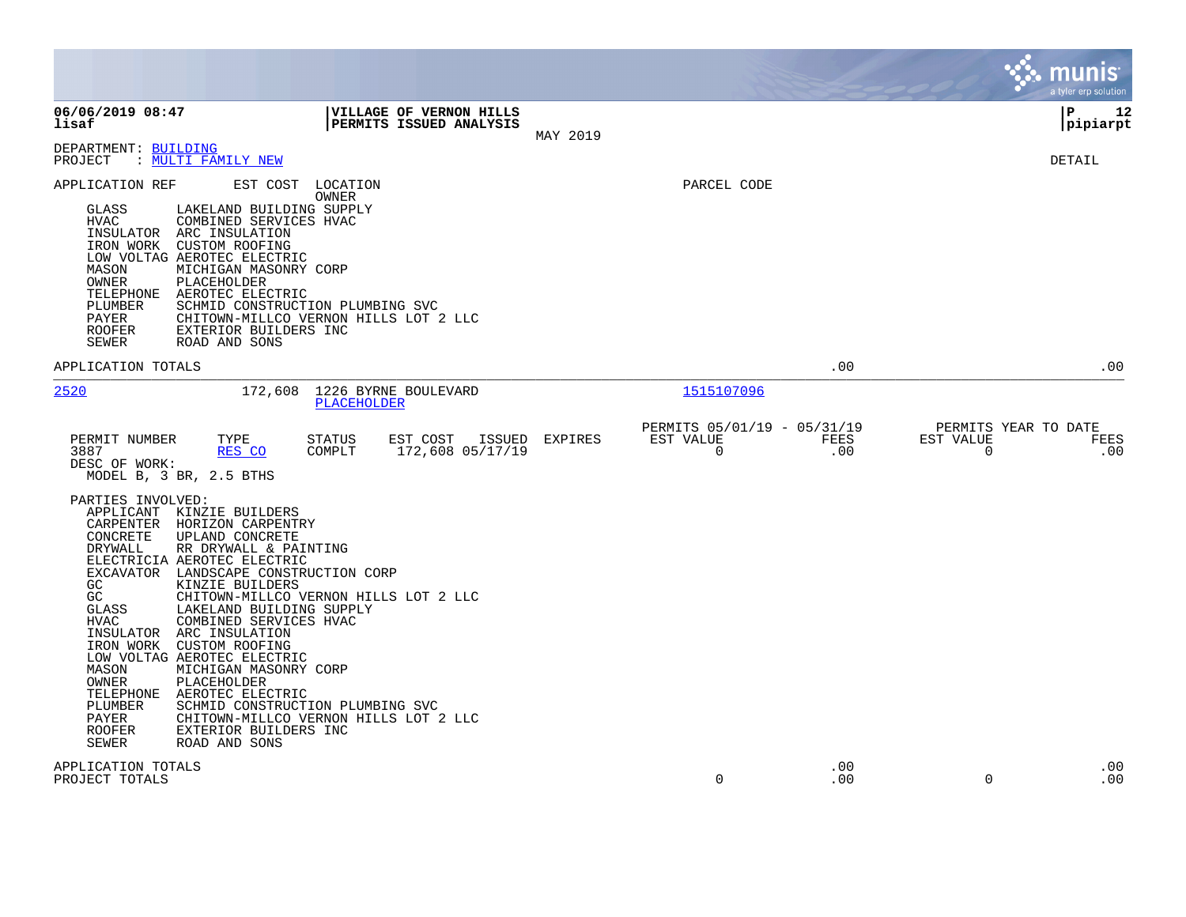|                                                                                                                                                                                                                                                                                                                                                                                                                                                                                                                                                                                                                                                                                                                                                                      |                                                                                                                                                  |          |                                           |             |                       | munis<br>a tyler erp solution |
|----------------------------------------------------------------------------------------------------------------------------------------------------------------------------------------------------------------------------------------------------------------------------------------------------------------------------------------------------------------------------------------------------------------------------------------------------------------------------------------------------------------------------------------------------------------------------------------------------------------------------------------------------------------------------------------------------------------------------------------------------------------------|--------------------------------------------------------------------------------------------------------------------------------------------------|----------|-------------------------------------------|-------------|-----------------------|-------------------------------|
| 06/06/2019 08:47<br>lisaf                                                                                                                                                                                                                                                                                                                                                                                                                                                                                                                                                                                                                                                                                                                                            | <b> VILLAGE OF VERNON HILLS</b><br><b>PERMITS ISSUED ANALYSIS</b>                                                                                | MAY 2019 |                                           |             |                       | l P<br>12<br> pipiarpt        |
| DEPARTMENT: BUILDING<br>PROJECT<br>: MULTI FAMILY NEW                                                                                                                                                                                                                                                                                                                                                                                                                                                                                                                                                                                                                                                                                                                |                                                                                                                                                  |          |                                           |             |                       | DETAIL                        |
| EST COST<br>APPLICATION REF<br>GLASS<br>LAKELAND BUILDING SUPPLY<br><b>HVAC</b><br>COMBINED SERVICES HVAC<br>INSULATOR<br>ARC INSULATION<br>IRON WORK<br><b>CUSTOM ROOFING</b><br>LOW VOLTAG AEROTEC ELECTRIC<br>MASON<br>MICHIGAN MASONRY CORP<br>OWNER<br>PLACEHOLDER<br>TELEPHONE<br>AEROTEC ELECTRIC<br>PLUMBER<br>SCHMID CONSTRUCTION PLUMBING SVC<br>PAYER<br><b>ROOFER</b><br>EXTERIOR BUILDERS INC<br><b>SEWER</b><br>ROAD AND SONS                                                                                                                                                                                                                                                                                                                          | LOCATION<br>OWNER<br>CHITOWN-MILLCO VERNON HILLS LOT 2 LLC                                                                                       |          | PARCEL CODE                               |             |                       |                               |
| APPLICATION TOTALS                                                                                                                                                                                                                                                                                                                                                                                                                                                                                                                                                                                                                                                                                                                                                   |                                                                                                                                                  |          |                                           | .00         |                       | .00                           |
| 2520<br>172,608                                                                                                                                                                                                                                                                                                                                                                                                                                                                                                                                                                                                                                                                                                                                                      | 1226 BYRNE BOULEVARD<br><b>PLACEHOLDER</b>                                                                                                       |          | 1515107096<br>PERMITS 05/01/19 - 05/31/19 |             |                       | PERMITS YEAR TO DATE          |
| PERMIT NUMBER<br>TYPE<br>3887<br>RES CO<br>DESC OF WORK:<br>MODEL B, 3 BR, 2.5 BTHS<br>PARTIES INVOLVED:<br>APPLICANT<br>KINZIE BUILDERS<br>CARPENTER<br>HORIZON CARPENTRY<br>CONCRETE<br>UPLAND CONCRETE<br>DRYWALL<br>RR DRYWALL & PAINTING<br>ELECTRICIA AEROTEC ELECTRIC<br>EXCAVATOR LANDSCAPE CONSTRUCTION CORP<br>GC<br>KINZIE BUILDERS<br>GC<br><b>GLASS</b><br>LAKELAND BUILDING SUPPLY<br><b>HVAC</b><br>COMBINED SERVICES HVAC<br>ARC INSULATION<br>INSULATOR<br><b>CUSTOM ROOFING</b><br>IRON WORK<br>LOW VOLTAG AEROTEC ELECTRIC<br>MASON<br>MICHIGAN MASONRY CORP<br>OWNER<br>PLACEHOLDER<br>TELEPHONE<br>AEROTEC ELECTRIC<br>PLUMBER<br>SCHMID CONSTRUCTION PLUMBING SVC<br>PAYER<br><b>ROOFER</b><br>EXTERIOR BUILDERS INC<br>ROAD AND SONS<br>SEWER | EST COST ISSUED<br><b>STATUS</b><br>COMPLT<br>172,608 05/17/19<br>CHITOWN-MILLCO VERNON HILLS LOT 2 LLC<br>CHITOWN-MILLCO VERNON HILLS LOT 2 LLC | EXPIRES  | EST VALUE<br>$\mathsf{O}$                 | FEES<br>.00 | EST VALUE<br>$\Omega$ | FEES<br>.00                   |
| APPLICATION TOTALS<br>PROJECT TOTALS                                                                                                                                                                                                                                                                                                                                                                                                                                                                                                                                                                                                                                                                                                                                 |                                                                                                                                                  |          | $\mathbf 0$                               | .00<br>.00  | 0                     | .00<br>.00                    |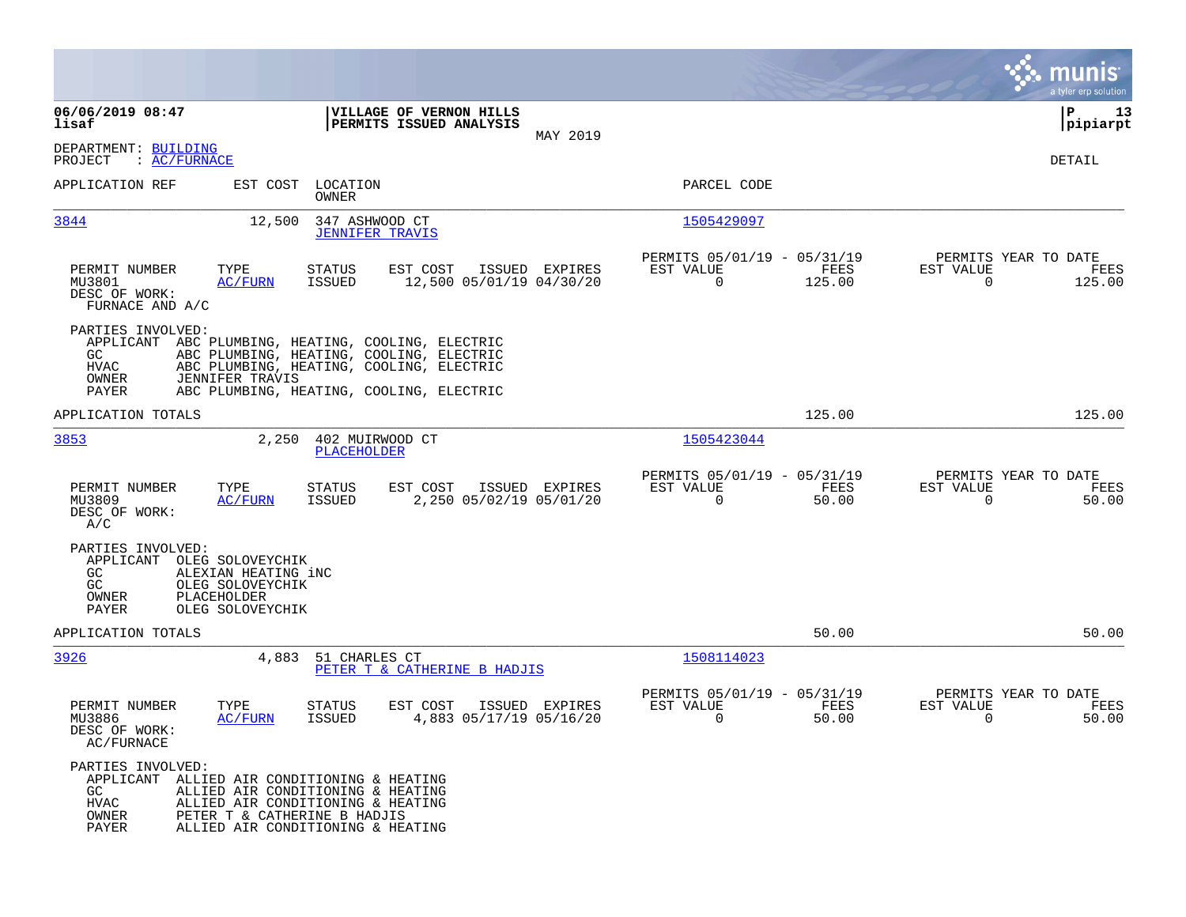|                                                                                                                                                                |                                                                                                                                                                              |                |                                                         |                |                                                  | munis<br>a tyler erp solution |
|----------------------------------------------------------------------------------------------------------------------------------------------------------------|------------------------------------------------------------------------------------------------------------------------------------------------------------------------------|----------------|---------------------------------------------------------|----------------|--------------------------------------------------|-------------------------------|
| 06/06/2019 08:47<br>lisaf                                                                                                                                      | VILLAGE OF VERNON HILLS<br>PERMITS ISSUED ANALYSIS                                                                                                                           | MAY 2019       |                                                         |                |                                                  | ΙP<br>13<br> pipiarpt         |
| DEPARTMENT: BUILDING<br>: AC/FURNACE<br>PROJECT                                                                                                                |                                                                                                                                                                              |                |                                                         |                |                                                  | <b>DETAIL</b>                 |
| APPLICATION REF<br>EST COST                                                                                                                                    | LOCATION<br>OWNER                                                                                                                                                            |                | PARCEL CODE                                             |                |                                                  |                               |
| 3844<br>12,500                                                                                                                                                 | 347 ASHWOOD CT<br><b>JENNIFER TRAVIS</b>                                                                                                                                     |                | 1505429097                                              |                |                                                  |                               |
| TYPE<br>PERMIT NUMBER<br>AC/FURN<br>MU3801<br>DESC OF WORK:<br>FURNACE AND A/C                                                                                 | STATUS<br>EST COST<br><b>ISSUED</b><br>12,500 05/01/19 04/30/20                                                                                                              | ISSUED EXPIRES | PERMITS 05/01/19 - 05/31/19<br>EST VALUE<br>$\mathbf 0$ | FEES<br>125.00 | PERMITS YEAR TO DATE<br>EST VALUE<br>$\mathbf 0$ | FEES<br>125.00                |
| PARTIES INVOLVED:<br>APPLICANT<br>GC.<br><b>HVAC</b><br>OWNER<br><b>JENNIFER TRAVIS</b><br>PAYER                                                               | ABC PLUMBING, HEATING, COOLING, ELECTRIC<br>ABC PLUMBING, HEATING, COOLING, ELECTRIC<br>ABC PLUMBING, HEATING, COOLING, ELECTRIC<br>ABC PLUMBING, HEATING, COOLING, ELECTRIC |                |                                                         |                |                                                  |                               |
| APPLICATION TOTALS                                                                                                                                             |                                                                                                                                                                              |                |                                                         | 125.00         |                                                  | 125.00                        |
| 3853<br>2,250                                                                                                                                                  | 402 MUIRWOOD CT<br>PLACEHOLDER                                                                                                                                               |                | 1505423044                                              |                |                                                  |                               |
| PERMIT NUMBER<br>TYPE<br>MU3809<br><b>AC/FURN</b><br>DESC OF WORK:<br>A/C                                                                                      | STATUS<br>EST COST<br><b>ISSUED</b><br>2,250 05/02/19 05/01/20                                                                                                               | ISSUED EXPIRES | PERMITS 05/01/19 - 05/31/19<br>EST VALUE<br>$\Omega$    | FEES<br>50.00  | PERMITS YEAR TO DATE<br>EST VALUE<br>$\Omega$    | FEES<br>50.00                 |
| PARTIES INVOLVED:<br>APPLICANT<br>OLEG SOLOVEYCHIK<br>GC<br>ALEXIAN HEATING INC<br>GC<br>OLEG SOLOVEYCHIK<br>OWNER<br>PLACEHOLDER<br>PAYER<br>OLEG SOLOVEYCHIK |                                                                                                                                                                              |                |                                                         |                |                                                  |                               |
| APPLICATION TOTALS                                                                                                                                             |                                                                                                                                                                              |                |                                                         | 50.00          |                                                  | 50.00                         |
| 3926<br>4,883                                                                                                                                                  | 51 CHARLES CT<br>PETER T & CATHERINE B HADJIS                                                                                                                                |                | 1508114023                                              |                |                                                  |                               |
| TYPE<br>PERMIT NUMBER<br>MU3886<br>AC/FURN<br>DESC OF WORK:<br>AC/FURNACE                                                                                      | STATUS<br>EST COST<br>ISSUED EXPIRES<br><b>ISSUED</b><br>4,883 05/17/19 05/16/20                                                                                             |                | PERMITS 05/01/19 - 05/31/19<br>EST VALUE<br>$\Omega$    | FEES<br>50.00  | PERMITS YEAR TO DATE<br>EST VALUE<br>0           | FEES<br>50.00                 |
| PARTIES INVOLVED:<br>APPLICANT<br>GC.<br><b>HVAC</b><br>PETER T & CATHERINE B HADJIS<br>OWNER<br>PAYER                                                         | ALLIED AIR CONDITIONING & HEATING<br>ALLIED AIR CONDITIONING & HEATING<br>ALLIED AIR CONDITIONING & HEATING<br>ALLIED AIR CONDITIONING & HEATING                             |                |                                                         |                |                                                  |                               |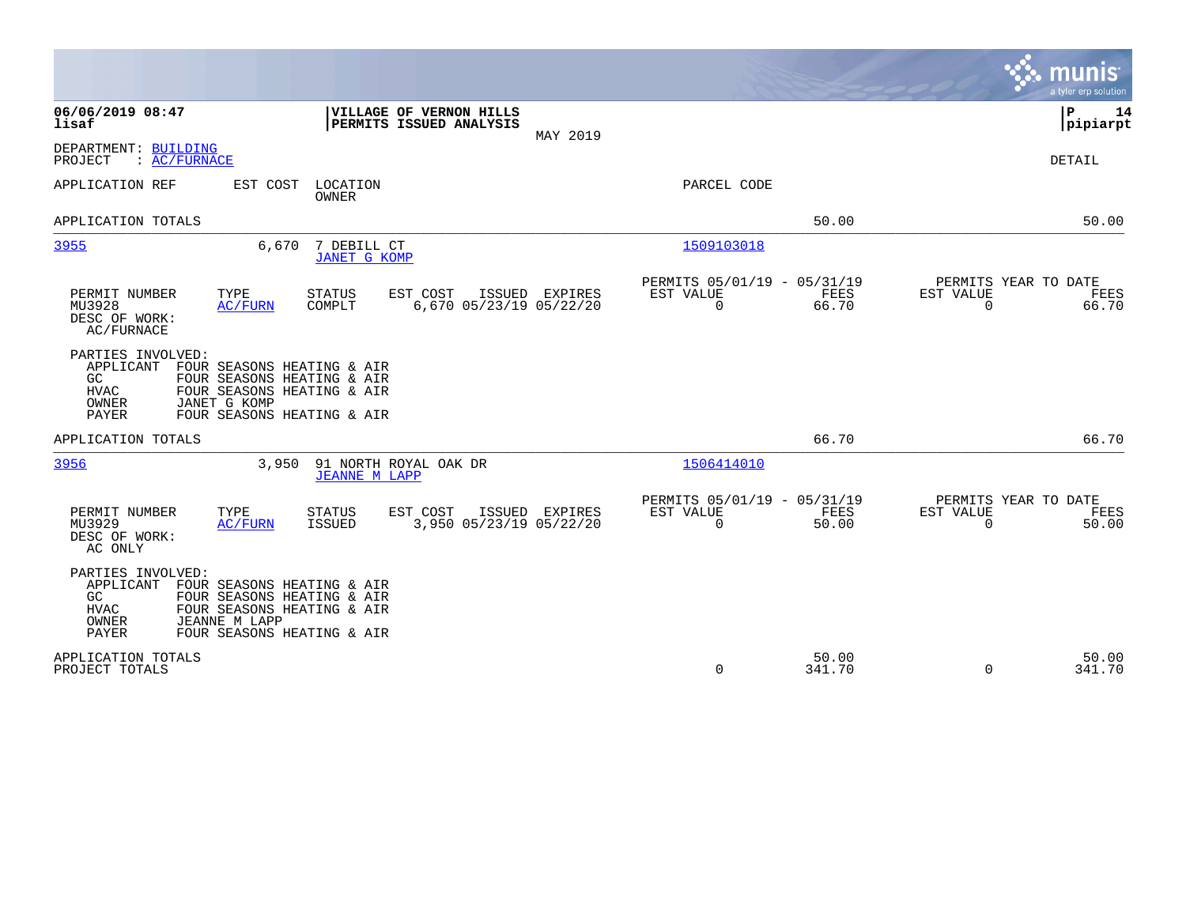|                                                                                                                                                                                                                             |                                                                                              | a tyler erp solution                                 |
|-----------------------------------------------------------------------------------------------------------------------------------------------------------------------------------------------------------------------------|----------------------------------------------------------------------------------------------|------------------------------------------------------|
| 06/06/2019 08:47<br>VILLAGE OF VERNON HILLS<br>PERMITS ISSUED ANALYSIS<br>lisaf<br>MAY 2019                                                                                                                                 |                                                                                              | ΙP<br>14<br> pipiarpt                                |
| DEPARTMENT: BUILDING<br>: AC/FURNACE<br>PROJECT                                                                                                                                                                             |                                                                                              | DETAIL                                               |
| APPLICATION REF<br>EST COST<br>LOCATION<br><b>OWNER</b>                                                                                                                                                                     | PARCEL CODE                                                                                  |                                                      |
| APPLICATION TOTALS                                                                                                                                                                                                          | 50.00                                                                                        | 50.00                                                |
| 7 DEBILL CT<br>3955<br>6,670<br><b>JANET G KOMP</b>                                                                                                                                                                         | 1509103018                                                                                   |                                                      |
| PERMIT NUMBER<br>TYPE<br><b>STATUS</b><br>EST COST<br>ISSUED EXPIRES<br>6,670 05/23/19 05/22/20<br>MU3928<br>AC/FURN<br>COMPLT<br>DESC OF WORK:<br>AC/FURNACE                                                               | PERMITS 05/01/19 - 05/31/19<br>EST VALUE<br>FEES<br>EST VALUE<br>$\mathbf 0$<br>66.70        | PERMITS YEAR TO DATE<br>FEES<br>$\mathbf 0$<br>66.70 |
| PARTIES INVOLVED:<br>APPLICANT<br>FOUR SEASONS HEATING & AIR<br>GC<br>FOUR SEASONS HEATING & AIR<br>FOUR SEASONS HEATING & AIR<br><b>HVAC</b><br>OWNER<br><b>JANET G KOMP</b><br><b>PAYER</b><br>FOUR SEASONS HEATING & AIR |                                                                                              |                                                      |
| APPLICATION TOTALS                                                                                                                                                                                                          | 66.70                                                                                        | 66.70                                                |
| 91 NORTH ROYAL OAK DR<br>3956<br>3,950<br><b>JEANNE M LAPP</b>                                                                                                                                                              | 1506414010                                                                                   |                                                      |
| TYPE<br>EST COST<br>PERMIT NUMBER<br><b>STATUS</b><br>ISSUED EXPIRES<br>MU3929<br><b>ISSUED</b><br>3,950 05/23/19 05/22/20<br><b>AC/FURN</b><br>DESC OF WORK:<br>AC ONLY                                                    | PERMITS 05/01/19 - 05/31/19<br><b>FEES</b><br>EST VALUE<br>EST VALUE<br>$\mathbf 0$<br>50.00 | PERMITS YEAR TO DATE<br>FEES<br>$\mathbf 0$<br>50.00 |
| PARTIES INVOLVED:<br>APPLICANT<br>FOUR SEASONS HEATING & AIR<br>FOUR SEASONS HEATING & AIR<br>GC.<br>FOUR SEASONS HEATING & AIR<br><b>HVAC</b><br><b>JEANNE M LAPP</b><br>OWNER<br>PAYER<br>FOUR SEASONS HEATING & AIR      |                                                                                              |                                                      |
| APPLICATION TOTALS<br>PROJECT TOTALS                                                                                                                                                                                        | 50.00<br>$\Omega$<br>341.70                                                                  | 50.00<br>$\Omega$<br>341.70                          |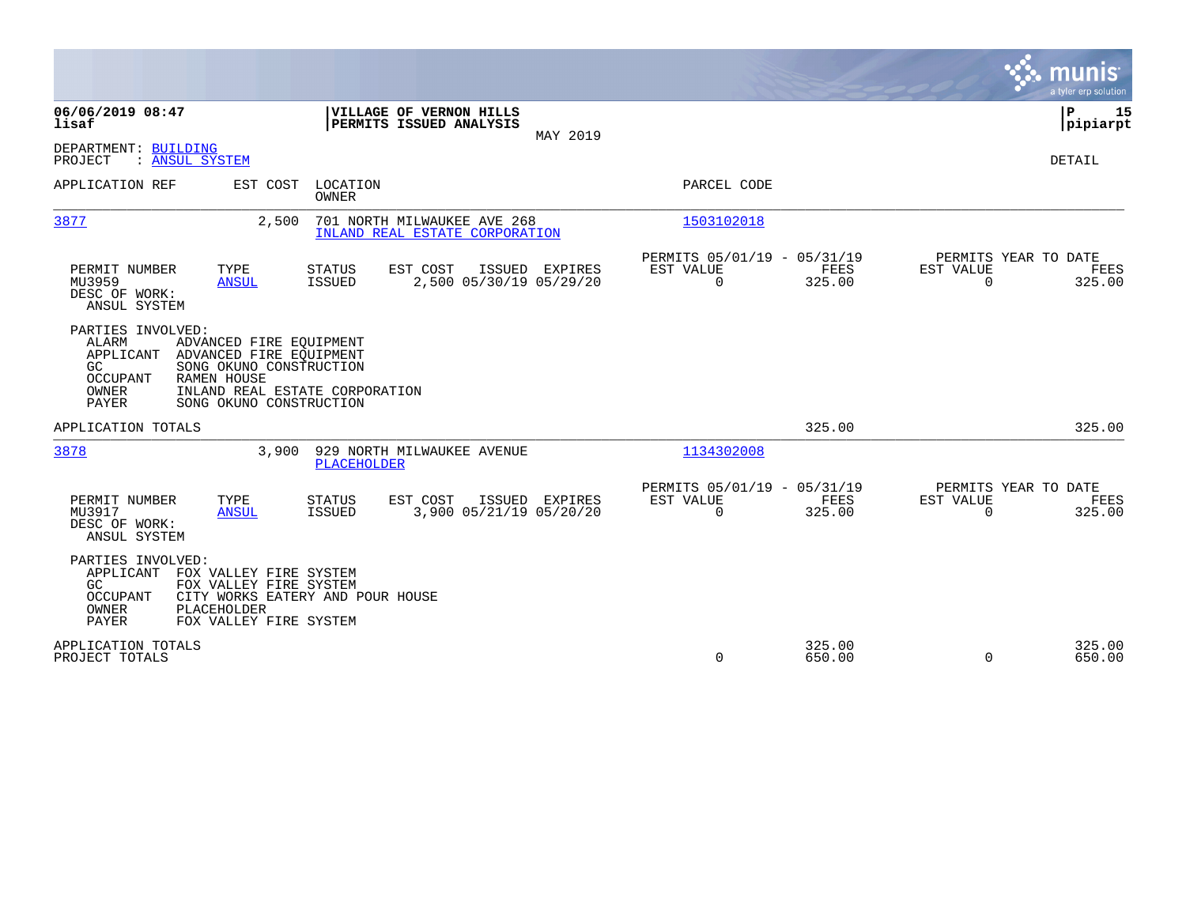|                                                                                                                                                                                                                                                               |                                                               |                                                         |                                                | munis<br>a tyler erp solution          |
|---------------------------------------------------------------------------------------------------------------------------------------------------------------------------------------------------------------------------------------------------------------|---------------------------------------------------------------|---------------------------------------------------------|------------------------------------------------|----------------------------------------|
| 06/06/2019 08:47<br>lisaf                                                                                                                                                                                                                                     | VILLAGE OF VERNON HILLS<br>PERMITS ISSUED ANALYSIS            |                                                         |                                                | P<br>15<br> pipiarpt                   |
| DEPARTMENT: BUILDING<br>: ANSUL SYSTEM<br>PROJECT                                                                                                                                                                                                             | MAY 2019                                                      |                                                         |                                                | DETAIL                                 |
| APPLICATION REF<br>EST COST<br>LOCATION<br><b>OWNER</b>                                                                                                                                                                                                       |                                                               | PARCEL CODE                                             |                                                |                                        |
| 3877<br>2,500                                                                                                                                                                                                                                                 | 701 NORTH MILWAUKEE AVE 268<br>INLAND REAL ESTATE CORPORATION | 1503102018                                              |                                                |                                        |
| PERMIT NUMBER<br>TYPE<br><b>STATUS</b><br>MU3959<br><b>ANSUL</b><br>ISSUED<br>DESC OF WORK:<br>ANSUL SYSTEM                                                                                                                                                   | EST COST<br>ISSUED EXPIRES<br>2,500 05/30/19 05/29/20         | PERMITS 05/01/19 - 05/31/19<br>EST VALUE<br>$\mathbf 0$ | FEES<br>EST VALUE<br>325.00<br>$\Omega$        | PERMITS YEAR TO DATE<br>FEES<br>325.00 |
| PARTIES INVOLVED:<br><b>ALARM</b><br>ADVANCED FIRE EQUIPMENT<br>APPLICANT<br>ADVANCED FIRE EQUIPMENT<br>GC<br>SONG OKUNO CONSTRUCTION<br>OCCUPANT<br><b>RAMEN HOUSE</b><br><b>OWNER</b><br>INLAND REAL ESTATE CORPORATION<br>PAYER<br>SONG OKUNO CONSTRUCTION |                                                               |                                                         |                                                |                                        |
| APPLICATION TOTALS                                                                                                                                                                                                                                            |                                                               |                                                         | 325.00                                         | 325.00                                 |
| 3878<br>3,900<br>PLACEHOLDER                                                                                                                                                                                                                                  | 929 NORTH MILWAUKEE AVENUE                                    | 1134302008                                              |                                                |                                        |
| PERMIT NUMBER<br>TYPE<br><b>STATUS</b><br>MU3917<br><b>ANSUL</b><br>ISSUED<br>DESC OF WORK:<br>ANSUL SYSTEM                                                                                                                                                   | EST COST<br>ISSUED EXPIRES<br>3,900 05/21/19 05/20/20         | PERMITS 05/01/19 - 05/31/19<br>EST VALUE<br>$\Omega$    | <b>FEES</b><br>EST VALUE<br>325.00<br>$\Omega$ | PERMITS YEAR TO DATE<br>FEES<br>325.00 |
| PARTIES INVOLVED:<br>APPLICANT<br>FOX VALLEY FIRE SYSTEM<br>GC<br>FOX VALLEY FIRE SYSTEM<br>OCCUPANT<br>CITY WORKS EATERY AND POUR HOUSE<br>OWNER<br>PLACEHOLDER<br><b>PAYER</b><br>FOX VALLEY FIRE SYSTEM                                                    |                                                               |                                                         |                                                |                                        |
| APPLICATION TOTALS<br>PROJECT TOTALS                                                                                                                                                                                                                          |                                                               | 0                                                       | 325.00<br>$\Omega$<br>650.00                   | 325.00<br>650.00                       |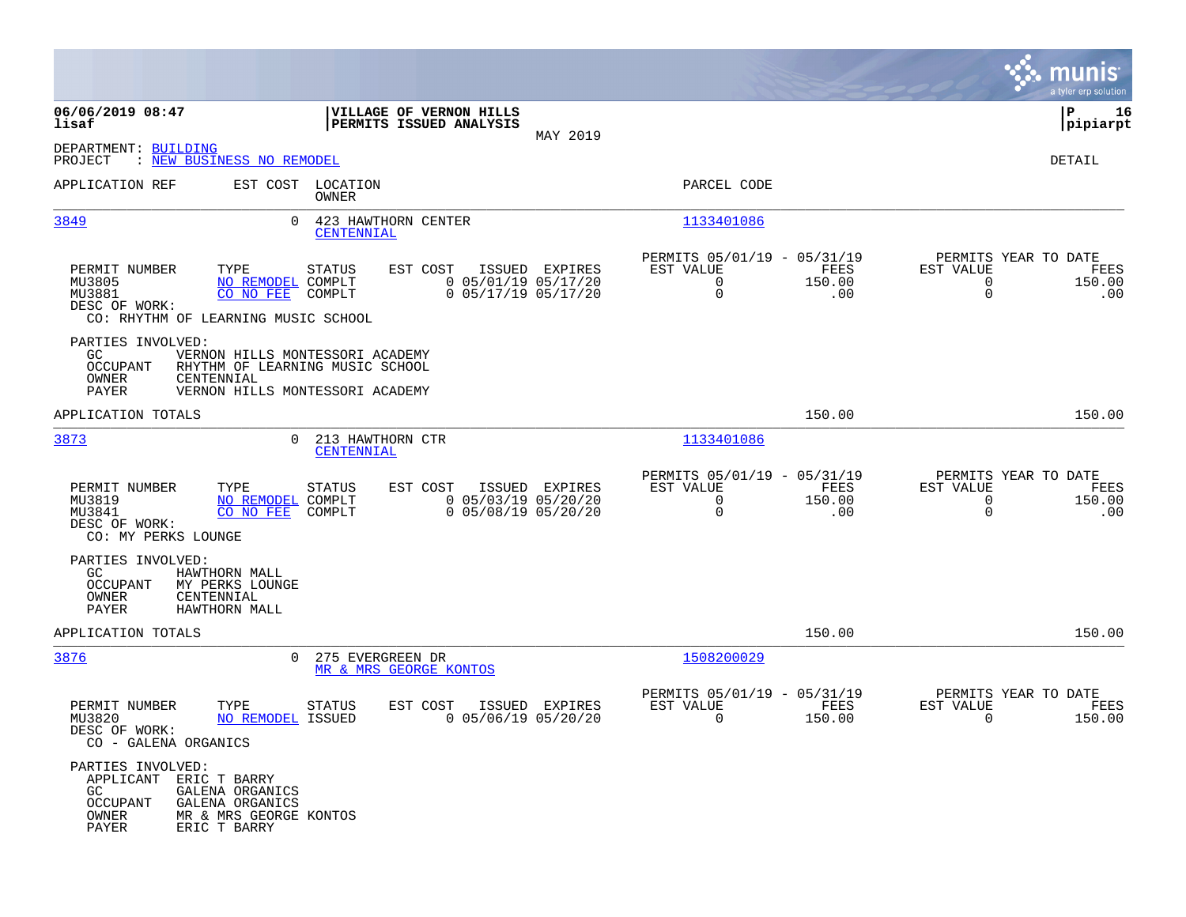|                                                                                 |                                                                                                                     |                                                            |                |                                                                        |                       |                                                                 | munis<br>a tyler erp solution |
|---------------------------------------------------------------------------------|---------------------------------------------------------------------------------------------------------------------|------------------------------------------------------------|----------------|------------------------------------------------------------------------|-----------------------|-----------------------------------------------------------------|-------------------------------|
| 06/06/2019 08:47<br>lisaf                                                       |                                                                                                                     | VILLAGE OF VERNON HILLS<br>PERMITS ISSUED ANALYSIS         |                |                                                                        |                       |                                                                 | 16<br>IΡ<br> pipiarpt         |
| DEPARTMENT: BUILDING<br>PROJECT                                                 | : NEW BUSINESS NO REMODEL                                                                                           |                                                            | MAY 2019       |                                                                        |                       |                                                                 | DETAIL                        |
| APPLICATION REF                                                                 | EST COST LOCATION<br><b>OWNER</b>                                                                                   |                                                            |                | PARCEL CODE                                                            |                       |                                                                 |                               |
| 3849                                                                            | $\Omega$<br>CENTENNIAL                                                                                              | 423 HAWTHORN CENTER                                        |                | 1133401086                                                             |                       |                                                                 |                               |
| PERMIT NUMBER<br>MU3805<br>MU3881<br>DESC OF WORK:                              | TYPE<br><b>STATUS</b><br>NO REMODEL COMPLT<br>CO NO FEE<br>COMPLT<br>CO: RHYTHM OF LEARNING MUSIC SCHOOL            | EST COST<br>$0$ 05/01/19 05/17/20<br>$0$ 05/17/19 05/17/20 | ISSUED EXPIRES | PERMITS 05/01/19 - 05/31/19<br>EST VALUE<br>$\mathbf 0$<br>$\mathbf 0$ | FEES<br>150.00<br>.00 | PERMITS YEAR TO DATE<br>EST VALUE<br>$\mathbf 0$<br>$\mathbf 0$ | FEES<br>150.00<br>.00         |
| PARTIES INVOLVED:<br>GC.<br>OCCUPANT<br>OWNER<br>PAYER                          | VERNON HILLS MONTESSORI ACADEMY<br>RHYTHM OF LEARNING MUSIC SCHOOL<br>CENTENNIAL<br>VERNON HILLS MONTESSORI ACADEMY |                                                            |                |                                                                        |                       |                                                                 |                               |
| APPLICATION TOTALS                                                              |                                                                                                                     |                                                            |                |                                                                        | 150.00                |                                                                 | 150.00                        |
| 3873                                                                            | $\Omega$<br>CENTENNIAL                                                                                              | 213 HAWTHORN CTR                                           |                | 1133401086                                                             |                       |                                                                 |                               |
| PERMIT NUMBER<br>MU3819<br>MU3841<br>DESC OF WORK:<br>CO: MY PERKS LOUNGE       | TYPE<br>STATUS<br>NO REMODEL COMPLT<br>CO NO FEE<br>COMPLT                                                          | EST COST<br>$0$ 05/03/19 05/20/20<br>$0$ 05/08/19 05/20/20 | ISSUED EXPIRES | PERMITS 05/01/19 - 05/31/19<br>EST VALUE<br>$\mathbf 0$<br>$\mathbf 0$ | FEES<br>150.00<br>.00 | PERMITS YEAR TO DATE<br>EST VALUE<br>$\mathbf 0$<br>$\mathbf 0$ | FEES<br>150.00<br>.00         |
| PARTIES INVOLVED:<br>GC.<br>OCCUPANT<br>OWNER<br>PAYER                          | HAWTHORN MALL<br>MY PERKS LOUNGE<br>CENTENNIAL<br>HAWTHORN MALL                                                     |                                                            |                |                                                                        |                       |                                                                 |                               |
| APPLICATION TOTALS                                                              |                                                                                                                     |                                                            |                |                                                                        | 150.00                |                                                                 | 150.00                        |
| 3876                                                                            | $\Omega$                                                                                                            | 275 EVERGREEN DR<br>MR & MRS GEORGE KONTOS                 |                | 1508200029                                                             |                       |                                                                 |                               |
| PERMIT NUMBER<br>MU3820<br>DESC OF WORK:<br>CO - GALENA ORGANICS                | TYPE<br>STATUS<br><b>NO REMODEL ISSUED</b>                                                                          | EST COST<br>$0$ 05/06/19 05/20/20                          | ISSUED EXPIRES | PERMITS 05/01/19 - 05/31/19<br>EST VALUE<br>0                          | FEES<br>150.00        | PERMITS YEAR TO DATE<br>EST VALUE<br>0                          | FEES<br>150.00                |
| PARTIES INVOLVED:<br>APPLICANT ERIC T BARRY<br>GC<br>OCCUPANT<br>OWNER<br>PAYER | GALENA ORGANICS<br>GALENA ORGANICS<br>MR & MRS GEORGE KONTOS<br>ERIC T BARRY                                        |                                                            |                |                                                                        |                       |                                                                 |                               |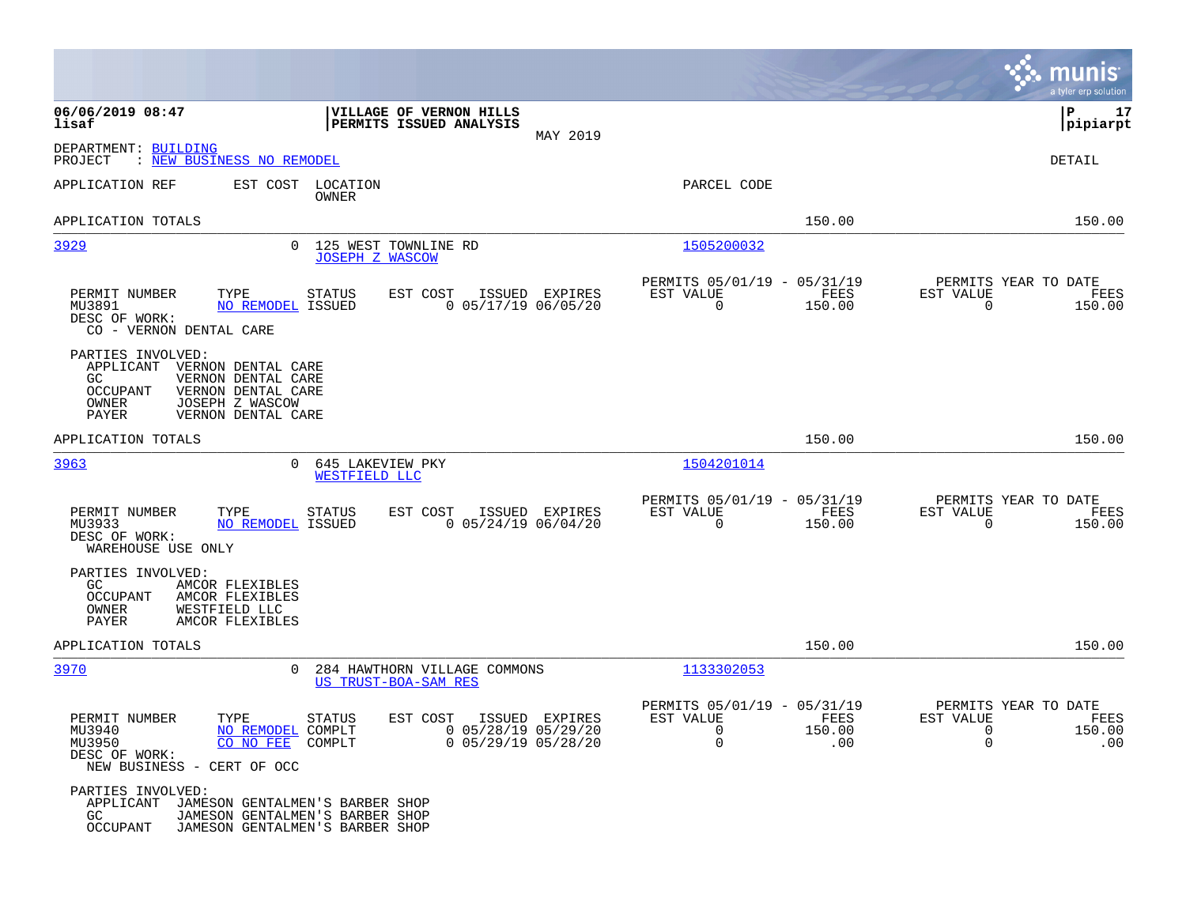|                                                                                                                                                                                    |                                                                                                       |                                                                                                  | munis<br>a tyler erp solution                                                  |
|------------------------------------------------------------------------------------------------------------------------------------------------------------------------------------|-------------------------------------------------------------------------------------------------------|--------------------------------------------------------------------------------------------------|--------------------------------------------------------------------------------|
| 06/06/2019 08:47<br>lisaf                                                                                                                                                          | VILLAGE OF VERNON HILLS<br>PERMITS ISSUED ANALYSIS<br>MAY 2019                                        |                                                                                                  | l P<br>17<br> pipiarpt                                                         |
| DEPARTMENT: BUILDING<br>: NEW BUSINESS NO REMODEL<br>PROJECT                                                                                                                       |                                                                                                       |                                                                                                  | DETAIL                                                                         |
| APPLICATION REF                                                                                                                                                                    | EST COST LOCATION<br>OWNER                                                                            | PARCEL CODE                                                                                      |                                                                                |
| APPLICATION TOTALS                                                                                                                                                                 |                                                                                                       | 150.00                                                                                           | 150.00                                                                         |
| 3929                                                                                                                                                                               | 0 125 WEST TOWNLINE RD<br><b>JOSEPH Z WASCOW</b>                                                      | 1505200032                                                                                       |                                                                                |
| TYPE<br>PERMIT NUMBER<br><b>NO REMODEL ISSUED</b><br>MU3891<br>DESC OF WORK:<br>CO - VERNON DENTAL CARE                                                                            | EST COST<br>STATUS<br>ISSUED EXPIRES<br>$0$ 05/17/19 06/05/20                                         | PERMITS 05/01/19 - 05/31/19<br>FEES<br>EST VALUE<br>$\Omega$<br>150.00                           | PERMITS YEAR TO DATE<br>EST VALUE<br>FEES<br>$\Omega$<br>150.00                |
| PARTIES INVOLVED:<br>APPLICANT VERNON DENTAL CARE<br>VERNON DENTAL CARE<br>GC.<br>VERNON DENTAL CARE<br>OCCUPANT<br><b>OWNER</b><br>JOSEPH Z WASCOW<br>VERNON DENTAL CARE<br>PAYER |                                                                                                       |                                                                                                  |                                                                                |
| APPLICATION TOTALS                                                                                                                                                                 |                                                                                                       | 150.00                                                                                           | 150.00                                                                         |
| 3963                                                                                                                                                                               | 0 645 LAKEVIEW PKY<br>WESTFIELD LLC                                                                   | 1504201014                                                                                       |                                                                                |
| TYPE<br>PERMIT NUMBER<br>NO REMODEL ISSUED<br>MU3933<br>DESC OF WORK:<br>WAREHOUSE USE ONLY                                                                                        | EST COST<br>ISSUED EXPIRES<br>STATUS<br>$0$ 05/24/19 06/04/20                                         | PERMITS 05/01/19 - 05/31/19<br>EST VALUE<br>FEES<br>$\Omega$<br>150.00                           | PERMITS YEAR TO DATE<br>EST VALUE<br>FEES<br>$\Omega$<br>150.00                |
| PARTIES INVOLVED:<br>GC<br>AMCOR FLEXIBLES<br><b>OCCUPANT</b><br>AMCOR FLEXIBLES<br><b>OWNER</b><br>WESTFIELD LLC<br>PAYER<br>AMCOR FLEXIBLES                                      |                                                                                                       |                                                                                                  |                                                                                |
| APPLICATION TOTALS                                                                                                                                                                 |                                                                                                       | 150.00                                                                                           | 150.00                                                                         |
| 3970                                                                                                                                                                               | $\Omega$<br>284 HAWTHORN VILLAGE COMMONS<br>US TRUST-BOA-SAM RES                                      | 1133302053                                                                                       |                                                                                |
| PERMIT NUMBER<br>TYPE<br>MU3940<br>NO REMODEL COMPLT<br>MU3950<br>CO NO FEE<br>DESC OF WORK:<br>NEW BUSINESS - CERT OF OCC<br>PARTIES INVOLVED:                                    | EST COST<br>ISSUED EXPIRES<br>STATUS<br>$0$ 05/28/19 05/29/20<br>$0$ 05/29/19 05/28/20<br>COMPLT      | PERMITS 05/01/19 - 05/31/19<br>EST VALUE<br>FEES<br>$\mathsf{O}$<br>150.00<br>$\mathbf 0$<br>.00 | PERMITS YEAR TO DATE<br>EST VALUE<br>FEES<br>150.00<br>0<br>$\mathbf 0$<br>.00 |
| APPLICANT<br>GC.<br><b>OCCUPANT</b>                                                                                                                                                | JAMESON GENTALMEN'S BARBER SHOP<br>JAMESON GENTALMEN'S BARBER SHOP<br>JAMESON GENTALMEN'S BARBER SHOP |                                                                                                  |                                                                                |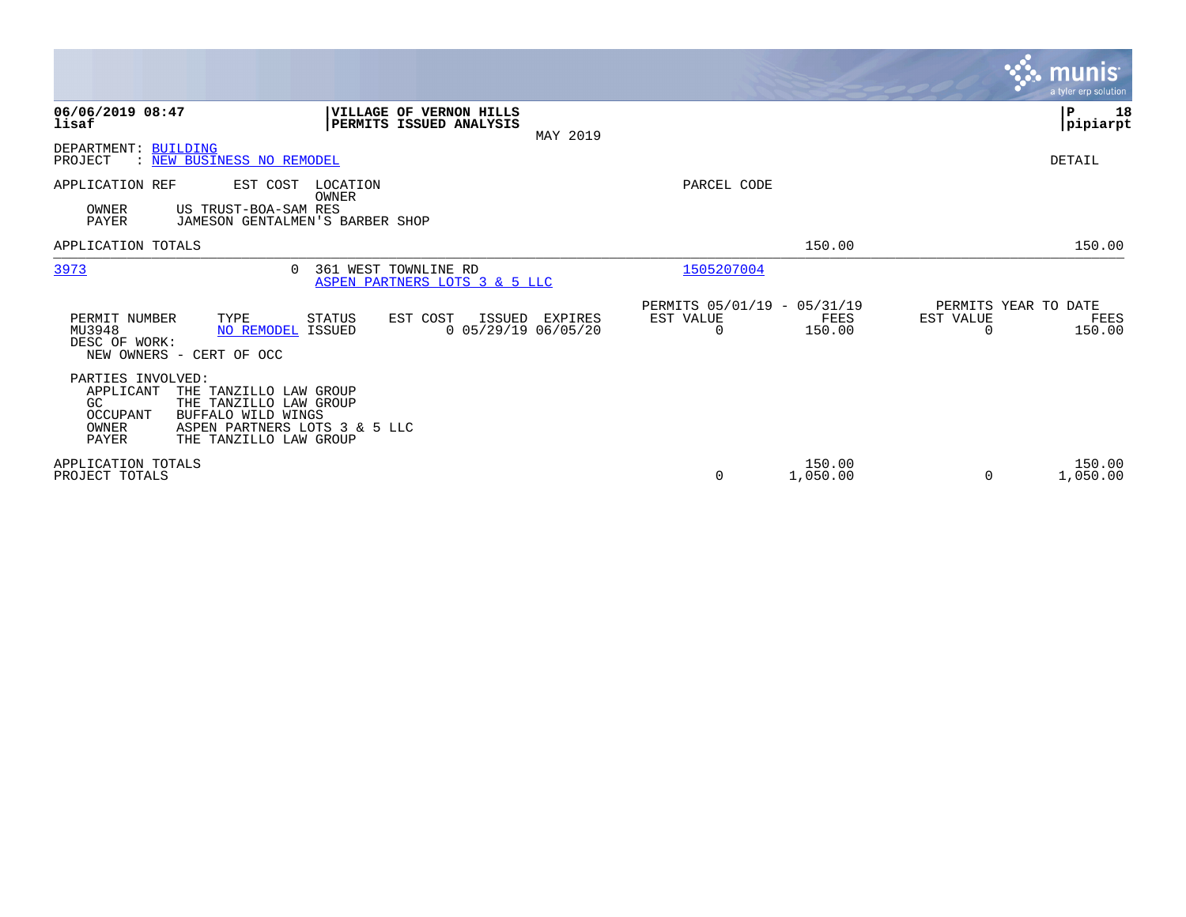|                                                                                                                                                                                                                      |                                  |                                               |                    |           | munis<br>a tyler erp solution          |
|----------------------------------------------------------------------------------------------------------------------------------------------------------------------------------------------------------------------|----------------------------------|-----------------------------------------------|--------------------|-----------|----------------------------------------|
| 06/06/2019 08:47<br><b>VILLAGE OF VERNON HILLS</b><br>lisaf<br>PERMITS ISSUED ANALYSIS                                                                                                                               | MAY 2019                         |                                               |                    |           | ∣P<br>18<br> pipiarpt                  |
| DEPARTMENT: BUILDING<br>: NEW BUSINESS NO REMODEL<br>PROJECT                                                                                                                                                         |                                  |                                               |                    |           | DETAIL                                 |
| APPLICATION REF<br>EST COST<br>LOCATION<br><b>OWNER</b><br>OWNER<br>US TRUST-BOA-SAM RES<br><b>PAYER</b><br>JAMESON GENTALMEN'S BARBER SHOP                                                                          |                                  | PARCEL CODE                                   |                    |           |                                        |
| APPLICATION TOTALS                                                                                                                                                                                                   |                                  |                                               | 150.00             |           | 150.00                                 |
| 3973<br>361 WEST TOWNLINE RD<br>$\cap$<br>ASPEN PARTNERS LOTS 3 & 5 LLC                                                                                                                                              |                                  | 1505207004                                    |                    |           |                                        |
| PERMIT NUMBER<br>TYPE<br><b>STATUS</b><br>EST COST<br>ISSUED<br>MU3948<br>NO REMODEL ISSUED<br>DESC OF WORK:<br>NEW OWNERS - CERT OF OCC                                                                             | EXPIRES<br>$0$ 05/29/19 06/05/20 | PERMITS 05/01/19 - 05/31/19<br>EST VALUE<br>0 | FEES<br>150.00     | EST VALUE | PERMITS YEAR TO DATE<br>FEES<br>150.00 |
| PARTIES INVOLVED:<br>APPLICANT<br>THE<br>TANZILLO LAW GROUP<br>GC<br>TANZILLO LAW GROUP<br>THE<br>OCCUPANT<br>BUFFALO WILD WINGS<br>OWNER<br>ASPEN PARTNERS LOTS 3 & 5 LLC<br><b>PAYER</b><br>THE TANZILLO LAW GROUP |                                  |                                               |                    |           |                                        |
| APPLICATION TOTALS<br>PROJECT TOTALS                                                                                                                                                                                 |                                  | 0                                             | 150.00<br>1,050.00 | $\Omega$  | 150.00<br>1,050.00                     |

 $\mathcal{L}^{\text{max}}$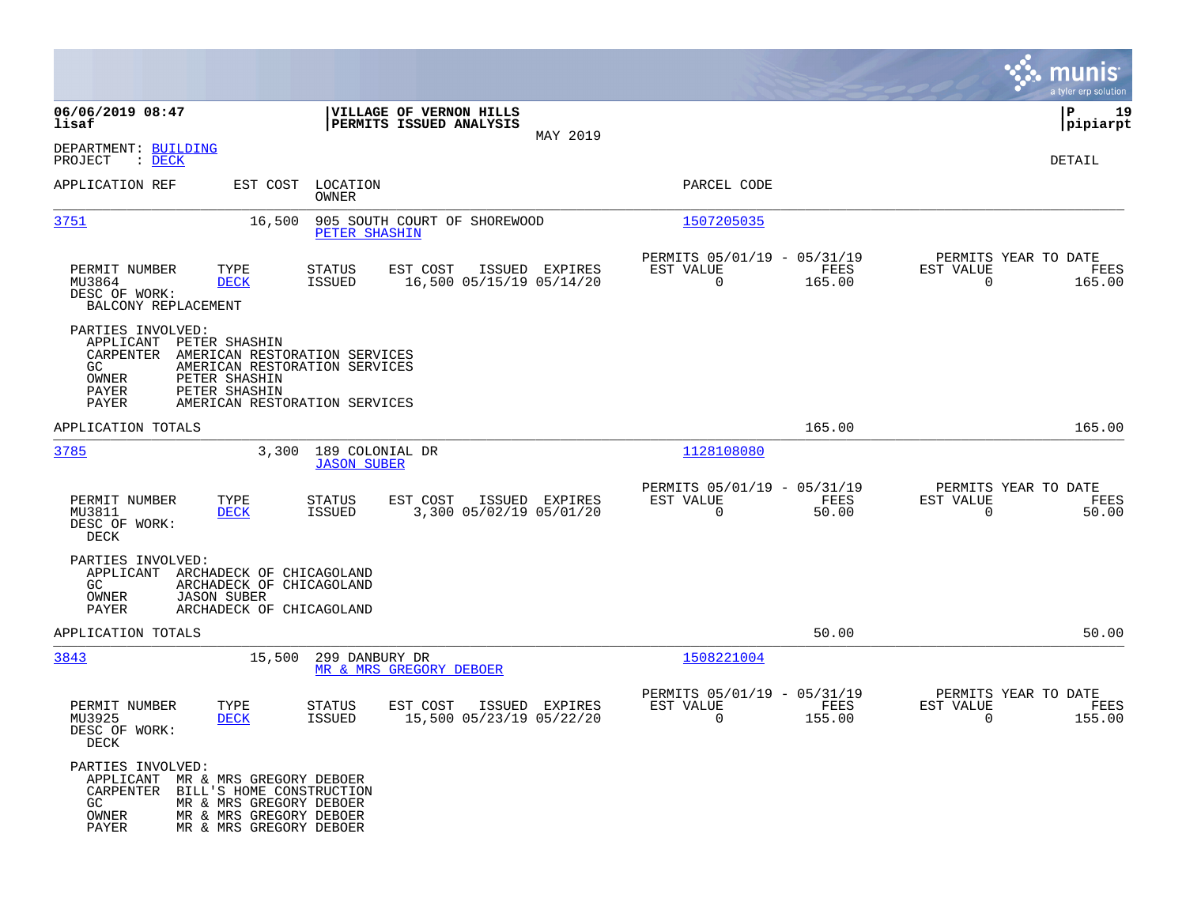|                                                                                                                                                                                                                                    |                                                                                   |                                                                 | munis<br>a tyler erp solution                                      |
|------------------------------------------------------------------------------------------------------------------------------------------------------------------------------------------------------------------------------------|-----------------------------------------------------------------------------------|-----------------------------------------------------------------|--------------------------------------------------------------------|
| 06/06/2019 08:47<br>lisaf                                                                                                                                                                                                          | VILLAGE OF VERNON HILLS<br>PERMITS ISSUED ANALYSIS                                |                                                                 | P<br>19<br> pipiarpt                                               |
| DEPARTMENT: BUILDING<br>$\therefore$ DECK<br>PROJECT                                                                                                                                                                               | MAY 2019                                                                          |                                                                 | DETAIL                                                             |
| APPLICATION REF<br>EST COST                                                                                                                                                                                                        | LOCATION<br>OWNER                                                                 | PARCEL CODE                                                     |                                                                    |
| <u>3751</u><br>16,500                                                                                                                                                                                                              | 905 SOUTH COURT OF SHOREWOOD<br>PETER SHASHIN                                     | 1507205035                                                      |                                                                    |
| TYPE<br>PERMIT NUMBER<br>MU3864<br><b>DECK</b><br>DESC OF WORK:<br>BALCONY REPLACEMENT                                                                                                                                             | EST COST<br><b>STATUS</b><br>ISSUED EXPIRES<br>16,500 05/15/19 05/14/20<br>ISSUED | PERMITS 05/01/19 - 05/31/19<br>EST VALUE<br>FEES<br>0<br>165.00 | PERMITS YEAR TO DATE<br>EST VALUE<br>FEES<br>$\mathbf 0$<br>165.00 |
| PARTIES INVOLVED:<br>APPLICANT<br>PETER SHASHIN<br>CARPENTER<br>AMERICAN RESTORATION SERVICES<br>GC<br>AMERICAN RESTORATION SERVICES<br>OWNER<br>PETER SHASHIN<br>PETER SHASHIN<br>PAYER<br>PAYER<br>AMERICAN RESTORATION SERVICES |                                                                                   |                                                                 |                                                                    |
| APPLICATION TOTALS                                                                                                                                                                                                                 |                                                                                   | 165.00                                                          | 165.00                                                             |
| 3785<br>3,300                                                                                                                                                                                                                      | 189 COLONIAL DR<br><b>JASON SUBER</b>                                             | 1128108080                                                      |                                                                    |
| PERMIT NUMBER<br>TYPE<br>MU3811<br><b>DECK</b><br>DESC OF WORK:<br>DECK                                                                                                                                                            | EST COST<br>ISSUED EXPIRES<br>STATUS<br>3,300 05/02/19 05/01/20<br>ISSUED         | PERMITS 05/01/19 - 05/31/19<br>EST VALUE<br>FEES<br>0<br>50.00  | PERMITS YEAR TO DATE<br>EST VALUE<br>FEES<br>50.00<br>0            |
| PARTIES INVOLVED:<br>APPLICANT<br>ARCHADECK OF CHICAGOLAND<br>ARCHADECK OF CHICAGOLAND<br>GC.<br>OWNER<br><b>JASON SUBER</b><br>PAYER<br>ARCHADECK OF CHICAGOLAND                                                                  |                                                                                   |                                                                 |                                                                    |
| APPLICATION TOTALS                                                                                                                                                                                                                 |                                                                                   | 50.00                                                           | 50.00                                                              |
| 3843<br>15,500                                                                                                                                                                                                                     | 299 DANBURY DR<br>MR & MRS GREGORY DEBOER                                         | 1508221004                                                      |                                                                    |
| PERMIT NUMBER<br>TYPE<br>MU3925<br><b>DECK</b><br>DESC OF WORK:<br>DECK                                                                                                                                                            | EST COST<br>STATUS<br>ISSUED EXPIRES<br><b>ISSUED</b><br>15,500 05/23/19 05/22/20 | PERMITS 05/01/19 - 05/31/19<br>EST VALUE<br>FEES<br>0<br>155.00 | PERMITS YEAR TO DATE<br>EST VALUE<br>FEES<br>0<br>155.00           |
| PARTIES INVOLVED:<br>APPLICANT MR & MRS GREGORY DEBOER<br>CARPENTER BILL'S HOME CONSTRUCTION<br>GC<br>MR & MRS GREGORY DEBOER<br>OWNER<br>MR & MRS GREGORY DEBOER<br>PAYER<br>MR & MRS GREGORY DEBOER                              |                                                                                   |                                                                 |                                                                    |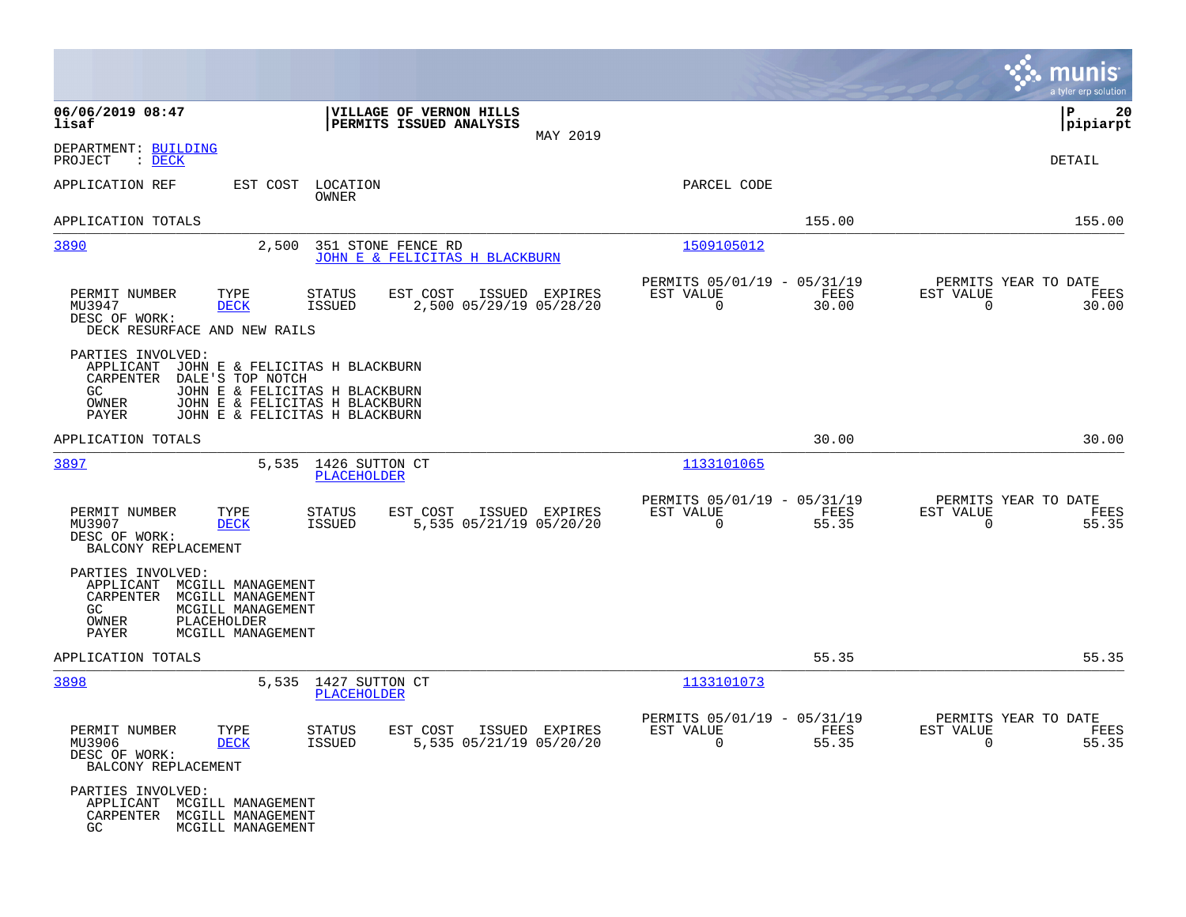|                                                                                                                                                                     |                                                                                                                                      |                                                                          | munis<br>a tyler erp solution                                     |
|---------------------------------------------------------------------------------------------------------------------------------------------------------------------|--------------------------------------------------------------------------------------------------------------------------------------|--------------------------------------------------------------------------|-------------------------------------------------------------------|
| 06/06/2019 08:47<br>lisaf                                                                                                                                           | VILLAGE OF VERNON HILLS<br>PERMITS ISSUED ANALYSIS<br>MAY 2019                                                                       |                                                                          | l P<br>20<br> pipiarpt                                            |
| DEPARTMENT: BUILDING<br>PROJECT<br>$\therefore$ DECK                                                                                                                |                                                                                                                                      |                                                                          | DETAIL                                                            |
| APPLICATION REF                                                                                                                                                     | LOCATION<br>EST COST<br>OWNER                                                                                                        | PARCEL CODE                                                              |                                                                   |
| APPLICATION TOTALS                                                                                                                                                  |                                                                                                                                      | 155.00                                                                   | 155.00                                                            |
| 3890                                                                                                                                                                | 2,500<br>351 STONE FENCE RD<br>JOHN E & FELICITAS H BLACKBURN                                                                        | 1509105012                                                               |                                                                   |
| PERMIT NUMBER<br>TYPE<br>MU3947<br><b>DECK</b><br>DESC OF WORK:<br>DECK RESURFACE AND NEW RAILS                                                                     | <b>STATUS</b><br>EST COST<br>ISSUED EXPIRES<br>2,500 05/29/19 05/28/20<br>ISSUED                                                     | PERMITS 05/01/19 - 05/31/19<br>FEES<br>EST VALUE<br>0<br>30.00           | PERMITS YEAR TO DATE<br>EST VALUE<br>FEES<br>$\Omega$<br>30.00    |
| PARTIES INVOLVED:<br>APPLICANT<br>CARPENTER<br>DALE'S TOP NOTCH<br>GC<br>OWNER<br>PAYER                                                                             | JOHN E & FELICITAS H BLACKBURN<br>JOHN E & FELICITAS H BLACKBURN<br>JOHN E & FELICITAS H BLACKBURN<br>JOHN E & FELICITAS H BLACKBURN |                                                                          |                                                                   |
| APPLICATION TOTALS                                                                                                                                                  |                                                                                                                                      | 30.00                                                                    | 30.00                                                             |
| 3897                                                                                                                                                                | 5,535<br>1426 SUTTON CT<br>PLACEHOLDER                                                                                               | 1133101065                                                               |                                                                   |
| PERMIT NUMBER<br>TYPE<br>MU3907<br><b>DECK</b><br>DESC OF WORK:<br>BALCONY REPLACEMENT                                                                              | <b>STATUS</b><br>EST COST<br>ISSUED EXPIRES<br>5,535 05/21/19 05/20/20<br><b>ISSUED</b>                                              | PERMITS 05/01/19 - 05/31/19<br>EST VALUE<br>FEES<br>$\mathbf 0$<br>55.35 | PERMITS YEAR TO DATE<br>EST VALUE<br>FEES<br>$\mathbf 0$<br>55.35 |
| PARTIES INVOLVED:<br>APPLICANT MCGILL MANAGEMENT<br>CARPENTER<br>MCGILL MANAGEMENT<br>GC<br>MCGILL MANAGEMENT<br>PLACEHOLDER<br>OWNER<br>PAYER<br>MCGILL MANAGEMENT |                                                                                                                                      |                                                                          |                                                                   |
| APPLICATION TOTALS                                                                                                                                                  |                                                                                                                                      | 55.35                                                                    | 55.35                                                             |
| 3898                                                                                                                                                                | 5,535 1427 SUTTON CT<br>PLACEHOLDER                                                                                                  | 1133101073                                                               |                                                                   |
| TYPE<br>PERMIT NUMBER<br>MU3906<br><b>DECK</b><br>DESC OF WORK:<br>BALCONY REPLACEMENT                                                                              | EST COST<br>ISSUED EXPIRES<br><b>STATUS</b><br>5,535 05/21/19 05/20/20<br>ISSUED                                                     | PERMITS 05/01/19 - 05/31/19<br>EST VALUE<br>FEES<br>0<br>55.35           | PERMITS YEAR TO DATE<br>EST VALUE<br>FEES<br>0<br>55.35           |
| PARTIES INVOLVED:<br>APPLICANT MCGILL MANAGEMENT<br>CARPENTER<br>MCGILL MANAGEMENT<br>GC<br>MCGILL MANAGEMENT                                                       |                                                                                                                                      |                                                                          |                                                                   |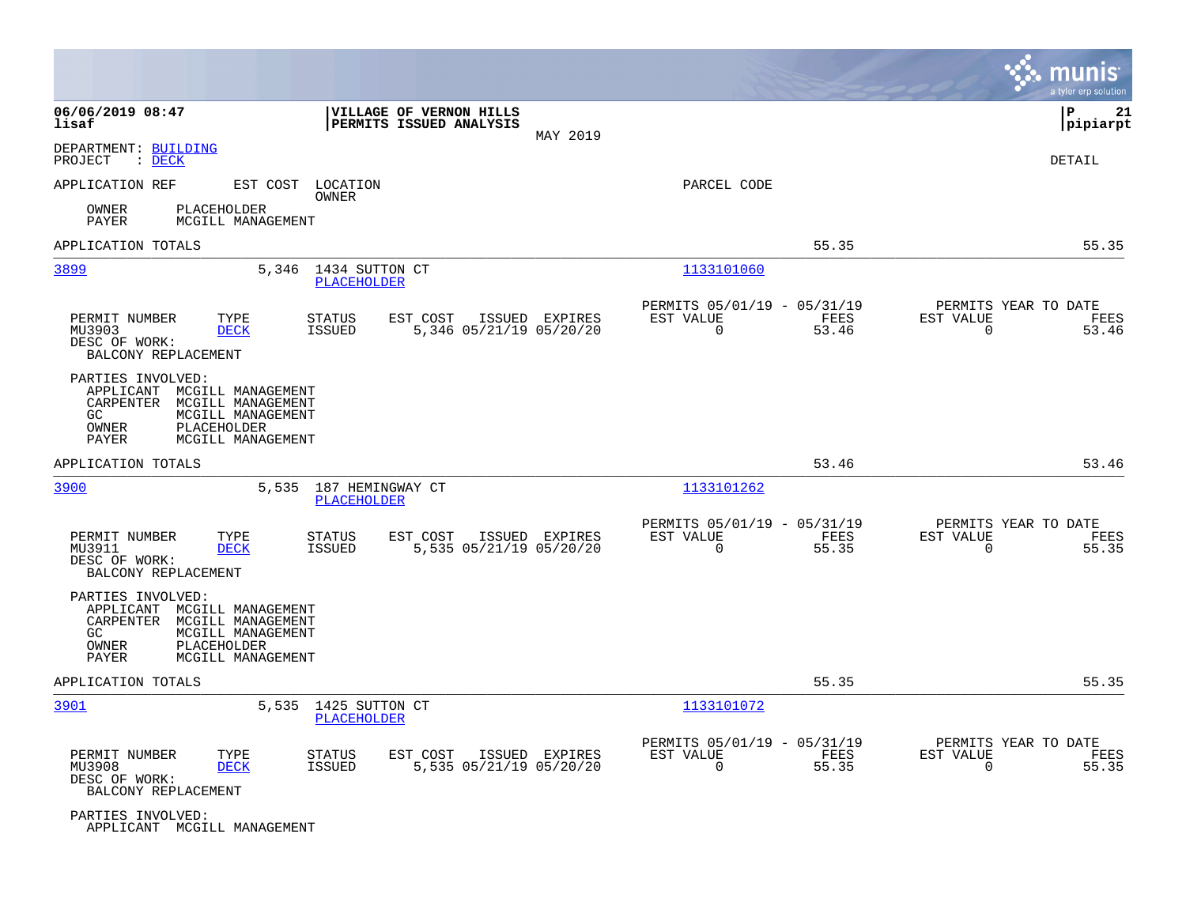|                                                                                        |                                                                                  |                                                    |                |                                                         |               |                                                  | munis<br>a tyler erp solution |
|----------------------------------------------------------------------------------------|----------------------------------------------------------------------------------|----------------------------------------------------|----------------|---------------------------------------------------------|---------------|--------------------------------------------------|-------------------------------|
| 06/06/2019 08:47<br>lisaf                                                              |                                                                                  | VILLAGE OF VERNON HILLS<br>PERMITS ISSUED ANALYSIS | MAY 2019       |                                                         |               |                                                  | P<br>21<br> pipiarpt          |
| DEPARTMENT: BUILDING<br>$\therefore$ DECK<br>PROJECT                                   |                                                                                  |                                                    |                |                                                         |               |                                                  | DETAIL                        |
| APPLICATION REF                                                                        | EST COST<br>LOCATION<br>OWNER                                                    |                                                    |                | PARCEL CODE                                             |               |                                                  |                               |
| OWNER<br>PLACEHOLDER<br>PAYER                                                          | MCGILL MANAGEMENT                                                                |                                                    |                |                                                         |               |                                                  |                               |
| APPLICATION TOTALS                                                                     |                                                                                  |                                                    |                |                                                         | 55.35         |                                                  | 55.35                         |
| 3899                                                                                   | 1434 SUTTON CT<br>5,346<br>PLACEHOLDER                                           |                                                    |                | 1133101060                                              |               |                                                  |                               |
| PERMIT NUMBER<br>TYPE<br>MU3903<br><b>DECK</b><br>DESC OF WORK:<br>BALCONY REPLACEMENT | <b>STATUS</b><br><b>ISSUED</b>                                                   | EST COST<br>5,346 05/21/19 05/20/20                | ISSUED EXPIRES | PERMITS 05/01/19 - 05/31/19<br>EST VALUE<br>$\Omega$    | FEES<br>53.46 | PERMITS YEAR TO DATE<br>EST VALUE<br>$\Omega$    | FEES<br>53.46                 |
| PARTIES INVOLVED:<br>APPLICANT<br>CARPENTER<br>GC<br>OWNER<br>PLACEHOLDER<br>PAYER     | MCGILL MANAGEMENT<br>MCGILL MANAGEMENT<br>MCGILL MANAGEMENT<br>MCGILL MANAGEMENT |                                                    |                |                                                         |               |                                                  |                               |
| APPLICATION TOTALS                                                                     |                                                                                  |                                                    |                |                                                         | 53.46         |                                                  | 53.46                         |
| 3900                                                                                   | 5,535<br><b>PLACEHOLDER</b>                                                      | 187 HEMINGWAY CT                                   |                | 1133101262                                              |               |                                                  |                               |
| PERMIT NUMBER<br>TYPE<br>MU3911<br><b>DECK</b><br>DESC OF WORK:<br>BALCONY REPLACEMENT | <b>STATUS</b><br><b>ISSUED</b>                                                   | EST COST<br>5,535 05/21/19 05/20/20                | ISSUED EXPIRES | PERMITS 05/01/19 - 05/31/19<br>EST VALUE<br>0           | FEES<br>55.35 | PERMITS YEAR TO DATE<br>EST VALUE<br>$\mathbf 0$ | FEES<br>55.35                 |
| PARTIES INVOLVED:<br>APPLICANT<br>CARPENTER<br>GC<br>OWNER<br>PLACEHOLDER<br>PAYER     | MCGILL MANAGEMENT<br>MCGILL MANAGEMENT<br>MCGILL MANAGEMENT<br>MCGILL MANAGEMENT |                                                    |                |                                                         |               |                                                  |                               |
| APPLICATION TOTALS                                                                     |                                                                                  |                                                    |                |                                                         | 55.35         |                                                  | 55.35                         |
| 3901                                                                                   | 5,535<br>1425 SUTTON CT<br>PLACEHOLDER                                           |                                                    |                | 1133101072                                              |               |                                                  |                               |
| PERMIT NUMBER<br>TYPE<br><b>DECK</b><br>MU3908<br>DESC OF WORK:<br>BALCONY REPLACEMENT | <b>STATUS</b><br><b>ISSUED</b>                                                   | EST COST<br>5,535 05/21/19 05/20/20                | ISSUED EXPIRES | PERMITS 05/01/19 - 05/31/19<br>EST VALUE<br>$\mathbf 0$ | FEES<br>55.35 | PERMITS YEAR TO DATE<br>EST VALUE<br>0           | FEES<br>55.35                 |
| PARTIES INVOLVED:<br>APPLICANT MCGILL MANAGEMENT                                       |                                                                                  |                                                    |                |                                                         |               |                                                  |                               |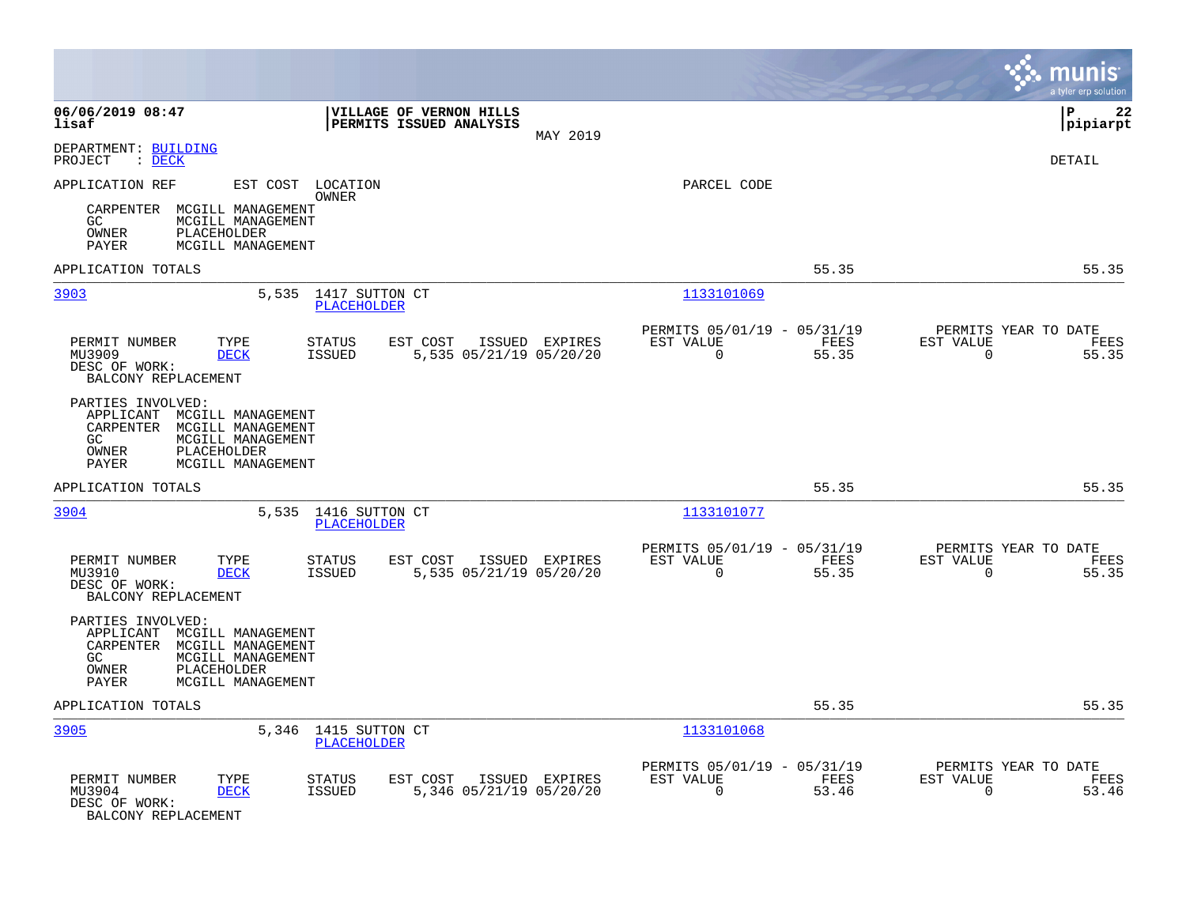|                                                                                                                                                                         |                                                                       |                |                                                      |               | munis<br>a tyler erp solution                                     |
|-------------------------------------------------------------------------------------------------------------------------------------------------------------------------|-----------------------------------------------------------------------|----------------|------------------------------------------------------|---------------|-------------------------------------------------------------------|
| 06/06/2019 08:47<br>lisaf                                                                                                                                               | VILLAGE OF VERNON HILLS<br>PERMITS ISSUED ANALYSIS                    | MAY 2019       |                                                      |               | 22<br>l P<br> pipiarpt                                            |
| DEPARTMENT: BUILDING<br>$:$ DECK<br>PROJECT                                                                                                                             |                                                                       |                |                                                      |               | <b>DETAIL</b>                                                     |
| APPLICATION REF<br>MCGILL MANAGEMENT<br>CARPENTER<br>GC<br>MCGILL MANAGEMENT<br>OWNER<br>PLACEHOLDER<br>PAYER<br>MCGILL MANAGEMENT                                      | EST COST LOCATION<br>OWNER                                            |                | PARCEL CODE                                          |               |                                                                   |
| APPLICATION TOTALS                                                                                                                                                      |                                                                       |                |                                                      | 55.35         | 55.35                                                             |
| 3903<br>5,535                                                                                                                                                           | 1417 SUTTON CT<br>PLACEHOLDER                                         |                | 1133101069                                           |               |                                                                   |
| PERMIT NUMBER<br>TYPE<br>MU3909<br><b>DECK</b><br>DESC OF WORK:<br>BALCONY REPLACEMENT                                                                                  | EST COST<br>STATUS<br><b>ISSUED</b><br>5,535 05/21/19 05/20/20        | ISSUED EXPIRES | PERMITS 05/01/19 - 05/31/19<br>EST VALUE<br>0        | FEES<br>55.35 | PERMITS YEAR TO DATE<br>EST VALUE<br>FEES<br>$\mathbf 0$<br>55.35 |
| PARTIES INVOLVED:<br>APPLICANT MCGILL MANAGEMENT<br>CARPENTER MCGILL MANAGEMENT<br>GC.<br>MCGILL MANAGEMENT<br>PLACEHOLDER<br>OWNER<br>PAYER<br>MCGILL MANAGEMENT       |                                                                       |                |                                                      |               |                                                                   |
| APPLICATION TOTALS                                                                                                                                                      |                                                                       |                |                                                      | 55.35         | 55.35                                                             |
| 3904                                                                                                                                                                    | 5,535 1416 SUTTON CT<br><b>PLACEHOLDER</b>                            |                | 1133101077                                           |               |                                                                   |
| PERMIT NUMBER<br>TYPE<br>MU3910<br><b>DECK</b><br>DESC OF WORK:<br>BALCONY REPLACEMENT                                                                                  | <b>STATUS</b><br>EST COST<br>5,535 05/21/19 05/20/20<br><b>ISSUED</b> | ISSUED EXPIRES | PERMITS 05/01/19 - 05/31/19<br>EST VALUE<br>$\Omega$ | FEES<br>55.35 | PERMITS YEAR TO DATE<br>EST VALUE<br>FEES<br>$\Omega$<br>55.35    |
| PARTIES INVOLVED:<br>APPLICANT<br>MCGILL MANAGEMENT<br>CARPENTER<br>MCGILL MANAGEMENT<br>GC.<br>MCGILL MANAGEMENT<br>PLACEHOLDER<br>OWNER<br>PAYER<br>MCGILL MANAGEMENT |                                                                       |                |                                                      |               |                                                                   |
| APPLICATION TOTALS                                                                                                                                                      |                                                                       |                |                                                      | 55.35         | 55.35                                                             |
| 3905                                                                                                                                                                    | 5,346 1415 SUTTON CT<br>PLACEHOLDER                                   |                | 1133101068                                           |               |                                                                   |
| PERMIT NUMBER<br>TYPE<br>MU3904<br><b>DECK</b><br>DESC OF WORK:<br>BALCONY REPLACEMENT                                                                                  | <b>STATUS</b><br>EST COST<br><b>ISSUED</b><br>5,346 05/21/19 05/20/20 | ISSUED EXPIRES | PERMITS 05/01/19 - 05/31/19<br>EST VALUE<br>0        | FEES<br>53.46 | PERMITS YEAR TO DATE<br>EST VALUE<br>FEES<br>$\mathbf 0$<br>53.46 |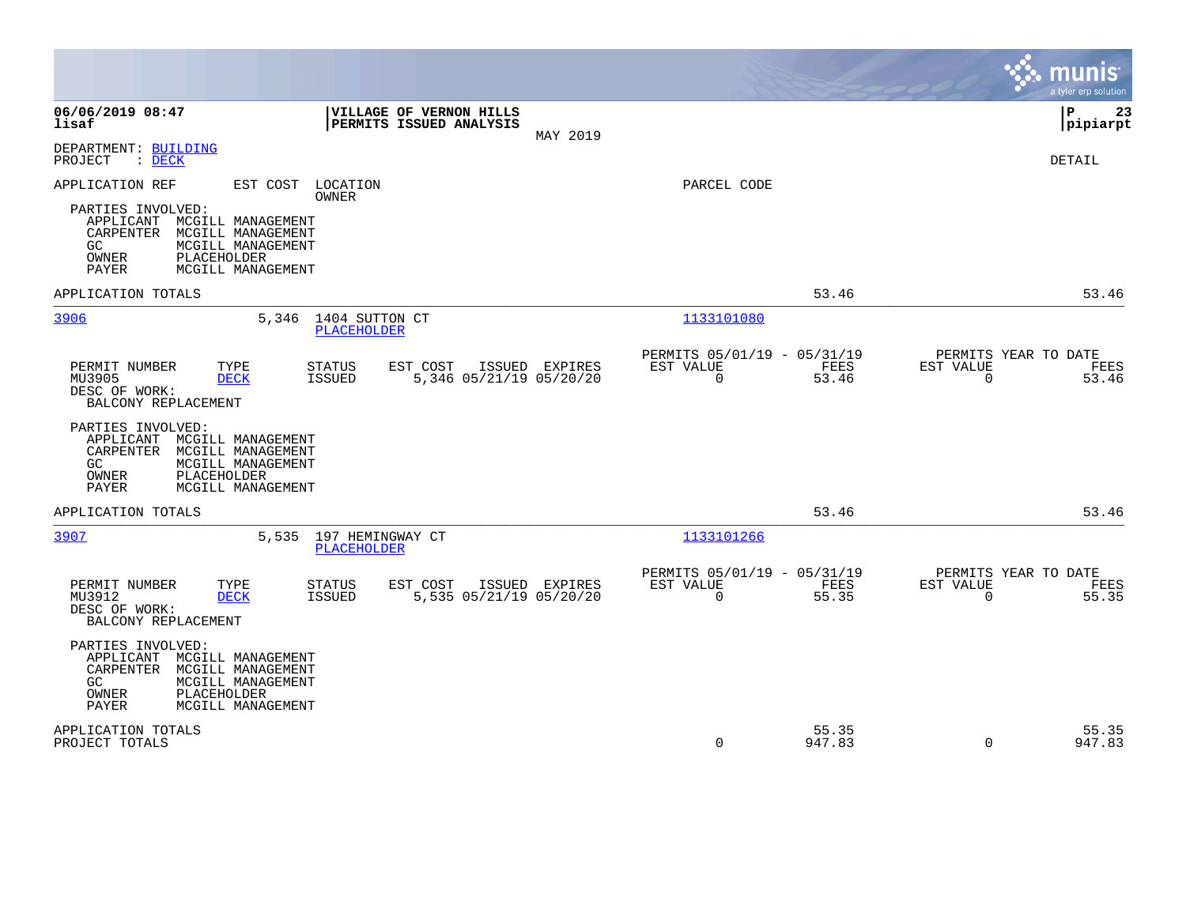|                                                                                                                                                                                                                           |                                                                       | munis<br>a tyler erp solution                                  |
|---------------------------------------------------------------------------------------------------------------------------------------------------------------------------------------------------------------------------|-----------------------------------------------------------------------|----------------------------------------------------------------|
| 06/06/2019 08:47<br>VILLAGE OF VERNON HILLS<br>lisaf<br>PERMITS ISSUED ANALYSIS<br>MAY 2019                                                                                                                               |                                                                       | 23<br>ΙP<br> pipiarpt                                          |
| DEPARTMENT: BUILDING<br>PROJECT<br>$:$ DECK                                                                                                                                                                               |                                                                       | <b>DETAIL</b>                                                  |
| APPLICATION REF<br>EST COST LOCATION<br><b>OWNER</b><br>PARTIES INVOLVED:<br>APPLICANT MCGILL MANAGEMENT<br>CARPENTER MCGILL MANAGEMENT<br>GC.<br>MCGILL MANAGEMENT<br>PLACEHOLDER<br>OWNER<br>PAYER<br>MCGILL MANAGEMENT | PARCEL CODE                                                           |                                                                |
| APPLICATION TOTALS                                                                                                                                                                                                        | 53.46                                                                 | 53.46                                                          |
| 3906<br>5,346<br>1404 SUTTON CT<br>PLACEHOLDER                                                                                                                                                                            | 1133101080                                                            |                                                                |
| TYPE<br>PERMIT NUMBER<br><b>STATUS</b><br>EST COST<br>ISSUED EXPIRES<br>5,346 05/21/19 05/20/20<br>MU3905<br><b>DECK</b><br><b>ISSUED</b><br>DESC OF WORK:<br>BALCONY REPLACEMENT                                         | PERMITS 05/01/19 - 05/31/19<br>FEES<br>EST VALUE<br>$\Omega$<br>53.46 | PERMITS YEAR TO DATE<br>EST VALUE<br>FEES<br>53.46<br>$\Omega$ |
| PARTIES INVOLVED:<br>APPLICANT<br>MCGILL MANAGEMENT<br>CARPENTER<br>MCGILL MANAGEMENT<br>GC.<br>MCGILL MANAGEMENT<br>PLACEHOLDER<br>OWNER<br>PAYER<br>MCGILL MANAGEMENT                                                   |                                                                       |                                                                |
| APPLICATION TOTALS                                                                                                                                                                                                        | 53.46                                                                 | 53.46                                                          |
| 3907<br>5,535 197 HEMINGWAY CT<br>PLACEHOLDER                                                                                                                                                                             | 1133101266                                                            |                                                                |
| PERMIT NUMBER<br>EST COST<br>ISSUED EXPIRES<br>TYPE<br>STATUS<br>MU3912<br>5,535 05/21/19 05/20/20<br>DECK<br>ISSUED<br>DESC OF WORK:<br>BALCONY REPLACEMENT                                                              | PERMITS 05/01/19 - 05/31/19<br>EST VALUE<br>FEES<br>$\Omega$<br>55.35 | PERMITS YEAR TO DATE<br>EST VALUE<br>FEES<br>55.35<br>$\Omega$ |
| PARTIES INVOLVED:<br>APPLICANT MCGILL MANAGEMENT<br>CARPENTER<br>MCGILL MANAGEMENT<br>GC<br>MCGILL MANAGEMENT<br>OWNER<br>PLACEHOLDER<br>PAYER<br>MCGILL MANAGEMENT                                                       |                                                                       |                                                                |
| APPLICATION TOTALS<br>PROJECT TOTALS                                                                                                                                                                                      | 55.35<br>$\Omega$<br>947.83                                           | 55.35<br>$\Omega$<br>947.83                                    |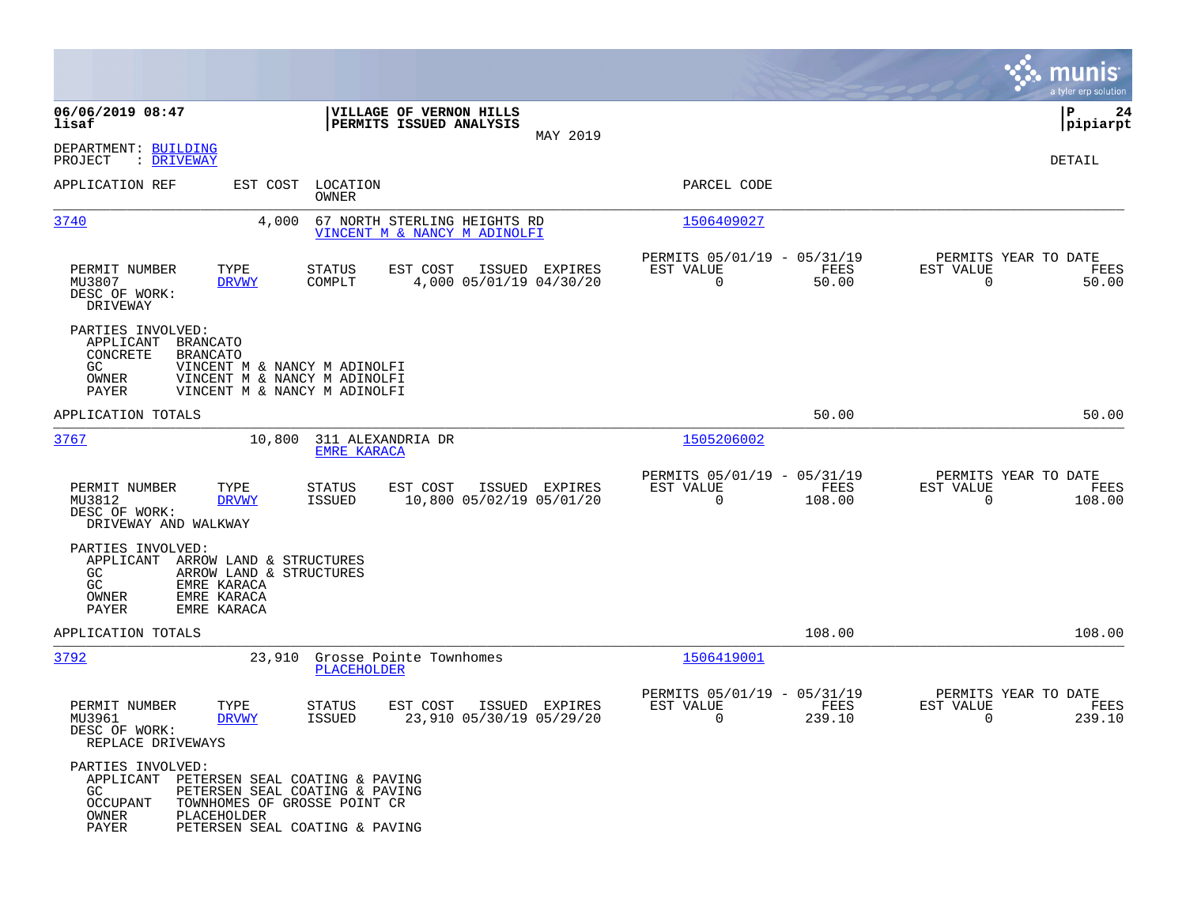|                                                                                                                                                                                                                                |                                                                                   |                                                                           | munis<br>a tyler erp solution                                        |
|--------------------------------------------------------------------------------------------------------------------------------------------------------------------------------------------------------------------------------|-----------------------------------------------------------------------------------|---------------------------------------------------------------------------|----------------------------------------------------------------------|
| 06/06/2019 08:47<br>lisaf                                                                                                                                                                                                      | VILLAGE OF VERNON HILLS<br>PERMITS ISSUED ANALYSIS                                |                                                                           | P<br>24<br> pipiarpt                                                 |
| DEPARTMENT: BUILDING<br>PROJECT<br>: <u>DRIVEWAY</u>                                                                                                                                                                           | MAY 2019                                                                          |                                                                           | DETAIL                                                               |
| APPLICATION REF<br>EST COST                                                                                                                                                                                                    | LOCATION<br>OWNER                                                                 | PARCEL CODE                                                               |                                                                      |
| 3740<br>4,000                                                                                                                                                                                                                  | 67 NORTH STERLING HEIGHTS RD<br>VINCENT M & NANCY M ADINOLFI                      | 1506409027                                                                |                                                                      |
| TYPE<br>PERMIT NUMBER<br>MU3807<br><b>DRVWY</b><br>DESC OF WORK:<br>DRIVEWAY                                                                                                                                                   | EST COST<br>STATUS<br>ISSUED EXPIRES<br>4,000 05/01/19 04/30/20<br>COMPLT         | PERMITS 05/01/19 - 05/31/19<br>EST VALUE<br>FEES<br>$\mathbf 0$<br>50.00  | PERMITS YEAR TO DATE<br>EST VALUE<br>FEES<br>$\overline{0}$<br>50.00 |
| PARTIES INVOLVED:<br>APPLICANT<br><b>BRANCATO</b><br>CONCRETE<br><b>BRANCATO</b><br>GC.<br>VINCENT M & NANCY M ADINOLFI<br>OWNER<br>VINCENT M & NANCY M ADINOLFI<br>PAYER<br>VINCENT M & NANCY M ADINOLFI                      |                                                                                   |                                                                           |                                                                      |
| APPLICATION TOTALS                                                                                                                                                                                                             |                                                                                   | 50.00                                                                     | 50.00                                                                |
| 3767<br>10,800                                                                                                                                                                                                                 | 311 ALEXANDRIA DR<br><b>EMRE KARACA</b>                                           | 1505206002                                                                |                                                                      |
| PERMIT NUMBER<br>TYPE<br>MU3812<br><b>DRVWY</b><br>DESC OF WORK:<br>DRIVEWAY AND WALKWAY                                                                                                                                       | EST COST<br>ISSUED EXPIRES<br>STATUS<br><b>ISSUED</b><br>10,800 05/02/19 05/01/20 | PERMITS 05/01/19 - 05/31/19<br>EST VALUE<br>FEES<br>$\mathbf 0$<br>108.00 | PERMITS YEAR TO DATE<br>EST VALUE<br>FEES<br>$\mathbf 0$<br>108.00   |
| PARTIES INVOLVED:<br>APPLICANT<br>ARROW LAND & STRUCTURES<br>ARROW LAND & STRUCTURES<br>GC.<br>GC<br>EMRE KARACA<br>EMRE KARACA<br>OWNER<br>PAYER<br>EMRE KARACA                                                               |                                                                                   |                                                                           |                                                                      |
| APPLICATION TOTALS                                                                                                                                                                                                             |                                                                                   | 108.00                                                                    | 108.00                                                               |
| 3792<br>23,910                                                                                                                                                                                                                 | Grosse Pointe Townhomes<br>PLACEHOLDER                                            | 1506419001                                                                |                                                                      |
| PERMIT NUMBER<br>TYPE<br>MU3961<br><b>DRVWY</b><br>DESC OF WORK:<br>REPLACE DRIVEWAYS                                                                                                                                          | STATUS<br>EST COST<br>ISSUED EXPIRES<br><b>ISSUED</b><br>23,910 05/30/19 05/29/20 | PERMITS 05/01/19 -<br>05/31/19<br>EST VALUE<br>FEES<br>0<br>239.10        | PERMITS YEAR TO DATE<br>EST VALUE<br>FEES<br>0<br>239.10             |
| PARTIES INVOLVED:<br>APPLICANT<br>PETERSEN SEAL COATING & PAVING<br>PETERSEN SEAL COATING & PAVING<br>GC<br><b>OCCUPANT</b><br>TOWNHOMES OF GROSSE POINT CR<br>OWNER<br>PLACEHOLDER<br>PAYER<br>PETERSEN SEAL COATING & PAVING |                                                                                   |                                                                           |                                                                      |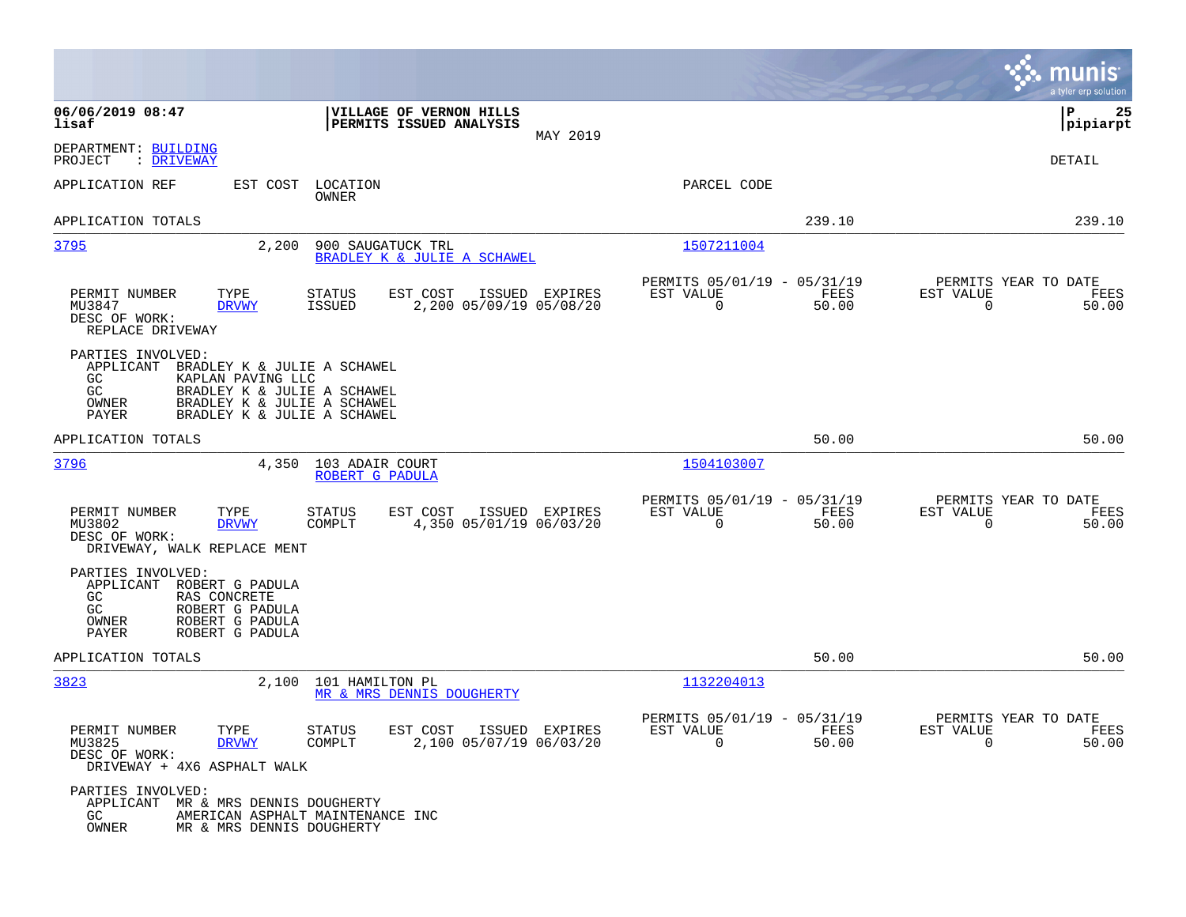|                                                                                                                                                          |                                                                                                                          |                                                                          | munis<br>a tyler erp solution                                     |
|----------------------------------------------------------------------------------------------------------------------------------------------------------|--------------------------------------------------------------------------------------------------------------------------|--------------------------------------------------------------------------|-------------------------------------------------------------------|
| 06/06/2019 08:47<br>lisaf                                                                                                                                | VILLAGE OF VERNON HILLS<br>PERMITS ISSUED ANALYSIS<br>MAY 2019                                                           |                                                                          | P<br>25<br> pipiarpt                                              |
| DEPARTMENT: BUILDING<br>: DRIVEWAY<br>PROJECT                                                                                                            |                                                                                                                          |                                                                          | DETAIL                                                            |
| APPLICATION REF<br>EST COST                                                                                                                              | LOCATION<br>OWNER                                                                                                        | PARCEL CODE                                                              |                                                                   |
| APPLICATION TOTALS                                                                                                                                       |                                                                                                                          | 239.10                                                                   | 239.10                                                            |
| <u>3795</u>                                                                                                                                              | 2,200<br>900 SAUGATUCK TRL<br>BRADLEY K & JULIE A SCHAWEL                                                                | 1507211004                                                               |                                                                   |
| PERMIT NUMBER<br>TYPE<br>MU3847<br><b>DRVWY</b><br>DESC OF WORK:<br>REPLACE DRIVEWAY                                                                     | EST COST<br>ISSUED EXPIRES<br><b>STATUS</b><br><b>ISSUED</b><br>2,200 05/09/19 05/08/20                                  | PERMITS 05/01/19 - 05/31/19<br>EST VALUE<br>FEES<br>0<br>50.00           | PERMITS YEAR TO DATE<br>EST VALUE<br>FEES<br>0<br>50.00           |
| PARTIES INVOLVED:<br>APPLICANT<br>KAPLAN PAVING LLC<br>GC.<br>GC<br>OWNER<br>PAYER                                                                       | BRADLEY K & JULIE A SCHAWEL<br>BRADLEY K & JULIE A SCHAWEL<br>BRADLEY K & JULIE A SCHAWEL<br>BRADLEY K & JULIE A SCHAWEL |                                                                          |                                                                   |
| APPLICATION TOTALS                                                                                                                                       |                                                                                                                          | 50.00                                                                    | 50.00                                                             |
| 3796                                                                                                                                                     | 4,350<br>103 ADAIR COURT<br>ROBERT G PADULA                                                                              | 1504103007                                                               |                                                                   |
| PERMIT NUMBER<br>TYPE<br>MU3802<br><b>DRVWY</b><br>DESC OF WORK:<br>DRIVEWAY, WALK REPLACE MENT                                                          | EST COST<br>ISSUED EXPIRES<br>STATUS<br>COMPLT<br>4,350 05/01/19 06/03/20                                                | PERMITS 05/01/19 - 05/31/19<br>EST VALUE<br>FEES<br>$\mathbf 0$<br>50.00 | PERMITS YEAR TO DATE<br>EST VALUE<br>FEES<br>$\mathbf 0$<br>50.00 |
| PARTIES INVOLVED:<br>APPLICANT<br>ROBERT G PADULA<br>GC<br>RAS CONCRETE<br>GC<br>ROBERT G PADULA<br>OWNER<br>ROBERT G PADULA<br>PAYER<br>ROBERT G PADULA |                                                                                                                          |                                                                          |                                                                   |
| APPLICATION TOTALS                                                                                                                                       |                                                                                                                          | 50.00                                                                    | 50.00                                                             |
| 3823                                                                                                                                                     | 2,100<br>101 HAMILTON PL<br>MR & MRS DENNIS DOUGHERTY                                                                    | 1132204013                                                               |                                                                   |
| PERMIT NUMBER<br>TYPE<br>MU3825<br><b>DRVWY</b><br>DESC OF WORK:<br>DRIVEWAY + 4X6 ASPHALT WALK                                                          | EST COST<br>ISSUED EXPIRES<br>STATUS<br>2,100 05/07/19 06/03/20<br>COMPLT                                                | PERMITS 05/01/19 - 05/31/19<br>EST VALUE<br>FEES<br>$\mathbf 0$<br>50.00 | PERMITS YEAR TO DATE<br>EST VALUE<br>FEES<br>$\mathbf 0$<br>50.00 |
| PARTIES INVOLVED:<br>APPLICANT MR & MRS DENNIS DOUGHERTY<br>GC<br>OWNER                                                                                  | AMERICAN ASPHALT MAINTENANCE INC<br>MR & MRS DENNIS DOUGHERTY                                                            |                                                                          |                                                                   |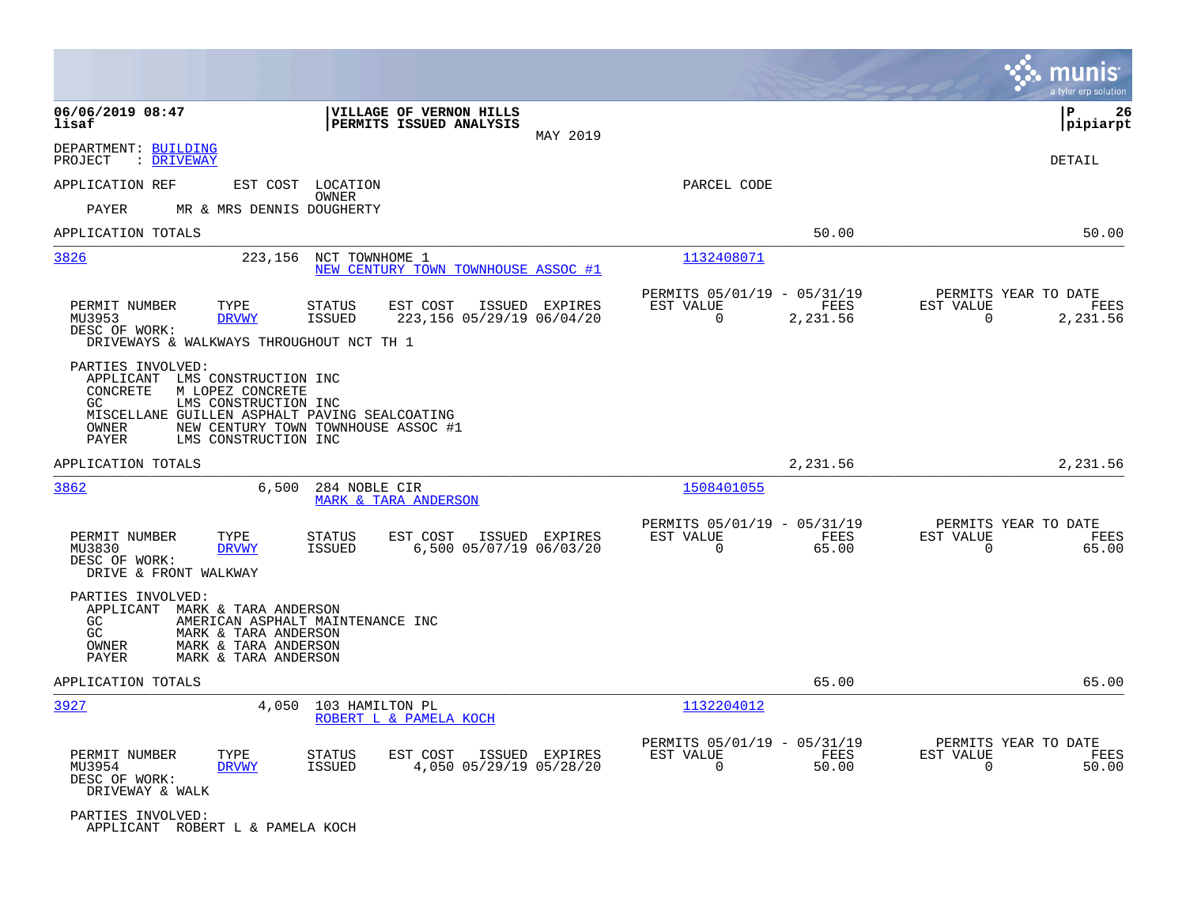|                                                                                                                                                                                                              |                                                                                           |                                                                          | munis<br>a tyler erp solution                                        |
|--------------------------------------------------------------------------------------------------------------------------------------------------------------------------------------------------------------|-------------------------------------------------------------------------------------------|--------------------------------------------------------------------------|----------------------------------------------------------------------|
| 06/06/2019 08:47<br>lisaf                                                                                                                                                                                    | VILLAGE OF VERNON HILLS<br>PERMITS ISSUED ANALYSIS<br>MAY 2019                            |                                                                          | ΙP<br>26<br> pipiarpt                                                |
| DEPARTMENT: BUILDING<br>: DRIVEWAY<br>PROJECT                                                                                                                                                                |                                                                                           |                                                                          | DETAIL                                                               |
| APPLICATION REF<br>EST COST                                                                                                                                                                                  | LOCATION                                                                                  | PARCEL CODE                                                              |                                                                      |
| PAYER                                                                                                                                                                                                        | OWNER<br>MR & MRS DENNIS DOUGHERTY                                                        |                                                                          |                                                                      |
| APPLICATION TOTALS                                                                                                                                                                                           |                                                                                           | 50.00                                                                    | 50.00                                                                |
| 3826                                                                                                                                                                                                         | 223,156<br>NCT TOWNHOME 1<br>NEW CENTURY TOWN TOWNHOUSE ASSOC #1                          | 1132408071                                                               |                                                                      |
| PERMIT NUMBER<br>TYPE<br>MU3953<br><b>DRVWY</b><br>DESC OF WORK:<br>DRIVEWAYS & WALKWAYS THROUGHOUT NCT TH 1                                                                                                 | <b>STATUS</b><br>EST COST<br>ISSUED EXPIRES<br>223,156 05/29/19 06/04/20<br><b>ISSUED</b> | PERMITS 05/01/19 - 05/31/19<br>FEES<br>EST VALUE<br>$\Omega$<br>2,231.56 | PERMITS YEAR TO DATE<br>EST VALUE<br>FEES<br>$\Omega$<br>2,231.56    |
| PARTIES INVOLVED:<br>APPLICANT LMS CONSTRUCTION INC<br>CONCRETE<br>M LOPEZ CONCRETE<br>GC<br>LMS CONSTRUCTION INC<br>MISCELLANE GUILLEN ASPHALT PAVING SEALCOATING<br>OWNER<br>LMS CONSTRUCTION INC<br>PAYER | NEW CENTURY TOWN TOWNHOUSE ASSOC #1                                                       |                                                                          |                                                                      |
| APPLICATION TOTALS                                                                                                                                                                                           |                                                                                           | 2,231.56                                                                 | 2,231.56                                                             |
| 3862                                                                                                                                                                                                         | 6,500<br>284 NOBLE CIR<br>MARK & TARA ANDERSON                                            | 1508401055                                                               |                                                                      |
| PERMIT NUMBER<br>TYPE<br>MU3830<br><b>DRVWY</b><br>DESC OF WORK:<br>DRIVE & FRONT WALKWAY                                                                                                                    | EST COST<br>ISSUED EXPIRES<br><b>STATUS</b><br>6,500 05/07/19 06/03/20<br><b>ISSUED</b>   | PERMITS 05/01/19 - 05/31/19<br>EST VALUE<br>FEES<br>0<br>65.00           | PERMITS YEAR TO DATE<br>EST VALUE<br>FEES<br>$\overline{0}$<br>65.00 |
| PARTIES INVOLVED:<br>APPLICANT<br>MARK & TARA ANDERSON<br>GC<br>GC<br>MARK & TARA ANDERSON<br>OWNER<br>MARK & TARA ANDERSON<br>PAYER<br>MARK & TARA ANDERSON                                                 | AMERICAN ASPHALT MAINTENANCE INC                                                          |                                                                          |                                                                      |
| APPLICATION TOTALS                                                                                                                                                                                           |                                                                                           | 65.00                                                                    | 65.00                                                                |
| 3927                                                                                                                                                                                                         | 4,050<br>103 HAMILTON PL<br>ROBERT L & PAMELA KOCH                                        | 1132204012                                                               |                                                                      |
| PERMIT NUMBER<br>TYPE<br>MU3954<br><b>DRVWY</b><br>DESC OF WORK:<br>DRIVEWAY & WALK                                                                                                                          | EST COST<br>ISSUED EXPIRES<br><b>STATUS</b><br>4,050 05/29/19 05/28/20<br>ISSUED          | PERMITS 05/01/19 - 05/31/19<br>EST VALUE<br>FEES<br>$\mathbf 0$<br>50.00 | PERMITS YEAR TO DATE<br>EST VALUE<br>FEES<br>50.00<br>0              |
| PARTIES INVOLVED:<br>APPLICANT ROBERT L & PAMELA KOCH                                                                                                                                                        |                                                                                           |                                                                          |                                                                      |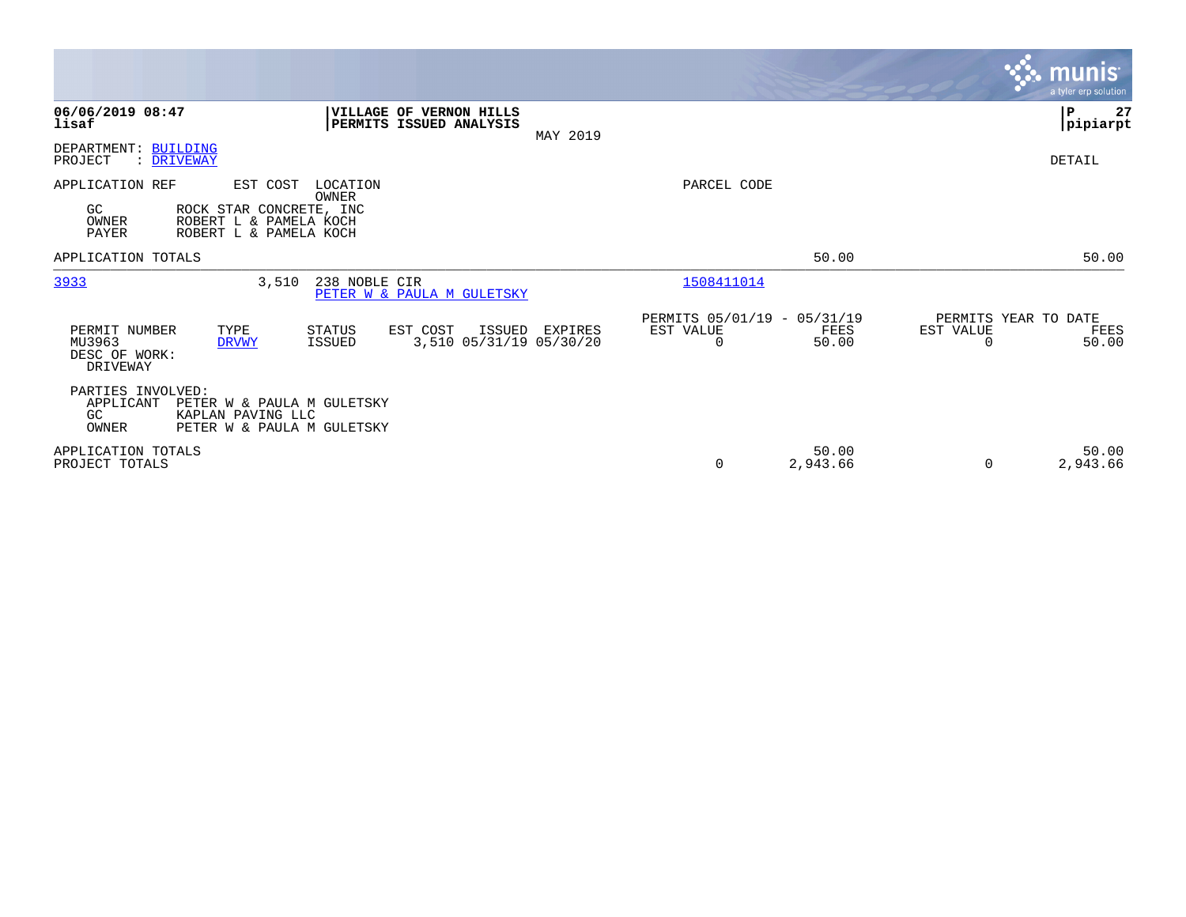|                                                      |                                                                                         |                                |                                                           |          |                                                         |                   |                       | munis <sup>®</sup><br>a tyler erp solution |
|------------------------------------------------------|-----------------------------------------------------------------------------------------|--------------------------------|-----------------------------------------------------------|----------|---------------------------------------------------------|-------------------|-----------------------|--------------------------------------------|
| 06/06/2019 08:47<br>lisaf                            |                                                                                         |                                | <b>VILLAGE OF VERNON HILLS</b><br>PERMITS ISSUED ANALYSIS | MAY 2019 |                                                         |                   |                       | 27<br>$\, {\bf P}$<br> pipiarpt            |
| DEPARTMENT:<br>PROJECT                               | <b>BUILDING</b><br>: DRIVEWAY                                                           |                                |                                                           |          |                                                         |                   |                       | DETAIL                                     |
| APPLICATION REF<br>GC<br>OWNER<br>PAYER              | EST COST<br>ROCK STAR CONCRETE, INC<br>ROBERT L & PAMELA KOCH<br>ROBERT L & PAMELA KOCH | LOCATION<br>OWNER              |                                                           |          | PARCEL CODE                                             |                   |                       |                                            |
| APPLICATION TOTALS                                   |                                                                                         |                                |                                                           |          |                                                         | 50.00             |                       | 50.00                                      |
| 3933                                                 | 3,510                                                                                   | 238 NOBLE CIR                  | PETER W & PAULA M GULETSKY                                |          | 1508411014                                              |                   |                       |                                            |
| PERMIT NUMBER<br>MU3963<br>DESC OF WORK:<br>DRIVEWAY | TYPE<br><b>DRVWY</b>                                                                    | <b>STATUS</b><br><b>ISSUED</b> | EST COST<br>ISSUED<br>3,510 05/31/19 05/30/20             | EXPIRES  | PERMITS 05/01/19 - 05/31/19<br>EST VALUE<br>$\mathbf 0$ | FEES<br>50.00     | EST VALUE<br>$\Omega$ | PERMITS YEAR TO DATE<br>FEES<br>50.00      |
| PARTIES INVOLVED:<br>APPLICANT<br>GC<br>OWNER        | PETER W & PAULA M GULETSKY<br>KAPLAN PAVING LLC<br>PETER W & PAULA M GULETSKY           |                                |                                                           |          |                                                         |                   |                       |                                            |
| APPLICATION TOTALS<br>PROJECT TOTALS                 |                                                                                         |                                |                                                           |          | 0                                                       | 50.00<br>2,943.66 | $\Omega$              | 50.00<br>2,943.66                          |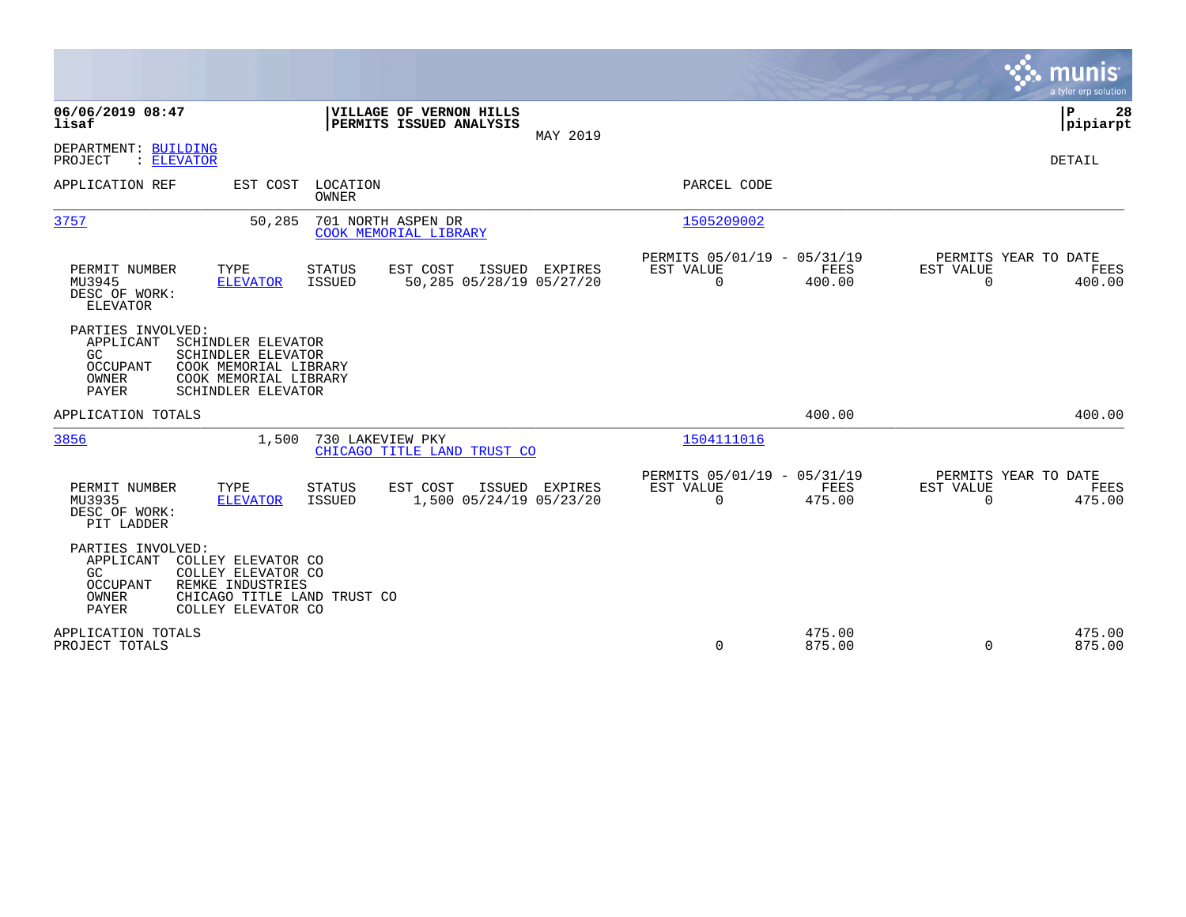|                                                                                                                                                                                                       |                                                                        |                |                                                         |                  |                          | munis<br>a tyler erp solution          |
|-------------------------------------------------------------------------------------------------------------------------------------------------------------------------------------------------------|------------------------------------------------------------------------|----------------|---------------------------------------------------------|------------------|--------------------------|----------------------------------------|
| 06/06/2019 08:47<br>lisaf                                                                                                                                                                             | VILLAGE OF VERNON HILLS<br>PERMITS ISSUED ANALYSIS                     |                |                                                         |                  |                          | ΙP<br>28<br> pipiarpt                  |
| DEPARTMENT: BUILDING<br>: ELEVATOR<br>PROJECT                                                                                                                                                         |                                                                        | MAY 2019       |                                                         |                  |                          | DETAIL                                 |
| APPLICATION REF<br>EST COST                                                                                                                                                                           | LOCATION<br>OWNER                                                      |                | PARCEL CODE                                             |                  |                          |                                        |
| 3757<br>50,285                                                                                                                                                                                        | 701 NORTH ASPEN DR<br>COOK MEMORIAL LIBRARY                            |                | 1505209002                                              |                  |                          |                                        |
| PERMIT NUMBER<br>TYPE<br>MU3945<br><b>ELEVATOR</b><br>DESC OF WORK:<br><b>ELEVATOR</b>                                                                                                                | EST COST<br><b>STATUS</b><br><b>ISSUED</b><br>50,285 05/28/19 05/27/20 | ISSUED EXPIRES | PERMITS 05/01/19 - 05/31/19<br>EST VALUE<br>0           | FEES<br>400.00   | EST VALUE<br>$\mathbf 0$ | PERMITS YEAR TO DATE<br>FEES<br>400.00 |
| PARTIES INVOLVED:<br>APPLICANT<br>SCHINDLER ELEVATOR<br><b>SCHINDLER ELEVATOR</b><br>GC.<br>OCCUPANT<br>COOK MEMORIAL LIBRARY<br>OWNER<br>COOK MEMORIAL LIBRARY<br><b>PAYER</b><br>SCHINDLER ELEVATOR |                                                                        |                |                                                         |                  |                          |                                        |
| APPLICATION TOTALS                                                                                                                                                                                    |                                                                        |                |                                                         | 400.00           |                          | 400.00                                 |
| 3856<br>1,500                                                                                                                                                                                         | 730 LAKEVIEW PKY<br>CHICAGO TITLE LAND TRUST CO                        |                | 1504111016                                              |                  |                          |                                        |
| TYPE<br>PERMIT NUMBER<br>MU3935<br><b>ELEVATOR</b><br>DESC OF WORK:<br>PIT LADDER                                                                                                                     | EST COST<br><b>STATUS</b><br>1,500 05/24/19 05/23/20<br><b>ISSUED</b>  | ISSUED EXPIRES | PERMITS 05/01/19 - 05/31/19<br>EST VALUE<br>$\mathbf 0$ | FEES<br>475.00   | EST VALUE<br>$\Omega$    | PERMITS YEAR TO DATE<br>FEES<br>475.00 |
| PARTIES INVOLVED:<br>APPLICANT<br>COLLEY ELEVATOR CO<br>COLLEY ELEVATOR CO<br>GC<br>REMKE INDUSTRIES<br>OCCUPANT<br>OWNER<br>CHICAGO TITLE LAND TRUST CO<br>PAYER<br>COLLEY ELEVATOR CO               |                                                                        |                |                                                         |                  |                          |                                        |
| APPLICATION TOTALS<br>PROJECT TOTALS                                                                                                                                                                  |                                                                        |                | 0                                                       | 475.00<br>875.00 | $\mathbf 0$              | 475.00<br>875.00                       |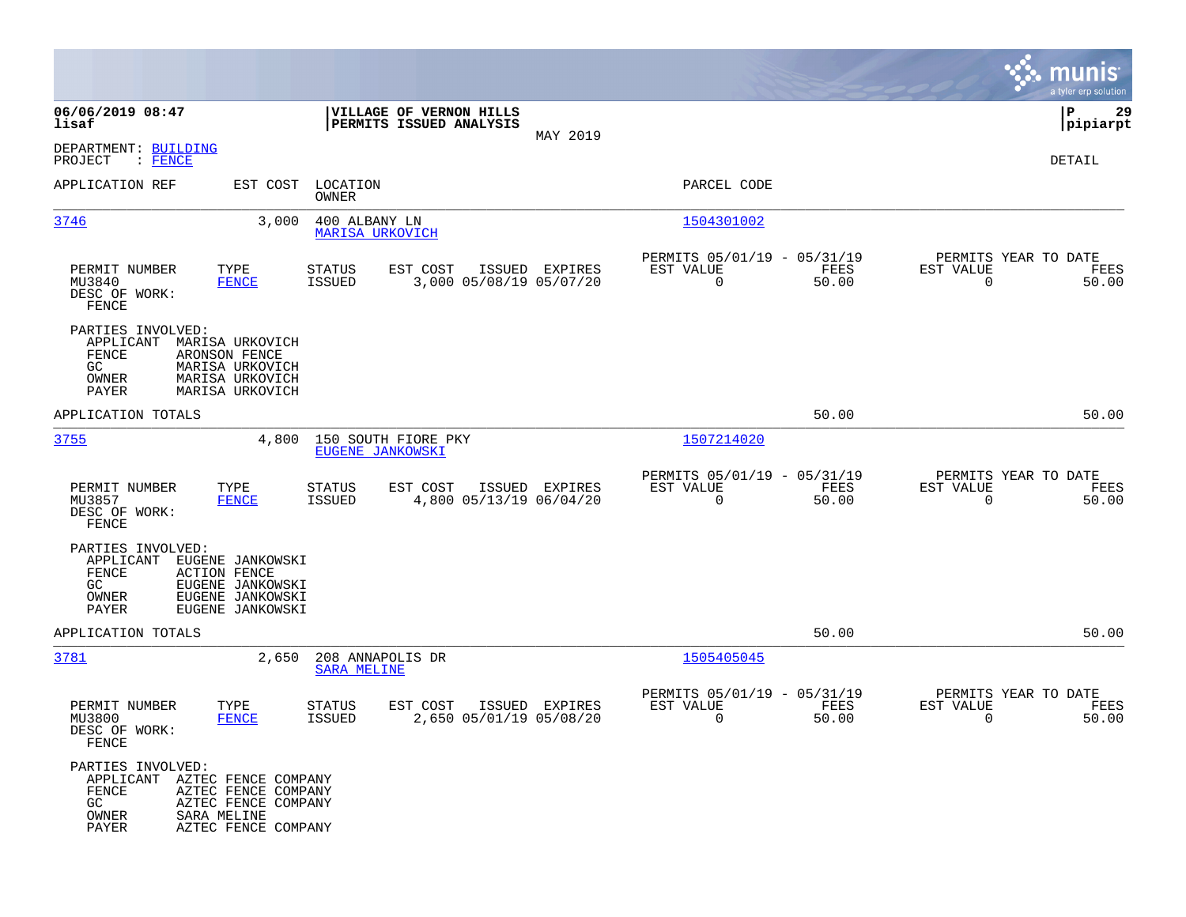|                                                                                                                                                                        |                                                                                         |                                                                          | munis<br>a tyler erp solution                                        |
|------------------------------------------------------------------------------------------------------------------------------------------------------------------------|-----------------------------------------------------------------------------------------|--------------------------------------------------------------------------|----------------------------------------------------------------------|
| 06/06/2019 08:47<br>lisaf                                                                                                                                              | VILLAGE OF VERNON HILLS<br>PERMITS ISSUED ANALYSIS                                      |                                                                          | P<br>29<br> pipiarpt                                                 |
| DEPARTMENT: BUILDING<br>PROJECT<br>: FENCE                                                                                                                             | MAY 2019                                                                                |                                                                          | DETAIL                                                               |
| APPLICATION REF                                                                                                                                                        | EST COST LOCATION<br>OWNER                                                              | PARCEL CODE                                                              |                                                                      |
| 3746                                                                                                                                                                   | 3,000<br>400 ALBANY LN<br>MARISA URKOVICH                                               | 1504301002                                                               |                                                                      |
| PERMIT NUMBER<br>TYPE<br>MU3840<br><b>FENCE</b><br>DESC OF WORK:<br>FENCE                                                                                              | <b>STATUS</b><br>ISSUED EXPIRES<br>EST COST<br><b>ISSUED</b><br>3,000 05/08/19 05/07/20 | PERMITS 05/01/19 - 05/31/19<br>EST VALUE<br>FEES<br>$\mathbf 0$<br>50.00 | PERMITS YEAR TO DATE<br>EST VALUE<br>FEES<br>$\overline{0}$<br>50.00 |
| PARTIES INVOLVED:<br>APPLICANT<br>MARISA URKOVICH<br>FENCE<br>ARONSON FENCE<br>GC.<br>MARISA URKOVICH<br>OWNER<br>MARISA URKOVICH<br>PAYER<br>MARISA URKOVICH          |                                                                                         |                                                                          |                                                                      |
| APPLICATION TOTALS                                                                                                                                                     |                                                                                         | 50.00                                                                    | 50.00                                                                |
| 3755                                                                                                                                                                   | 150 SOUTH FIORE PKY<br>4,800<br>EUGENE JANKOWSKI                                        | 1507214020                                                               |                                                                      |
| PERMIT NUMBER<br>TYPE<br>MU3857<br><b>FENCE</b><br>DESC OF WORK:<br>FENCE                                                                                              | <b>STATUS</b><br>EST COST<br>ISSUED EXPIRES<br>4,800 05/13/19 06/04/20<br><b>ISSUED</b> | PERMITS 05/01/19 - 05/31/19<br>EST VALUE<br>FEES<br>$\mathbf 0$<br>50.00 | PERMITS YEAR TO DATE<br>EST VALUE<br>FEES<br>$\mathbf 0$<br>50.00    |
| PARTIES INVOLVED:<br>APPLICANT<br>EUGENE JANKOWSKI<br>FENCE<br><b>ACTION FENCE</b><br>GC<br>EUGENE JANKOWSKI<br>EUGENE JANKOWSKI<br>OWNER<br>PAYER<br>EUGENE JANKOWSKI |                                                                                         |                                                                          |                                                                      |
| APPLICATION TOTALS                                                                                                                                                     |                                                                                         | 50.00                                                                    | 50.00                                                                |
| 3781                                                                                                                                                                   | 2,650<br>208 ANNAPOLIS DR<br><b>SARA MELINE</b>                                         | 1505405045                                                               |                                                                      |
| PERMIT NUMBER<br>TYPE<br>MU3800<br><b>FENCE</b><br>DESC OF WORK:<br>FENCE                                                                                              | STATUS<br>EST COST<br>ISSUED EXPIRES<br>2,650 05/01/19 05/08/20<br><b>ISSUED</b>        | PERMITS 05/01/19 - 05/31/19<br>EST VALUE<br>FEES<br>0<br>50.00           | PERMITS YEAR TO DATE<br>EST VALUE<br>FEES<br>0<br>50.00              |
| PARTIES INVOLVED:<br>APPLICANT AZTEC FENCE COMPANY<br>FENCE<br>AZTEC FENCE COMPANY<br>GC<br>OWNER<br>SARA MELINE<br>PAYER                                              | AZTEC FENCE COMPANY<br>AZTEC FENCE COMPANY                                              |                                                                          |                                                                      |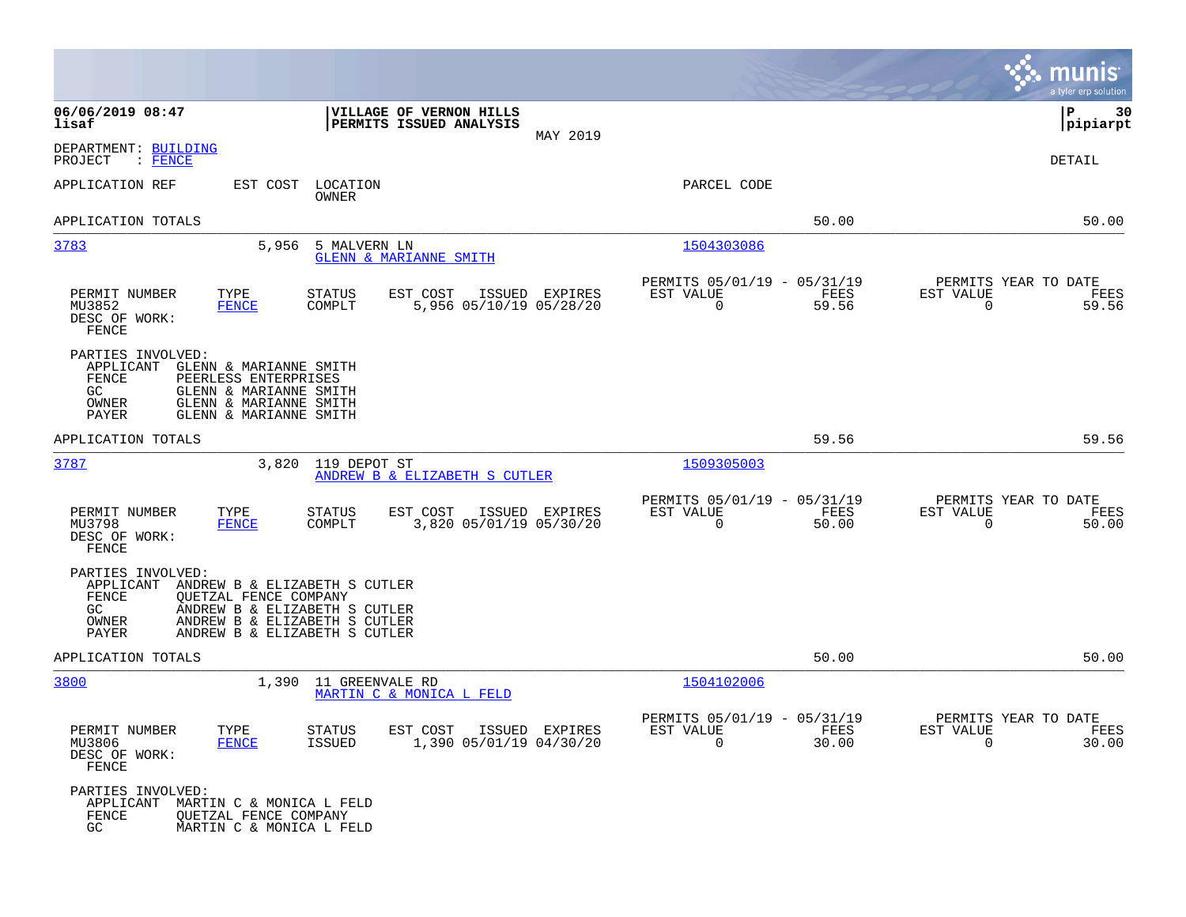|                                                                                                                                                                                                                                      |                                                                                  |                                                                          | munis<br>a tyler erp solution                                        |
|--------------------------------------------------------------------------------------------------------------------------------------------------------------------------------------------------------------------------------------|----------------------------------------------------------------------------------|--------------------------------------------------------------------------|----------------------------------------------------------------------|
| 06/06/2019 08:47<br>lisaf                                                                                                                                                                                                            | VILLAGE OF VERNON HILLS<br>PERMITS ISSUED ANALYSIS<br>MAY 2019                   |                                                                          | P<br>30<br> pipiarpt                                                 |
| DEPARTMENT: BUILDING<br>PROJECT<br>$:$ FENCE                                                                                                                                                                                         |                                                                                  |                                                                          | DETAIL                                                               |
| APPLICATION REF<br>EST COST                                                                                                                                                                                                          | LOCATION<br>OWNER                                                                | PARCEL CODE                                                              |                                                                      |
| APPLICATION TOTALS                                                                                                                                                                                                                   |                                                                                  | 50.00                                                                    | 50.00                                                                |
| 3783<br>5,956                                                                                                                                                                                                                        | 5 MALVERN LN<br>GLENN & MARIANNE SMITH                                           | 1504303086                                                               |                                                                      |
| PERMIT NUMBER<br>TYPE<br>MU3852<br><b>FENCE</b><br>DESC OF WORK:<br>FENCE                                                                                                                                                            | <b>STATUS</b><br>EST COST<br>ISSUED EXPIRES<br>COMPLT<br>5,956 05/10/19 05/28/20 | PERMITS 05/01/19 - 05/31/19<br>EST VALUE<br>FEES<br>$\mathbf 0$<br>59.56 | PERMITS YEAR TO DATE<br>EST VALUE<br>FEES<br>$\mathbf 0$<br>59.56    |
| PARTIES INVOLVED:<br>APPLICANT<br>GLENN & MARIANNE SMITH<br>FENCE<br>PEERLESS ENTERPRISES<br>GC<br>GLENN & MARIANNE SMITH<br>GLENN & MARIANNE SMITH<br>OWNER<br>PAYER<br>GLENN & MARIANNE SMITH                                      |                                                                                  |                                                                          |                                                                      |
| APPLICATION TOTALS                                                                                                                                                                                                                   |                                                                                  | 59.56                                                                    | 59.56                                                                |
| 3787<br>3,820                                                                                                                                                                                                                        | 119 DEPOT ST<br>ANDREW B & ELIZABETH S CUTLER                                    | 1509305003                                                               |                                                                      |
| PERMIT NUMBER<br>TYPE<br>MU3798<br><b>FENCE</b><br>DESC OF WORK:<br>FENCE                                                                                                                                                            | <b>STATUS</b><br>EST COST<br>ISSUED EXPIRES<br>3,820 05/01/19 05/30/20<br>COMPLT | PERMITS 05/01/19 - 05/31/19<br>FEES<br>EST VALUE<br>$\mathbf 0$<br>50.00 | PERMITS YEAR TO DATE<br>EST VALUE<br>FEES<br>$\overline{0}$<br>50.00 |
| PARTIES INVOLVED:<br>APPLICANT<br>ANDREW B & ELIZABETH S CUTLER<br>FENCE<br><b>QUETZAL FENCE COMPANY</b><br>GC.<br>ANDREW B & ELIZABETH S CUTLER<br>OWNER<br>ANDREW B & ELIZABETH S CUTLER<br>PAYER<br>ANDREW B & ELIZABETH S CUTLER |                                                                                  |                                                                          |                                                                      |
| APPLICATION TOTALS                                                                                                                                                                                                                   |                                                                                  | 50.00                                                                    | 50.00                                                                |
| 3800                                                                                                                                                                                                                                 | 1,390 11 GREENVALE RD<br>MARTIN C & MONICA L FELD                                | 1504102006                                                               |                                                                      |
| PERMIT NUMBER<br>TYPE<br>MU3806<br><b>FENCE</b><br>DESC OF WORK:<br>FENCE                                                                                                                                                            | STATUS<br>EST COST ISSUED EXPIRES<br>1,390 05/01/19 04/30/20<br>ISSUED           | PERMITS 05/01/19 - 05/31/19<br>EST VALUE<br>FEES<br>$\Omega$<br>30.00    | PERMITS YEAR TO DATE<br>EST VALUE<br>FEES<br>30.00<br>$\Omega$       |
| PARTIES INVOLVED:<br>APPLICANT<br>MARTIN C & MONICA L FELD<br>FENCE<br><b>QUETZAL FENCE COMPANY</b><br>GC<br>MARTIN C & MONICA L FELD                                                                                                |                                                                                  |                                                                          |                                                                      |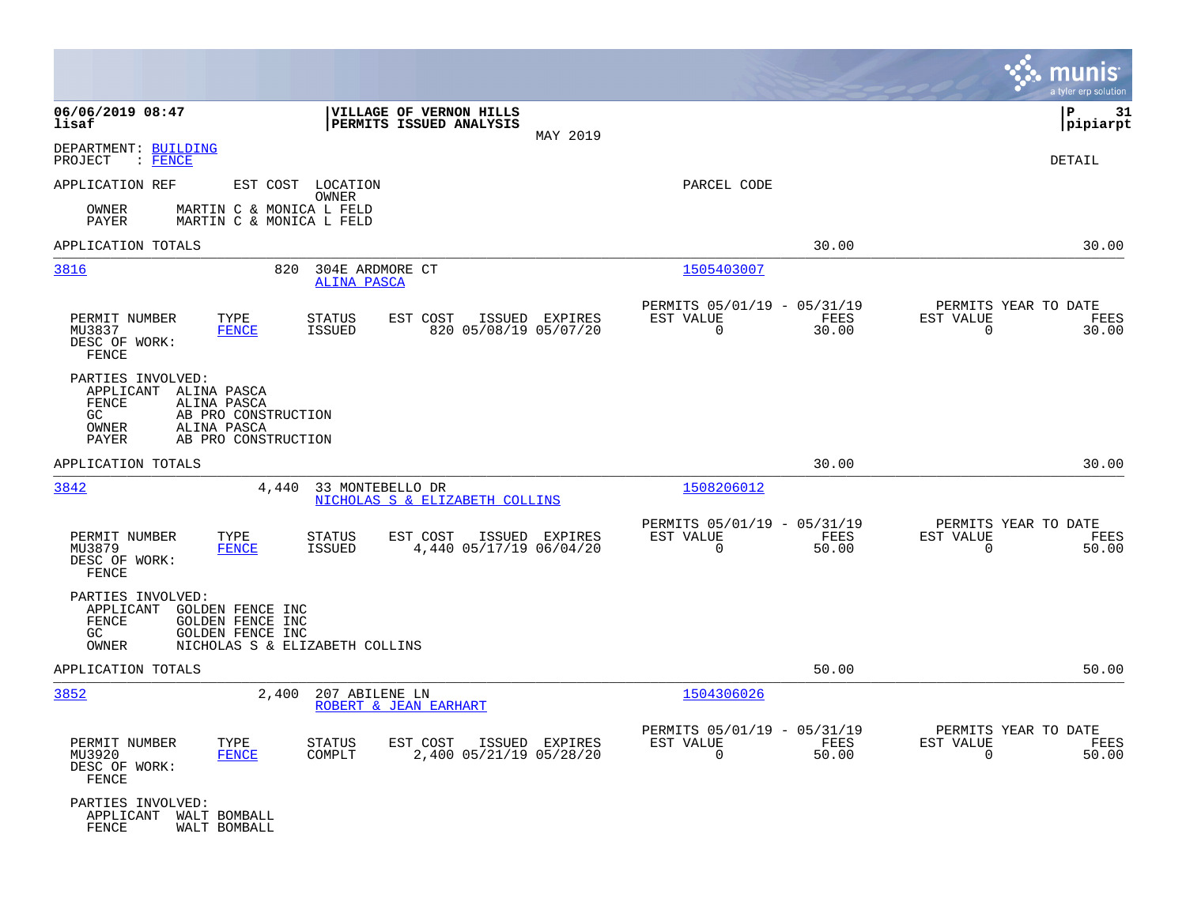|                                                                                                                                                         |                                                                                  |                                                                          | munis<br>a tyler erp solution                                      |
|---------------------------------------------------------------------------------------------------------------------------------------------------------|----------------------------------------------------------------------------------|--------------------------------------------------------------------------|--------------------------------------------------------------------|
| 06/06/2019 08:47<br>lisaf                                                                                                                               | VILLAGE OF VERNON HILLS<br>PERMITS ISSUED ANALYSIS<br>MAY 2019                   |                                                                          | P<br>31<br> pipiarpt                                               |
| DEPARTMENT: BUILDING<br>PROJECT<br>: FENCE                                                                                                              |                                                                                  |                                                                          | DETAIL                                                             |
| APPLICATION REF<br>EST COST LOCATION                                                                                                                    | OWNER                                                                            | PARCEL CODE                                                              |                                                                    |
| OWNER<br>MARTIN C & MONICA L FELD<br>PAYER<br>MARTIN C & MONICA L FELD                                                                                  |                                                                                  |                                                                          |                                                                    |
| APPLICATION TOTALS                                                                                                                                      |                                                                                  | 30.00                                                                    | 30.00                                                              |
| 3816<br>820                                                                                                                                             | 304E ARDMORE CT<br><b>ALINA PASCA</b>                                            | 1505403007                                                               |                                                                    |
| PERMIT NUMBER<br>TYPE<br>MU3837<br><b>FENCE</b><br>DESC OF WORK:<br>FENCE                                                                               | EST COST<br>ISSUED EXPIRES<br>STATUS<br>820 05/08/19 05/07/20<br>ISSUED          | PERMITS 05/01/19 - 05/31/19<br>EST VALUE<br>FEES<br>$\mathbf 0$<br>30.00 | PERMITS YEAR TO DATE<br>EST VALUE<br>FEES<br>$\mathbf 0$<br>30.00  |
| PARTIES INVOLVED:<br>APPLICANT ALINA PASCA<br>FENCE<br>ALINA PASCA<br>GC<br>AB PRO CONSTRUCTION<br>OWNER<br>ALINA PASCA<br>PAYER<br>AB PRO CONSTRUCTION |                                                                                  |                                                                          |                                                                    |
| APPLICATION TOTALS                                                                                                                                      |                                                                                  | 30.00                                                                    | 30.00                                                              |
| 3842                                                                                                                                                    | 4,440 33 MONTEBELLO DR<br>NICHOLAS S & ELIZABETH COLLINS                         | 1508206012                                                               |                                                                    |
| PERMIT NUMBER<br>TYPE<br>MU3879<br><b>FENCE</b><br>DESC OF WORK:<br>FENCE                                                                               | EST COST<br>ISSUED EXPIRES<br>STATUS<br>4,440 05/17/19 06/04/20<br>ISSUED        | PERMITS 05/01/19 - 05/31/19<br>EST VALUE<br>FEES<br>0<br>50.00           | PERMITS YEAR TO DATE<br>EST VALUE<br>FEES<br>$\Omega$<br>50.00     |
| PARTIES INVOLVED:<br>APPLICANT<br>GOLDEN FENCE INC<br>FENCE<br>GOLDEN FENCE INC<br>GC<br>GOLDEN FENCE INC<br>OWNER<br>NICHOLAS S & ELIZABETH COLLINS    |                                                                                  |                                                                          |                                                                    |
| APPLICATION TOTALS                                                                                                                                      |                                                                                  | 50.00                                                                    | 50.00                                                              |
| 3852<br>2,400                                                                                                                                           | 207 ABILENE LN<br>ROBERT & JEAN EARHART                                          | 1504306026                                                               |                                                                    |
| PERMIT NUMBER<br>TYPE<br>MU3920<br><b>FENCE</b><br>DESC OF WORK:<br>FENCE                                                                               | <b>STATUS</b><br>EST COST<br>ISSUED EXPIRES<br>COMPLT<br>2,400 05/21/19 05/28/20 | PERMITS 05/01/19 - 05/31/19<br>FEES<br>EST VALUE<br>50.00<br>$\Omega$    | PERMITS YEAR TO DATE<br>EST VALUE<br>FEES<br>$\mathbf{0}$<br>50.00 |
| PARTIES INVOLVED:<br>APPLICANT WALT BOMBALL<br>FENCE<br>WALT BOMBALL                                                                                    |                                                                                  |                                                                          |                                                                    |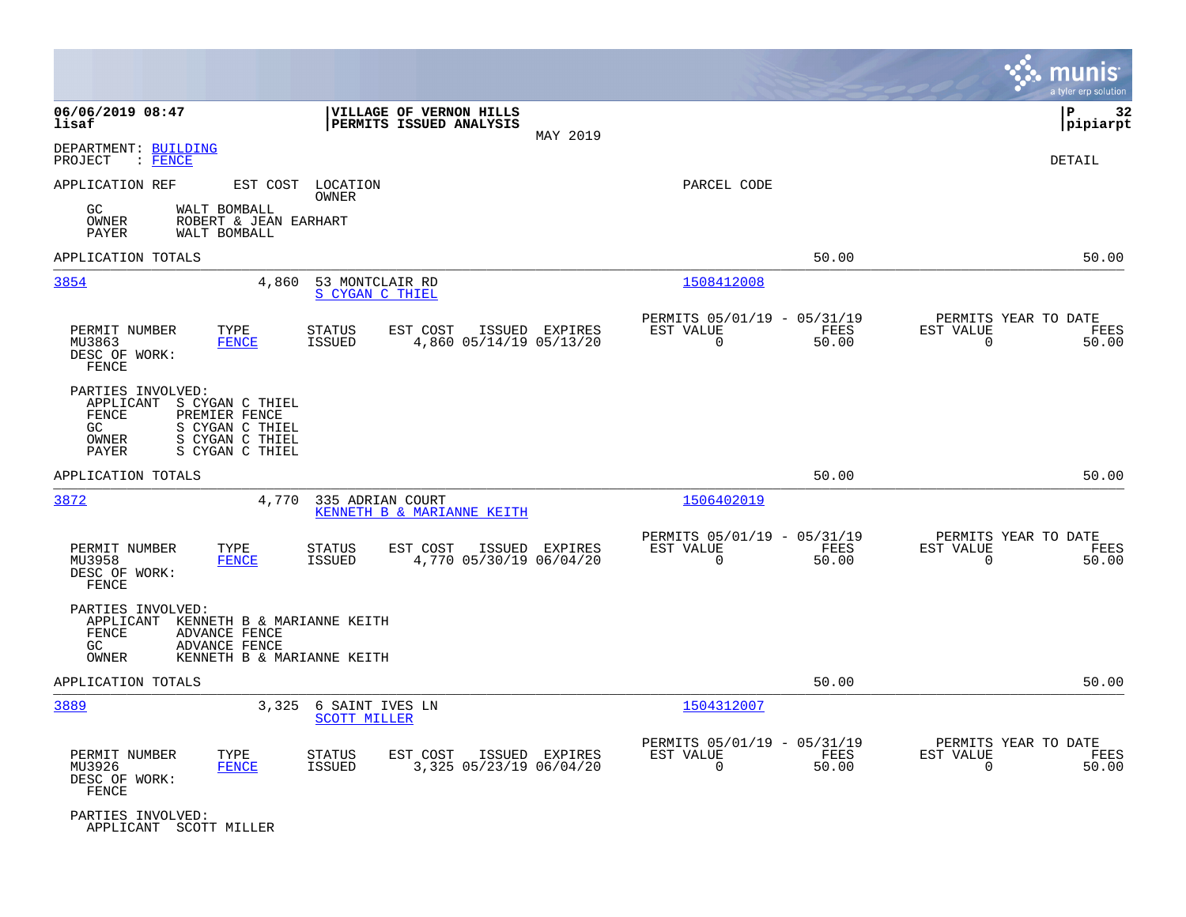|                                                                                                                                                                     |                                                                                         |                                                                             | munis<br>a tyler erp solution                                     |
|---------------------------------------------------------------------------------------------------------------------------------------------------------------------|-----------------------------------------------------------------------------------------|-----------------------------------------------------------------------------|-------------------------------------------------------------------|
| 06/06/2019 08:47<br>lisaf                                                                                                                                           | VILLAGE OF VERNON HILLS<br>PERMITS ISSUED ANALYSIS<br>MAY 2019                          |                                                                             | lР<br>32<br> pipiarpt                                             |
| DEPARTMENT: BUILDING<br>PROJECT<br>$:$ FENCE                                                                                                                        |                                                                                         |                                                                             | DETAIL                                                            |
| APPLICATION REF                                                                                                                                                     | EST COST LOCATION<br>OWNER                                                              | PARCEL CODE                                                                 |                                                                   |
| GC<br>WALT BOMBALL<br>OWNER<br>ROBERT & JEAN EARHART<br><b>PAYER</b><br>WALT BOMBALL                                                                                |                                                                                         |                                                                             |                                                                   |
| APPLICATION TOTALS                                                                                                                                                  |                                                                                         | 50.00                                                                       | 50.00                                                             |
| 3854<br>4,860                                                                                                                                                       | 53 MONTCLAIR RD<br>S CYGAN C THIEL                                                      | 1508412008                                                                  |                                                                   |
| PERMIT NUMBER<br>TYPE<br>MU3863<br><b>FENCE</b><br>DESC OF WORK:<br>FENCE                                                                                           | STATUS<br>EST COST<br>ISSUED EXPIRES<br><b>ISSUED</b><br>4,860 05/14/19 05/13/20        | PERMITS 05/01/19 - 05/31/19<br>EST VALUE<br>FEES<br>$\mathbf 0$<br>50.00    | PERMITS YEAR TO DATE<br>EST VALUE<br>FEES<br>$\mathbf 0$<br>50.00 |
| PARTIES INVOLVED:<br>APPLICANT<br>S CYGAN C THIEL<br><b>FENCE</b><br>PREMIER FENCE<br>GC<br>S CYGAN C THIEL<br>S CYGAN C THIEL<br>OWNER<br>S CYGAN C THIEL<br>PAYER |                                                                                         |                                                                             |                                                                   |
| APPLICATION TOTALS                                                                                                                                                  |                                                                                         | 50.00                                                                       | 50.00                                                             |
| 3872<br>4,770                                                                                                                                                       | 335 ADRIAN COURT<br>KENNETH B & MARIANNE KEITH                                          | 1506402019                                                                  |                                                                   |
| PERMIT NUMBER<br>TYPE<br>MU3958<br><b>FENCE</b><br>DESC OF WORK:<br>FENCE                                                                                           | STATUS<br>EST COST<br>ISSUED EXPIRES<br>4,770 05/30/19 06/04/20<br><b>ISSUED</b>        | PERMITS 05/01/19 - 05/31/19<br>EST VALUE<br>FEES<br>$\overline{0}$<br>50.00 | PERMITS YEAR TO DATE<br>EST VALUE<br>FEES<br>$\mathbf 0$<br>50.00 |
| PARTIES INVOLVED:<br>APPLICANT<br>KENNETH B & MARIANNE KEITH<br><b>FENCE</b><br>ADVANCE FENCE<br>GC<br><b>ADVANCE FENCE</b><br>KENNETH B & MARIANNE KEITH<br>OWNER  |                                                                                         |                                                                             |                                                                   |
| APPLICATION TOTALS                                                                                                                                                  |                                                                                         | 50.00                                                                       | 50.00                                                             |
| 3889<br>3,325                                                                                                                                                       | 6 SAINT IVES LN<br><b>SCOTT MILLER</b>                                                  | 1504312007                                                                  |                                                                   |
| PERMIT NUMBER<br>TYPE<br>MU3926<br><b>FENCE</b><br>DESC OF WORK:<br>FENCE                                                                                           | <b>STATUS</b><br>ISSUED EXPIRES<br>EST COST<br><b>ISSUED</b><br>3,325 05/23/19 06/04/20 | PERMITS 05/01/19 - 05/31/19<br>EST VALUE<br>FEES<br>$\Omega$<br>50.00       | PERMITS YEAR TO DATE<br>EST VALUE<br>FEES<br>$\Omega$<br>50.00    |
| PARTIES INVOLVED:<br>APPLICANT SCOTT MILLER                                                                                                                         |                                                                                         |                                                                             |                                                                   |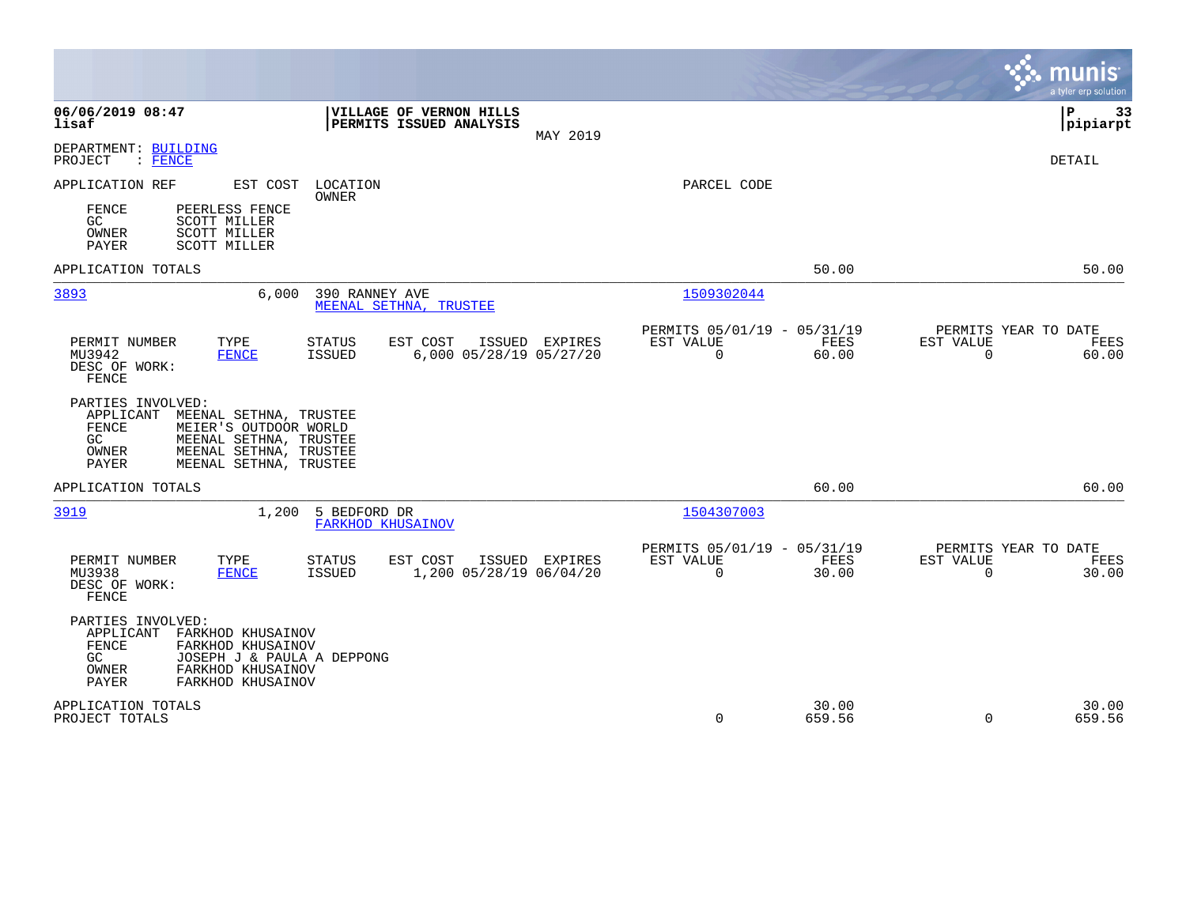|                                                                  |                                                                                                                               |                                          |                                                    |                                           |                                               |                 |                                                  | munis<br>a tyler erp solution |
|------------------------------------------------------------------|-------------------------------------------------------------------------------------------------------------------------------|------------------------------------------|----------------------------------------------------|-------------------------------------------|-----------------------------------------------|-----------------|--------------------------------------------------|-------------------------------|
| 06/06/2019 08:47<br>lisaf                                        |                                                                                                                               |                                          | VILLAGE OF VERNON HILLS<br>PERMITS ISSUED ANALYSIS | MAY 2019                                  |                                               |                 |                                                  | Þ<br>33<br>pipiarpt           |
| DEPARTMENT: BUILDING<br>: FENCE<br>PROJECT                       |                                                                                                                               |                                          |                                                    |                                           |                                               |                 |                                                  | <b>DETAIL</b>                 |
| APPLICATION REF<br><b>FENCE</b><br>GC.<br>OWNER                  | EST COST<br>PEERLESS FENCE<br><b>SCOTT MILLER</b><br><b>SCOTT MILLER</b>                                                      | LOCATION<br><b>OWNER</b>                 |                                                    |                                           | PARCEL CODE                                   |                 |                                                  |                               |
| <b>PAYER</b>                                                     | <b>SCOTT MILLER</b>                                                                                                           |                                          |                                                    |                                           |                                               |                 |                                                  |                               |
| APPLICATION TOTALS<br>3893                                       | 6,000                                                                                                                         | 390 RANNEY AVE<br>MEENAL SETHNA, TRUSTEE |                                                    |                                           | 1509302044                                    | 50.00           |                                                  | 50.00                         |
| PERMIT NUMBER<br>MU3942<br>DESC OF WORK:<br>FENCE                | TYPE<br><b>FENCE</b>                                                                                                          | STATUS<br>ISSUED                         | EST COST                                           | ISSUED EXPIRES<br>6,000 05/28/19 05/27/20 | PERMITS 05/01/19 - 05/31/19<br>EST VALUE<br>0 | FEES<br>60.00   | PERMITS YEAR TO DATE<br>EST VALUE<br>$\mathbf 0$ | FEES<br>60.00                 |
| PARTIES INVOLVED:<br>APPLICANT<br>FENCE<br>GC.<br>OWNER<br>PAYER | MEENAL SETHNA, TRUSTEE<br>MEIER'S OUTDOOR WORLD<br>MEENAL SETHNA, TRUSTEE<br>MEENAL SETHNA, TRUSTEE<br>MEENAL SETHNA, TRUSTEE |                                          |                                                    |                                           |                                               |                 |                                                  |                               |
| APPLICATION TOTALS                                               |                                                                                                                               |                                          |                                                    |                                           |                                               | 60.00           |                                                  | 60.00                         |
| 3919                                                             | 1,200                                                                                                                         | 5 BEDFORD DR<br><b>FARKHOD KHUSAINOV</b> |                                                    |                                           | 1504307003                                    |                 |                                                  |                               |
| PERMIT NUMBER<br>MU3938<br>DESC OF WORK:<br><b>FENCE</b>         | TYPE<br><b>FENCE</b>                                                                                                          | <b>STATUS</b><br><b>ISSUED</b>           | EST COST                                           | ISSUED EXPIRES<br>1,200 05/28/19 06/04/20 | PERMITS 05/01/19 - 05/31/19<br>EST VALUE<br>0 | FEES<br>30.00   | PERMITS YEAR TO DATE<br>EST VALUE<br>$\mathbf 0$ | FEES<br>30.00                 |
| PARTIES INVOLVED:<br>APPLICANT<br>FENCE<br>GC<br>OWNER<br>PAYER  | FARKHOD KHUSAINOV<br>FARKHOD KHUSAINOV<br>JOSEPH J & PAULA A DEPPONG<br>FARKHOD KHUSAINOV<br>FARKHOD KHUSAINOV                |                                          |                                                    |                                           |                                               |                 |                                                  |                               |
| APPLICATION TOTALS<br>PROJECT TOTALS                             |                                                                                                                               |                                          |                                                    |                                           | 0                                             | 30.00<br>659.56 | $\mathbf 0$                                      | 30.00<br>659.56               |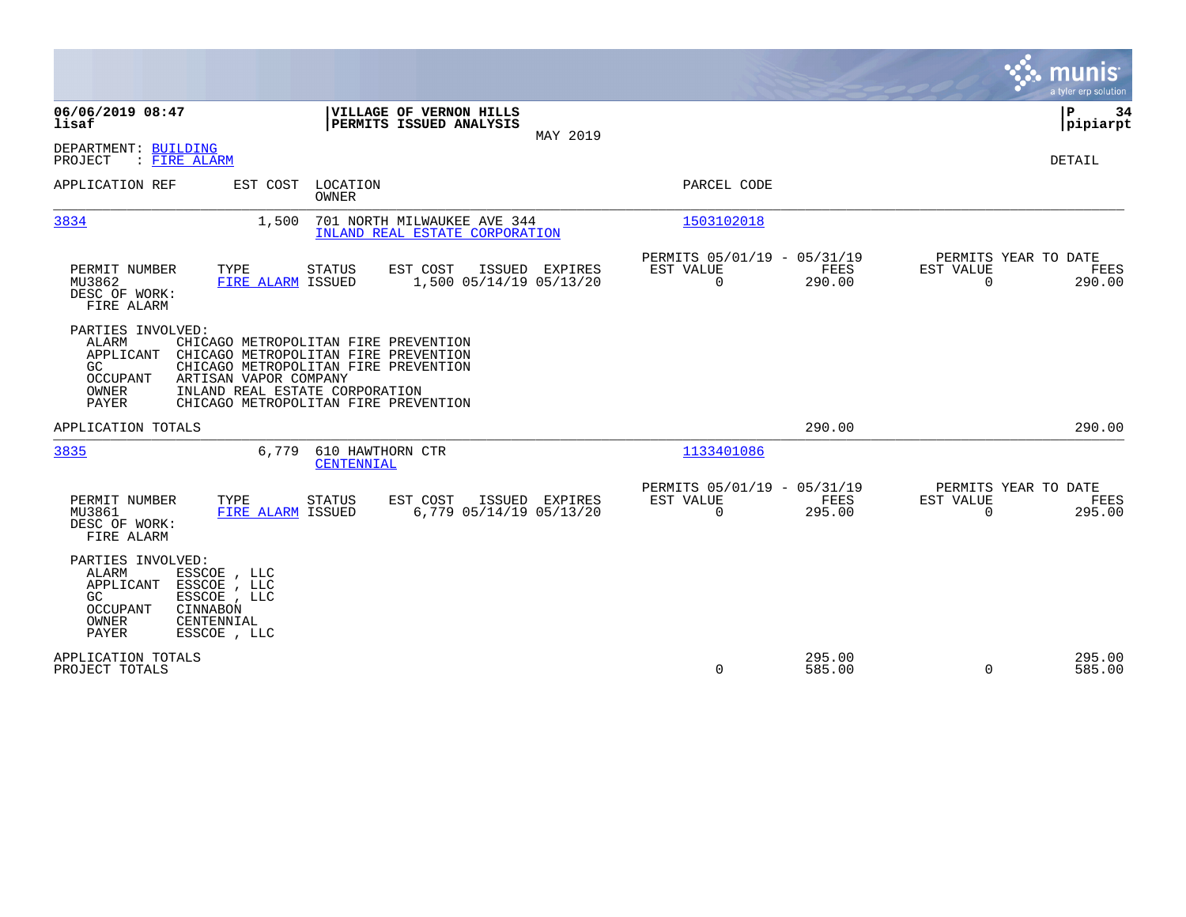|                                                                                                                                                                                                                                                                                                         |                                                                           | munis<br>a tyler erp solution                                   |
|---------------------------------------------------------------------------------------------------------------------------------------------------------------------------------------------------------------------------------------------------------------------------------------------------------|---------------------------------------------------------------------------|-----------------------------------------------------------------|
| 06/06/2019 08:47<br>VILLAGE OF VERNON HILLS<br>lisaf<br>PERMITS ISSUED ANALYSIS                                                                                                                                                                                                                         |                                                                           | ΙP<br>34<br> pipiarpt                                           |
| MAY 2019<br>DEPARTMENT: BUILDING<br>: FIRE ALARM<br>PROJECT                                                                                                                                                                                                                                             |                                                                           | DETAIL                                                          |
| LOCATION<br>APPLICATION REF<br>EST COST<br><b>OWNER</b>                                                                                                                                                                                                                                                 | PARCEL CODE                                                               |                                                                 |
| 3834<br>701 NORTH MILWAUKEE AVE 344<br>1,500<br>INLAND REAL ESTATE CORPORATION                                                                                                                                                                                                                          | 1503102018                                                                |                                                                 |
| TYPE<br>EST COST<br>ISSUED EXPIRES<br>PERMIT NUMBER<br><b>STATUS</b><br>1,500 05/14/19 05/13/20<br>MU3862<br>FIRE ALARM ISSUED<br>DESC OF WORK:<br>FIRE ALARM                                                                                                                                           | PERMITS 05/01/19 - 05/31/19<br>FEES<br>EST VALUE<br>$\Omega$<br>290.00    | PERMITS YEAR TO DATE<br>EST VALUE<br>FEES<br>$\Omega$<br>290.00 |
| PARTIES INVOLVED:<br>ALARM<br>CHICAGO METROPOLITAN FIRE PREVENTION<br>APPLICANT<br>CHICAGO METROPOLITAN FIRE PREVENTION<br>GC.<br>CHICAGO METROPOLITAN FIRE PREVENTION<br>OCCUPANT<br>ARTISAN VAPOR COMPANY<br>OWNER<br>INLAND REAL ESTATE CORPORATION<br>PAYER<br>CHICAGO METROPOLITAN FIRE PREVENTION |                                                                           |                                                                 |
| APPLICATION TOTALS                                                                                                                                                                                                                                                                                      | 290.00                                                                    | 290.00                                                          |
| 6,779<br>3835<br>610 HAWTHORN CTR<br>CENTENNIAL                                                                                                                                                                                                                                                         | 1133401086                                                                |                                                                 |
| PERMIT NUMBER<br>TYPE<br>EST COST<br>ISSUED EXPIRES<br><b>STATUS</b><br>FIRE ALARM ISSUED<br>6,779 05/14/19 05/13/20<br>MU3861<br>DESC OF WORK:<br>FIRE ALARM                                                                                                                                           | PERMITS 05/01/19 - 05/31/19<br>EST VALUE<br>FEES<br>295.00<br>$\mathbf 0$ | PERMITS YEAR TO DATE<br>EST VALUE<br>FEES<br>295.00<br>$\Omega$ |
| PARTIES INVOLVED:<br>ALARM<br>ESSCOE , LLC<br>APPLICANT<br>ESSCOE , LLC<br>GC.<br>ESSCOE, LLC<br><b>OCCUPANT</b><br>CINNABON<br>OWNER<br>CENTENNIAL<br><b>PAYER</b><br>ESSCOE , LLC                                                                                                                     |                                                                           |                                                                 |
| APPLICATION TOTALS<br>PROJECT TOTALS                                                                                                                                                                                                                                                                    | 295.00<br>$\mathbf 0$<br>585.00                                           | 295.00<br>$\mathbf 0$<br>585.00                                 |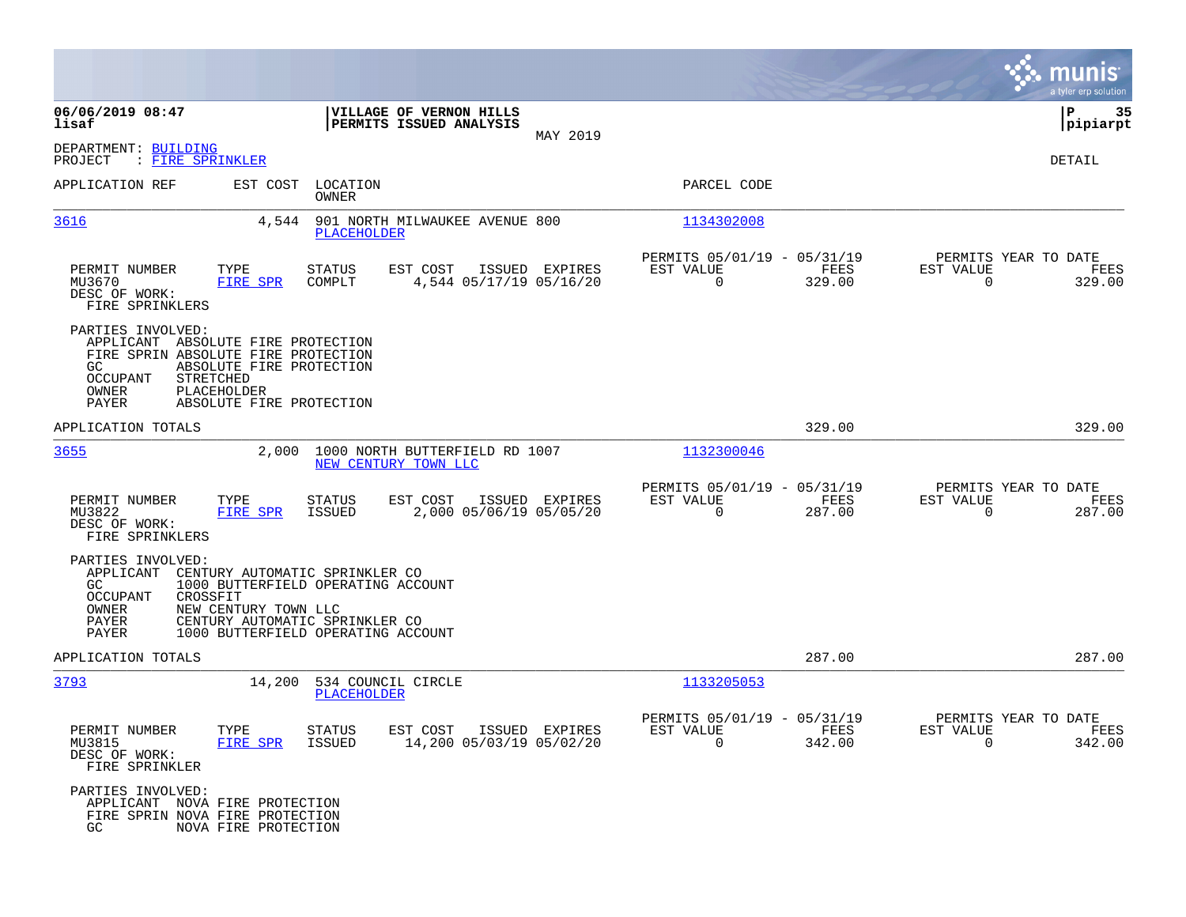|                                                                                                                                                                                                                         |                                                                                                            |                                                                           | munis<br>a tyler erp solution                                      |
|-------------------------------------------------------------------------------------------------------------------------------------------------------------------------------------------------------------------------|------------------------------------------------------------------------------------------------------------|---------------------------------------------------------------------------|--------------------------------------------------------------------|
| 06/06/2019 08:47<br>lisaf                                                                                                                                                                                               | VILLAGE OF VERNON HILLS<br>PERMITS ISSUED ANALYSIS                                                         |                                                                           | ΙP<br>35<br> pipiarpt                                              |
| DEPARTMENT: BUILDING<br>: FIRE SPRINKLER<br>PROJECT                                                                                                                                                                     |                                                                                                            | MAY 2019                                                                  | DETAIL                                                             |
| APPLICATION REF<br>EST COST                                                                                                                                                                                             | LOCATION<br><b>OWNER</b>                                                                                   | PARCEL CODE                                                               |                                                                    |
| 3616<br>4,544                                                                                                                                                                                                           | 901 NORTH MILWAUKEE AVENUE 800<br><b>PLACEHOLDER</b>                                                       | 1134302008                                                                |                                                                    |
| PERMIT NUMBER<br>TYPE<br>MU3670<br>FIRE SPR<br>DESC OF WORK:<br>FIRE SPRINKLERS                                                                                                                                         | EST COST<br>ISSUED EXPIRES<br>STATUS<br>COMPLT<br>4,544 05/17/19 05/16/20                                  | PERMITS 05/01/19 - 05/31/19<br>FEES<br>EST VALUE<br>$\mathbf 0$<br>329.00 | PERMITS YEAR TO DATE<br>EST VALUE<br>FEES<br>$\mathbf 0$<br>329.00 |
| PARTIES INVOLVED:<br>APPLICANT ABSOLUTE FIRE PROTECTION<br>FIRE SPRIN ABSOLUTE FIRE PROTECTION<br>GC.<br>ABSOLUTE FIRE PROTECTION<br>OCCUPANT<br>STRETCHED<br>PLACEHOLDER<br>OWNER<br>ABSOLUTE FIRE PROTECTION<br>PAYER |                                                                                                            |                                                                           |                                                                    |
| APPLICATION TOTALS                                                                                                                                                                                                      |                                                                                                            | 329.00                                                                    | 329.00                                                             |
| 3655<br>2,000                                                                                                                                                                                                           | 1000 NORTH BUTTERFIELD RD 1007<br>NEW CENTURY TOWN LLC                                                     | 1132300046                                                                |                                                                    |
| PERMIT NUMBER<br>TYPE<br>FIRE SPR<br>MU3822<br>DESC OF WORK:<br>FIRE SPRINKLERS                                                                                                                                         | <b>STATUS</b><br>EST COST<br>ISSUED EXPIRES<br>ISSUED<br>2,000 05/06/19 05/05/20                           | PERMITS 05/01/19 - 05/31/19<br>EST VALUE<br>FEES<br>0<br>287.00           | PERMITS YEAR TO DATE<br>EST VALUE<br>FEES<br>$\mathbf 0$<br>287.00 |
| PARTIES INVOLVED:<br>APPLICANT CENTURY AUTOMATIC SPRINKLER CO<br>GC<br>OCCUPANT<br>CROSSFIT<br>OWNER<br>NEW CENTURY TOWN LLC<br>PAYER<br>PAYER                                                                          | 1000 BUTTERFIELD OPERATING ACCOUNT<br>CENTURY AUTOMATIC SPRINKLER CO<br>1000 BUTTERFIELD OPERATING ACCOUNT |                                                                           |                                                                    |
| APPLICATION TOTALS                                                                                                                                                                                                      |                                                                                                            | 287.00                                                                    | 287.00                                                             |
| 3793<br>14,200                                                                                                                                                                                                          | 534 COUNCIL CIRCLE<br><b>PLACEHOLDER</b>                                                                   | 1133205053                                                                |                                                                    |
| PERMIT NUMBER<br>TYPE<br>MU3815<br>FIRE SPR<br>DESC OF WORK:<br>FIRE SPRINKLER                                                                                                                                          | <b>STATUS</b><br>EST COST<br>ISSUED EXPIRES<br>ISSUED<br>14,200 05/03/19 05/02/20                          | PERMITS 05/01/19 - 05/31/19<br>EST VALUE<br>FEES<br>$\Omega$<br>342.00    | PERMITS YEAR TO DATE<br>EST VALUE<br>FEES<br>$\Omega$<br>342.00    |
| PARTIES INVOLVED:<br>APPLICANT NOVA FIRE PROTECTION<br>FIRE SPRIN NOVA FIRE PROTECTION<br>GC<br>NOVA FIRE PROTECTION                                                                                                    |                                                                                                            |                                                                           |                                                                    |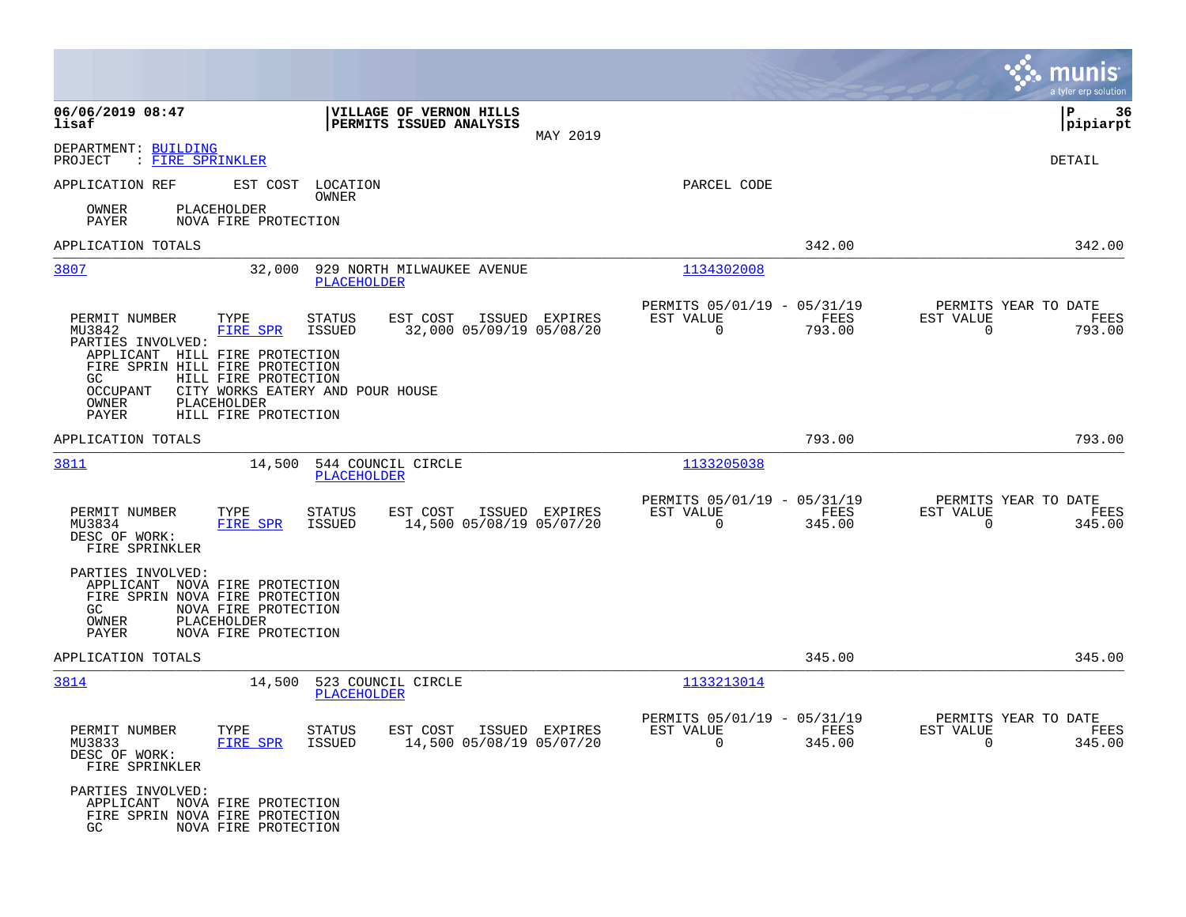|                                                                                                                                                                                |                                                                            |                                                                        | munis<br>a tyler erp solution                                      |
|--------------------------------------------------------------------------------------------------------------------------------------------------------------------------------|----------------------------------------------------------------------------|------------------------------------------------------------------------|--------------------------------------------------------------------|
| 06/06/2019 08:47<br>lisaf                                                                                                                                                      | VILLAGE OF VERNON HILLS<br>PERMITS ISSUED ANALYSIS<br>MAY 2019             |                                                                        | 36<br>  P<br> pipiarpt                                             |
| DEPARTMENT: BUILDING<br>PROJECT<br>: FIRE SPRINKLER                                                                                                                            |                                                                            |                                                                        | DETAIL                                                             |
| APPLICATION REF<br>EST COST                                                                                                                                                    | LOCATION<br>OWNER                                                          | PARCEL CODE                                                            |                                                                    |
| PLACEHOLDER<br>OWNER<br>PAYER<br>NOVA FIRE PROTECTION                                                                                                                          |                                                                            |                                                                        |                                                                    |
| APPLICATION TOTALS                                                                                                                                                             |                                                                            | 342.00                                                                 | 342.00                                                             |
| 3807<br>32,000                                                                                                                                                                 | 929 NORTH MILWAUKEE AVENUE<br>PLACEHOLDER                                  | 1134302008                                                             |                                                                    |
| PERMIT NUMBER<br>TYPE<br>MU3842<br>FIRE SPR<br>PARTIES INVOLVED:                                                                                                               | EST COST<br>ISSUED EXPIRES<br>STATUS<br>32,000 05/09/19 05/08/20<br>ISSUED | PERMITS 05/01/19 - 05/31/19<br>EST VALUE<br>FEES<br>$\Omega$<br>793.00 | PERMITS YEAR TO DATE<br>EST VALUE<br>FEES<br>$\Omega$<br>793.00    |
| APPLICANT HILL FIRE PROTECTION<br>FIRE SPRIN HILL FIRE PROTECTION<br>HILL FIRE PROTECTION<br>GC.<br>OCCUPANT<br>PLACEHOLDER<br>OWNER<br>PAYER<br>HILL FIRE PROTECTION          | CITY WORKS EATERY AND POUR HOUSE                                           |                                                                        |                                                                    |
| APPLICATION TOTALS                                                                                                                                                             |                                                                            | 793.00                                                                 | 793.00                                                             |
| 3811<br>14,500                                                                                                                                                                 | 544 COUNCIL CIRCLE<br><b>PLACEHOLDER</b>                                   | 1133205038                                                             |                                                                    |
| PERMIT NUMBER<br>TYPE<br>MU3834<br><b>FIRE SPR</b><br>DESC OF WORK:<br>FIRE SPRINKLER                                                                                          | STATUS<br>EST COST<br>ISSUED EXPIRES<br>14,500 05/08/19 05/07/20<br>ISSUED | PERMITS 05/01/19 - 05/31/19<br>EST VALUE<br>FEES<br>0<br>345.00        | PERMITS YEAR TO DATE<br>EST VALUE<br>FEES<br>$\mathbf 0$<br>345.00 |
| PARTIES INVOLVED:<br>APPLICANT NOVA FIRE PROTECTION<br>FIRE SPRIN NOVA FIRE PROTECTION<br>GC.<br>NOVA FIRE PROTECTION<br>PLACEHOLDER<br>OWNER<br>PAYER<br>NOVA FIRE PROTECTION |                                                                            |                                                                        |                                                                    |
| APPLICATION TOTALS                                                                                                                                                             |                                                                            | 345.00                                                                 | 345.00                                                             |
| 3814<br>14,500                                                                                                                                                                 | 523 COUNCIL CIRCLE<br>PLACEHOLDER                                          | 1133213014                                                             |                                                                    |
| PERMIT NUMBER<br>TYPE<br>MU3833<br>FIRE SPR<br>DESC OF WORK:<br>FIRE SPRINKLER                                                                                                 | STATUS<br>EST COST ISSUED EXPIRES<br>14,500 05/08/19 05/07/20<br>ISSUED    | PERMITS 05/01/19 - 05/31/19<br>EST VALUE<br>FEES<br>$\Omega$<br>345.00 | PERMITS YEAR TO DATE<br>EST VALUE<br>FEES<br>$\Omega$<br>345.00    |
| PARTIES INVOLVED:<br>APPLICANT NOVA FIRE PROTECTION<br>FIRE SPRIN NOVA FIRE PROTECTION<br>GC.<br>NOVA FIRE PROTECTION                                                          |                                                                            |                                                                        |                                                                    |

**Contract**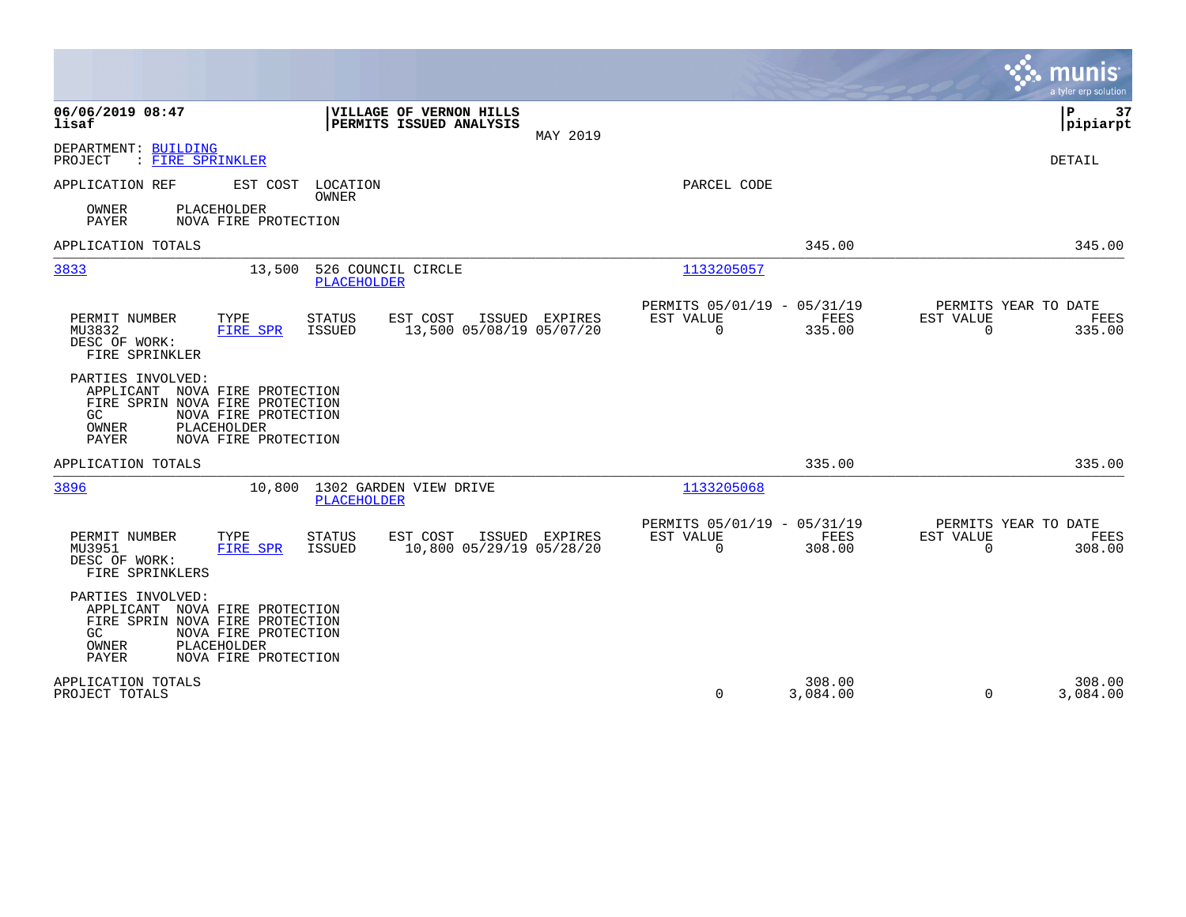|                                                                                                                       |                                                             |                                          |                                                    |                |                                                         |                       |                          | munis<br>a tyler erp solution          |
|-----------------------------------------------------------------------------------------------------------------------|-------------------------------------------------------------|------------------------------------------|----------------------------------------------------|----------------|---------------------------------------------------------|-----------------------|--------------------------|----------------------------------------|
| 06/06/2019 08:47<br>lisaf                                                                                             |                                                             |                                          | VILLAGE OF VERNON HILLS<br>PERMITS ISSUED ANALYSIS | MAY 2019       |                                                         |                       |                          | ΙP<br>37<br> pipiarpt                  |
| DEPARTMENT: BUILDING<br>: FIRE SPRINKLER<br>PROJECT                                                                   |                                                             |                                          |                                                    |                |                                                         |                       |                          | DETAIL                                 |
| APPLICATION REF                                                                                                       |                                                             | EST COST LOCATION<br>OWNER               |                                                    |                | PARCEL CODE                                             |                       |                          |                                        |
| OWNER<br>PAYER                                                                                                        | PLACEHOLDER<br>NOVA FIRE PROTECTION                         |                                          |                                                    |                |                                                         |                       |                          |                                        |
| APPLICATION TOTALS                                                                                                    |                                                             |                                          |                                                    |                |                                                         | 345.00                |                          | 345.00                                 |
| 3833                                                                                                                  | 13,500                                                      | 526 COUNCIL CIRCLE<br><b>PLACEHOLDER</b> |                                                    |                | 1133205057                                              |                       |                          |                                        |
| PERMIT NUMBER<br>MU3832<br>DESC OF WORK:<br>FIRE SPRINKLER                                                            | TYPE<br>FIRE SPR                                            | <b>STATUS</b><br>ISSUED                  | EST COST<br>13,500 05/08/19 05/07/20               | ISSUED EXPIRES | PERMITS 05/01/19 - 05/31/19<br>EST VALUE<br>$\mathbf 0$ | <b>FEES</b><br>335.00 | EST VALUE<br>$\mathbf 0$ | PERMITS YEAR TO DATE<br>FEES<br>335.00 |
| PARTIES INVOLVED:<br>APPLICANT NOVA FIRE PROTECTION<br>FIRE SPRIN NOVA FIRE PROTECTION<br>GC<br>OWNER<br>PAYER        | NOVA FIRE PROTECTION<br>PLACEHOLDER<br>NOVA FIRE PROTECTION |                                          |                                                    |                |                                                         |                       |                          |                                        |
| APPLICATION TOTALS                                                                                                    |                                                             |                                          |                                                    |                |                                                         | 335.00                |                          | 335.00                                 |
| 3896                                                                                                                  |                                                             | <b>PLACEHOLDER</b>                       | 10,800 1302 GARDEN VIEW DRIVE                      |                | 1133205068                                              |                       |                          |                                        |
| PERMIT NUMBER<br>MU3951<br>DESC OF WORK:<br>FIRE SPRINKLERS                                                           | TYPE<br>FIRE SPR                                            | <b>STATUS</b><br>ISSUED                  | EST COST<br>10,800 05/29/19 05/28/20               | ISSUED EXPIRES | PERMITS 05/01/19 - 05/31/19<br>EST VALUE<br>$\mathbf 0$ | FEES<br>308.00        | EST VALUE<br>$\mathbf 0$ | PERMITS YEAR TO DATE<br>FEES<br>308.00 |
| PARTIES INVOLVED:<br>APPLICANT NOVA FIRE PROTECTION<br>FIRE SPRIN NOVA FIRE PROTECTION<br>GC<br>OWNER<br><b>PAYER</b> | NOVA FIRE PROTECTION<br>PLACEHOLDER<br>NOVA FIRE PROTECTION |                                          |                                                    |                |                                                         |                       |                          |                                        |
| APPLICATION TOTALS<br>PROJECT TOTALS                                                                                  |                                                             |                                          |                                                    |                | 0                                                       | 308.00<br>3,084.00    | $\Omega$                 | 308.00<br>3,084.00                     |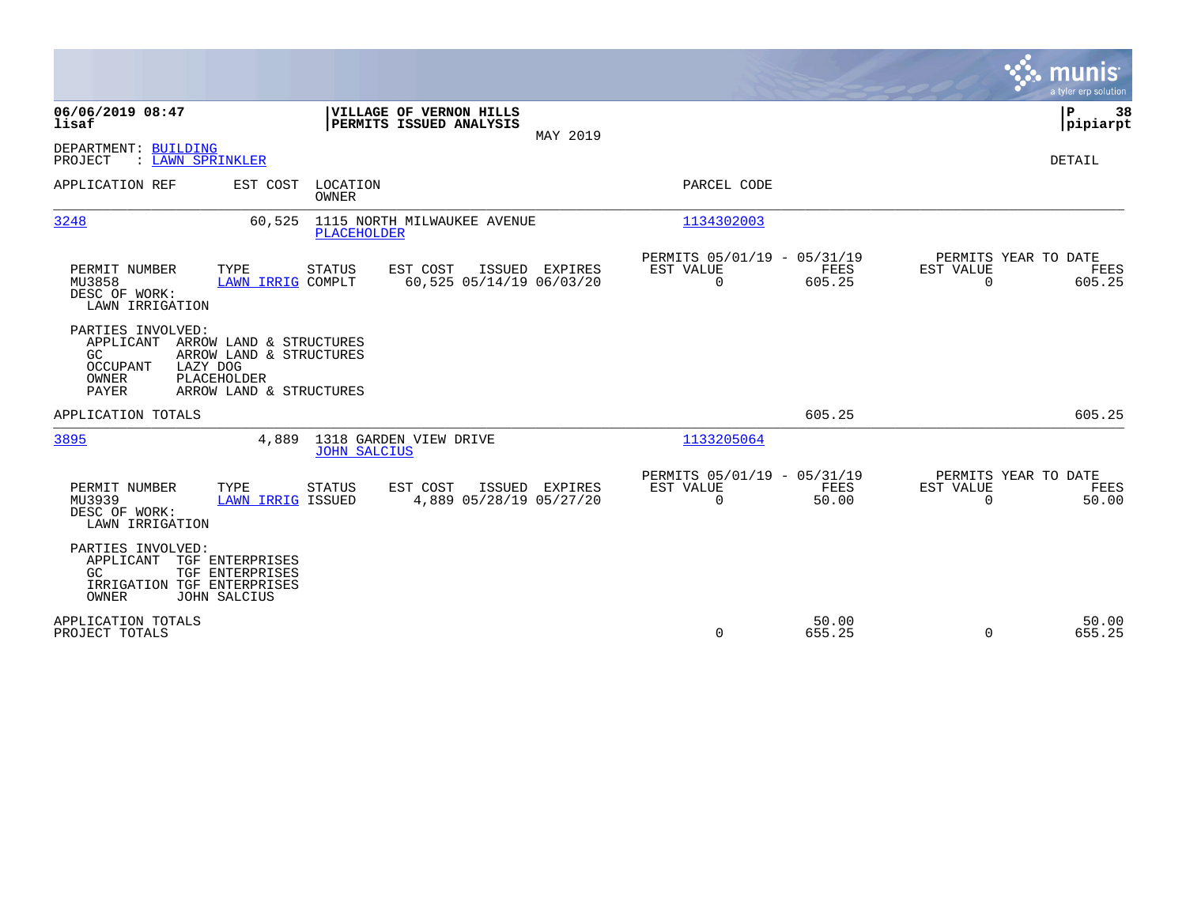|                                                                                                                                                                                |                                                                        | munis<br>a tyler erp solution                                   |
|--------------------------------------------------------------------------------------------------------------------------------------------------------------------------------|------------------------------------------------------------------------|-----------------------------------------------------------------|
| 06/06/2019 08:47<br>VILLAGE OF VERNON HILLS<br>lisaf<br>PERMITS ISSUED ANALYSIS<br>MAY 2019                                                                                    |                                                                        | P<br>38<br> pipiarpt                                            |
| DEPARTMENT: BUILDING<br>: LAWN SPRINKLER<br>PROJECT                                                                                                                            |                                                                        | DETAIL                                                          |
| APPLICATION REF<br>EST COST<br>LOCATION<br>OWNER                                                                                                                               | PARCEL CODE                                                            |                                                                 |
| 3248<br>1115 NORTH MILWAUKEE AVENUE<br>60,525<br><b>PLACEHOLDER</b>                                                                                                            | 1134302003                                                             |                                                                 |
| PERMIT NUMBER<br>TYPE<br><b>STATUS</b><br>EST COST<br>ISSUED EXPIRES<br>60,525 05/14/19 06/03/20<br>MU3858<br>LAWN IRRIG COMPLT<br>DESC OF WORK:<br>LAWN IRRIGATION            | PERMITS 05/01/19 - 05/31/19<br>EST VALUE<br>FEES<br>$\Omega$<br>605.25 | PERMITS YEAR TO DATE<br>EST VALUE<br>FEES<br>$\Omega$<br>605.25 |
| PARTIES INVOLVED:<br>APPLICANT<br>ARROW LAND & STRUCTURES<br>ARROW LAND & STRUCTURES<br>GC<br>OCCUPANT<br>LAZY DOG<br>OWNER<br>PLACEHOLDER<br>PAYER<br>ARROW LAND & STRUCTURES |                                                                        |                                                                 |
| APPLICATION TOTALS                                                                                                                                                             | 605.25                                                                 | 605.25                                                          |
| 3895<br>1318 GARDEN VIEW DRIVE<br>4,889<br><b>JOHN SALCIUS</b>                                                                                                                 | 1133205064                                                             |                                                                 |
| EST COST<br>PERMIT NUMBER<br>TYPE<br><b>STATUS</b><br>ISSUED EXPIRES<br>MU3939<br>4,889 05/28/19 05/27/20<br>LAWN IRRIG ISSUED<br>DESC OF WORK:<br>LAWN IRRIGATION             | PERMITS 05/01/19 - 05/31/19<br>EST VALUE<br>FEES<br>$\Omega$<br>50.00  | PERMITS YEAR TO DATE<br>EST VALUE<br>FEES<br>$\Omega$<br>50.00  |
| PARTIES INVOLVED:<br>APPLICANT<br>TGF ENTERPRISES<br>GC.<br>TGF ENTERPRISES<br>IRRIGATION TGF ENTERPRISES<br>OWNER<br>JOHN SALCIUS                                             |                                                                        |                                                                 |
| APPLICATION TOTALS<br>PROJECT TOTALS                                                                                                                                           | 50.00<br>0<br>655.25                                                   | 50.00<br>$\Omega$<br>655.25                                     |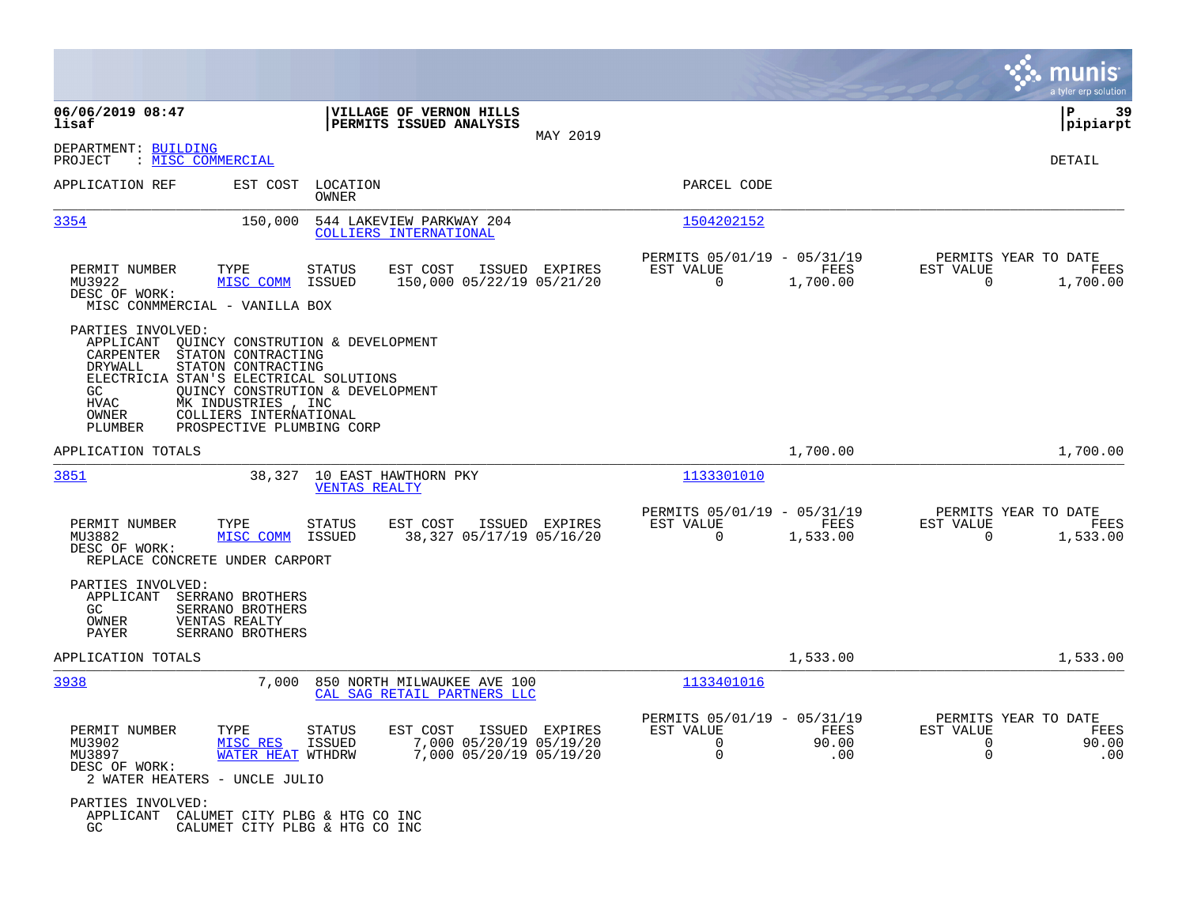|                                                                                                                                                                                                                                                                    |                                                                                           |                |                                                      |                      |                                                  | munis<br>a tyler erp solution |
|--------------------------------------------------------------------------------------------------------------------------------------------------------------------------------------------------------------------------------------------------------------------|-------------------------------------------------------------------------------------------|----------------|------------------------------------------------------|----------------------|--------------------------------------------------|-------------------------------|
| 06/06/2019 08:47<br>lisaf                                                                                                                                                                                                                                          | <b>VILLAGE OF VERNON HILLS</b><br>PERMITS ISSUED ANALYSIS                                 |                |                                                      |                      |                                                  | ΙP<br>-39<br> pipiarpt        |
| DEPARTMENT: BUILDING<br>: <u>MISC COMMERCIAL</u><br>PROJECT                                                                                                                                                                                                        |                                                                                           | MAY 2019       |                                                      |                      |                                                  | DETAIL                        |
| APPLICATION REF<br>EST COST                                                                                                                                                                                                                                        | LOCATION<br>OWNER                                                                         |                | PARCEL CODE                                          |                      |                                                  |                               |
| 3354<br>150,000                                                                                                                                                                                                                                                    | 544 LAKEVIEW PARKWAY 204<br>COLLIERS INTERNATIONAL                                        |                | 1504202152                                           |                      |                                                  |                               |
| PERMIT NUMBER<br>TYPE<br>MISC COMM<br>MU3922<br>DESC OF WORK:<br>MISC CONMMERCIAL - VANILLA BOX                                                                                                                                                                    | <b>STATUS</b><br>EST COST<br><b>ISSUED</b><br>150,000 05/22/19 05/21/20                   | ISSUED EXPIRES | PERMITS 05/01/19 - 05/31/19<br>EST VALUE<br>$\Omega$ | FEES<br>1,700.00     | PERMITS YEAR TO DATE<br>EST VALUE<br>$\mathbf 0$ | FEES<br>1,700.00              |
| PARTIES INVOLVED:<br>APPLICANT<br>STATON CONTRACTING<br>CARPENTER<br>DRYWALL<br>STATON CONTRACTING<br>ELECTRICIA STAN'S ELECTRICAL SOLUTIONS<br>GC<br><b>HVAC</b><br>MK INDUSTRIES, INC<br>COLLIERS INTERNATIONAL<br>OWNER<br>PLUMBER<br>PROSPECTIVE PLUMBING CORP | QUINCY CONSTRUTION & DEVELOPMENT<br>QUINCY CONSTRUTION & DEVELOPMENT                      |                |                                                      |                      |                                                  |                               |
| APPLICATION TOTALS                                                                                                                                                                                                                                                 |                                                                                           |                |                                                      | 1,700.00             |                                                  | 1,700.00                      |
| 3851<br>38,327                                                                                                                                                                                                                                                     | 10 EAST HAWTHORN PKY<br><b>VENTAS REALTY</b>                                              |                | 1133301010                                           |                      |                                                  |                               |
| PERMIT NUMBER<br>TYPE<br>MU3882<br>MISC COMM<br>DESC OF WORK:<br>REPLACE CONCRETE UNDER CARPORT                                                                                                                                                                    | <b>STATUS</b><br>EST COST<br>38,327 05/17/19 05/16/20<br>ISSUED                           | ISSUED EXPIRES | PERMITS 05/01/19 - 05/31/19<br>EST VALUE<br>$\Omega$ | FEES<br>1,533.00     | PERMITS YEAR TO DATE<br>EST VALUE<br>$\mathbf 0$ | FEES<br>1,533.00              |
| PARTIES INVOLVED:<br>APPLICANT<br>SERRANO BROTHERS<br>GC<br>SERRANO BROTHERS<br>OWNER<br>VENTAS REALTY<br><b>PAYER</b><br>SERRANO BROTHERS                                                                                                                         |                                                                                           |                |                                                      |                      |                                                  |                               |
| APPLICATION TOTALS                                                                                                                                                                                                                                                 |                                                                                           |                |                                                      | 1,533.00             |                                                  | 1,533.00                      |
| 3938<br>7,000                                                                                                                                                                                                                                                      | 850 NORTH MILWAUKEE AVE 100<br>CAL SAG RETAIL PARTNERS LLC                                |                | 1133401016                                           |                      |                                                  |                               |
| PERMIT NUMBER<br>TYPE<br>MU3902<br>MISC RES<br><b>WATER HEAT WTHDRW</b><br>MU3897<br>DESC OF WORK:<br>2 WATER HEATERS - UNCLE JULIO                                                                                                                                | EST COST<br>STATUS<br>7,000 05/20/19 05/19/20<br><b>ISSUED</b><br>7,000 05/20/19 05/19/20 | ISSUED EXPIRES | PERMITS 05/01/19 - 05/31/19<br>EST VALUE<br>0<br>0   | FEES<br>90.00<br>.00 | PERMITS YEAR TO DATE<br>EST VALUE<br>0<br>0      | FEES<br>90.00<br>.00          |
| PARTIES INVOLVED:<br>APPLICANT<br>GC.                                                                                                                                                                                                                              | CALUMET CITY PLBG & HTG CO INC<br>CALUMET CITY PLBG & HTG CO INC                          |                |                                                      |                      |                                                  |                               |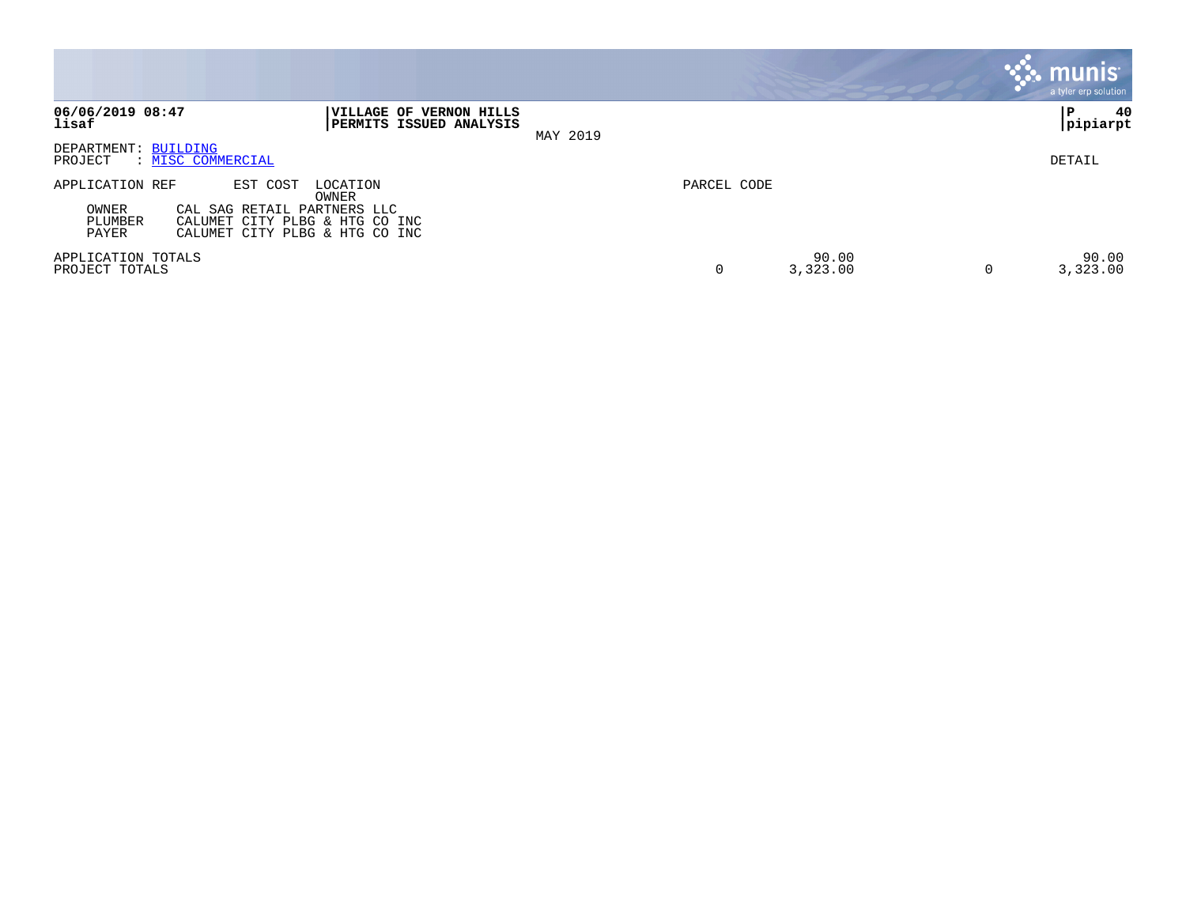|                                                                                                                                                                                  |                             | <b>munis</b><br>a tyler erp solution |
|----------------------------------------------------------------------------------------------------------------------------------------------------------------------------------|-----------------------------|--------------------------------------|
| 06/06/2019 08:47<br><b>VILLAGE OF</b><br><b>VERNON HILLS</b><br>lisaf<br><b>PERMITS ISSUED ANALYSIS</b>                                                                          | MAY 2019                    | 40<br>l P<br> pipiarpt               |
| DEPARTMENT: BUILDING<br>: MISC COMMERCIAL<br>PROJECT                                                                                                                             |                             | DETAIL                               |
| EST COST<br>APPLICATION REF<br>LOCATION<br>OWNER<br>OWNER<br>CAL SAG RETAIL PARTNERS LLC<br>PLUMBER<br>CALUMET CITY PLBG & HTG CO INC<br>CALUMET CITY PLBG & HTG CO INC<br>PAYER | PARCEL CODE                 |                                      |
| APPLICATION TOTALS<br>PROJECT TOTALS                                                                                                                                             | 90.00<br>3,323.00<br>0<br>0 | 90.00<br>3,323.00                    |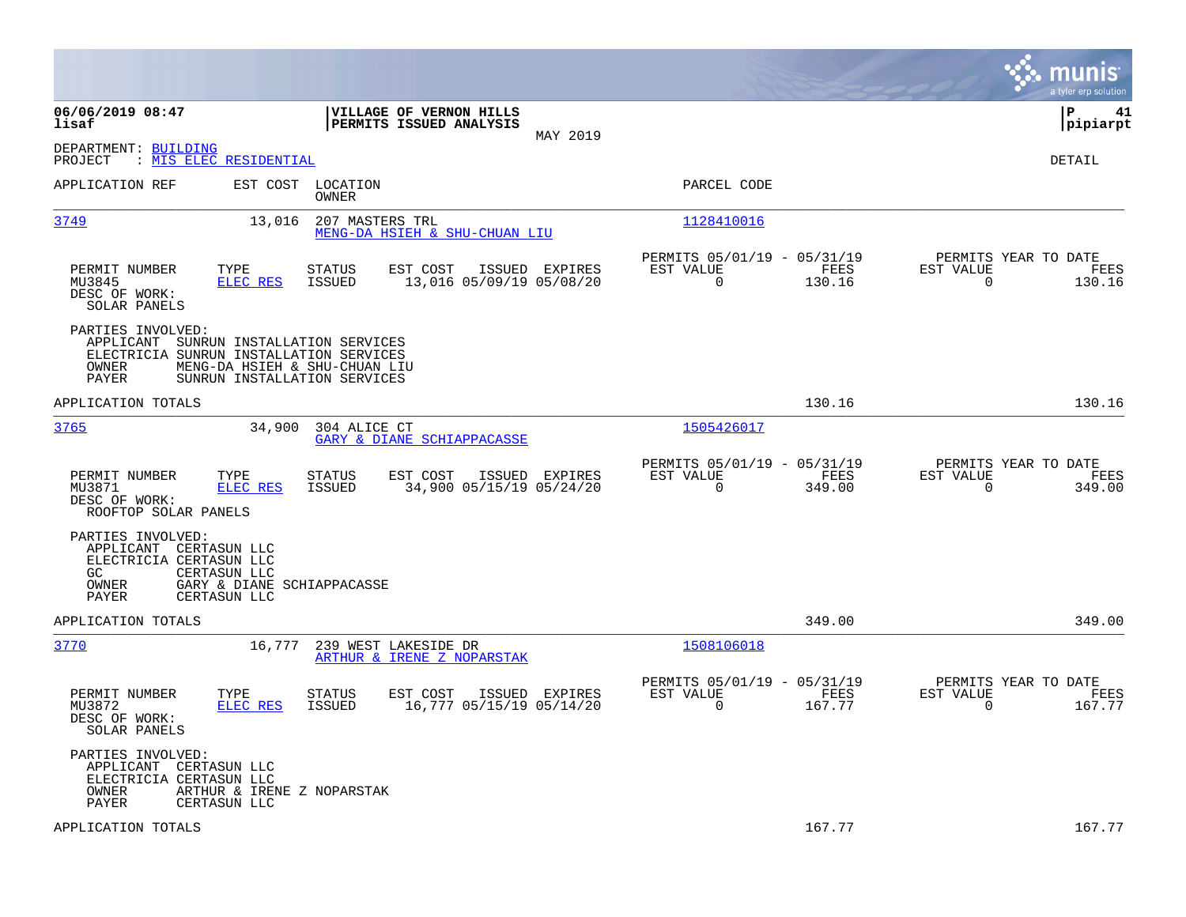|                                                                                                                                       |                                                                                               |                                                                              | munis<br>a tyler erp solution                                      |
|---------------------------------------------------------------------------------------------------------------------------------------|-----------------------------------------------------------------------------------------------|------------------------------------------------------------------------------|--------------------------------------------------------------------|
| 06/06/2019 08:47<br>lisaf                                                                                                             | VILLAGE OF VERNON HILLS<br>PERMITS ISSUED ANALYSIS<br>MAY 2019                                |                                                                              | l P<br>41<br> pipiarpt                                             |
| DEPARTMENT: BUILDING<br>: MIS ELEC RESIDENTIAL<br>PROJECT                                                                             |                                                                                               |                                                                              | DETAIL                                                             |
| APPLICATION REF                                                                                                                       | EST COST LOCATION<br>OWNER                                                                    | PARCEL CODE                                                                  |                                                                    |
| 3749                                                                                                                                  | 13,016<br>207 MASTERS TRL<br>MENG-DA HSIEH & SHU-CHUAN LIU                                    | 1128410016                                                                   |                                                                    |
| TYPE<br>PERMIT NUMBER<br>MU3845<br>DESC OF WORK:<br>SOLAR PANELS                                                                      | EST COST<br>ISSUED EXPIRES<br>STATUS<br><b>ELEC RES</b><br>ISSUED<br>13,016 05/09/19 05/08/20 | PERMITS 05/01/19 - 05/31/19<br>EST VALUE<br>FEES<br>$\Omega$<br>130.16       | PERMITS YEAR TO DATE<br>EST VALUE<br>FEES<br>$\mathbf 0$<br>130.16 |
| PARTIES INVOLVED:<br>APPLICANT SUNRUN INSTALLATION SERVICES<br>ELECTRICIA SUNRUN INSTALLATION SERVICES<br>OWNER<br><b>PAYER</b>       | MENG-DA HSIEH & SHU-CHUAN LIU<br>SUNRUN INSTALLATION SERVICES                                 |                                                                              |                                                                    |
| APPLICATION TOTALS                                                                                                                    |                                                                                               | 130.16                                                                       | 130.16                                                             |
| 3765                                                                                                                                  | 34,900<br>304 ALICE CT<br>GARY & DIANE SCHIAPPACASSE                                          | 1505426017                                                                   |                                                                    |
| TYPE<br>PERMIT NUMBER<br>MU3871<br>DESC OF WORK:<br>ROOFTOP SOLAR PANELS                                                              | EST COST<br>ISSUED EXPIRES<br>STATUS<br>34,900 05/15/19 05/24/20<br>ELEC RES<br>ISSUED        | PERMITS 05/01/19 - 05/31/19<br>EST VALUE<br>FEES<br>$\Omega$<br>349.00       | PERMITS YEAR TO DATE<br>EST VALUE<br>FEES<br>$\Omega$<br>349.00    |
| PARTIES INVOLVED:<br>APPLICANT CERTASUN LLC<br>ELECTRICIA CERTASUN LLC<br>GC<br>CERTASUN LLC<br>OWNER<br><b>PAYER</b><br>CERTASUN LLC | GARY & DIANE SCHIAPPACASSE                                                                    |                                                                              |                                                                    |
| APPLICATION TOTALS                                                                                                                    |                                                                                               | 349.00                                                                       | 349.00                                                             |
| 3770                                                                                                                                  | 239 WEST LAKESIDE DR<br>16,777<br>ARTHUR & IRENE Z NOPARSTAK                                  | 1508106018                                                                   |                                                                    |
| PERMIT NUMBER<br>TYPE<br>MU3872<br>DESC OF WORK:<br>SOLAR PANELS                                                                      | STATUS<br>EST COST<br>ISSUED EXPIRES<br>16,777 05/15/19 05/14/20<br>ELEC RES<br>ISSUED        | PERMITS 05/01/19 - 05/31/19<br>EST VALUE<br>FEES<br>$\overline{0}$<br>167.77 | PERMITS YEAR TO DATE<br>EST VALUE<br>FEES<br>$\mathbf 0$<br>167.77 |
| PARTIES INVOLVED:<br>APPLICANT CERTASUN LLC<br>ELECTRICIA CERTASUN LLC<br>OWNER<br>PAYER<br>CERTASUN LLC                              | ARTHUR & IRENE Z NOPARSTAK                                                                    |                                                                              |                                                                    |
| APPLICATION TOTALS                                                                                                                    |                                                                                               | 167.77                                                                       | 167.77                                                             |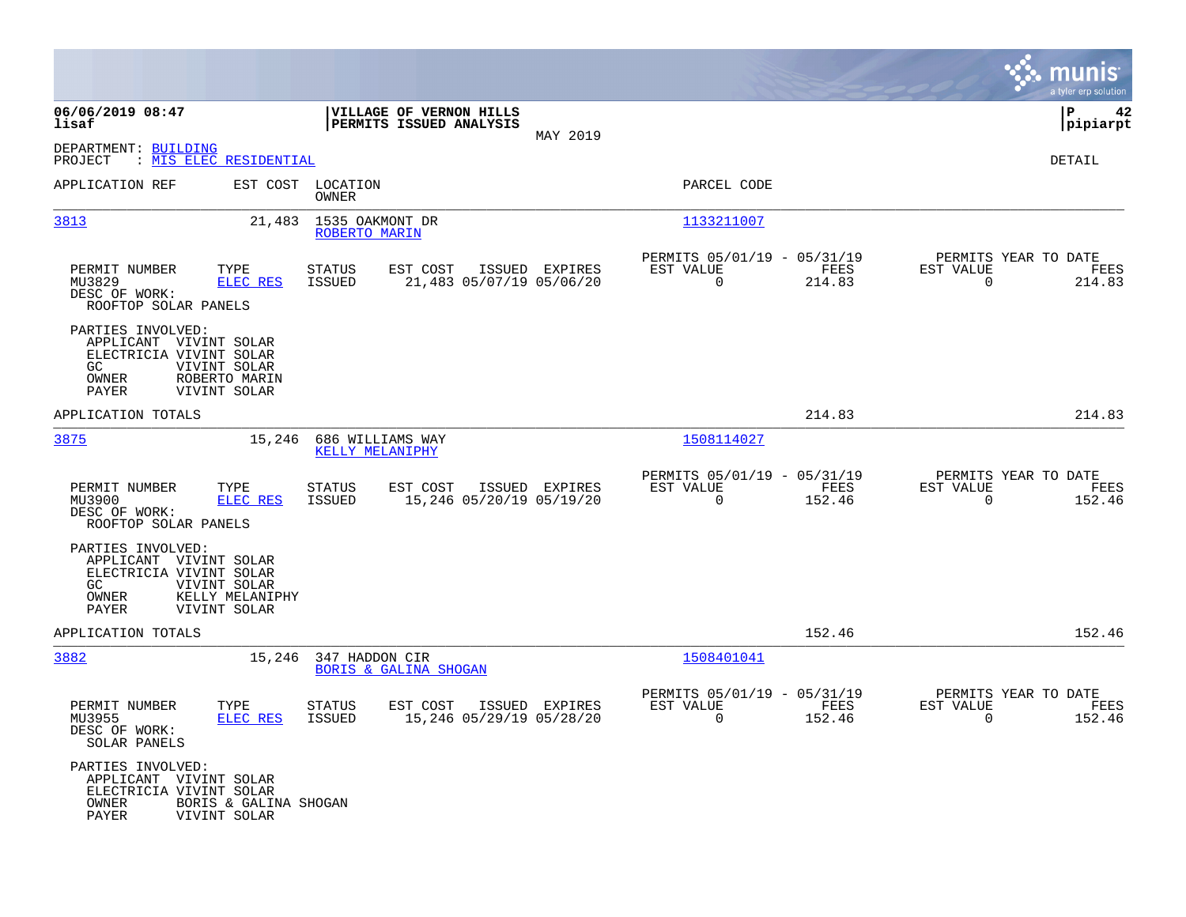|                                                                                                                                                   |                                                                 |                |                                                                           | munis<br>a tyler erp solution                                      |
|---------------------------------------------------------------------------------------------------------------------------------------------------|-----------------------------------------------------------------|----------------|---------------------------------------------------------------------------|--------------------------------------------------------------------|
| 06/06/2019 08:47<br>lisaf                                                                                                                         | VILLAGE OF VERNON HILLS<br>PERMITS ISSUED ANALYSIS              |                |                                                                           | ΙP<br>42<br> pipiarpt                                              |
| DEPARTMENT: BUILDING<br>: MIS ELEC RESIDENTIAL<br>PROJECT                                                                                         |                                                                 | MAY 2019       |                                                                           | <b>DETAIL</b>                                                      |
| APPLICATION REF                                                                                                                                   | EST COST LOCATION<br>OWNER                                      |                | PARCEL CODE                                                               |                                                                    |
| 3813                                                                                                                                              | 1535 OAKMONT DR<br>21,483<br>ROBERTO MARIN                      |                | 1133211007                                                                |                                                                    |
| PERMIT NUMBER<br>TYPE<br>ELEC RES<br>MU3829<br>DESC OF WORK:<br>ROOFTOP SOLAR PANELS                                                              | <b>STATUS</b><br>EST COST<br>ISSUED<br>21,483 05/07/19 05/06/20 | ISSUED EXPIRES | PERMITS 05/01/19 - 05/31/19<br>EST VALUE<br>FEES<br>$\mathbf 0$<br>214.83 | PERMITS YEAR TO DATE<br>EST VALUE<br>FEES<br>$\mathbf 0$<br>214.83 |
| PARTIES INVOLVED:<br>APPLICANT VIVINT SOLAR<br>ELECTRICIA VIVINT SOLAR<br>GC.<br>VIVINT SOLAR<br>OWNER<br>ROBERTO MARIN<br>PAYER<br>VIVINT SOLAR  |                                                                 |                |                                                                           |                                                                    |
| APPLICATION TOTALS                                                                                                                                |                                                                 |                | 214.83                                                                    | 214.83                                                             |
| 3875                                                                                                                                              | 15,246<br>686 WILLIAMS WAY<br>KELLY MELANIPHY                   |                | 1508114027                                                                |                                                                    |
| PERMIT NUMBER<br>TYPE<br>MU3900<br>ELEC RES<br>DESC OF WORK:<br>ROOFTOP SOLAR PANELS                                                              | <b>STATUS</b><br>EST COST<br>ISSUED<br>15,246 05/20/19 05/19/20 | ISSUED EXPIRES | PERMITS 05/01/19 - 05/31/19<br>EST VALUE<br>FEES<br>$\mathbf 0$<br>152.46 | PERMITS YEAR TO DATE<br>EST VALUE<br>FEES<br>$\mathbf 0$<br>152.46 |
| PARTIES INVOLVED:<br>APPLICANT VIVINT SOLAR<br>ELECTRICIA VIVINT SOLAR<br>GC<br>VIVINT SOLAR<br>KELLY MELANIPHY<br>OWNER<br>PAYER<br>VIVINT SOLAR |                                                                 |                |                                                                           |                                                                    |
| APPLICATION TOTALS                                                                                                                                |                                                                 |                | 152.46                                                                    | 152.46                                                             |
| 3882                                                                                                                                              | 15,246<br>347 HADDON CIR<br><b>BORIS &amp; GALINA SHOGAN</b>    |                | 1508401041                                                                |                                                                    |
| PERMIT NUMBER<br>TYPE<br>MU3955<br><b>ELEC RES</b><br>DESC OF WORK:<br>SOLAR PANELS                                                               | <b>STATUS</b><br>EST COST<br>ISSUED<br>15,246 05/29/19 05/28/20 | ISSUED EXPIRES | PERMITS 05/01/19 - 05/31/19<br>EST VALUE<br>FEES<br>$\Omega$<br>152.46    | PERMITS YEAR TO DATE<br>EST VALUE<br>FEES<br>$\Omega$<br>152.46    |
| PARTIES INVOLVED:<br>APPLICANT VIVINT SOLAR<br>ELECTRICIA VIVINT SOLAR<br>OWNER<br>BORIS & GALINA SHOGAN<br>PAYER<br>VIVINT SOLAR                 |                                                                 |                |                                                                           |                                                                    |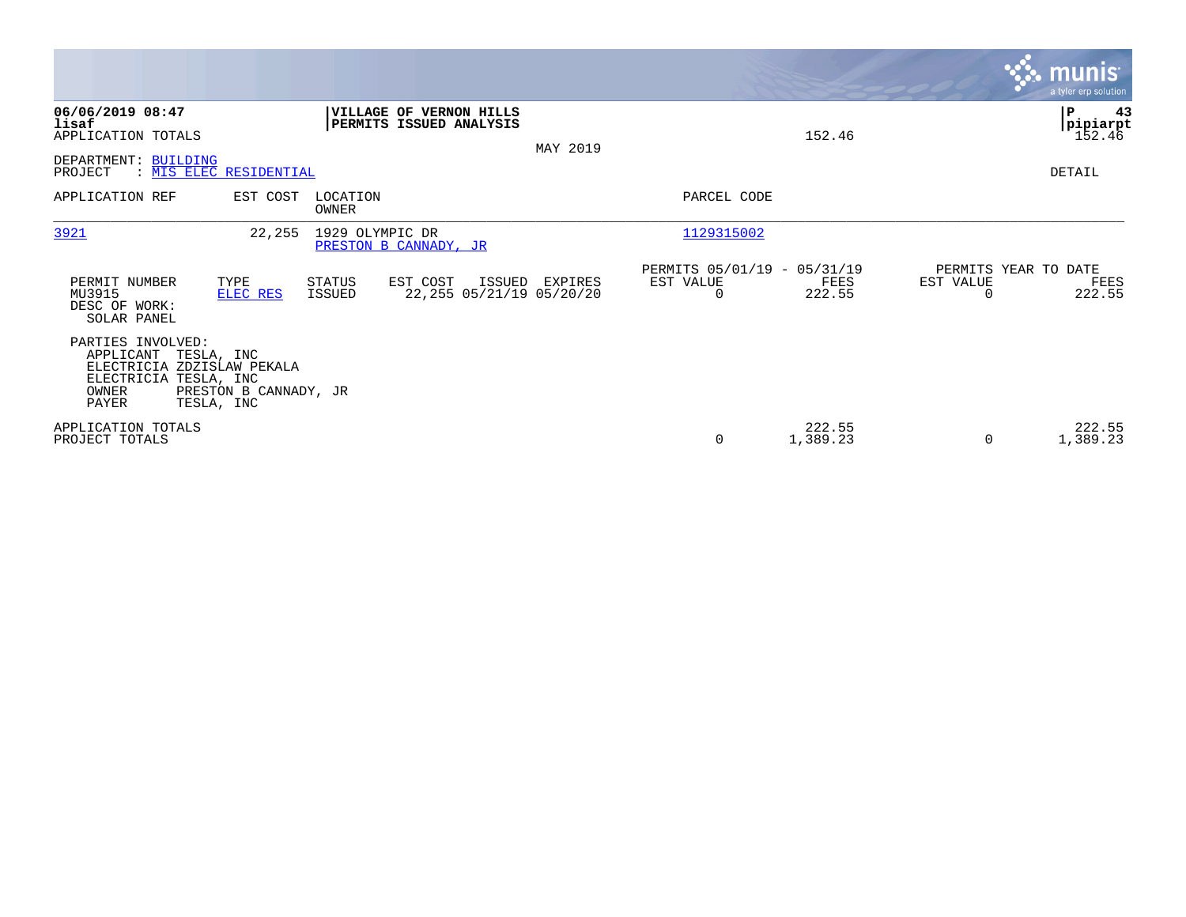|                                                                                                                |                                                   |                   |                                                    |          |                                               |                    |                                   | <b>munis</b><br>a tyler erp solution      |
|----------------------------------------------------------------------------------------------------------------|---------------------------------------------------|-------------------|----------------------------------------------------|----------|-----------------------------------------------|--------------------|-----------------------------------|-------------------------------------------|
| 06/06/2019 08:47<br>lisaf<br>APPLICATION TOTALS<br>DEPARTMENT: BUILDING<br>PROJECT                             | : MIS ELEC RESIDENTIAL                            |                   | VILLAGE OF VERNON HILLS<br>PERMITS ISSUED ANALYSIS | MAY 2019 |                                               | 152.46             |                                   | ∣P<br>43<br> pipiarpt<br>152.46<br>DETAIL |
| APPLICATION REF                                                                                                | EST COST                                          | LOCATION<br>OWNER |                                                    |          | PARCEL CODE                                   |                    |                                   |                                           |
| 3921                                                                                                           | 22,255                                            | 1929 OLYMPIC DR   | PRESTON B CANNADY, JR                              |          | 1129315002                                    |                    |                                   |                                           |
| PERMIT NUMBER<br>MU3915<br>DESC OF WORK:<br>SOLAR PANEL                                                        | TYPE<br>ELEC RES                                  | STATUS<br>ISSUED  | EST COST<br>ISSUED<br>22, 255 05/21/19 05/20/20    | EXPIRES  | PERMITS 05/01/19 - 05/31/19<br>EST VALUE<br>0 | FEES<br>222.55     | PERMITS YEAR TO DATE<br>EST VALUE | FEES<br>222.55                            |
| PARTIES INVOLVED:<br>APPLICANT<br>ELECTRICIA ZDZISLAW PEKALA<br>ELECTRICIA TESLA, INC<br>OWNER<br><b>PAYER</b> | TESLA, INC<br>PRESTON B CANNADY, JR<br>TESLA, INC |                   |                                                    |          |                                               |                    |                                   |                                           |
| APPLICATION TOTALS<br>PROJECT TOTALS                                                                           |                                                   |                   |                                                    |          | 0                                             | 222.55<br>1,389.23 | $\Omega$                          | 222.55<br>1,389.23                        |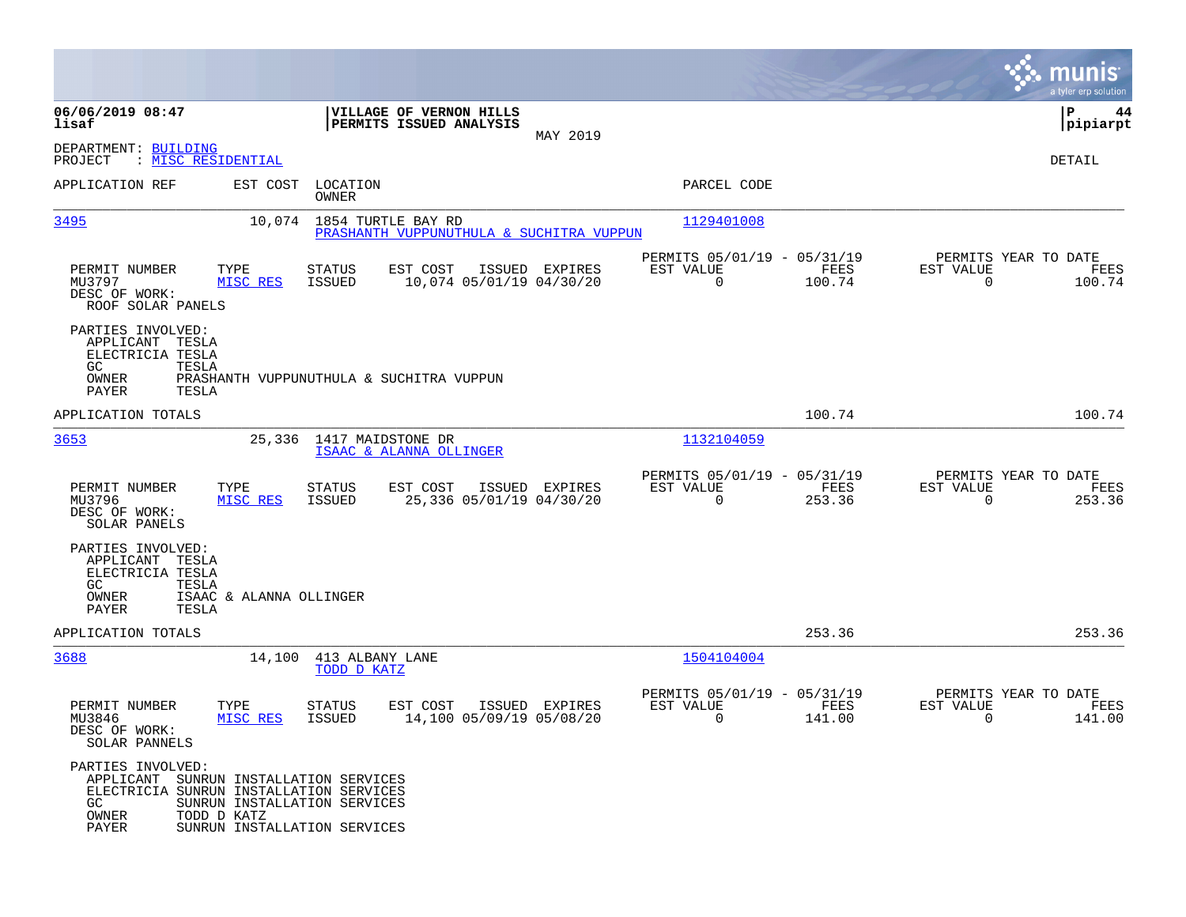|                                                                                                                                |                                                                             |                                |                                                    |                |                                                         |                |                                                  | munis<br>a tyler erp solution |
|--------------------------------------------------------------------------------------------------------------------------------|-----------------------------------------------------------------------------|--------------------------------|----------------------------------------------------|----------------|---------------------------------------------------------|----------------|--------------------------------------------------|-------------------------------|
| 06/06/2019 08:47<br>lisaf                                                                                                      |                                                                             |                                | VILLAGE OF VERNON HILLS<br>PERMITS ISSUED ANALYSIS | MAY 2019       |                                                         |                |                                                  | ΙP<br>44<br> pipiarpt         |
| DEPARTMENT: BUILDING<br>PROJECT                                                                                                | : MISC RESIDENTIAL                                                          |                                |                                                    |                |                                                         |                |                                                  | DETAIL                        |
| APPLICATION REF                                                                                                                | EST COST                                                                    | LOCATION<br>OWNER              |                                                    |                | PARCEL CODE                                             |                |                                                  |                               |
| 3495                                                                                                                           |                                                                             | 10,074 1854 TURTLE BAY RD      | PRASHANTH VUPPUNUTHULA & SUCHITRA VUPPUN           |                | 1129401008                                              |                |                                                  |                               |
| PERMIT NUMBER<br>MU3797<br>DESC OF WORK:<br>ROOF SOLAR PANELS                                                                  | TYPE<br>MISC RES                                                            | <b>STATUS</b><br>ISSUED        | EST COST<br>10,074 05/01/19 04/30/20               | ISSUED EXPIRES | PERMITS 05/01/19 - 05/31/19<br>EST VALUE<br>$\Omega$    | FEES<br>100.74 | PERMITS YEAR TO DATE<br>EST VALUE<br>$\Omega$    | FEES<br>100.74                |
| PARTIES INVOLVED:<br>APPLICANT TESLA<br>ELECTRICIA TESLA<br>TESLA<br>GC.<br>OWNER<br>PAYER<br>TESLA                            |                                                                             |                                | PRASHANTH VUPPUNUTHULA & SUCHITRA VUPPUN           |                |                                                         |                |                                                  |                               |
| APPLICATION TOTALS                                                                                                             |                                                                             |                                |                                                    |                |                                                         | 100.74         |                                                  | 100.74                        |
| 3653                                                                                                                           | 25,336                                                                      | 1417 MAIDSTONE DR              | ISAAC & ALANNA OLLINGER                            |                | 1132104059                                              |                |                                                  |                               |
| PERMIT NUMBER<br>MU3796<br>DESC OF WORK:<br>SOLAR PANELS                                                                       | TYPE<br>MISC RES                                                            | STATUS<br>ISSUED               | EST COST<br>25,336 05/01/19 04/30/20               | ISSUED EXPIRES | PERMITS 05/01/19 - 05/31/19<br>EST VALUE<br>$\mathbf 0$ | FEES<br>253.36 | PERMITS YEAR TO DATE<br>EST VALUE<br>$\mathbf 0$ | FEES<br>253.36                |
| PARTIES INVOLVED:<br>APPLICANT TESLA<br>ELECTRICIA TESLA<br>GC<br>TESLA<br>OWNER<br>PAYER<br>TESLA                             | ISAAC & ALANNA OLLINGER                                                     |                                |                                                    |                |                                                         |                |                                                  |                               |
| APPLICATION TOTALS                                                                                                             |                                                                             |                                |                                                    |                |                                                         | 253.36         |                                                  | 253.36                        |
| 3688                                                                                                                           | 14,100                                                                      | 413 ALBANY LANE<br>TODD D KATZ |                                                    |                | 1504104004                                              |                |                                                  |                               |
| PERMIT NUMBER<br>MU3846<br>DESC OF WORK:<br>SOLAR PANNELS                                                                      | TYPE<br>MISC RES                                                            | STATUS<br><b>ISSUED</b>        | EST COST<br>14,100 05/09/19 05/08/20               | ISSUED EXPIRES | PERMITS 05/01/19 - 05/31/19<br>EST VALUE<br>0           | FEES<br>141.00 | PERMITS YEAR TO DATE<br>EST VALUE<br>0           | FEES<br>141.00                |
| PARTIES INVOLVED:<br>APPLICANT SUNRUN INSTALLATION SERVICES<br>ELECTRICIA SUNRUN INSTALLATION SERVICES<br>GC<br>OWNER<br>PAYER | SUNRUN INSTALLATION SERVICES<br>TODD D KATZ<br>SUNRUN INSTALLATION SERVICES |                                |                                                    |                |                                                         |                |                                                  |                               |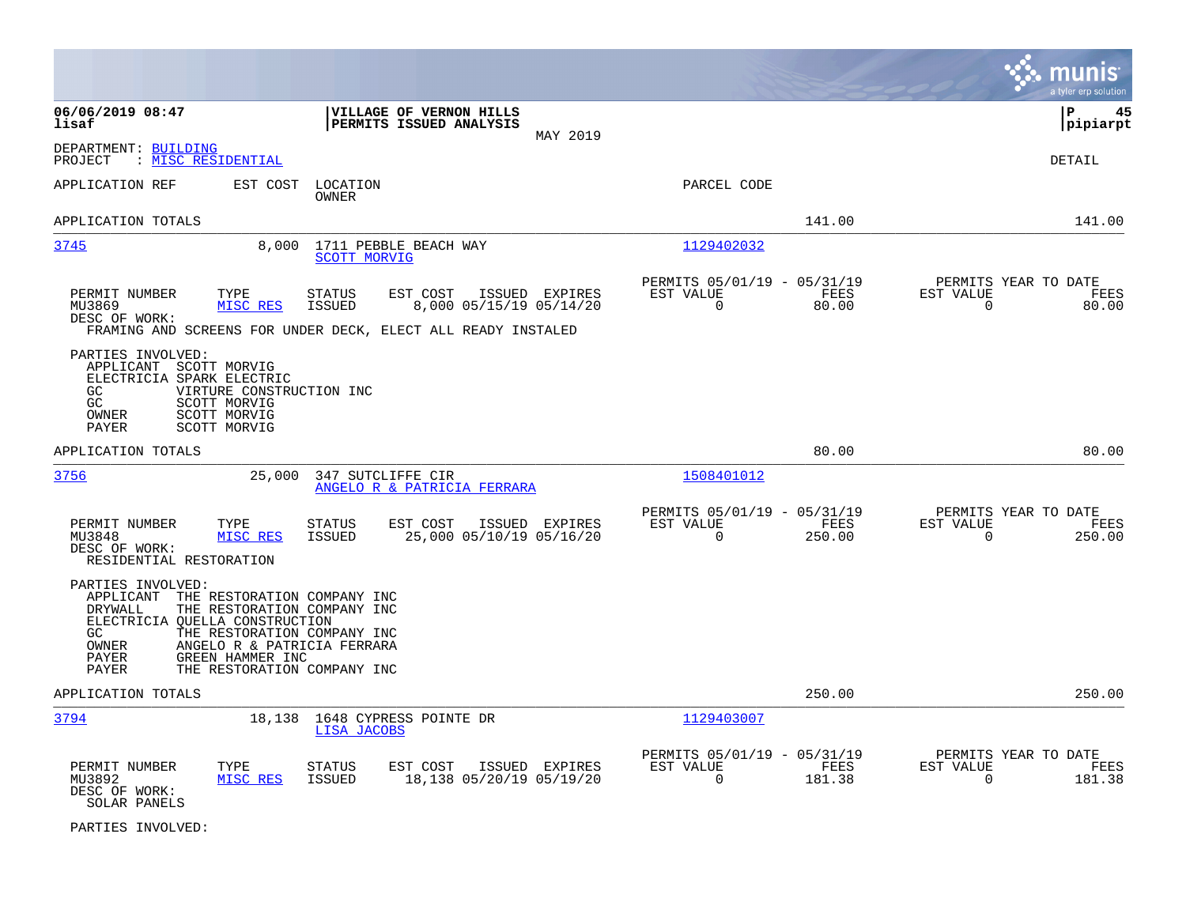|                                                                                                                                                                                                                                                                                                    |                                                                                                                                                         |                                                                        | munis<br>a tyler erp solution                                   |
|----------------------------------------------------------------------------------------------------------------------------------------------------------------------------------------------------------------------------------------------------------------------------------------------------|---------------------------------------------------------------------------------------------------------------------------------------------------------|------------------------------------------------------------------------|-----------------------------------------------------------------|
| 06/06/2019 08:47<br>lisaf                                                                                                                                                                                                                                                                          | VILLAGE OF VERNON HILLS<br>PERMITS ISSUED ANALYSIS<br>MAY 2019                                                                                          |                                                                        | ΙP<br>45<br> pipiarpt                                           |
| DEPARTMENT: BUILDING<br>: MISC RESIDENTIAL<br>PROJECT                                                                                                                                                                                                                                              |                                                                                                                                                         |                                                                        | <b>DETAIL</b>                                                   |
| APPLICATION REF<br>EST COST                                                                                                                                                                                                                                                                        | LOCATION<br>OWNER                                                                                                                                       | PARCEL CODE                                                            |                                                                 |
| APPLICATION TOTALS                                                                                                                                                                                                                                                                                 |                                                                                                                                                         | 141.00                                                                 | 141.00                                                          |
| 3745<br>8,000                                                                                                                                                                                                                                                                                      | 1711 PEBBLE BEACH WAY<br><b>SCOTT MORVIG</b>                                                                                                            | 1129402032                                                             |                                                                 |
| PERMIT NUMBER<br>TYPE<br>MISC RES<br>MU3869<br>DESC OF WORK:                                                                                                                                                                                                                                       | <b>STATUS</b><br>EST COST<br>ISSUED EXPIRES<br><b>ISSUED</b><br>8,000 05/15/19 05/14/20<br>FRAMING AND SCREENS FOR UNDER DECK, ELECT ALL READY INSTALED | PERMITS 05/01/19 - 05/31/19<br>EST VALUE<br>FEES<br>$\Omega$<br>80.00  | PERMITS YEAR TO DATE<br>EST VALUE<br>FEES<br>$\Omega$<br>80.00  |
| PARTIES INVOLVED:<br>APPLICANT SCOTT MORVIG<br>ELECTRICIA SPARK ELECTRIC<br>GC<br>VIRTURE CONSTRUCTION INC<br>GC<br>SCOTT MORVIG<br>SCOTT MORVIG<br>OWNER<br>PAYER<br>SCOTT MORVIG                                                                                                                 |                                                                                                                                                         |                                                                        |                                                                 |
| APPLICATION TOTALS                                                                                                                                                                                                                                                                                 |                                                                                                                                                         | 80.00                                                                  | 80.00                                                           |
| 3756<br>25,000                                                                                                                                                                                                                                                                                     | 347 SUTCLIFFE CIR<br>ANGELO R & PATRICIA FERRARA                                                                                                        | 1508401012                                                             |                                                                 |
| PERMIT NUMBER<br>TYPE<br>MU3848<br>MISC RES<br>DESC OF WORK:<br>RESIDENTIAL RESTORATION                                                                                                                                                                                                            | <b>STATUS</b><br>EST COST<br>ISSUED EXPIRES<br><b>ISSUED</b><br>25,000 05/10/19 05/16/20                                                                | PERMITS 05/01/19 - 05/31/19<br>EST VALUE<br>FEES<br>$\Omega$<br>250.00 | PERMITS YEAR TO DATE<br>EST VALUE<br>FEES<br>$\Omega$<br>250.00 |
| PARTIES INVOLVED:<br>APPLICANT<br>THE RESTORATION COMPANY INC<br>DRYWALL<br>THE RESTORATION COMPANY INC<br>ELECTRICIA QUELLA CONSTRUCTION<br>THE RESTORATION COMPANY INC<br>GC<br>ANGELO R & PATRICIA FERRARA<br>OWNER<br>PAYER<br>GREEN HAMMER INC<br><b>PAYER</b><br>THE RESTORATION COMPANY INC |                                                                                                                                                         |                                                                        |                                                                 |
| APPLICATION TOTALS                                                                                                                                                                                                                                                                                 |                                                                                                                                                         | 250.00                                                                 | 250.00                                                          |
| 3794                                                                                                                                                                                                                                                                                               | 18,138 1648 CYPRESS POINTE DR<br>LISA JACOBS                                                                                                            | 1129403007                                                             |                                                                 |
| PERMIT NUMBER<br>TYPE<br>MU3892<br>MISC RES<br>DESC OF WORK:<br>SOLAR PANELS                                                                                                                                                                                                                       | <b>STATUS</b><br>EST COST<br>ISSUED EXPIRES<br><b>ISSUED</b><br>18,138 05/20/19 05/19/20                                                                | PERMITS 05/01/19 - 05/31/19<br>EST VALUE<br>FEES<br>$\Omega$<br>181.38 | PERMITS YEAR TO DATE<br>EST VALUE<br>FEES<br>$\Omega$<br>181.38 |

PARTIES INVOLVED: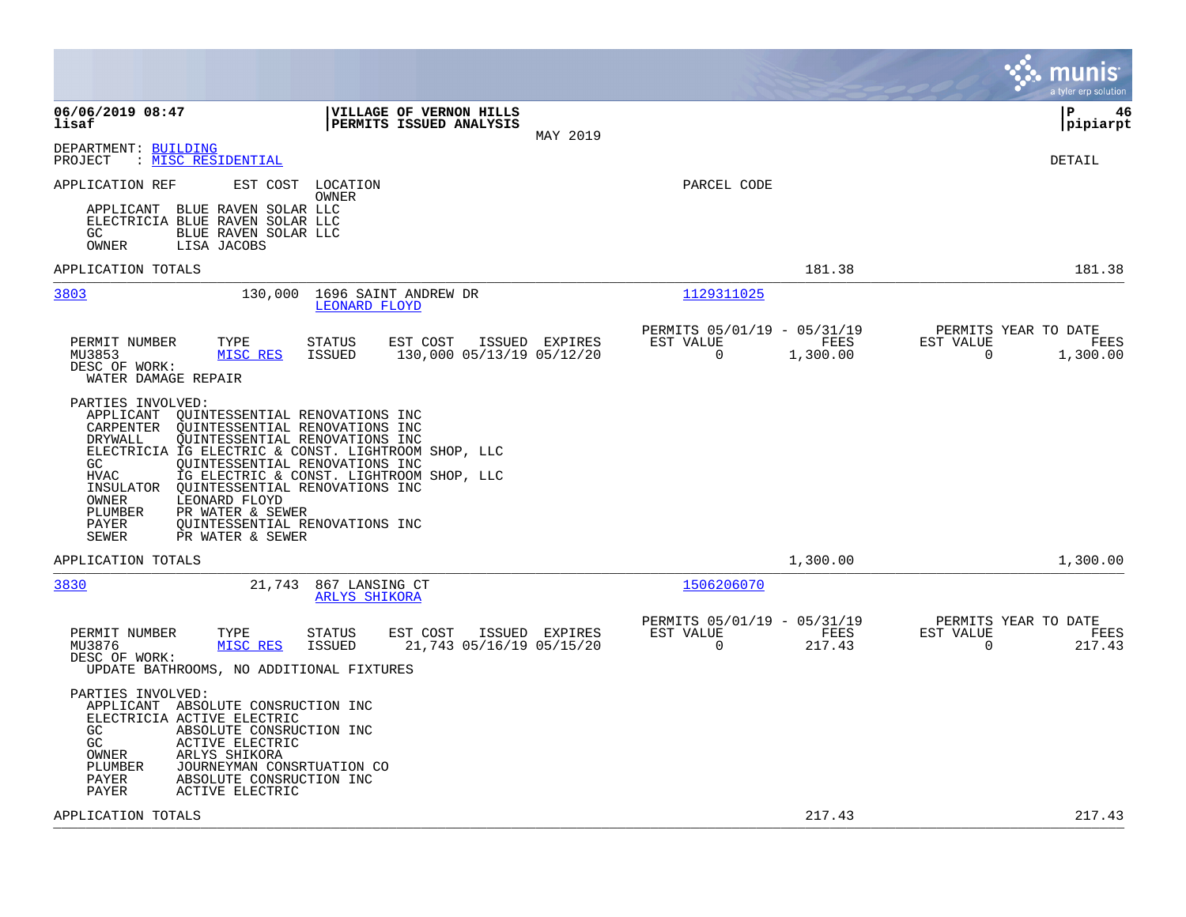|                                                                                                                                                                                                                                                                                                                                                                                                                                                                 |                                                                             |                                                                             | munis<br>a tyler erp solution                                           |
|-----------------------------------------------------------------------------------------------------------------------------------------------------------------------------------------------------------------------------------------------------------------------------------------------------------------------------------------------------------------------------------------------------------------------------------------------------------------|-----------------------------------------------------------------------------|-----------------------------------------------------------------------------|-------------------------------------------------------------------------|
| 06/06/2019 08:47<br>lisaf                                                                                                                                                                                                                                                                                                                                                                                                                                       | VILLAGE OF VERNON HILLS<br>PERMITS ISSUED ANALYSIS<br>MAY 2019              |                                                                             | lР<br>46<br> pipiarpt                                                   |
| DEPARTMENT: BUILDING<br>PROJECT<br>: MISC RESIDENTIAL                                                                                                                                                                                                                                                                                                                                                                                                           |                                                                             |                                                                             | <b>DETAIL</b>                                                           |
| APPLICATION REF<br>EST COST LOCATION<br>APPLICANT<br>BLUE RAVEN SOLAR LLC<br>ELECTRICIA BLUE RAVEN SOLAR LLC<br>GC<br>BLUE RAVEN SOLAR LLC                                                                                                                                                                                                                                                                                                                      | OWNER                                                                       | PARCEL CODE                                                                 |                                                                         |
| OWNER<br>LISA JACOBS                                                                                                                                                                                                                                                                                                                                                                                                                                            |                                                                             |                                                                             |                                                                         |
| APPLICATION TOTALS                                                                                                                                                                                                                                                                                                                                                                                                                                              |                                                                             | 181.38                                                                      | 181.38                                                                  |
| 3803                                                                                                                                                                                                                                                                                                                                                                                                                                                            | 130,000 1696 SAINT ANDREW DR<br>LEONARD FLOYD                               | 1129311025                                                                  |                                                                         |
| PERMIT NUMBER<br>TYPE<br>MU3853<br>MISC RES<br>DESC OF WORK:<br>WATER DAMAGE REPAIR                                                                                                                                                                                                                                                                                                                                                                             | STATUS<br>EST COST<br>ISSUED EXPIRES<br>130,000 05/13/19 05/12/20<br>ISSUED | PERMITS 05/01/19 - 05/31/19<br>EST VALUE<br>FEES<br>$\mathbf 0$<br>1,300.00 | PERMITS YEAR TO DATE<br>EST VALUE<br>FEES<br>$\overline{0}$<br>1,300.00 |
| PARTIES INVOLVED:<br>APPLICANT QUINTESSENTIAL RENOVATIONS INC<br>CARPENTER<br>OUINTESSENTIAL RENOVATIONS INC<br>DRYWALL<br>OUINTESSENTIAL RENOVATIONS INC<br>ELECTRICIA IG ELECTRIC & CONST. LIGHTROOM SHOP, LLC<br>QUINTESSENTIAL RENOVATIONS INC<br>GC.<br>HVAC<br>INSULATOR<br>QUINTESSENTIAL RENOVATIONS INC<br><b>OWNER</b><br>LEONARD FLOYD<br>PLUMBER<br>PR WATER & SEWER<br>PAYER<br>QUINTESSENTIAL RENOVATIONS INC<br><b>SEWER</b><br>PR WATER & SEWER | IG ELECTRIC & CONST. LIGHTROOM SHOP, LLC                                    |                                                                             |                                                                         |
| APPLICATION TOTALS                                                                                                                                                                                                                                                                                                                                                                                                                                              |                                                                             | 1,300.00                                                                    | 1,300.00                                                                |
| 3830<br>21,743                                                                                                                                                                                                                                                                                                                                                                                                                                                  | 867 LANSING CT<br>ARLYS SHIKORA                                             | 1506206070                                                                  |                                                                         |
| PERMIT NUMBER<br>TYPE<br>MU3876<br>MISC RES<br>DESC OF WORK:<br>UPDATE BATHROOMS, NO ADDITIONAL FIXTURES                                                                                                                                                                                                                                                                                                                                                        | STATUS<br>EST COST<br>ISSUED EXPIRES<br>ISSUED<br>21,743 05/16/19 05/15/20  | PERMITS 05/01/19 - 05/31/19<br>EST VALUE<br>FEES<br>$\mathbf 0$<br>217.43   | PERMITS YEAR TO DATE<br>EST VALUE<br>FEES<br>$\overline{0}$<br>217.43   |
| PARTIES INVOLVED:<br>APPLICANT ABSOLUTE CONSRUCTION INC<br>ELECTRICIA ACTIVE ELECTRIC<br>GC<br>ABSOLUTE CONSRUCTION INC<br>GC<br><b>ACTIVE ELECTRIC</b><br>OWNER<br>ARLYS SHIKORA<br>PLUMBER<br>JOURNEYMAN CONSRTUATION CO<br>ABSOLUTE CONSRUCTION INC<br>PAYER<br><b>ACTIVE ELECTRIC</b><br>PAYER                                                                                                                                                              |                                                                             |                                                                             |                                                                         |
| APPLICATION TOTALS                                                                                                                                                                                                                                                                                                                                                                                                                                              |                                                                             | 217.43                                                                      | 217.43                                                                  |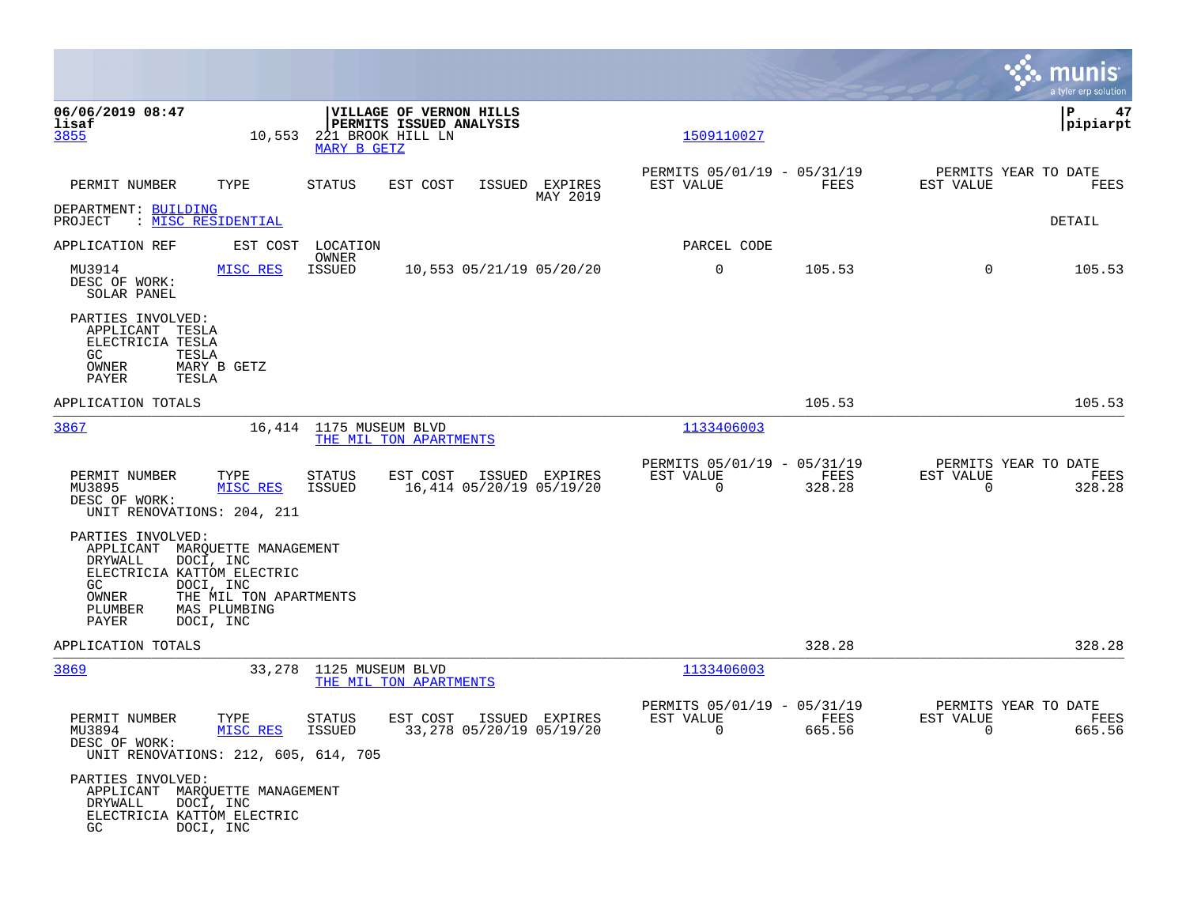|                                                                                                                                  |                                                                               |                                                   |                                                           |                                            |                                                         |                |                                               | munis<br>a tyler erp solution |
|----------------------------------------------------------------------------------------------------------------------------------|-------------------------------------------------------------------------------|---------------------------------------------------|-----------------------------------------------------------|--------------------------------------------|---------------------------------------------------------|----------------|-----------------------------------------------|-------------------------------|
| 06/06/2019 08:47<br>lisaf<br>3855                                                                                                | 10,553                                                                        | 221 BROOK HILL LN<br>MARY B GETZ                  | <b>VILLAGE OF VERNON HILLS</b><br>PERMITS ISSUED ANALYSIS |                                            | 1509110027                                              |                |                                               | lР<br>47<br> pipiarpt         |
| PERMIT NUMBER                                                                                                                    | TYPE                                                                          | STATUS                                            | EST COST                                                  | ISSUED EXPIRES<br>MAY 2019                 | PERMITS 05/01/19 - 05/31/19<br>EST VALUE                | FEES           | PERMITS YEAR TO DATE<br>EST VALUE             | FEES                          |
| DEPARTMENT: BUILDING<br>PROJECT : MISC RESIDENTIAL                                                                               |                                                                               |                                                   |                                                           |                                            |                                                         |                |                                               | DETAIL                        |
| APPLICATION REF                                                                                                                  |                                                                               | EST COST LOCATION<br>OWNER                        |                                                           |                                            | PARCEL CODE                                             |                |                                               |                               |
| MU3914<br>DESC OF WORK:<br>SOLAR PANEL                                                                                           | MISC RES                                                                      | ISSUED                                            |                                                           | 10,553 05/21/19 05/20/20                   | 0                                                       | 105.53         | 0                                             | 105.53                        |
| PARTIES INVOLVED:<br>APPLICANT TESLA<br>ELECTRICIA TESLA<br>GC<br>TESLA<br>OWNER<br>PAYER<br>TESLA                               | MARY B GETZ                                                                   |                                                   |                                                           |                                            |                                                         |                |                                               |                               |
| APPLICATION TOTALS                                                                                                               |                                                                               |                                                   |                                                           |                                            |                                                         | 105.53         |                                               | 105.53                        |
| 3867                                                                                                                             |                                                                               | 16,414 1175 MUSEUM BLVD<br>THE MIL TON APARTMENTS |                                                           |                                            | 1133406003                                              |                |                                               |                               |
| PERMIT NUMBER<br>MU3895<br>DESC OF WORK:<br>UNIT RENOVATIONS: 204, 211                                                           | TYPE<br>MISC RES                                                              | STATUS<br>ISSUED                                  | EST COST                                                  | ISSUED EXPIRES<br>16,414 05/20/19 05/19/20 | PERMITS 05/01/19 - 05/31/19<br>EST VALUE<br>$\Omega$    | FEES<br>328.28 | PERMITS YEAR TO DATE<br>EST VALUE<br>$\Omega$ | FEES<br>328.28                |
| PARTIES INVOLVED:<br>APPLICANT MARQUETTE MANAGEMENT<br>DRYWALL<br>ELECTRICIA KATTOM ELECTRIC<br>GC.<br>OWNER<br>PLUMBER<br>PAYER | DOCI, INC<br>DOCI, INC<br>THE MIL TON APARTMENTS<br>MAS PLUMBING<br>DOCI, INC |                                                   |                                                           |                                            |                                                         |                |                                               |                               |
| APPLICATION TOTALS                                                                                                               |                                                                               |                                                   |                                                           |                                            |                                                         | 328.28         |                                               | 328.28                        |
| 3869                                                                                                                             |                                                                               | 33,278 1125 MUSEUM BLVD<br>THE MIL TON APARTMENTS |                                                           |                                            | 1133406003                                              |                |                                               |                               |
| PERMIT NUMBER<br>MU3894<br>DESC OF WORK:<br>UNIT RENOVATIONS: 212, 605, 614, 705                                                 | TYPE<br>MISC RES                                                              | <b>STATUS</b><br>ISSUED                           | EST COST                                                  | ISSUED EXPIRES<br>33,278 05/20/19 05/19/20 | PERMITS 05/01/19 - 05/31/19<br>EST VALUE<br>$\mathbf 0$ | FEES<br>665.56 | PERMITS YEAR TO DATE<br>EST VALUE<br>0        | FEES<br>665.56                |
| PARTIES INVOLVED:<br>APPLICANT MARQUETTE MANAGEMENT<br>DRYWALL<br>ELECTRICIA KATTOM ELECTRIC<br>GC                               | DOCI, INC<br>DOCI, INC                                                        |                                                   |                                                           |                                            |                                                         |                |                                               |                               |

 $\mathcal{L}^{\text{max}}$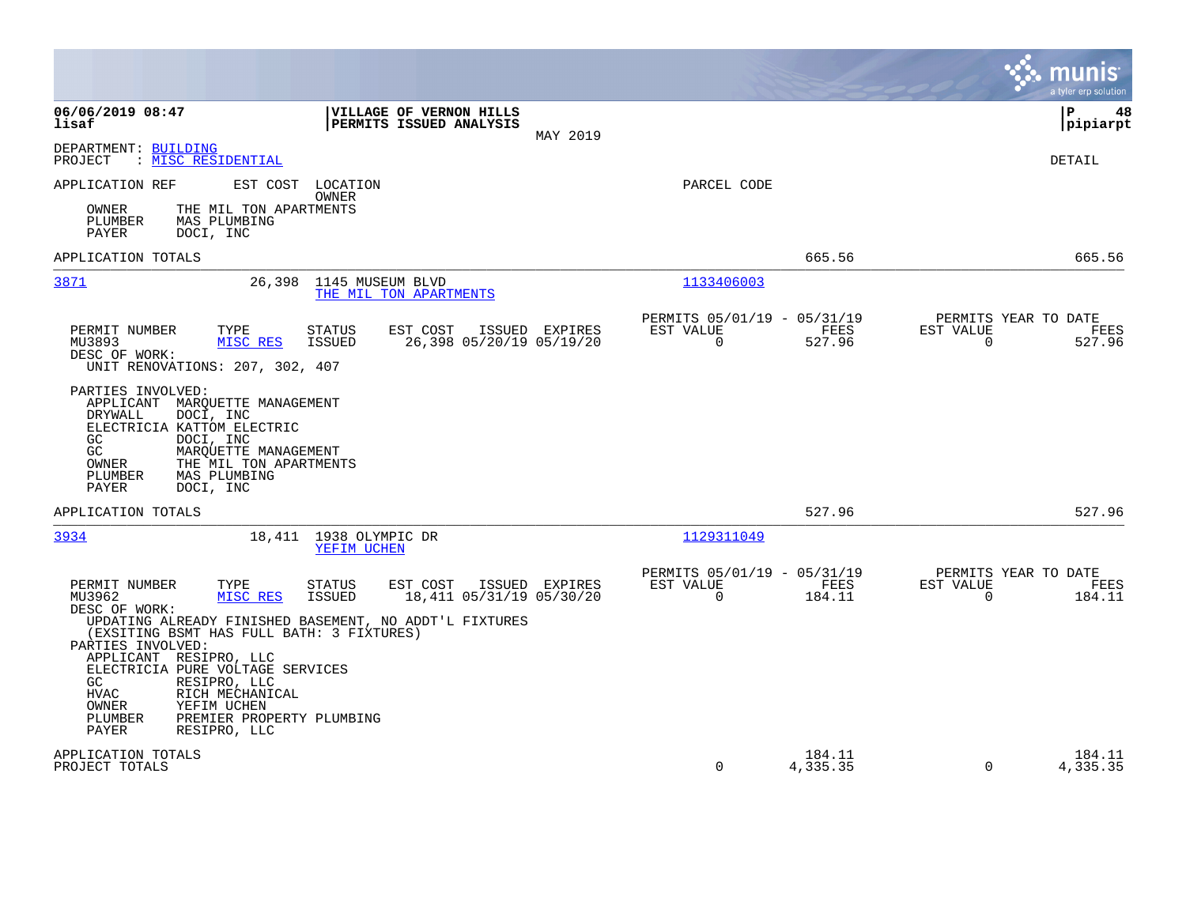|                                                                                                                                                                                                                                                                                                                                                                                                         |                                                                 |                |                                                      |                    |                       | a tyler erp solution                   |
|---------------------------------------------------------------------------------------------------------------------------------------------------------------------------------------------------------------------------------------------------------------------------------------------------------------------------------------------------------------------------------------------------------|-----------------------------------------------------------------|----------------|------------------------------------------------------|--------------------|-----------------------|----------------------------------------|
| 06/06/2019 08:47<br>lisaf                                                                                                                                                                                                                                                                                                                                                                               | VILLAGE OF VERNON HILLS<br>PERMITS ISSUED ANALYSIS              | MAY 2019       |                                                      |                    |                       | 48<br>l P<br> pipiarpt                 |
| DEPARTMENT: BUILDING<br>: MISC RESIDENTIAL<br>PROJECT                                                                                                                                                                                                                                                                                                                                                   |                                                                 |                |                                                      |                    |                       | DETAIL                                 |
| EST COST<br>APPLICATION REF                                                                                                                                                                                                                                                                                                                                                                             | LOCATION<br>OWNER                                               |                | PARCEL CODE                                          |                    |                       |                                        |
| THE MIL TON APARTMENTS<br>OWNER<br>PLUMBER<br>MAS PLUMBING<br>PAYER<br>DOCI, INC                                                                                                                                                                                                                                                                                                                        |                                                                 |                |                                                      |                    |                       |                                        |
| APPLICATION TOTALS                                                                                                                                                                                                                                                                                                                                                                                      |                                                                 |                |                                                      | 665.56             |                       | 665.56                                 |
| 3871<br>26,398                                                                                                                                                                                                                                                                                                                                                                                          | 1145 MUSEUM BLVD<br>THE MIL TON APARTMENTS                      |                | 1133406003                                           |                    |                       |                                        |
| PERMIT NUMBER<br>TYPE<br>MU3893<br>MISC RES<br>DESC OF WORK:<br>UNIT RENOVATIONS: 207, 302, 407                                                                                                                                                                                                                                                                                                         | STATUS<br>EST COST<br><b>ISSUED</b><br>26,398 05/20/19 05/19/20 | ISSUED EXPIRES | PERMITS 05/01/19 - 05/31/19<br>EST VALUE<br>$\Omega$ | FEES<br>527.96     | EST VALUE<br>$\Omega$ | PERMITS YEAR TO DATE<br>FEES<br>527.96 |
| PARTIES INVOLVED:<br>APPLICANT MARQUETTE MANAGEMENT<br>DRYWALL<br>DOCI, INC<br>ELECTRICIA KATTOM ELECTRIC<br>GC<br>DOCI, INC<br>GC<br>MAROUETTE MANAGEMENT<br>OWNER<br>THE MIL TON APARTMENTS<br>PLUMBER<br>MAS PLUMBING<br>PAYER<br>DOCI, INC                                                                                                                                                          |                                                                 |                |                                                      |                    |                       |                                        |
| APPLICATION TOTALS                                                                                                                                                                                                                                                                                                                                                                                      |                                                                 |                |                                                      | 527.96             |                       | 527.96                                 |
| 3934                                                                                                                                                                                                                                                                                                                                                                                                    | 18,411 1938 OLYMPIC DR<br>YEFIM UCHEN                           |                | 1129311049                                           |                    |                       |                                        |
| PERMIT NUMBER<br>TYPE<br>MISC RES<br>MU3962<br>DESC OF WORK:<br>UPDATING ALREADY FINISHED BASEMENT, NO ADDT'L FIXTURES<br>(EXSITING BSMT HAS FULL BATH: 3 FIXTURES)<br>PARTIES INVOLVED:<br>APPLICANT RESIPRO, LLC<br>ELECTRICIA PURE VOLTAGE SERVICES<br>GC<br>RESIPRO, LLC<br>RICH MECHANICAL<br><b>HVAC</b><br>OWNER<br>YEFIM UCHEN<br>PLUMBER<br>PREMIER PROPERTY PLUMBING<br>PAYER<br>RESIPRO, LLC | STATUS<br>EST COST<br><b>ISSUED</b><br>18,411 05/31/19 05/30/20 | ISSUED EXPIRES | PERMITS 05/01/19 - 05/31/19<br>EST VALUE<br>$\Omega$ | FEES<br>184.11     | EST VALUE<br>$\Omega$ | PERMITS YEAR TO DATE<br>FEES<br>184.11 |
| APPLICATION TOTALS<br>PROJECT TOTALS                                                                                                                                                                                                                                                                                                                                                                    |                                                                 |                | $\mathbf 0$                                          | 184.11<br>4,335.35 | 0                     | 184.11<br>4,335.35                     |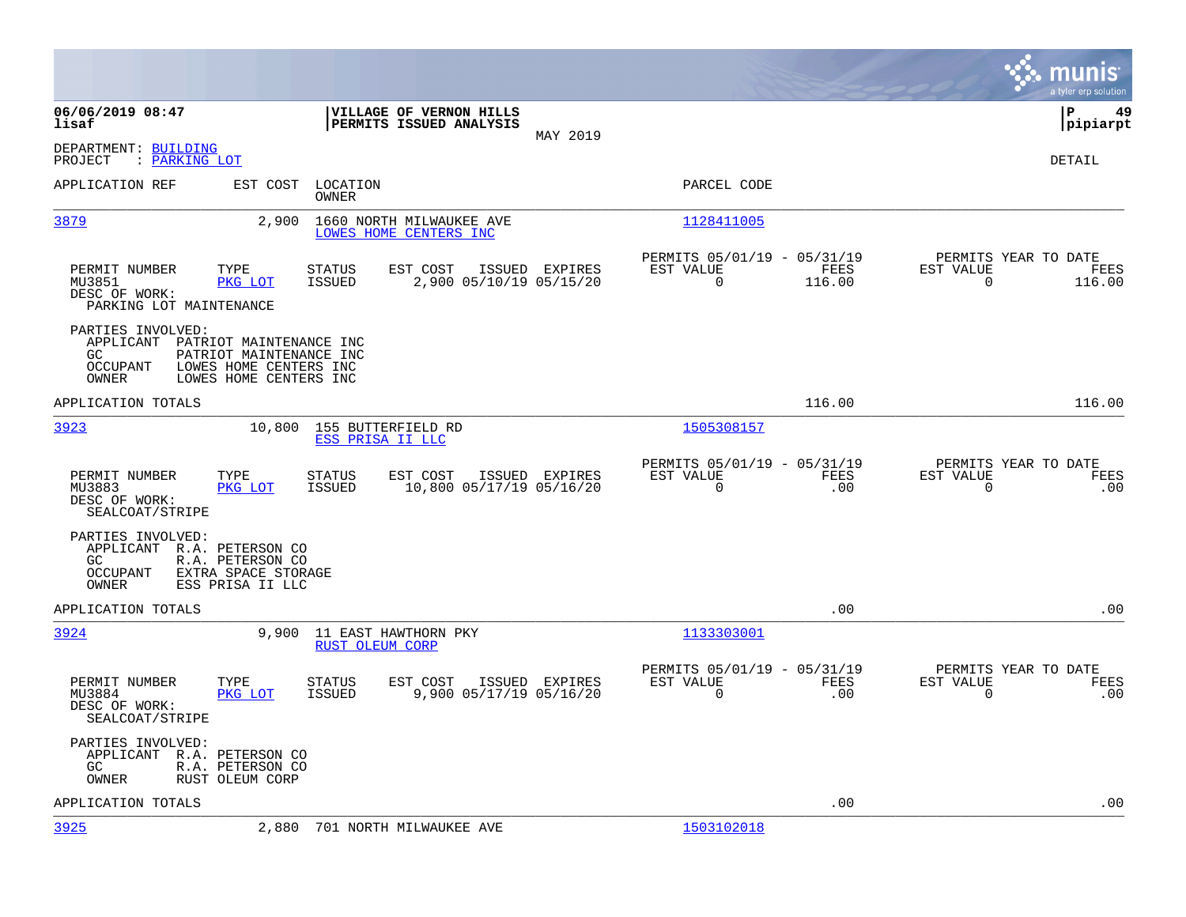|                                                                                                                                                                          |                                                                                   |                                                                        | munis<br>a tyler erp solution                                   |
|--------------------------------------------------------------------------------------------------------------------------------------------------------------------------|-----------------------------------------------------------------------------------|------------------------------------------------------------------------|-----------------------------------------------------------------|
| 06/06/2019 08:47<br>lisaf                                                                                                                                                | VILLAGE OF VERNON HILLS<br>PERMITS ISSUED ANALYSIS<br>MAY 2019                    |                                                                        | lР<br>49<br> pipiarpt                                           |
| DEPARTMENT: BUILDING<br>: PARKING LOT<br>PROJECT                                                                                                                         |                                                                                   |                                                                        | <b>DETAIL</b>                                                   |
| APPLICATION REF                                                                                                                                                          | EST COST LOCATION<br><b>OWNER</b>                                                 | PARCEL CODE                                                            |                                                                 |
| 3879                                                                                                                                                                     | 2,900<br>1660 NORTH MILWAUKEE AVE<br>LOWES HOME CENTERS INC                       | 1128411005                                                             |                                                                 |
| PERMIT NUMBER<br>TYPE<br>MU3851<br>PKG LOT<br>DESC OF WORK:<br>PARKING LOT MAINTENANCE                                                                                   | <b>STATUS</b><br>EST COST<br>ISSUED EXPIRES<br>ISSUED<br>2,900 05/10/19 05/15/20  | PERMITS 05/01/19 - 05/31/19<br>EST VALUE<br>FEES<br>$\Omega$<br>116.00 | PERMITS YEAR TO DATE<br>EST VALUE<br>FEES<br>$\Omega$<br>116.00 |
| PARTIES INVOLVED:<br>APPLICANT PATRIOT MAINTENANCE INC<br>GC.<br>PATRIOT MAINTENANCE INC<br><b>OCCUPANT</b><br>LOWES HOME CENTERS INC<br>LOWES HOME CENTERS INC<br>OWNER |                                                                                   |                                                                        |                                                                 |
| APPLICATION TOTALS                                                                                                                                                       |                                                                                   | 116.00                                                                 | 116.00                                                          |
| 3923                                                                                                                                                                     | 10,800<br>155 BUTTERFIELD RD<br>ESS PRISA II LLC                                  | 1505308157                                                             |                                                                 |
| PERMIT NUMBER<br>TYPE<br>MU3883<br>PKG LOT<br>DESC OF WORK:<br>SEALCOAT/STRIPE                                                                                           | <b>STATUS</b><br>EST COST<br>ISSUED EXPIRES<br>ISSUED<br>10,800 05/17/19 05/16/20 | PERMITS 05/01/19 - 05/31/19<br>EST VALUE<br>FEES<br>$\Omega$<br>.00    | PERMITS YEAR TO DATE<br>EST VALUE<br>FEES<br>$\Omega$<br>.00    |
| PARTIES INVOLVED:<br>APPLICANT R.A. PETERSON CO<br>GC.<br>R.A. PETERSON CO<br><b>OCCUPANT</b><br>EXTRA SPACE STORAGE<br>OWNER<br>ESS PRISA II LLC                        |                                                                                   |                                                                        |                                                                 |
| APPLICATION TOTALS                                                                                                                                                       |                                                                                   | .00                                                                    | .00                                                             |
| 3924                                                                                                                                                                     | 9,900<br>11 EAST HAWTHORN PKY<br>RUST OLEUM CORP                                  | 1133303001                                                             |                                                                 |
| PERMIT NUMBER<br>TYPE<br>MU3884<br>PKG LOT<br>DESC OF WORK:<br>SEALCOAT/STRIPE                                                                                           | <b>STATUS</b><br>EST COST ISSUED EXPIRES<br>9,900 05/17/19 05/16/20<br>ISSUED     | PERMITS 05/01/19 - 05/31/19<br>EST VALUE<br>FEES<br>$\mathbf 0$<br>.00 | PERMITS YEAR TO DATE<br>EST VALUE<br>FEES<br>$\mathbf 0$<br>.00 |
| PARTIES INVOLVED:<br>APPLICANT R.A. PETERSON CO<br>GC.<br>R.A. PETERSON CO<br>OWNER<br>RUST OLEUM CORP                                                                   |                                                                                   |                                                                        |                                                                 |
| APPLICATION TOTALS                                                                                                                                                       |                                                                                   | .00                                                                    | .00                                                             |
| 3925                                                                                                                                                                     | 2,880 701 NORTH MILWAUKEE AVE                                                     | 1503102018                                                             |                                                                 |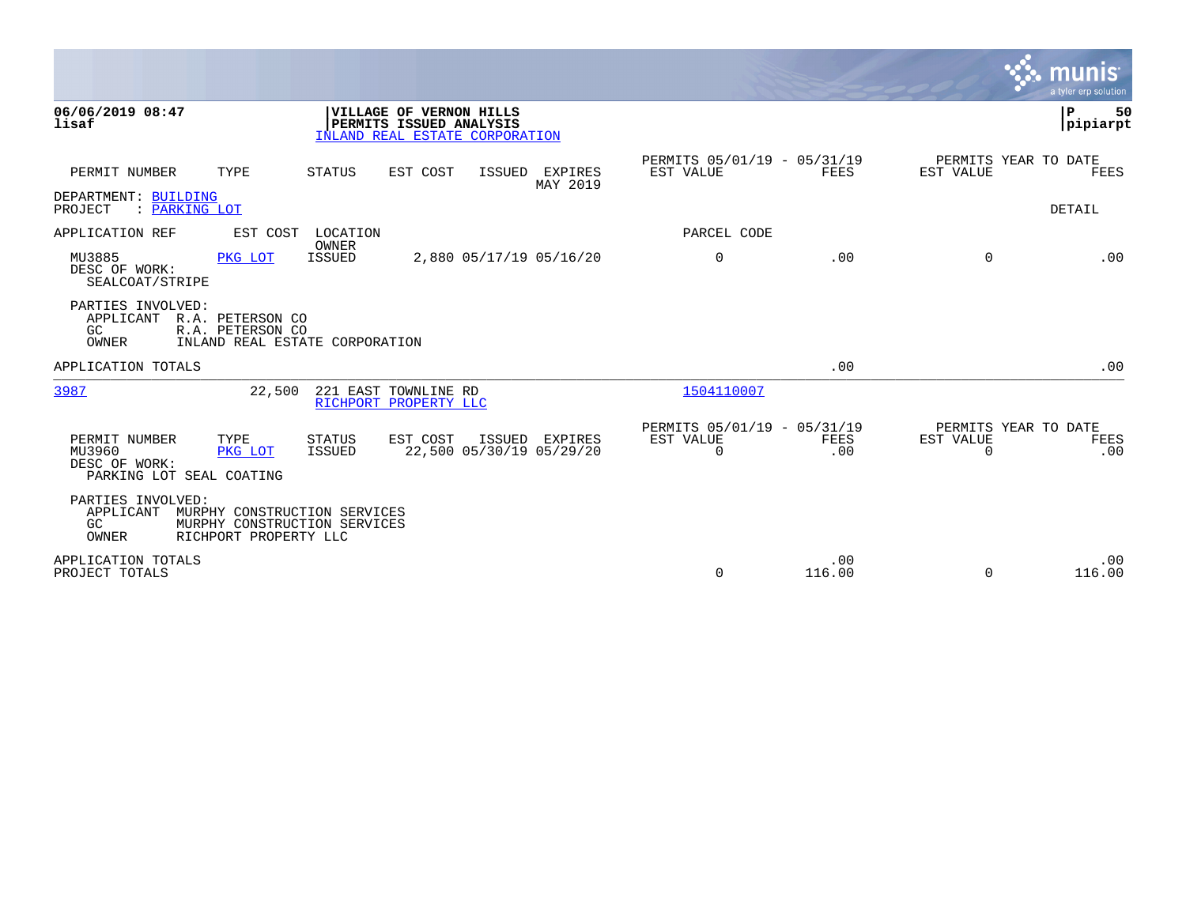|                                                                                                                                         |                                                                                      |                                               |                    | $\ddot{\mathbf{v}}$ munis                        | a tyler erp solution  |
|-----------------------------------------------------------------------------------------------------------------------------------------|--------------------------------------------------------------------------------------|-----------------------------------------------|--------------------|--------------------------------------------------|-----------------------|
| 06/06/2019 08:47<br>lisaf                                                                                                               | VILLAGE OF VERNON HILLS<br>PERMITS ISSUED ANALYSIS<br>INLAND REAL ESTATE CORPORATION |                                               |                    |                                                  | ΙP<br>50<br> pipiarpt |
| PERMIT NUMBER<br>TYPE<br><b>STATUS</b>                                                                                                  | EST COST<br>EXPIRES<br>ISSUED<br>MAY 2019                                            | PERMITS 05/01/19 - 05/31/19<br>EST VALUE      | FEES               | PERMITS YEAR TO DATE<br>EST VALUE                | <b>FEES</b>           |
| DEPARTMENT: BUILDING<br>: PARKING LOT<br>PROJECT                                                                                        |                                                                                      |                                               |                    |                                                  | DETAIL                |
| APPLICATION REF<br>EST COST<br>LOCATION                                                                                                 |                                                                                      | PARCEL CODE                                   |                    |                                                  |                       |
| OWNER<br>MU3885<br><b>ISSUED</b><br>PKG LOT<br>DESC OF WORK:<br>SEALCOAT/STRIPE                                                         | 2,880 05/17/19 05/16/20                                                              | $\mathbf 0$                                   | .00                | $\mathbf 0$                                      | .00                   |
| PARTIES INVOLVED:<br>APPLICANT R.A. PETERSON CO<br>GC<br>R.A. PETERSON CO<br>OWNER<br>INLAND REAL ESTATE CORPORATION                    |                                                                                      |                                               |                    |                                                  |                       |
| APPLICATION TOTALS                                                                                                                      |                                                                                      |                                               | .00                |                                                  | .00                   |
| 3987<br>221 EAST TOWNLINE RD<br>22,500                                                                                                  | RICHPORT PROPERTY LLC                                                                | 1504110007                                    |                    |                                                  |                       |
| PERMIT NUMBER<br>TYPE<br><b>STATUS</b><br>MU3960<br>PKG LOT<br>ISSUED<br>DESC OF WORK:<br>PARKING LOT SEAL COATING                      | EST COST<br>ISSUED EXPIRES<br>22,500 05/30/19 05/29/20                               | PERMITS 05/01/19 - 05/31/19<br>EST VALUE<br>0 | <b>FEES</b><br>.00 | PERMITS YEAR TO DATE<br>EST VALUE<br>$\mathbf 0$ | FEES<br>.00           |
| PARTIES INVOLVED:<br>APPLICANT<br>MURPHY CONSTRUCTION SERVICES<br>MURPHY CONSTRUCTION SERVICES<br>GC.<br>OWNER<br>RICHPORT PROPERTY LLC |                                                                                      |                                               |                    |                                                  |                       |
| APPLICATION TOTALS<br>PROJECT TOTALS                                                                                                    |                                                                                      | 0                                             | .00<br>116.00      | $\Omega$                                         | .00<br>116.00         |

**Contract Contract Contract Contract**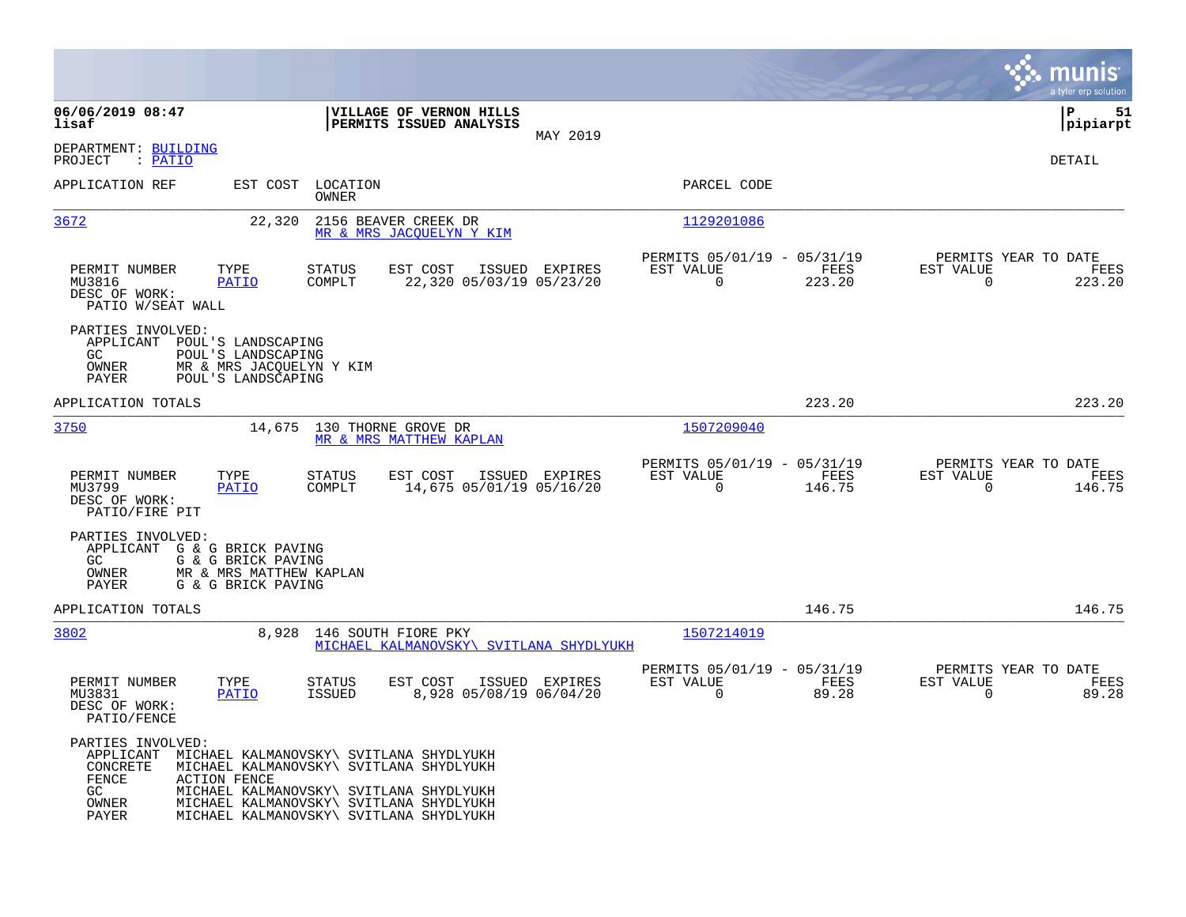|                                                                             |                                                                                                      |                                |                                                                                                                                                                                                                     |                |                                                      |                |                                               | munis<br>a tyler erp solution |
|-----------------------------------------------------------------------------|------------------------------------------------------------------------------------------------------|--------------------------------|---------------------------------------------------------------------------------------------------------------------------------------------------------------------------------------------------------------------|----------------|------------------------------------------------------|----------------|-----------------------------------------------|-------------------------------|
| 06/06/2019 08:47<br>lisaf                                                   |                                                                                                      |                                | VILLAGE OF VERNON HILLS<br>PERMITS ISSUED ANALYSIS                                                                                                                                                                  | MAY 2019       |                                                      |                |                                               | l P<br>51<br> pipiarpt        |
| DEPARTMENT: BUILDING<br>: PATIO<br>PROJECT                                  |                                                                                                      |                                |                                                                                                                                                                                                                     |                |                                                      |                |                                               | <b>DETAIL</b>                 |
| APPLICATION REF                                                             | EST COST                                                                                             | LOCATION<br><b>OWNER</b>       |                                                                                                                                                                                                                     |                | PARCEL CODE                                          |                |                                               |                               |
| 3672                                                                        | 22,320                                                                                               |                                | 2156 BEAVER CREEK DR<br>MR & MRS JACQUELYN Y KIM                                                                                                                                                                    |                | 1129201086                                           |                |                                               |                               |
| PERMIT NUMBER<br>MU3816<br>DESC OF WORK:<br>PATIO W/SEAT WALL               | TYPE<br><b>PATIO</b>                                                                                 | <b>STATUS</b><br>COMPLT        | EST COST<br>22,320 05/03/19 05/23/20                                                                                                                                                                                | ISSUED EXPIRES | PERMITS 05/01/19 - 05/31/19<br>EST VALUE<br>$\Omega$ | FEES<br>223.20 | PERMITS YEAR TO DATE<br>EST VALUE<br>$\Omega$ | FEES<br>223.20                |
| PARTIES INVOLVED:<br>GC<br>OWNER<br>PAYER                                   | APPLICANT POUL'S LANDSCAPING<br>POUL'S LANDSCAPING<br>MR & MRS JACQUELYN Y KIM<br>POUL'S LANDSCAPING |                                |                                                                                                                                                                                                                     |                |                                                      |                |                                               |                               |
| APPLICATION TOTALS                                                          |                                                                                                      |                                |                                                                                                                                                                                                                     |                |                                                      | 223.20         |                                               | 223.20                        |
| 3750                                                                        |                                                                                                      |                                | 14,675 130 THORNE GROVE DR<br>MR & MRS MATTHEW KAPLAN                                                                                                                                                               |                | 1507209040                                           |                |                                               |                               |
| PERMIT NUMBER<br>MU3799<br>DESC OF WORK:<br>PATIO/FIRE PIT                  | TYPE<br><b>PATIO</b>                                                                                 | <b>STATUS</b><br>COMPLT        | EST COST<br>14,675 05/01/19 05/16/20                                                                                                                                                                                | ISSUED EXPIRES | PERMITS 05/01/19 - 05/31/19<br>EST VALUE<br>$\Omega$ | FEES<br>146.75 | PERMITS YEAR TO DATE<br>EST VALUE<br>$\Omega$ | FEES<br>146.75                |
| PARTIES INVOLVED:<br>GC.<br>OWNER<br>PAYER                                  | APPLICANT G & G BRICK PAVING<br>G & G BRICK PAVING<br>MR & MRS MATTHEW KAPLAN<br>G & G BRICK PAVING  |                                |                                                                                                                                                                                                                     |                |                                                      |                |                                               |                               |
| APPLICATION TOTALS                                                          |                                                                                                      |                                |                                                                                                                                                                                                                     |                |                                                      | 146.75         |                                               | 146.75                        |
| 3802                                                                        | 8,928                                                                                                |                                | 146 SOUTH FIORE PKY<br>MICHAEL KALMANOVSKY\ SVITLANA SHYDLYUKH                                                                                                                                                      |                | 1507214019                                           |                |                                               |                               |
| PERMIT NUMBER<br>MU3831<br>DESC OF WORK:<br>PATIO/FENCE                     | TYPE<br>PATIO                                                                                        | <b>STATUS</b><br><b>ISSUED</b> | EST COST<br>8,928 05/08/19 06/04/20                                                                                                                                                                                 | ISSUED EXPIRES | PERMITS 05/01/19 - 05/31/19<br>EST VALUE<br>$\Omega$ | FEES<br>89.28  | PERMITS YEAR TO DATE<br>EST VALUE<br>$\Omega$ | FEES<br>89.28                 |
| PARTIES INVOLVED:<br>APPLICANT<br>CONCRETE<br>FENCE<br>GC<br>OWNER<br>PAYER | <b>ACTION FENCE</b>                                                                                  |                                | MICHAEL KALMANOVSKY\ SVITLANA SHYDLYUKH<br>MICHAEL KALMANOVSKY\ SVITLANA SHYDLYUKH<br>MICHAEL KALMANOVSKY\ SVITLANA SHYDLYUKH<br>MICHAEL KALMANOVSKY\ SVITLANA SHYDLYUKH<br>MICHAEL KALMANOVSKY\ SVITLANA SHYDLYUKH |                |                                                      |                |                                               |                               |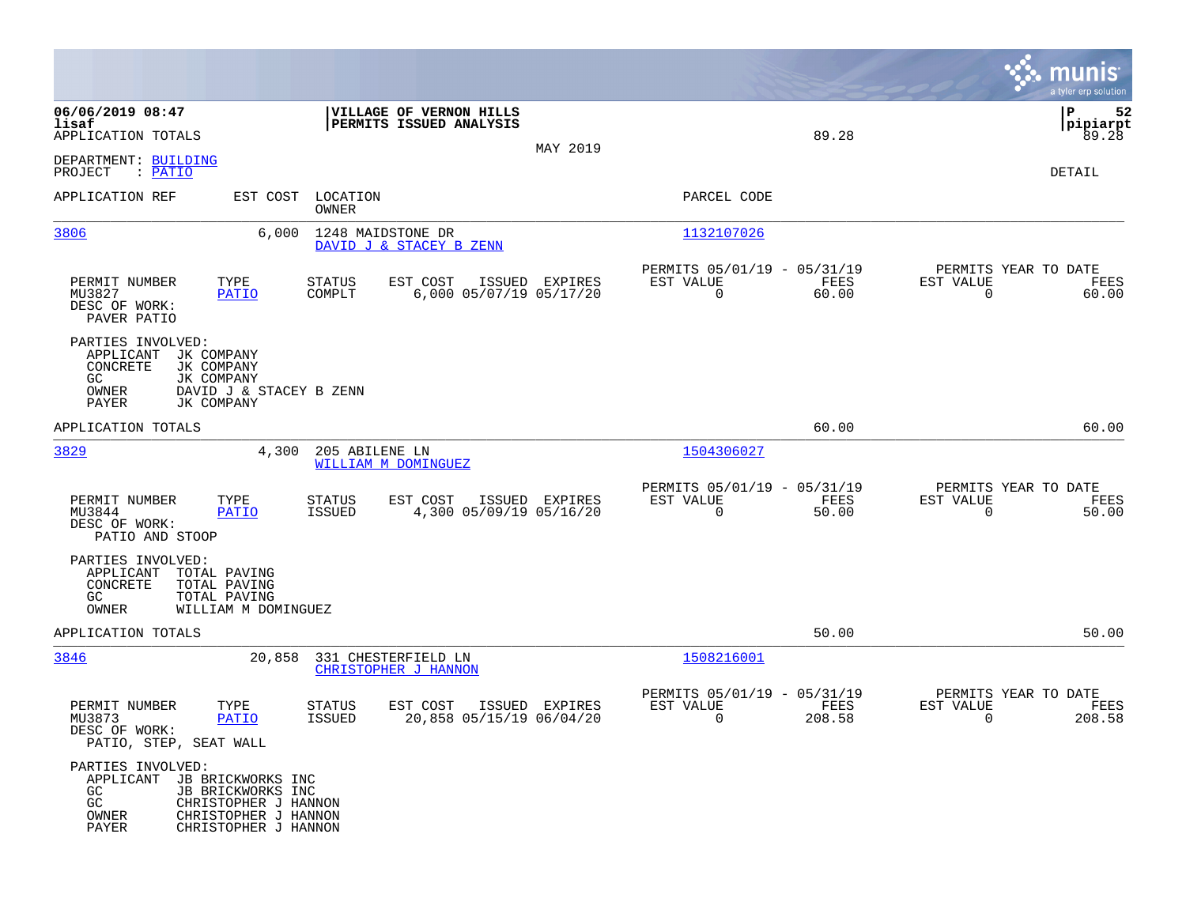|                                                                                                                                                                                |                                                                                   |                                                                    | munis<br>a tyler erp solution                            |
|--------------------------------------------------------------------------------------------------------------------------------------------------------------------------------|-----------------------------------------------------------------------------------|--------------------------------------------------------------------|----------------------------------------------------------|
| 06/06/2019 08:47<br>lisaf<br>APPLICATION TOTALS                                                                                                                                | VILLAGE OF VERNON HILLS<br>PERMITS ISSUED ANALYSIS<br>MAY 2019                    | 89.28                                                              | ΙP<br>52<br> pipiarpt<br>89.28                           |
| DEPARTMENT: BUILDING<br>PROJECT<br>$:$ PATIO                                                                                                                                   |                                                                                   |                                                                    | DETAIL                                                   |
| APPLICATION REF<br>EST COST                                                                                                                                                    | LOCATION<br>OWNER                                                                 | PARCEL CODE                                                        |                                                          |
| 3806<br>6,000                                                                                                                                                                  | 1248 MAIDSTONE DR<br>DAVID J & STACEY B ZENN                                      | 1132107026                                                         |                                                          |
| PERMIT NUMBER<br>TYPE<br>MU3827<br><b>PATIO</b><br>DESC OF WORK:<br>PAVER PATIO                                                                                                | EST COST<br>STATUS<br>ISSUED<br>EXPIRES<br>COMPLT<br>6,000 05/07/19 05/17/20      | PERMITS 05/01/19 - 05/31/19<br>EST VALUE<br>FEES<br>0<br>60.00     | PERMITS YEAR TO DATE<br>EST VALUE<br>FEES<br>0<br>60.00  |
| PARTIES INVOLVED:<br>APPLICANT<br>JK COMPANY<br>CONCRETE<br>JK COMPANY<br>GC.<br>JK COMPANY<br>OWNER<br>DAVID J & STACEY B ZENN<br>PAYER<br>JK COMPANY                         |                                                                                   |                                                                    |                                                          |
| APPLICATION TOTALS                                                                                                                                                             |                                                                                   | 60.00                                                              | 60.00                                                    |
| 3829<br>4,300                                                                                                                                                                  | 205 ABILENE LN<br>WILLIAM M DOMINGUEZ                                             | 1504306027                                                         |                                                          |
| PERMIT NUMBER<br>TYPE<br>MU3844<br><b>PATIO</b><br>DESC OF WORK:<br>PATIO AND STOOP                                                                                            | ISSUED EXPIRES<br>STATUS<br>EST COST<br><b>ISSUED</b><br>4,300 05/09/19 05/16/20  | PERMITS 05/01/19 - 05/31/19<br>EST VALUE<br>FEES<br>0<br>50.00     | PERMITS YEAR TO DATE<br>EST VALUE<br>FEES<br>50.00<br>0  |
| PARTIES INVOLVED:<br>APPLICANT<br>TOTAL PAVING<br>CONCRETE<br>TOTAL PAVING<br>GC<br>TOTAL PAVING<br>OWNER<br>WILLIAM M DOMINGUEZ                                               |                                                                                   |                                                                    |                                                          |
| APPLICATION TOTALS                                                                                                                                                             |                                                                                   | 50.00                                                              | 50.00                                                    |
| 3846<br>20,858                                                                                                                                                                 | 331 CHESTERFIELD LN<br>CHRISTOPHER J HANNON                                       | 1508216001                                                         |                                                          |
| PERMIT NUMBER<br>TYPE<br>MU3873<br><b>PATIO</b><br>DESC OF WORK:<br>PATIO, STEP, SEAT WALL                                                                                     | EST COST<br>ISSUED EXPIRES<br>STATUS<br><b>ISSUED</b><br>20,858 05/15/19 06/04/20 | PERMITS 05/01/19 -<br>05/31/19<br>EST VALUE<br>FEES<br>0<br>208.58 | PERMITS YEAR TO DATE<br>EST VALUE<br>FEES<br>0<br>208.58 |
| PARTIES INVOLVED:<br>JB BRICKWORKS INC<br>APPLICANT<br>JB BRICKWORKS INC<br>GC<br>GC<br>CHRISTOPHER J HANNON<br>OWNER<br>CHRISTOPHER J HANNON<br>PAYER<br>CHRISTOPHER J HANNON |                                                                                   |                                                                    |                                                          |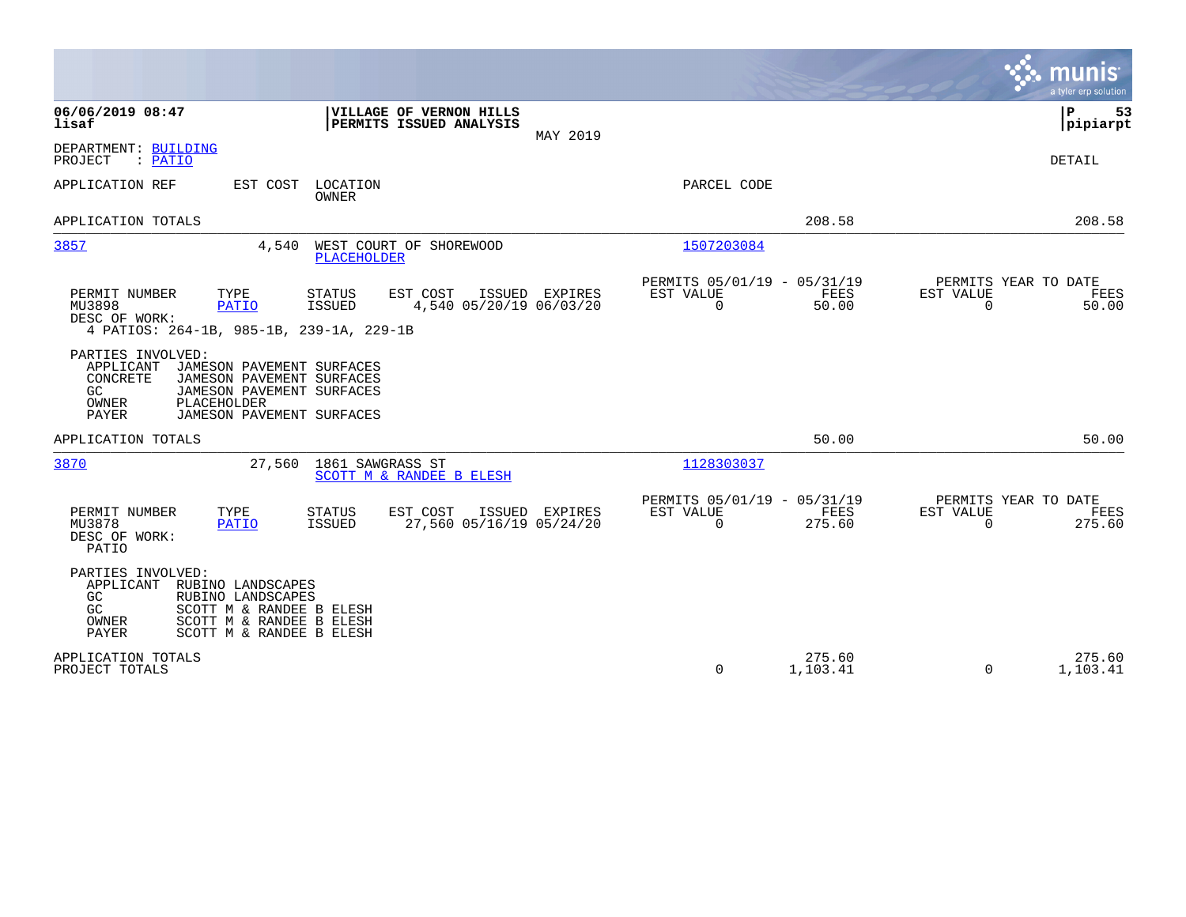|                                                                                                                                                                                                              |                                                                           |                |                                                         |                       |                       | munis<br>a tyler erp solution          |
|--------------------------------------------------------------------------------------------------------------------------------------------------------------------------------------------------------------|---------------------------------------------------------------------------|----------------|---------------------------------------------------------|-----------------------|-----------------------|----------------------------------------|
| 06/06/2019 08:47<br>lisaf                                                                                                                                                                                    | VILLAGE OF VERNON HILLS<br>PERMITS ISSUED ANALYSIS                        | MAY 2019       |                                                         |                       |                       | ΙP<br>53<br> pipiarpt                  |
| DEPARTMENT: BUILDING<br>PROJECT<br>: PATIO                                                                                                                                                                   |                                                                           |                |                                                         |                       |                       | DETAIL                                 |
| APPLICATION REF                                                                                                                                                                                              | EST COST LOCATION<br><b>OWNER</b>                                         |                | PARCEL CODE                                             |                       |                       |                                        |
| APPLICATION TOTALS                                                                                                                                                                                           |                                                                           |                |                                                         | 208.58                |                       | 208.58                                 |
| 3857<br>4,540                                                                                                                                                                                                | WEST COURT OF SHOREWOOD<br>PLACEHOLDER                                    |                | 1507203084                                              |                       |                       |                                        |
| PERMIT NUMBER<br>TYPE<br>MU3898<br>PATIO<br>DESC OF WORK:<br>4 PATIOS: 264-1B, 985-1B, 239-1A, 229-1B                                                                                                        | <b>STATUS</b><br>EST COST<br><b>ISSUED</b><br>4,540 05/20/19 06/03/20     | ISSUED EXPIRES | PERMITS 05/01/19 - 05/31/19<br>EST VALUE<br>$\mathbf 0$ | FEES<br>50.00         | EST VALUE<br>$\Omega$ | PERMITS YEAR TO DATE<br>FEES<br>50.00  |
| PARTIES INVOLVED:<br>APPLICANT<br>JAMESON PAVEMENT SURFACES<br>CONCRETE<br>JAMESON PAVEMENT SURFACES<br>GC<br>JAMESON PAVEMENT SURFACES<br>PLACEHOLDER<br>OWNER<br><b>PAYER</b><br>JAMESON PAVEMENT SURFACES |                                                                           |                |                                                         |                       |                       |                                        |
| APPLICATION TOTALS                                                                                                                                                                                           |                                                                           |                |                                                         | 50.00                 |                       | 50.00                                  |
| 3870<br>27,560                                                                                                                                                                                               | 1861 SAWGRASS ST<br>SCOTT M & RANDEE B ELESH                              |                | 1128303037                                              |                       |                       |                                        |
| PERMIT NUMBER<br>TYPE<br>MU3878<br><b>PATIO</b><br>DESC OF WORK:<br>PATIO                                                                                                                                    | EST COST<br>ISSUED<br><b>STATUS</b><br>27,560 05/16/19 05/24/20<br>ISSUED | EXPIRES        | PERMITS 05/01/19 - 05/31/19<br>EST VALUE<br>$\Omega$    | <b>FEES</b><br>275.60 | EST VALUE<br>$\Omega$ | PERMITS YEAR TO DATE<br>FEES<br>275.60 |
| PARTIES INVOLVED:<br>APPLICANT<br>RUBINO LANDSCAPES<br>GC<br>RUBINO LANDSCAPES<br>GC<br>SCOTT M & RANDEE B ELESH<br>OWNER<br>SCOTT M & RANDEE B ELESH<br><b>PAYER</b><br>SCOTT M & RANDEE B ELESH            |                                                                           |                |                                                         |                       |                       |                                        |
| APPLICATION TOTALS<br>PROJECT TOTALS                                                                                                                                                                         |                                                                           |                | $\mathbf 0$                                             | 275.60<br>1,103.41    | $\Omega$              | 275.60<br>1,103.41                     |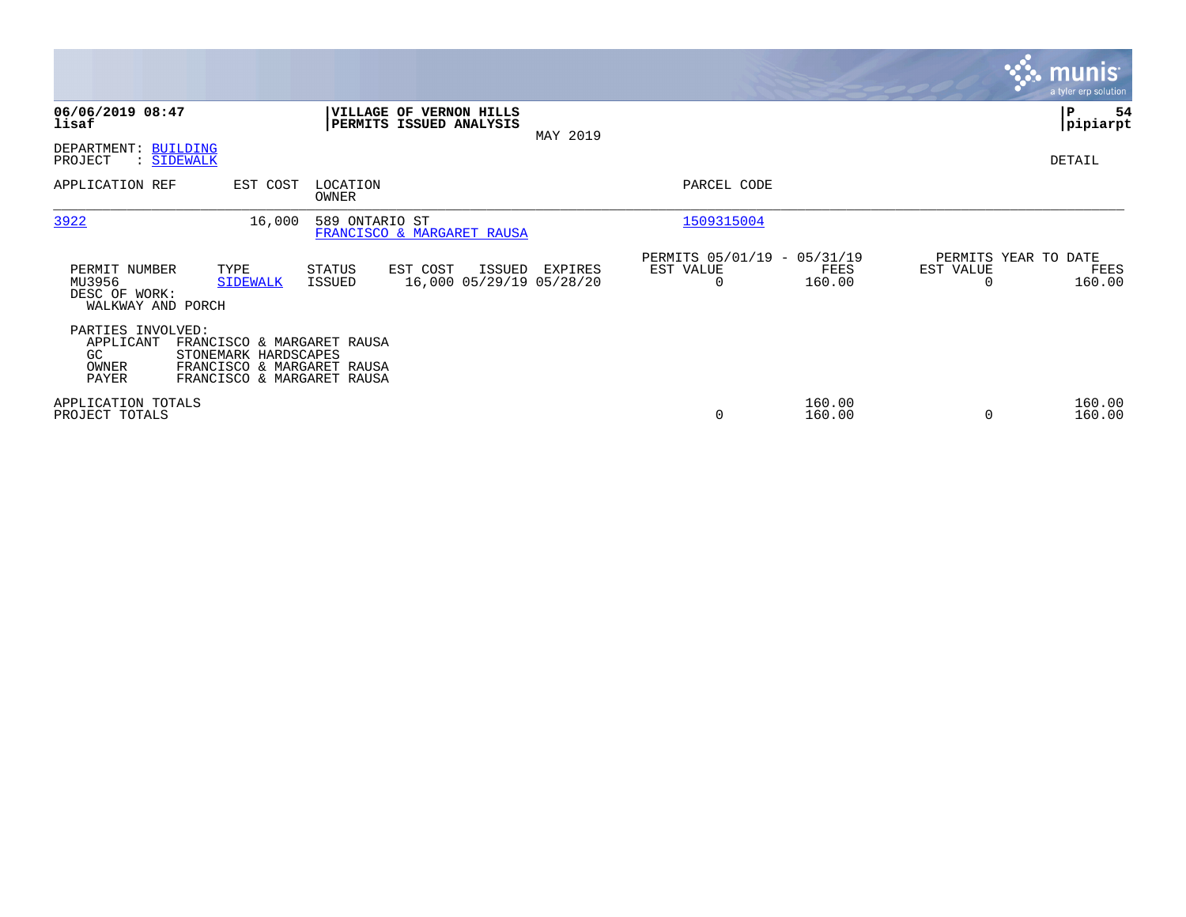|                                                               |                                                                                                                |                   |                                                    |          |                                                      |                  |           | <b>munis</b><br>a tyler erp solution   |
|---------------------------------------------------------------|----------------------------------------------------------------------------------------------------------------|-------------------|----------------------------------------------------|----------|------------------------------------------------------|------------------|-----------|----------------------------------------|
| 06/06/2019 08:47<br>lisaf                                     |                                                                                                                |                   | VILLAGE OF VERNON HILLS<br>PERMITS ISSUED ANALYSIS | MAY 2019 |                                                      |                  |           | ∣P<br>54<br> pipiarpt                  |
| DEPARTMENT:<br>PROJECT                                        | BUILDING<br>: SIDEWALK                                                                                         |                   |                                                    |          |                                                      |                  |           | DETAIL                                 |
| APPLICATION REF                                               | EST COST                                                                                                       | LOCATION<br>OWNER |                                                    |          | PARCEL CODE                                          |                  |           |                                        |
| 3922                                                          | 16,000                                                                                                         | 589 ONTARIO ST    | FRANCISCO & MARGARET RAUSA                         |          | 1509315004                                           |                  |           |                                        |
| PERMIT NUMBER<br>MU3956<br>DESC OF WORK:<br>WALKWAY AND PORCH | TYPE<br><b>SIDEWALK</b>                                                                                        | STATUS<br>ISSUED  | EST COST<br>ISSUED<br>16,000 05/29/19 05/28/20     | EXPIRES  | PERMITS 05/01/19 - 05/31/19<br>EST VALUE<br>$\Omega$ | FEES<br>160.00   | EST VALUE | PERMITS YEAR TO DATE<br>FEES<br>160.00 |
| PARTIES INVOLVED:<br>APPLICANT<br>GC<br>OWNER<br>PAYER        | FRANCISCO & MARGARET RAUSA<br>STONEMARK HARDSCAPES<br>FRANCISCO & MARGARET RAUSA<br>FRANCISCO & MARGARET RAUSA |                   |                                                    |          |                                                      |                  |           |                                        |
| APPLICATION TOTALS<br>PROJECT TOTALS                          |                                                                                                                |                   |                                                    |          | 0                                                    | 160.00<br>160.00 |           | 160.00<br>160.00                       |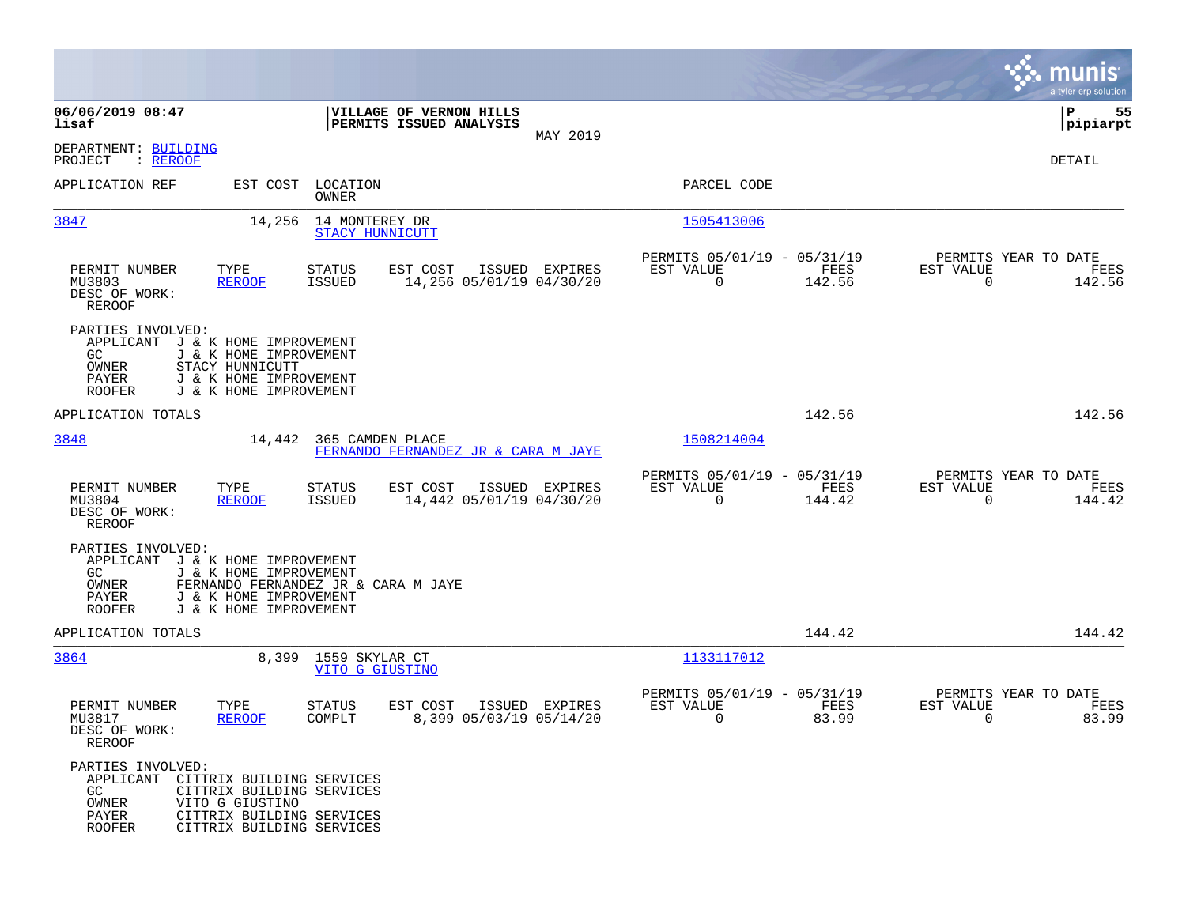|                                                                                                                                                                                                              |                                                                                          |                                                                           | munis<br>a tyler erp solution                                   |
|--------------------------------------------------------------------------------------------------------------------------------------------------------------------------------------------------------------|------------------------------------------------------------------------------------------|---------------------------------------------------------------------------|-----------------------------------------------------------------|
| 06/06/2019 08:47<br>lisaf                                                                                                                                                                                    | VILLAGE OF VERNON HILLS<br>PERMITS ISSUED ANALYSIS                                       |                                                                           | 55<br>IΡ<br> pipiarpt                                           |
| DEPARTMENT: BUILDING<br>: REROOF<br>PROJECT                                                                                                                                                                  | MAY 2019                                                                                 |                                                                           | DETAIL                                                          |
| APPLICATION REF                                                                                                                                                                                              | EST COST LOCATION<br>OWNER                                                               | PARCEL CODE                                                               |                                                                 |
| 3847<br>14,256                                                                                                                                                                                               | 14 MONTEREY DR<br>STACY HUNNICUTT                                                        | 1505413006                                                                |                                                                 |
| TYPE<br>PERMIT NUMBER<br>MU3803<br><b>REROOF</b><br>DESC OF WORK:<br>REROOF                                                                                                                                  | <b>STATUS</b><br>EST COST<br>ISSUED EXPIRES<br><b>ISSUED</b><br>14,256 05/01/19 04/30/20 | PERMITS 05/01/19 - 05/31/19<br>FEES<br>EST VALUE<br>$\mathbf 0$<br>142.56 | PERMITS YEAR TO DATE<br>EST VALUE<br>FEES<br>$\Omega$<br>142.56 |
| PARTIES INVOLVED:<br>APPLICANT J & K HOME IMPROVEMENT<br>GC.<br>J & K HOME IMPROVEMENT<br>OWNER<br>STACY HUNNICUTT<br>PAYER<br>J & K HOME IMPROVEMENT<br><b>ROOFER</b><br>J & K HOME IMPROVEMENT             |                                                                                          |                                                                           |                                                                 |
| APPLICATION TOTALS                                                                                                                                                                                           |                                                                                          | 142.56                                                                    | 142.56                                                          |
| 3848<br>14,442                                                                                                                                                                                               | 365 CAMDEN PLACE<br>FERNANDO FERNANDEZ JR & CARA M JAYE                                  | 1508214004                                                                |                                                                 |
| PERMIT NUMBER<br>TYPE<br>MU3804<br><b>REROOF</b><br>DESC OF WORK:<br><b>REROOF</b>                                                                                                                           | EST COST<br>ISSUED EXPIRES<br>STATUS<br>14,442 05/01/19 04/30/20<br>ISSUED               | PERMITS 05/01/19 - 05/31/19<br>EST VALUE<br>FEES<br>$\mathbf 0$<br>144.42 | PERMITS YEAR TO DATE<br>EST VALUE<br>FEES<br>$\Omega$<br>144.42 |
| PARTIES INVOLVED:<br>APPLICANT J & K HOME IMPROVEMENT<br>J & K HOME IMPROVEMENT<br>GC.<br>OWNER<br>PAYER<br>J & K HOME IMPROVEMENT<br>J & K HOME IMPROVEMENT<br><b>ROOFER</b>                                | FERNANDO FERNANDEZ JR & CARA M JAYE                                                      |                                                                           |                                                                 |
| APPLICATION TOTALS                                                                                                                                                                                           |                                                                                          | 144.42                                                                    | 144.42                                                          |
| 3864<br>8,399                                                                                                                                                                                                | 1559 SKYLAR CT<br>VITO G GIUSTINO                                                        | 1133117012                                                                |                                                                 |
| PERMIT NUMBER<br>TYPE<br>MU3817<br><b>REROOF</b><br>DESC OF WORK:<br>REROOF                                                                                                                                  | <b>STATUS</b><br>EST COST<br>ISSUED EXPIRES<br>8,399 05/03/19 05/14/20<br>COMPLT         | PERMITS 05/01/19 - 05/31/19<br>EST VALUE<br>FEES<br>83.99<br>0            | PERMITS YEAR TO DATE<br>EST VALUE<br>FEES<br>83.99<br>0         |
| PARTIES INVOLVED:<br>APPLICANT CITTRIX BUILDING SERVICES<br>GC.<br>CITTRIX BUILDING SERVICES<br>OWNER<br>VITO G GIUSTINO<br>PAYER<br>CITTRIX BUILDING SERVICES<br><b>ROOFER</b><br>CITTRIX BUILDING SERVICES |                                                                                          |                                                                           |                                                                 |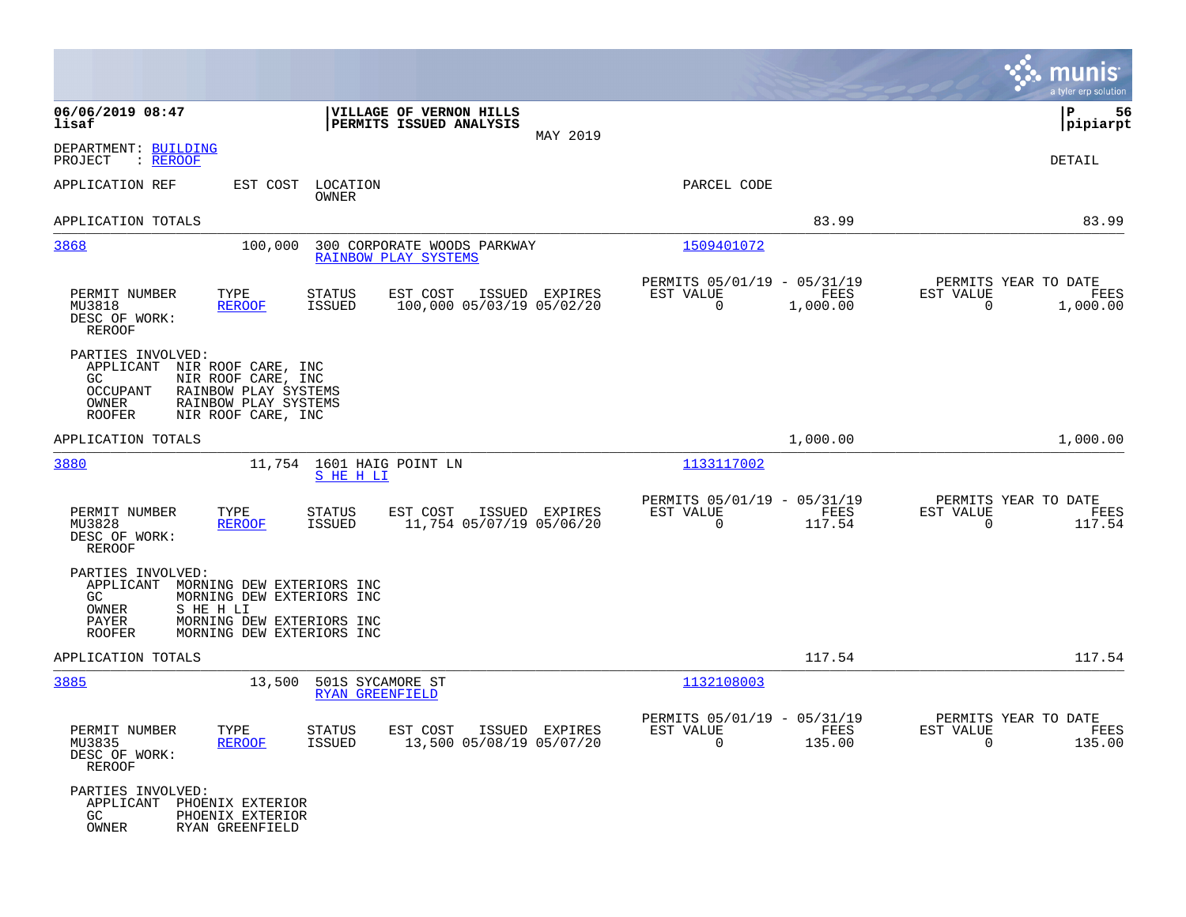|                                                                                                                                                                                                           |                                                                                           |                                                                        | munis<br>a tyler erp solution                                   |
|-----------------------------------------------------------------------------------------------------------------------------------------------------------------------------------------------------------|-------------------------------------------------------------------------------------------|------------------------------------------------------------------------|-----------------------------------------------------------------|
| 06/06/2019 08:47<br>lisaf                                                                                                                                                                                 | VILLAGE OF VERNON HILLS<br>PERMITS ISSUED ANALYSIS<br>MAY 2019                            |                                                                        | P<br>56<br> pipiarpt                                            |
| DEPARTMENT: BUILDING<br>PROJECT<br>: <u>REROOF</u>                                                                                                                                                        |                                                                                           |                                                                        | DETAIL                                                          |
| APPLICATION REF<br>EST COST                                                                                                                                                                               | LOCATION<br>OWNER                                                                         | PARCEL CODE                                                            |                                                                 |
| APPLICATION TOTALS                                                                                                                                                                                        |                                                                                           | 83.99                                                                  | 83.99                                                           |
| 3868<br>100,000                                                                                                                                                                                           | 300 CORPORATE WOODS PARKWAY<br><b>RAINBOW PLAY SYSTEMS</b>                                | 1509401072                                                             |                                                                 |
| PERMIT NUMBER<br>TYPE<br>MU3818<br><b>REROOF</b><br>DESC OF WORK:<br><b>REROOF</b>                                                                                                                        | <b>STATUS</b><br>EST COST<br>ISSUED EXPIRES<br><b>ISSUED</b><br>100,000 05/03/19 05/02/20 | PERMITS 05/01/19 - 05/31/19<br>EST VALUE<br>FEES<br>0<br>1,000.00      | PERMITS YEAR TO DATE<br>EST VALUE<br>FEES<br>1,000.00<br>0      |
| PARTIES INVOLVED:<br>APPLICANT<br>NIR ROOF CARE, INC<br>GC.<br>NIR ROOF CARE, INC<br>OCCUPANT<br>RAINBOW PLAY SYSTEMS<br>OWNER<br>RAINBOW PLAY SYSTEMS<br><b>ROOFER</b><br>NIR ROOF CARE, INC             |                                                                                           |                                                                        |                                                                 |
| APPLICATION TOTALS                                                                                                                                                                                        |                                                                                           | 1,000.00                                                               | 1,000.00                                                        |
| 3880                                                                                                                                                                                                      | 11,754 1601 HAIG POINT LN<br>S HE H LI                                                    | 1133117002                                                             |                                                                 |
| PERMIT NUMBER<br>TYPE<br>MU3828<br><b>REROOF</b><br>DESC OF WORK:<br>REROOF                                                                                                                               | <b>STATUS</b><br>EST COST<br>ISSUED EXPIRES<br>ISSUED<br>11,754 05/07/19 05/06/20         | PERMITS 05/01/19 - 05/31/19<br>FEES<br>EST VALUE<br>0<br>117.54        | PERMITS YEAR TO DATE<br>EST VALUE<br>FEES<br>0<br>117.54        |
| PARTIES INVOLVED:<br>APPLICANT<br>MORNING DEW EXTERIORS INC<br>MORNING DEW EXTERIORS INC<br>GC.<br>S HE H LI<br>OWNER<br>MORNING DEW EXTERIORS INC<br>PAYER<br>MORNING DEW EXTERIORS INC<br><b>ROOFER</b> |                                                                                           |                                                                        |                                                                 |
| APPLICATION TOTALS                                                                                                                                                                                        |                                                                                           | 117.54                                                                 | 117.54                                                          |
| 3885<br>13,500                                                                                                                                                                                            | 501S SYCAMORE ST<br>RYAN GREENFIELD                                                       | 1132108003                                                             |                                                                 |
| PERMIT NUMBER<br>TYPE<br>MU3835<br><b>REROOF</b><br>DESC OF WORK:<br>REROOF                                                                                                                               | STATUS<br>EST COST ISSUED EXPIRES<br>ISSUED<br>13,500 05/08/19 05/07/20                   | PERMITS 05/01/19 - 05/31/19<br>EST VALUE<br>FEES<br>$\Omega$<br>135.00 | PERMITS YEAR TO DATE<br>EST VALUE<br>FEES<br>$\Omega$<br>135.00 |
| PARTIES INVOLVED:<br>APPLICANT<br>PHOENIX EXTERIOR<br>GC.<br>PHOENIX EXTERIOR<br>OWNER<br>RYAN GREENFIELD                                                                                                 |                                                                                           |                                                                        |                                                                 |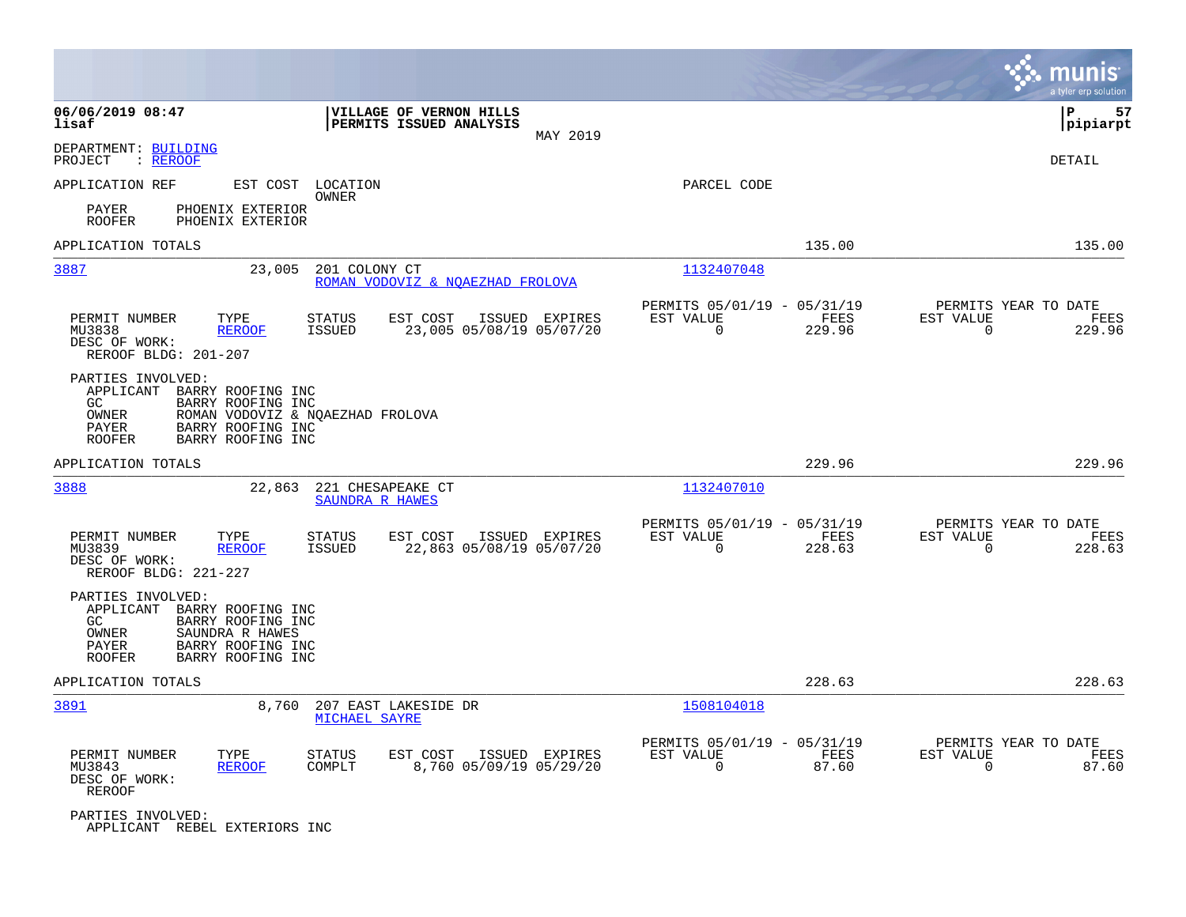|                                                                          |                                                                                                                      |                                      |                                                    |                |                                                         |                |                                                  | munis<br>a tyler erp solution |
|--------------------------------------------------------------------------|----------------------------------------------------------------------------------------------------------------------|--------------------------------------|----------------------------------------------------|----------------|---------------------------------------------------------|----------------|--------------------------------------------------|-------------------------------|
| 06/06/2019 08:47<br>lisaf                                                |                                                                                                                      |                                      | VILLAGE OF VERNON HILLS<br>PERMITS ISSUED ANALYSIS | MAY 2019       |                                                         |                |                                                  | ΙP<br>57<br> pipiarpt         |
| DEPARTMENT: BUILDING<br>PROJECT<br>: REROOF                              |                                                                                                                      |                                      |                                                    |                |                                                         |                |                                                  | DETAIL                        |
| APPLICATION REF                                                          |                                                                                                                      | EST COST LOCATION<br>OWNER           |                                                    |                | PARCEL CODE                                             |                |                                                  |                               |
| PAYER<br><b>ROOFER</b>                                                   | PHOENIX EXTERIOR<br>PHOENIX EXTERIOR                                                                                 |                                      |                                                    |                |                                                         |                |                                                  |                               |
| APPLICATION TOTALS                                                       |                                                                                                                      |                                      |                                                    |                |                                                         | 135.00         |                                                  | 135.00                        |
| 3887                                                                     | 23,005                                                                                                               | 201 COLONY CT                        | ROMAN VODOVIZ & NOAEZHAD FROLOVA                   |                | 1132407048                                              |                |                                                  |                               |
| PERMIT NUMBER<br>MU3838<br>DESC OF WORK:<br>REROOF BLDG: 201-207         | TYPE<br><b>REROOF</b>                                                                                                | STATUS<br><b>ISSUED</b>              | EST COST<br>23,005 05/08/19 05/07/20               | ISSUED EXPIRES | PERMITS 05/01/19 - 05/31/19<br>EST VALUE<br>$\Omega$    | FEES<br>229.96 | PERMITS YEAR TO DATE<br>EST VALUE<br>$\Omega$    | FEES<br>229.96                |
| PARTIES INVOLVED:<br>APPLICANT<br>GC.<br>OWNER<br>PAYER<br><b>ROOFER</b> | BARRY ROOFING INC<br>BARRY ROOFING INC<br>ROMAN VODOVIZ & NQAEZHAD FROLOVA<br>BARRY ROOFING INC<br>BARRY ROOFING INC |                                      |                                                    |                |                                                         |                |                                                  |                               |
| APPLICATION TOTALS                                                       |                                                                                                                      |                                      |                                                    |                |                                                         | 229.96         |                                                  | 229.96                        |
| 3888                                                                     | 22,863                                                                                                               | 221 CHESAPEAKE CT<br>SAUNDRA R HAWES |                                                    |                | 1132407010                                              |                |                                                  |                               |
| PERMIT NUMBER<br>MU3839<br>DESC OF WORK:<br>REROOF BLDG: 221-227         | TYPE<br><b>REROOF</b>                                                                                                | <b>STATUS</b><br>ISSUED              | EST COST<br>22,863 05/08/19 05/07/20               | ISSUED EXPIRES | PERMITS 05/01/19 - 05/31/19<br>EST VALUE<br>$\Omega$    | FEES<br>228.63 | PERMITS YEAR TO DATE<br>EST VALUE<br>$\Omega$    | FEES<br>228.63                |
| PARTIES INVOLVED:<br>APPLICANT<br>GC.<br>OWNER<br>PAYER<br><b>ROOFER</b> | BARRY ROOFING INC<br>BARRY ROOFING INC<br>SAUNDRA R HAWES<br>BARRY ROOFING INC<br>BARRY ROOFING INC                  |                                      |                                                    |                |                                                         |                |                                                  |                               |
| APPLICATION TOTALS                                                       |                                                                                                                      |                                      |                                                    |                |                                                         | 228.63         |                                                  | 228.63                        |
| 3891                                                                     | 8,760                                                                                                                | MICHAEL SAYRE                        | 207 EAST LAKESIDE DR                               |                | 1508104018                                              |                |                                                  |                               |
| PERMIT NUMBER<br>MU3843<br>DESC OF WORK:<br>REROOF                       | TYPE<br><b>REROOF</b>                                                                                                | STATUS<br>COMPLT                     | EST COST<br>8,760 05/09/19 05/29/20                | ISSUED EXPIRES | PERMITS 05/01/19 - 05/31/19<br>EST VALUE<br>$\mathbf 0$ | FEES<br>87.60  | PERMITS YEAR TO DATE<br>EST VALUE<br>$\mathbf 0$ | FEES<br>87.60                 |
| PARTIES INVOLVED:<br>APPLICANT REBEL EXTERIORS INC                       |                                                                                                                      |                                      |                                                    |                |                                                         |                |                                                  |                               |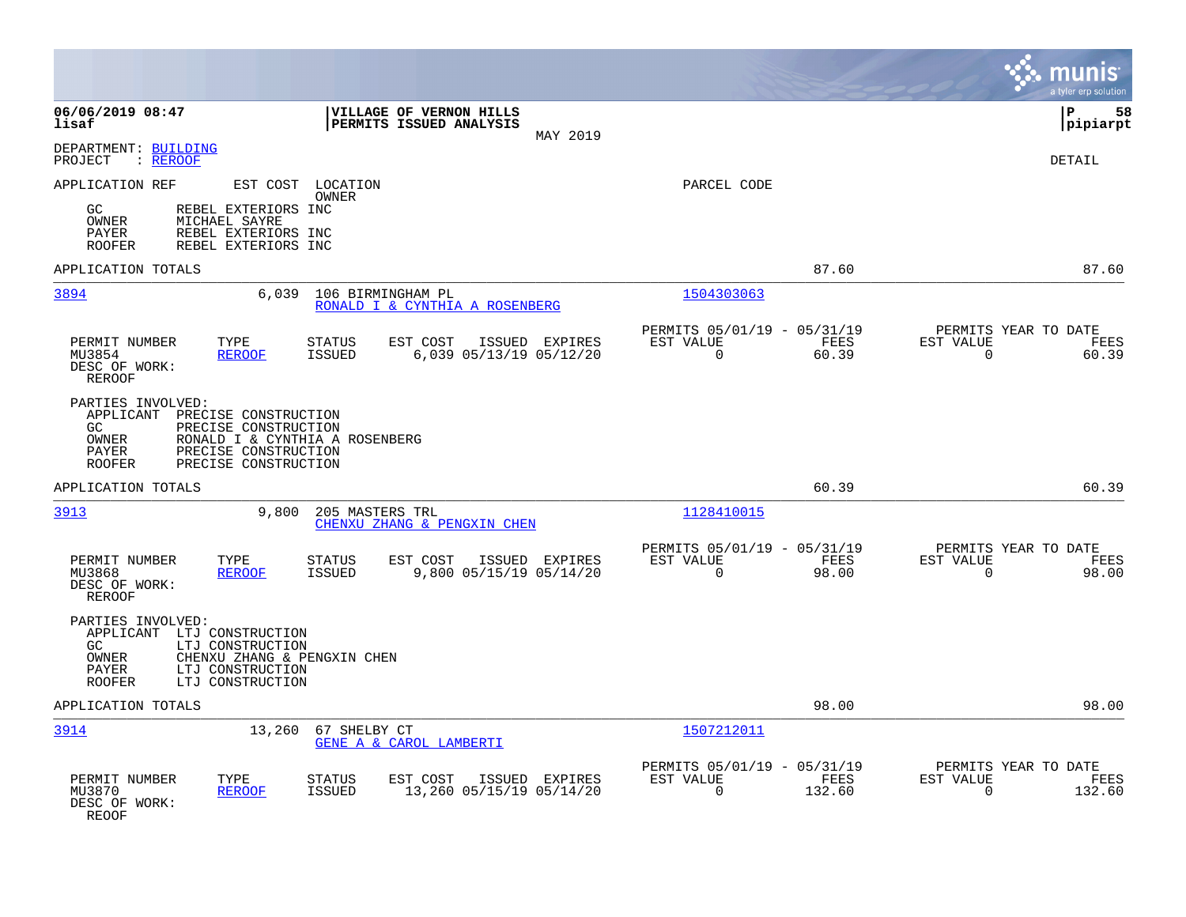|                                                                                                                                                                                                        |                                                                                          |                                                                | munis<br>a tyler erp solution                                                      |
|--------------------------------------------------------------------------------------------------------------------------------------------------------------------------------------------------------|------------------------------------------------------------------------------------------|----------------------------------------------------------------|------------------------------------------------------------------------------------|
| 06/06/2019 08:47<br>lisaf                                                                                                                                                                              | VILLAGE OF VERNON HILLS<br>PERMITS ISSUED ANALYSIS<br>MAY 2019                           |                                                                | l P<br>58<br> pipiarpt                                                             |
| DEPARTMENT: BUILDING<br>PROJECT<br>: <u>REROOF</u>                                                                                                                                                     |                                                                                          |                                                                | DETAIL                                                                             |
| APPLICATION REF                                                                                                                                                                                        | EST COST LOCATION<br>OWNER                                                               | PARCEL CODE                                                    |                                                                                    |
| GC<br>REBEL EXTERIORS INC<br>OWNER<br>MICHAEL SAYRE<br>PAYER<br>REBEL EXTERIORS INC<br><b>ROOFER</b><br>REBEL EXTERIORS INC                                                                            |                                                                                          |                                                                |                                                                                    |
| APPLICATION TOTALS                                                                                                                                                                                     |                                                                                          |                                                                | 87.60<br>87.60                                                                     |
| 3894<br>6,039                                                                                                                                                                                          | 106 BIRMINGHAM PL<br>RONALD I & CYNTHIA A ROSENBERG                                      | 1504303063                                                     |                                                                                    |
| PERMIT NUMBER<br>TYPE<br>MU3854<br><b>REROOF</b><br>DESC OF WORK:<br><b>REROOF</b>                                                                                                                     | <b>STATUS</b><br>EST COST<br>ISSUED EXPIRES<br><b>ISSUED</b><br>6,039 05/13/19 05/12/20  | PERMITS 05/01/19 - 05/31/19<br>EST VALUE<br>$\mathbf 0$        | PERMITS YEAR TO DATE<br>FEES<br>EST VALUE<br>FEES<br>60.39<br>$\mathbf 0$<br>60.39 |
| PARTIES INVOLVED:<br>APPLICANT PRECISE CONSTRUCTION<br>GC<br>PRECISE CONSTRUCTION<br>RONALD I & CYNTHIA A ROSENBERG<br>OWNER<br>PAYER<br>PRECISE CONSTRUCTION<br>PRECISE CONSTRUCTION<br><b>ROOFER</b> |                                                                                          |                                                                |                                                                                    |
| APPLICATION TOTALS                                                                                                                                                                                     |                                                                                          |                                                                | 60.39<br>60.39                                                                     |
| 3913<br>9,800                                                                                                                                                                                          | 205 MASTERS TRL<br>CHENXU ZHANG & PENGXIN CHEN                                           | 1128410015                                                     |                                                                                    |
| PERMIT NUMBER<br>TYPE<br>MU3868<br><b>REROOF</b><br>DESC OF WORK:<br>REROOF                                                                                                                            | <b>STATUS</b><br>EST COST<br>ISSUED EXPIRES<br><b>ISSUED</b><br>9,800 05/15/19 05/14/20  | PERMITS 05/01/19 - 05/31/19<br>EST VALUE<br>0                  | PERMITS YEAR TO DATE<br>FEES<br>EST VALUE<br>FEES<br>98.00<br>$\mathbf 0$<br>98.00 |
| PARTIES INVOLVED:<br>APPLICANT LTJ CONSTRUCTION<br>GC.<br>LTJ CONSTRUCTION<br>OWNER<br>CHENXU ZHANG & PENGXIN CHEN<br><b>PAYER</b><br>LTJ CONSTRUCTION<br><b>ROOFER</b><br>LTJ CONSTRUCTION            |                                                                                          |                                                                |                                                                                    |
| APPLICATION TOTALS                                                                                                                                                                                     |                                                                                          |                                                                | 98.00<br>98.00                                                                     |
| 3914<br>13,260                                                                                                                                                                                         | 67 SHELBY CT<br>GENE A & CAROL LAMBERTI                                                  | 1507212011                                                     |                                                                                    |
| PERMIT NUMBER<br>TYPE<br>MU3870<br><b>REROOF</b><br>DESC OF WORK:<br>REOOF                                                                                                                             | <b>STATUS</b><br>EST COST<br>ISSUED EXPIRES<br>13,260 05/15/19 05/14/20<br><b>ISSUED</b> | PERMITS 05/01/19 - 05/31/19<br>EST VALUE<br>$\Omega$<br>132.60 | PERMITS YEAR TO DATE<br>FEES<br>EST VALUE<br>FEES<br>132.60<br>$\mathbf 0$         |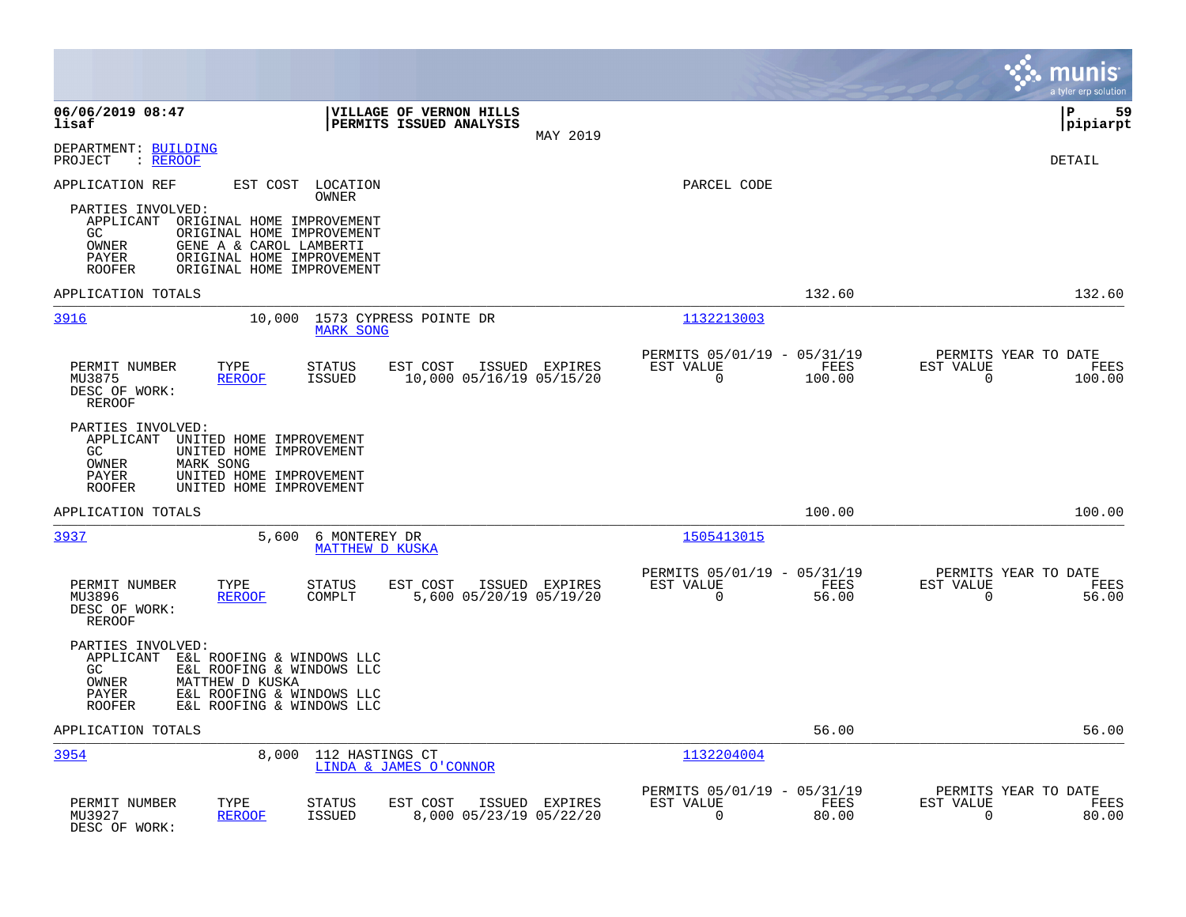|                                                                                                                                                                                                                         |                                                                          | munis<br>a tyler erp solution                                      |
|-------------------------------------------------------------------------------------------------------------------------------------------------------------------------------------------------------------------------|--------------------------------------------------------------------------|--------------------------------------------------------------------|
| 06/06/2019 08:47<br>VILLAGE OF VERNON HILLS<br>lisaf<br>PERMITS ISSUED ANALYSIS<br>MAY 2019                                                                                                                             |                                                                          | l P<br>59<br> pipiarpt                                             |
| DEPARTMENT: BUILDING<br>PROJECT<br>: REROOF                                                                                                                                                                             |                                                                          | <b>DETAIL</b>                                                      |
| APPLICATION REF<br>EST COST LOCATION<br>OWNER                                                                                                                                                                           | PARCEL CODE                                                              |                                                                    |
| PARTIES INVOLVED:<br>APPLICANT<br>ORIGINAL HOME IMPROVEMENT<br>ORIGINAL HOME IMPROVEMENT<br>GC.<br>OWNER<br>GENE A & CAROL LAMBERTI<br>ORIGINAL HOME IMPROVEMENT<br>PAYER<br><b>ROOFER</b><br>ORIGINAL HOME IMPROVEMENT |                                                                          |                                                                    |
| APPLICATION TOTALS                                                                                                                                                                                                      | 132.60                                                                   | 132.60                                                             |
| 3916<br>10,000<br>1573 CYPRESS POINTE DR<br><b>MARK SONG</b>                                                                                                                                                            | 1132213003                                                               |                                                                    |
| PERMIT NUMBER<br>TYPE<br>EST COST<br><b>STATUS</b><br>ISSUED EXPIRES<br>MU3875<br><b>REROOF</b><br><b>ISSUED</b><br>10,000 05/16/19 05/15/20<br>DESC OF WORK:<br><b>REROOF</b>                                          | PERMITS 05/01/19 - 05/31/19<br>EST VALUE<br>FEES<br>$\Omega$<br>100.00   | PERMITS YEAR TO DATE<br>EST VALUE<br>FEES<br>$\mathbf 0$<br>100.00 |
| PARTIES INVOLVED:<br>APPLICANT<br>UNITED HOME IMPROVEMENT<br>GC.<br>UNITED HOME IMPROVEMENT<br>OWNER<br>MARK SONG<br>UNITED HOME IMPROVEMENT<br>PAYER<br><b>ROOFER</b><br>UNITED HOME IMPROVEMENT                       |                                                                          |                                                                    |
| APPLICATION TOTALS                                                                                                                                                                                                      | 100.00                                                                   | 100.00                                                             |
| 3937<br>5,600<br>6 MONTEREY DR<br><b>MATTHEW D KUSKA</b>                                                                                                                                                                | 1505413015                                                               |                                                                    |
| PERMIT NUMBER<br>EST COST<br>ISSUED EXPIRES<br>TYPE<br>STATUS<br>5,600 05/20/19 05/19/20<br>MU3896<br><b>REROOF</b><br>COMPLT<br>DESC OF WORK:<br>REROOF                                                                | PERMITS 05/01/19 - 05/31/19<br>EST VALUE<br>FEES<br>$\Omega$<br>56.00    | PERMITS YEAR TO DATE<br>EST VALUE<br>FEES<br>$\Omega$<br>56.00     |
| PARTIES INVOLVED:<br>APPLICANT<br>E&L ROOFING & WINDOWS LLC<br>GC<br>E&L ROOFING & WINDOWS LLC<br>MATTHEW D KUSKA<br>OWNER<br>E&L ROOFING & WINDOWS LLC<br>PAYER<br>E&L ROOFING & WINDOWS LLC<br><b>ROOFER</b>          |                                                                          |                                                                    |
| APPLICATION TOTALS                                                                                                                                                                                                      | 56.00                                                                    | 56.00                                                              |
| 3954<br>8,000<br>112 HASTINGS CT<br>LINDA & JAMES O'CONNOR                                                                                                                                                              | 1132204004                                                               |                                                                    |
| TYPE<br>ISSUED EXPIRES<br>PERMIT NUMBER<br>STATUS<br>EST COST<br>8,000 05/23/19 05/22/20<br>MU3927<br><b>REROOF</b><br><b>ISSUED</b><br>DESC OF WORK:                                                                   | PERMITS 05/01/19 - 05/31/19<br>EST VALUE<br>FEES<br>$\mathbf 0$<br>80.00 | PERMITS YEAR TO DATE<br>EST VALUE<br>FEES<br>0<br>80.00            |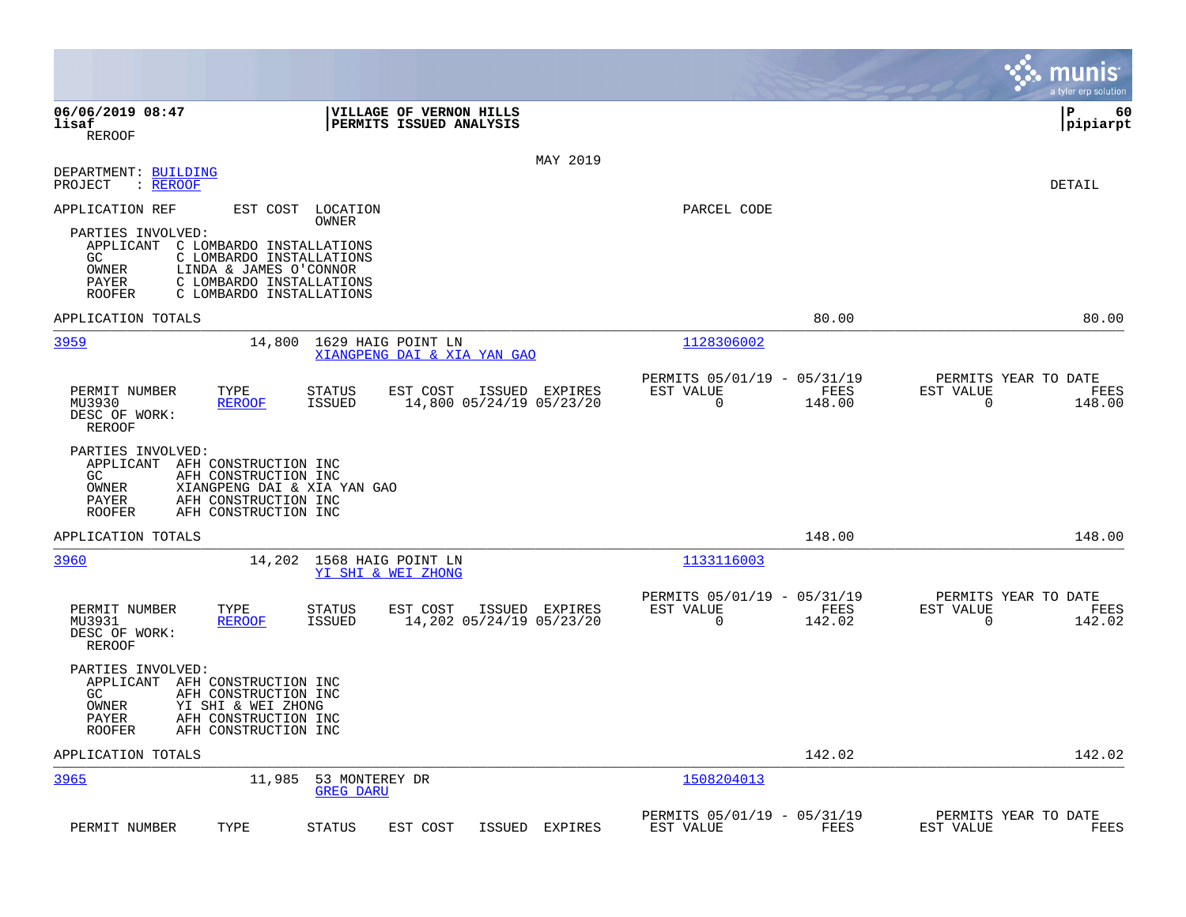|                                                                                                                                                                                                                                                                 |                                                                           | munis<br>a tyler erp solution                                   |
|-----------------------------------------------------------------------------------------------------------------------------------------------------------------------------------------------------------------------------------------------------------------|---------------------------------------------------------------------------|-----------------------------------------------------------------|
| 06/06/2019 08:47<br>VILLAGE OF VERNON HILLS<br>lisaf<br>PERMITS ISSUED ANALYSIS<br>REROOF                                                                                                                                                                       |                                                                           | 60<br>l P<br> pipiarpt                                          |
| MAY 2019<br>DEPARTMENT: BUILDING<br>PROJECT<br>$:$ REROOF                                                                                                                                                                                                       |                                                                           | DETAIL                                                          |
| APPLICATION REF<br>EST COST LOCATION<br>OWNER<br>PARTIES INVOLVED:<br>APPLICANT C LOMBARDO INSTALLATIONS<br>GC<br>C LOMBARDO INSTALLATIONS<br>OWNER<br>LINDA & JAMES O'CONNOR<br>PAYER<br>C LOMBARDO INSTALLATIONS<br>C LOMBARDO INSTALLATIONS<br><b>ROOFER</b> | PARCEL CODE                                                               |                                                                 |
| APPLICATION TOTALS                                                                                                                                                                                                                                              | 80.00                                                                     | 80.00                                                           |
| 3959<br>14,800<br>1629 HAIG POINT LN<br>XIANGPENG DAI & XIA YAN GAO                                                                                                                                                                                             | 1128306002                                                                |                                                                 |
| PERMIT NUMBER<br>TYPE<br><b>STATUS</b><br>EST COST<br>ISSUED EXPIRES<br>MU3930<br><b>REROOF</b><br><b>ISSUED</b><br>14,800 05/24/19 05/23/20<br>DESC OF WORK:<br><b>REROOF</b>                                                                                  | PERMITS 05/01/19 - 05/31/19<br>EST VALUE<br>FEES<br>$\mathbf 0$<br>148.00 | PERMITS YEAR TO DATE<br>EST VALUE<br>FEES<br>0<br>148.00        |
| PARTIES INVOLVED:<br>APPLICANT<br>AFH CONSTRUCTION INC<br>GC.<br>AFH CONSTRUCTION INC<br>OWNER<br>XIANGPENG DAI & XIA YAN GAO<br>AFH CONSTRUCTION INC<br>PAYER<br><b>ROOFER</b><br>AFH CONSTRUCTION INC                                                         |                                                                           |                                                                 |
| APPLICATION TOTALS                                                                                                                                                                                                                                              | 148.00                                                                    | 148.00                                                          |
| 3960<br>14,202<br>1568 HAIG POINT LN<br>YI SHI & WEI ZHONG                                                                                                                                                                                                      | 1133116003                                                                |                                                                 |
| TYPE<br><b>STATUS</b><br>EST COST<br>PERMIT NUMBER<br>ISSUED EXPIRES<br>MU3931<br><b>REROOF</b><br><b>ISSUED</b><br>14,202 05/24/19 05/23/20<br>DESC OF WORK:<br>REROOF                                                                                         | PERMITS 05/01/19 - 05/31/19<br>EST VALUE<br>FEES<br>$\Omega$<br>142.02    | PERMITS YEAR TO DATE<br>EST VALUE<br>FEES<br>$\Omega$<br>142.02 |
| PARTIES INVOLVED:<br>APPLICANT<br>AFH CONSTRUCTION INC<br>GC.<br>AFH CONSTRUCTION INC<br>OWNER<br>YI SHI & WEI ZHONG<br>PAYER<br>AFH CONSTRUCTION INC<br><b>ROOFER</b><br>AFH CONSTRUCTION INC                                                                  |                                                                           |                                                                 |
| APPLICATION TOTALS                                                                                                                                                                                                                                              | 142.02                                                                    | 142.02                                                          |
| 3965<br>11,985<br>53 MONTEREY DR<br><b>GREG DARU</b>                                                                                                                                                                                                            | 1508204013                                                                |                                                                 |
| PERMIT NUMBER<br>TYPE<br><b>STATUS</b><br>EST COST<br>ISSUED<br>EXPIRES                                                                                                                                                                                         | PERMITS 05/01/19 - 05/31/19<br>EST VALUE<br>FEES                          | PERMITS YEAR TO DATE<br>EST VALUE<br>FEES                       |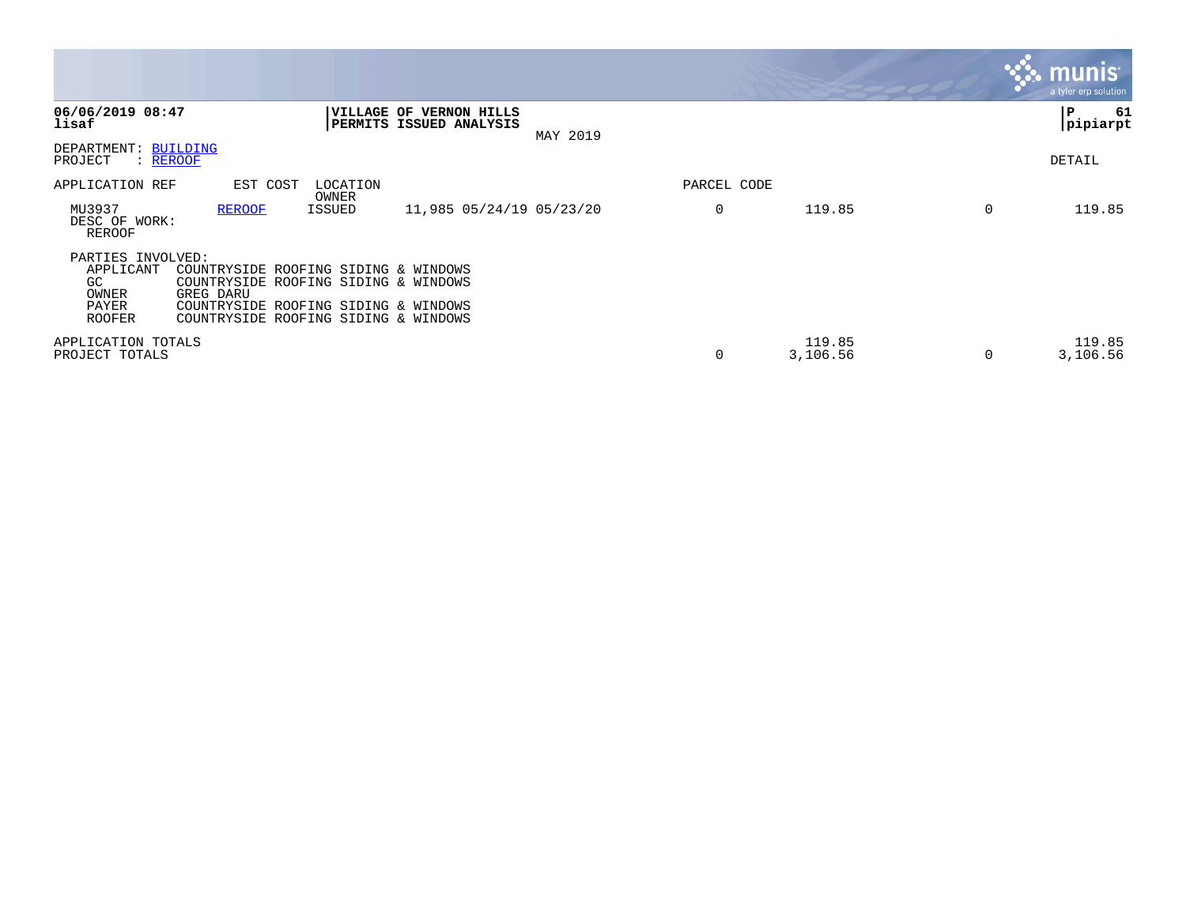|                                             |               |                                                                              |                                                |          |             |                    |             | <b>munis</b><br>a tyler erp solution |
|---------------------------------------------|---------------|------------------------------------------------------------------------------|------------------------------------------------|----------|-------------|--------------------|-------------|--------------------------------------|
| 06/06/2019 08:47<br>lisaf                   |               | <b>VILLAGE OF</b>                                                            | <b>VERNON HILLS</b><br>PERMITS ISSUED ANALYSIS | MAY 2019 |             |                    |             | 61<br>P<br> pipiarpt                 |
| DEPARTMENT: BUILDING<br>: REROOF<br>PROJECT |               |                                                                              |                                                |          |             |                    |             | DETAIL                               |
| APPLICATION REF                             | EST COST      | LOCATION                                                                     |                                                |          | PARCEL CODE |                    |             |                                      |
| MU3937<br>DESC OF WORK:<br>REROOF           | <b>REROOF</b> | OWNER<br>ISSUED                                                              | 11,985 05/24/19 05/23/20                       |          | 0           | 119.85             | 0           | 119.85                               |
| PARTIES INVOLVED:                           |               |                                                                              |                                                |          |             |                    |             |                                      |
| APPLICANT<br>GC<br>OWNER                    | GREG DARU     | COUNTRYSIDE ROOFING SIDING & WINDOWS<br>COUNTRYSIDE ROOFING SIDING & WINDOWS |                                                |          |             |                    |             |                                      |
| PAYER<br><b>ROOFER</b>                      |               | COUNTRYSIDE ROOFING SIDING & WINDOWS<br>COUNTRYSIDE ROOFING SIDING & WINDOWS |                                                |          |             |                    |             |                                      |
| APPLICATION TOTALS<br>PROJECT TOTALS        |               |                                                                              |                                                |          | 0           | 119.85<br>3,106.56 | $\mathbf 0$ | 119.85<br>3,106.56                   |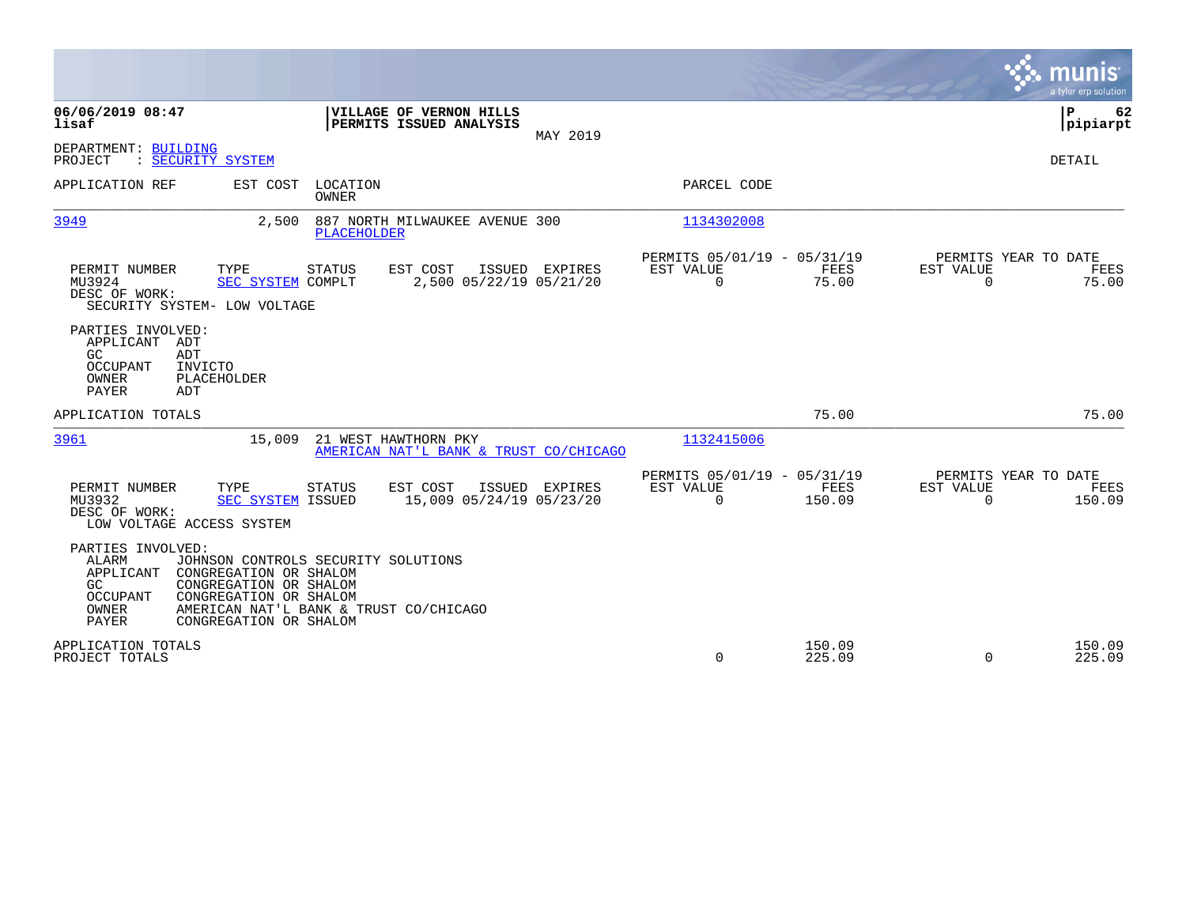|                                                                                                 |                                                                                                                                                                                       |                          |                                                                |                |                                                             |                  |                              | munis<br>a tyler erp solution          |
|-------------------------------------------------------------------------------------------------|---------------------------------------------------------------------------------------------------------------------------------------------------------------------------------------|--------------------------|----------------------------------------------------------------|----------------|-------------------------------------------------------------|------------------|------------------------------|----------------------------------------|
| 06/06/2019 08:47<br>lisaf                                                                       |                                                                                                                                                                                       |                          | VILLAGE OF VERNON HILLS<br>PERMITS ISSUED ANALYSIS             |                |                                                             |                  |                              | ΙP<br>62<br> pipiarpt                  |
| DEPARTMENT: BUILDING<br>: SECURITY SYSTEM<br>PROJECT                                            |                                                                                                                                                                                       |                          |                                                                | MAY 2019       |                                                             |                  |                              | <b>DETAIL</b>                          |
| APPLICATION REF                                                                                 | EST COST                                                                                                                                                                              | LOCATION<br><b>OWNER</b> |                                                                |                | PARCEL CODE                                                 |                  |                              |                                        |
| 3949                                                                                            | 2,500                                                                                                                                                                                 | PLACEHOLDER              | 887 NORTH MILWAUKEE AVENUE 300                                 |                | 1134302008                                                  |                  |                              |                                        |
| PERMIT NUMBER<br>MU3924<br>DESC OF WORK:<br>SECURITY SYSTEM- LOW VOLTAGE                        | TYPE<br>SEC SYSTEM COMPLT                                                                                                                                                             | STATUS                   | EST COST<br>2,500 05/22/19 05/21/20                            | ISSUED EXPIRES | PERMITS 05/01/19 - 05/31/19<br>EST VALUE<br>$\mathbf 0$     | FEES<br>75.00    | EST VALUE<br>$\Omega$        | PERMITS YEAR TO DATE<br>FEES<br>75.00  |
| PARTIES INVOLVED:<br>APPLICANT<br>ADT<br>GC.<br>ADT<br><b>OCCUPANT</b><br>OWNER<br>PAYER<br>ADT | INVICTO<br>PLACEHOLDER                                                                                                                                                                |                          |                                                                |                |                                                             |                  |                              |                                        |
| APPLICATION TOTALS                                                                              |                                                                                                                                                                                       |                          |                                                                |                |                                                             | 75.00            |                              | 75.00                                  |
| 3961                                                                                            | 15,009                                                                                                                                                                                |                          | 21 WEST HAWTHORN PKY<br>AMERICAN NAT'L BANK & TRUST CO/CHICAGO |                | 1132415006                                                  |                  |                              |                                        |
| PERMIT NUMBER<br>MU3932<br>DESC OF WORK:<br>LOW VOLTAGE ACCESS SYSTEM                           | TYPE<br>SEC SYSTEM ISSUED                                                                                                                                                             | <b>STATUS</b>            | EST COST<br>15,009 05/24/19 05/23/20                           | ISSUED EXPIRES | PERMITS 05/01/19 - 05/31/19<br><b>EST VALUE</b><br>$\Omega$ | FEES<br>150.09   | <b>EST VALUE</b><br>$\Omega$ | PERMITS YEAR TO DATE<br>FEES<br>150.09 |
| PARTIES INVOLVED:<br>ALARM<br>APPLICANT<br>GC<br>OCCUPANT<br>OWNER<br>PAYER                     | JOHNSON CONTROLS SECURITY SOLUTIONS<br>CONGREGATION OR SHALOM<br>CONGREGATION OR SHALOM<br>CONGREGATION OR SHALOM<br>AMERICAN NAT'L BANK & TRUST CO/CHICAGO<br>CONGREGATION OR SHALOM |                          |                                                                |                |                                                             |                  |                              |                                        |
| APPLICATION TOTALS<br>PROJECT TOTALS                                                            |                                                                                                                                                                                       |                          |                                                                |                | $\mathbf 0$                                                 | 150.09<br>225.09 | $\Omega$                     | 150.09<br>225.09                       |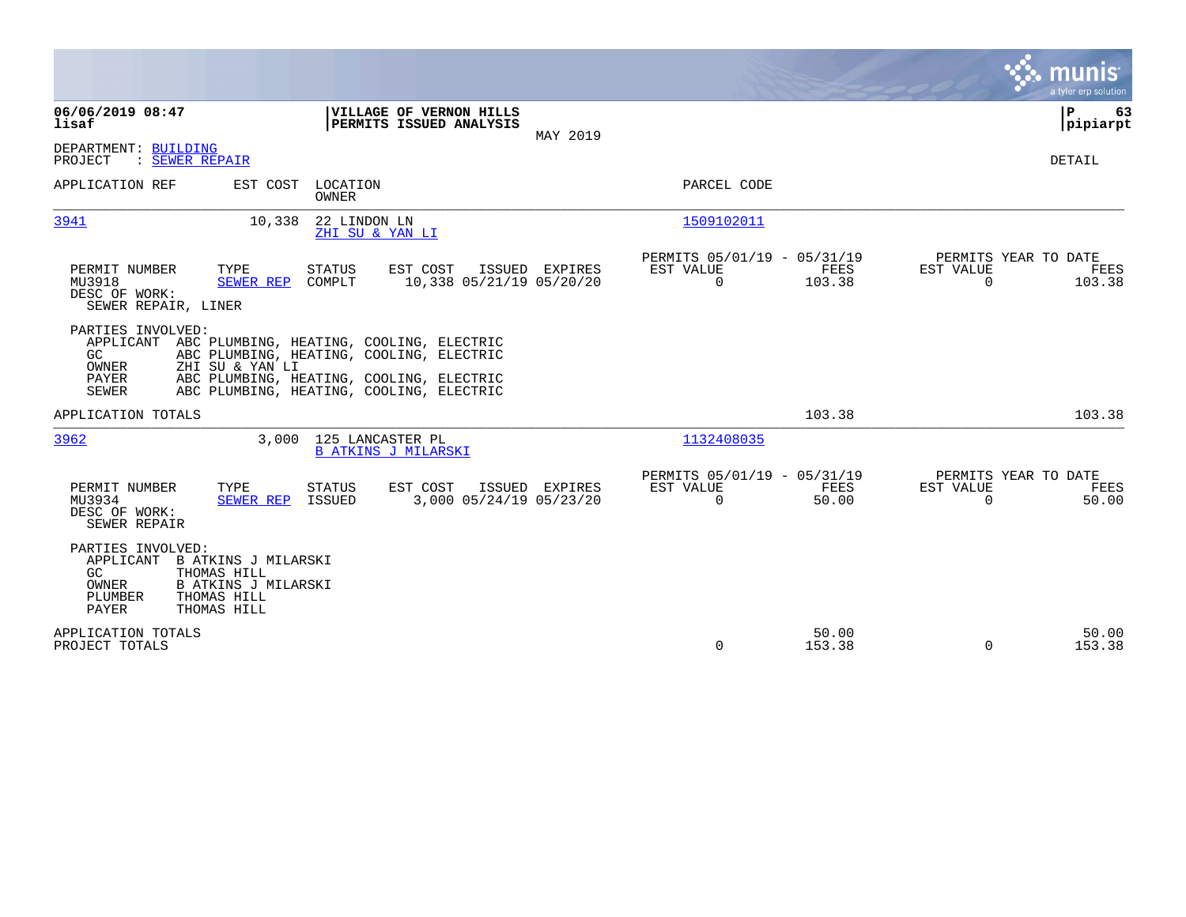|                                                                    |                                                                                                                                                                                                           |                                                    |                |                                               |                 |                          | munis<br>a tyler erp solution          |
|--------------------------------------------------------------------|-----------------------------------------------------------------------------------------------------------------------------------------------------------------------------------------------------------|----------------------------------------------------|----------------|-----------------------------------------------|-----------------|--------------------------|----------------------------------------|
| 06/06/2019 08:47<br>lisaf                                          |                                                                                                                                                                                                           | VILLAGE OF VERNON HILLS<br>PERMITS ISSUED ANALYSIS |                |                                               |                 |                          | P<br>63<br> pipiarpt                   |
| DEPARTMENT: BUILDING<br>: SEWER REPAIR<br>PROJECT                  |                                                                                                                                                                                                           |                                                    | MAY 2019       |                                               |                 |                          | DETAIL                                 |
| APPLICATION REF                                                    | LOCATION<br>EST COST<br><b>OWNER</b>                                                                                                                                                                      |                                                    |                | PARCEL CODE                                   |                 |                          |                                        |
| 3941                                                               | 10,338<br>22 LINDON LN                                                                                                                                                                                    | ZHI SU & YAN LI                                    |                | 1509102011                                    |                 |                          |                                        |
| PERMIT NUMBER<br>MU3918<br>DESC OF WORK:<br>SEWER REPAIR, LINER    | TYPE<br><b>STATUS</b><br>COMPLT<br>SEWER REP                                                                                                                                                              | EST COST<br>10,338 05/21/19 05/20/20               | ISSUED EXPIRES | PERMITS 05/01/19 - 05/31/19<br>EST VALUE<br>0 | FEES<br>103.38  | EST VALUE<br>$\mathbf 0$ | PERMITS YEAR TO DATE<br>FEES<br>103.38 |
| PARTIES INVOLVED:<br>GC.<br>OWNER<br>PAYER<br><b>SEWER</b>         | APPLICANT ABC PLUMBING, HEATING, COOLING, ELECTRIC<br>ABC PLUMBING, HEATING, COOLING, ELECTRIC<br>ZHI SU & YAN LI<br>ABC PLUMBING, HEATING, COOLING, ELECTRIC<br>ABC PLUMBING, HEATING, COOLING, ELECTRIC |                                                    |                |                                               |                 |                          |                                        |
| APPLICATION TOTALS                                                 |                                                                                                                                                                                                           |                                                    |                |                                               | 103.38          |                          | 103.38                                 |
| 3962                                                               | 3.000                                                                                                                                                                                                     | 125 LANCASTER PL<br><b>B ATKINS J MILARSKI</b>     |                | 1132408035                                    |                 |                          |                                        |
| PERMIT NUMBER<br>MU3934<br>DESC OF WORK:<br>SEWER REPAIR           | TYPE<br><b>STATUS</b><br>SEWER REP<br>ISSUED                                                                                                                                                              | EST COST<br>3,000 05/24/19 05/23/20                | ISSUED EXPIRES | PERMITS 05/01/19 - 05/31/19<br>EST VALUE<br>0 | FEES<br>50.00   | EST VALUE<br>$\Omega$    | PERMITS YEAR TO DATE<br>FEES<br>50.00  |
| PARTIES INVOLVED:<br>APPLICANT<br>GC.<br>OWNER<br>PLUMBER<br>PAYER | <b>B ATKINS J MILARSKI</b><br>THOMAS HILL<br><b>B ATKINS J MILARSKI</b><br>THOMAS HILL<br>THOMAS HILL                                                                                                     |                                                    |                |                                               |                 |                          |                                        |
| APPLICATION TOTALS<br>PROJECT TOTALS                               |                                                                                                                                                                                                           |                                                    |                | 0                                             | 50.00<br>153.38 | $\mathbf 0$              | 50.00<br>153.38                        |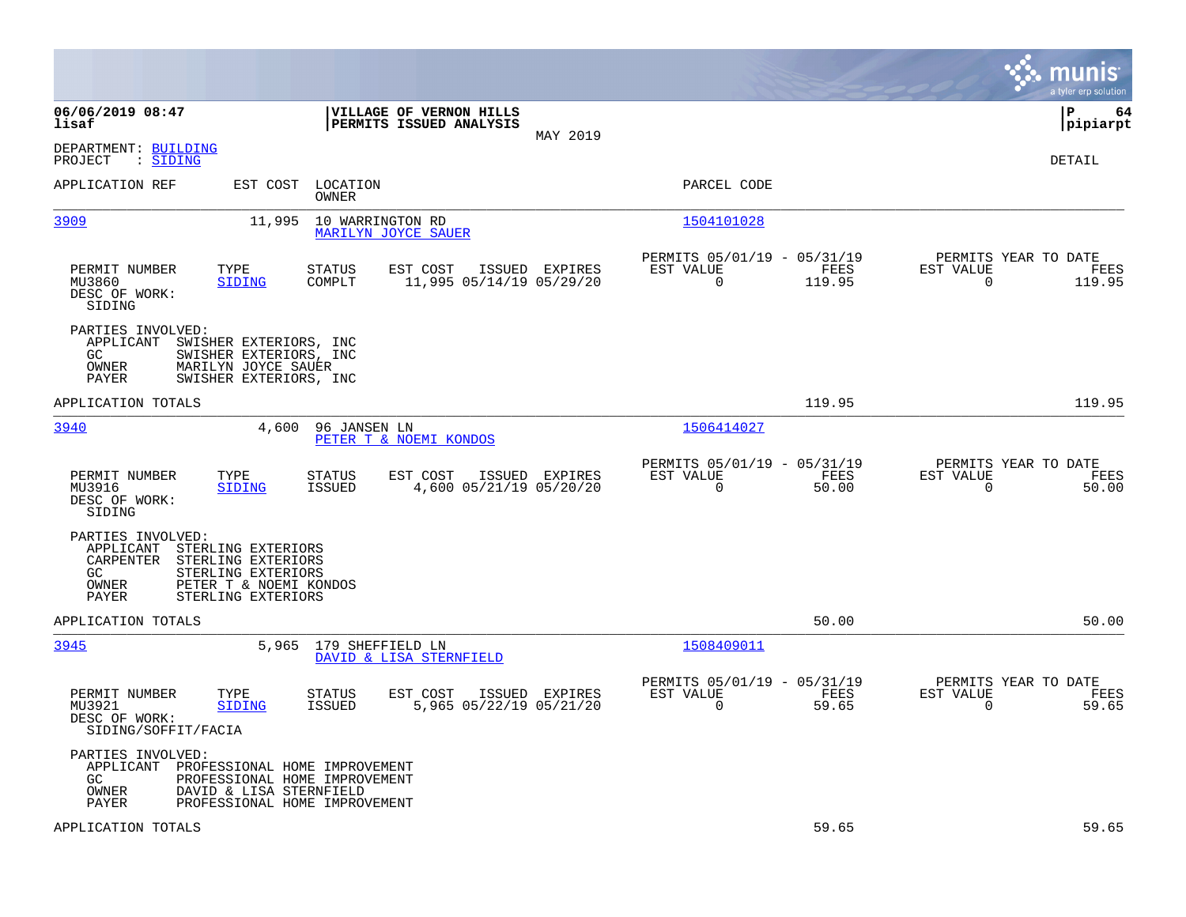|                                                                                                                                                                                       |                                                                                                 |                                                                          | munis<br>a tyler erp solution                                     |
|---------------------------------------------------------------------------------------------------------------------------------------------------------------------------------------|-------------------------------------------------------------------------------------------------|--------------------------------------------------------------------------|-------------------------------------------------------------------|
| 06/06/2019 08:47<br>lisaf                                                                                                                                                             | VILLAGE OF VERNON HILLS<br>PERMITS ISSUED ANALYSIS<br>MAY 2019                                  |                                                                          | l P<br>64<br> pipiarpt                                            |
| DEPARTMENT: BUILDING<br>PROJECT<br>: <u>SIDING</u>                                                                                                                                    |                                                                                                 |                                                                          | <b>DETAIL</b>                                                     |
| EST COST<br>APPLICATION REF                                                                                                                                                           | LOCATION<br>OWNER                                                                               | PARCEL CODE                                                              |                                                                   |
| 3909                                                                                                                                                                                  | 11,995<br>10 WARRINGTON RD<br>MARILYN JOYCE SAUER                                               | 1504101028                                                               |                                                                   |
| PERMIT NUMBER<br>TYPE<br>MU3860<br>SIDING<br>DESC OF WORK:<br>SIDING                                                                                                                  | EST COST<br>ISSUED EXPIRES<br><b>STATUS</b><br>11,995 05/14/19 05/29/20<br>COMPLT               | PERMITS 05/01/19 - 05/31/19<br>EST VALUE<br>FEES<br>$\Omega$<br>119.95   | PERMITS YEAR TO DATE<br>EST VALUE<br>FEES<br>$\Omega$<br>119.95   |
| PARTIES INVOLVED:<br>APPLICANT<br>SWISHER EXTERIORS, INC<br>GC<br>SWISHER EXTERIORS, INC<br>OWNER<br>MARILYN JOYCE SAUER<br>PAYER<br>SWISHER EXTERIORS, INC                           |                                                                                                 |                                                                          |                                                                   |
| APPLICATION TOTALS                                                                                                                                                                    |                                                                                                 | 119.95                                                                   | 119.95                                                            |
| 3940                                                                                                                                                                                  | 4,600<br>96 JANSEN LN<br>PETER T & NOEMI KONDOS                                                 | 1506414027                                                               |                                                                   |
| PERMIT NUMBER<br>TYPE<br>MU3916<br>SIDING<br>DESC OF WORK:<br>SIDING                                                                                                                  | EST COST<br>ISSUED EXPIRES<br><b>STATUS</b><br>4,600 05/21/19 05/20/20<br>ISSUED                | PERMITS 05/01/19 - 05/31/19<br>EST VALUE<br>FEES<br>$\Omega$<br>50.00    | PERMITS YEAR TO DATE<br>EST VALUE<br>FEES<br>$\Omega$<br>50.00    |
| PARTIES INVOLVED:<br>STERLING EXTERIORS<br>APPLICANT<br>CARPENTER<br>STERLING EXTERIORS<br>GC<br>STERLING EXTERIORS<br>OWNER<br>PETER T & NOEMI KONDOS<br>PAYER<br>STERLING EXTERIORS |                                                                                                 |                                                                          |                                                                   |
| APPLICATION TOTALS                                                                                                                                                                    |                                                                                                 | 50.00                                                                    | 50.00                                                             |
| 3945                                                                                                                                                                                  | 5,965<br>179 SHEFFIELD LN<br>DAVID & LISA STERNFIELD                                            | 1508409011                                                               |                                                                   |
| PERMIT NUMBER<br>TYPE<br><b>SIDING</b><br>MU3921<br>DESC OF WORK:<br>SIDING/SOFFIT/FACIA                                                                                              | EST COST<br>ISSUED EXPIRES<br>STATUS<br><b>ISSUED</b><br>5,965 05/22/19 05/21/20                | PERMITS 05/01/19 - 05/31/19<br>EST VALUE<br>FEES<br>$\mathbf 0$<br>59.65 | PERMITS YEAR TO DATE<br>EST VALUE<br>FEES<br>$\mathbf 0$<br>59.65 |
| PARTIES INVOLVED:<br>APPLICANT<br>GC<br>OWNER<br>DAVID & LISA STERNFIELD<br>PAYER                                                                                                     | PROFESSIONAL HOME IMPROVEMENT<br>PROFESSIONAL HOME IMPROVEMENT<br>PROFESSIONAL HOME IMPROVEMENT |                                                                          |                                                                   |
| APPLICATION TOTALS                                                                                                                                                                    |                                                                                                 | 59.65                                                                    | 59.65                                                             |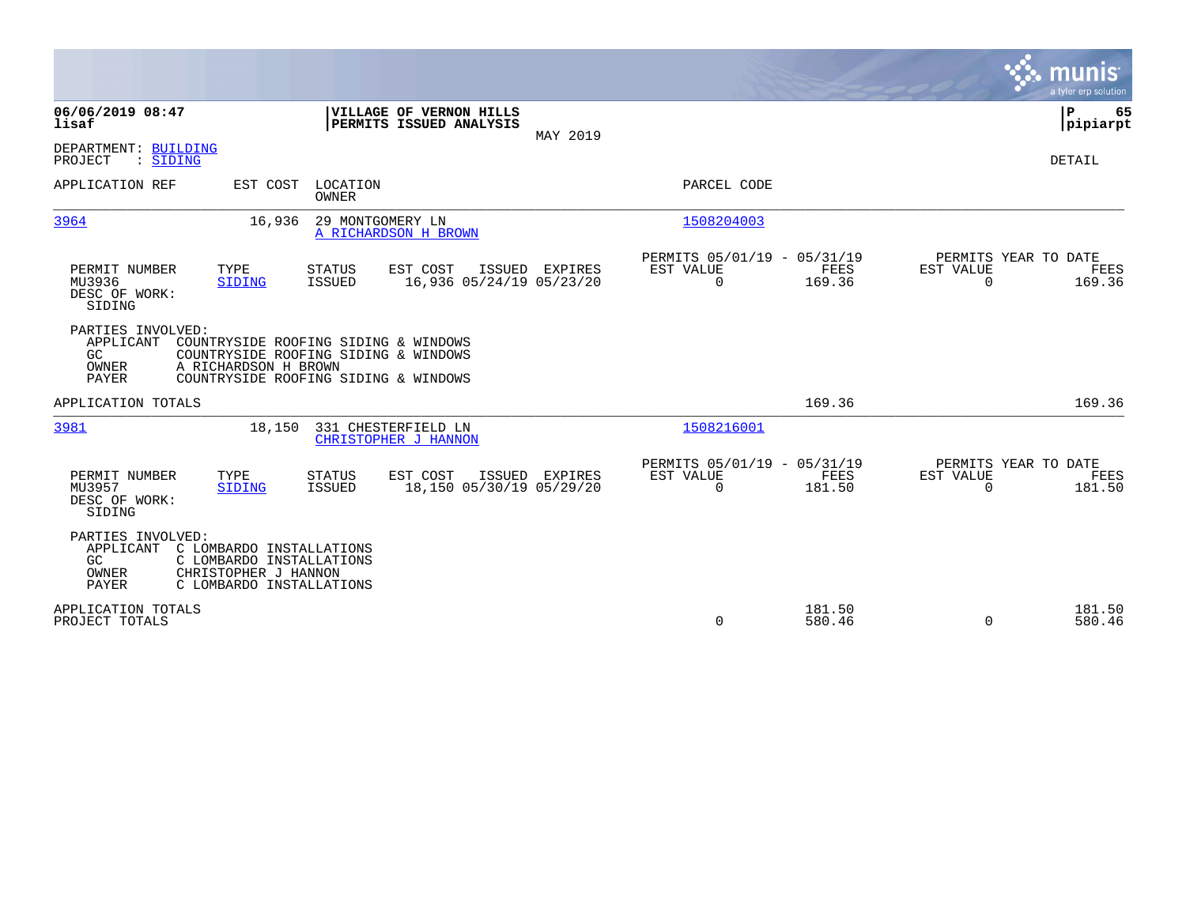|                                                                                                                                                                                                        |                |                                                                               | munis<br>a tyler erp solution                                   |
|--------------------------------------------------------------------------------------------------------------------------------------------------------------------------------------------------------|----------------|-------------------------------------------------------------------------------|-----------------------------------------------------------------|
| 06/06/2019 08:47<br>VILLAGE OF VERNON HILLS<br>PERMITS ISSUED ANALYSIS<br>lisaf                                                                                                                        | MAY 2019       |                                                                               | P<br>65<br> pipiarpt                                            |
| DEPARTMENT: BUILDING<br>PROJECT<br>: SIDING                                                                                                                                                            |                |                                                                               | DETAIL                                                          |
| EST COST LOCATION<br>APPLICATION REF<br>OWNER                                                                                                                                                          |                | PARCEL CODE                                                                   |                                                                 |
| 3964<br>29 MONTGOMERY LN<br>16,936<br>A RICHARDSON H BROWN                                                                                                                                             |                | 1508204003                                                                    |                                                                 |
| TYPE<br>EST COST<br>PERMIT NUMBER<br><b>STATUS</b><br>16,936 05/24/19 05/23/20<br>MU3936<br><b>ISSUED</b><br>SIDING<br>DESC OF WORK:<br>SIDING                                                         | ISSUED EXPIRES | PERMITS 05/01/19 - 05/31/19<br>EST VALUE<br><b>FEES</b><br>$\Omega$<br>169.36 | PERMITS YEAR TO DATE<br>EST VALUE<br>FEES<br>$\Omega$<br>169.36 |
| PARTIES INVOLVED:<br>APPLICANT<br>COUNTRYSIDE ROOFING SIDING & WINDOWS<br>GC<br>COUNTRYSIDE ROOFING SIDING & WINDOWS<br>OWNER<br>A RICHARDSON H BROWN<br>PAYER<br>COUNTRYSIDE ROOFING SIDING & WINDOWS |                |                                                                               |                                                                 |
| APPLICATION TOTALS                                                                                                                                                                                     |                | 169.36                                                                        | 169.36                                                          |
| 3981<br>331 CHESTERFIELD LN<br>18,150<br>CHRISTOPHER J HANNON                                                                                                                                          |                | 1508216001                                                                    |                                                                 |
| PERMIT NUMBER<br>TYPE<br><b>STATUS</b><br>EST COST<br>MU3957<br><b>ISSUED</b><br>18,150 05/30/19 05/29/20<br><b>SIDING</b><br>DESC OF WORK:<br>SIDING                                                  | ISSUED EXPIRES | PERMITS 05/01/19 - 05/31/19<br>EST VALUE<br>FEES<br>$\Omega$<br>181.50        | PERMITS YEAR TO DATE<br>EST VALUE<br>FEES<br>$\Omega$<br>181.50 |
| PARTIES INVOLVED:<br>APPLICANT<br>C LOMBARDO INSTALLATIONS<br>GC<br>C LOMBARDO INSTALLATIONS<br><b>OWNER</b><br>CHRISTOPHER J HANNON<br>PAYER<br>C LOMBARDO INSTALLATIONS                              |                |                                                                               |                                                                 |
| APPLICATION TOTALS<br>PROJECT TOTALS                                                                                                                                                                   |                | 181.50<br>0<br>580.46                                                         | 181.50<br>580.46<br>$\Omega$                                    |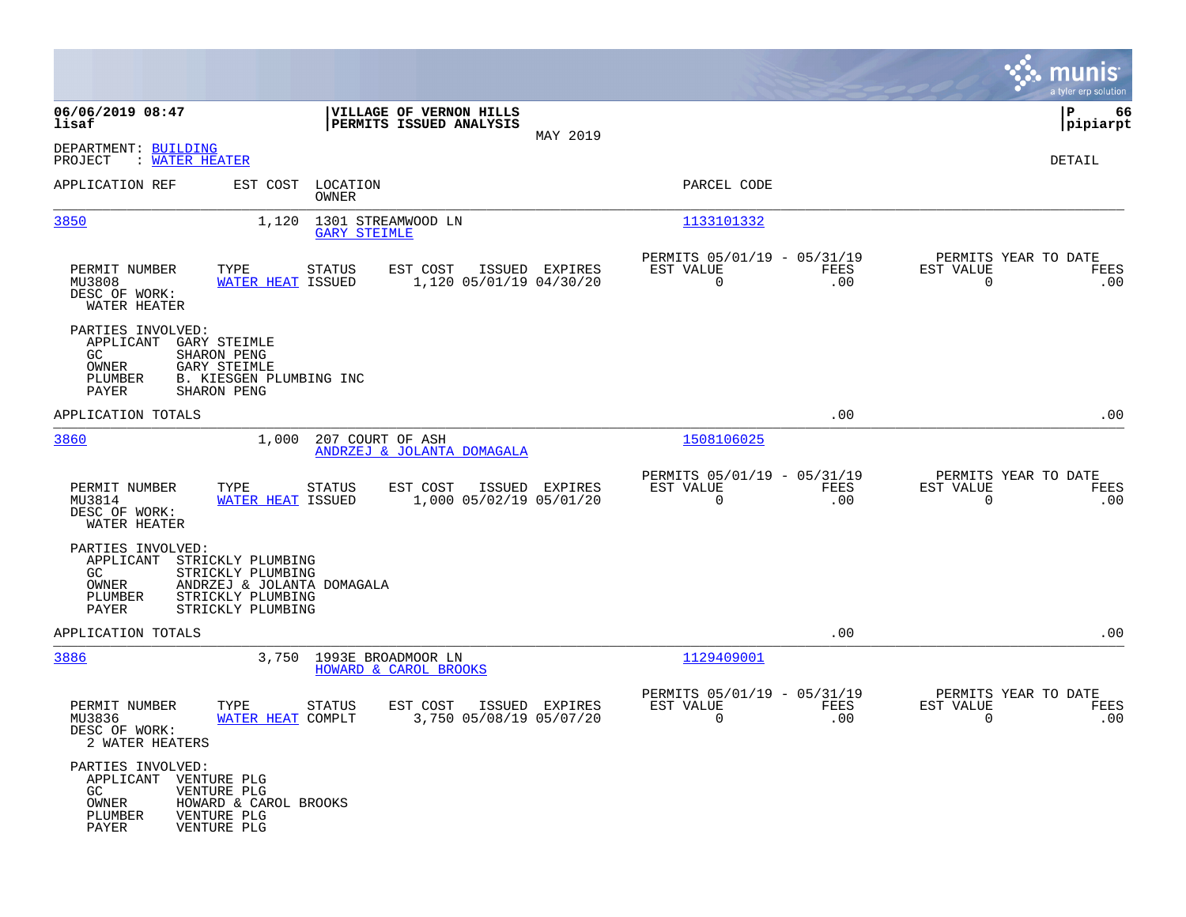|                                                                               |                                                                                                                |                                                   |                                                    |                |                                                            |             |                                                     | munis<br>a tyler erp solution |
|-------------------------------------------------------------------------------|----------------------------------------------------------------------------------------------------------------|---------------------------------------------------|----------------------------------------------------|----------------|------------------------------------------------------------|-------------|-----------------------------------------------------|-------------------------------|
| 06/06/2019 08:47<br>lisaf                                                     |                                                                                                                |                                                   | VILLAGE OF VERNON HILLS<br>PERMITS ISSUED ANALYSIS |                |                                                            |             |                                                     | 66<br>IΡ<br> pipiarpt         |
| DEPARTMENT: BUILDING<br>: WATER HEATER<br>PROJECT                             |                                                                                                                |                                                   |                                                    | MAY 2019       |                                                            |             |                                                     | DETAIL                        |
| APPLICATION REF                                                               | EST COST LOCATION                                                                                              | <b>OWNER</b>                                      |                                                    |                | PARCEL CODE                                                |             |                                                     |                               |
| 3850                                                                          | 1,120                                                                                                          | 1301 STREAMWOOD LN<br><b>GARY STEIMLE</b>         |                                                    |                | 1133101332                                                 |             |                                                     |                               |
| PERMIT NUMBER<br>MU3808<br>DESC OF WORK:<br>WATER HEATER                      | TYPE<br>WATER HEAT ISSUED                                                                                      | STATUS                                            | EST COST<br>1,120 05/01/19 04/30/20                | ISSUED EXPIRES | PERMITS 05/01/19 - 05/31/19<br>EST VALUE<br>$\overline{0}$ | FEES<br>.00 | PERMITS YEAR TO DATE<br>EST VALUE<br>$\overline{0}$ | FEES<br>.00                   |
| PARTIES INVOLVED:<br>APPLICANT<br>GC.<br>OWNER<br>PLUMBER<br>PAYER            | GARY STEIMLE<br>SHARON PENG<br>GARY STEIMLE<br>B. KIESGEN PLUMBING INC<br>SHARON PENG                          |                                                   |                                                    |                |                                                            |             |                                                     |                               |
| APPLICATION TOTALS                                                            |                                                                                                                |                                                   |                                                    |                |                                                            | .00         |                                                     | .00                           |
| 3860                                                                          | 1,000                                                                                                          | 207 COURT OF ASH                                  | ANDRZEJ & JOLANTA DOMAGALA                         |                | 1508106025                                                 |             |                                                     |                               |
| PERMIT NUMBER<br>MU3814<br>DESC OF WORK:<br>WATER HEATER                      | TYPE<br>WATER HEAT ISSUED                                                                                      | STATUS                                            | EST COST<br>1,000 05/02/19 05/01/20                | ISSUED EXPIRES | PERMITS 05/01/19 - 05/31/19<br>EST VALUE<br>$\mathbf 0$    | FEES<br>.00 | PERMITS YEAR TO DATE<br>EST VALUE<br>$\mathbf 0$    | FEES<br>.00                   |
| PARTIES INVOLVED:<br>APPLICANT<br>GC<br>OWNER<br>PLUMBER<br>PAYER             | STRICKLY PLUMBING<br>STRICKLY PLUMBING<br>ANDRZEJ & JOLANTA DOMAGALA<br>STRICKLY PLUMBING<br>STRICKLY PLUMBING |                                                   |                                                    |                |                                                            |             |                                                     |                               |
| APPLICATION TOTALS                                                            |                                                                                                                |                                                   |                                                    |                |                                                            | .00         |                                                     | .00                           |
| 3886                                                                          |                                                                                                                | 3,750 1993E BROADMOOR LN<br>HOWARD & CAROL BROOKS |                                                    |                | 1129409001                                                 |             |                                                     |                               |
| PERMIT NUMBER<br>MU3836<br>DESC OF WORK:<br>2 WATER HEATERS                   | TYPE<br>WATER HEAT COMPLT                                                                                      | <b>STATUS</b>                                     | EST COST<br>3,750 05/08/19 05/07/20                | ISSUED EXPIRES | PERMITS 05/01/19 - 05/31/19<br>EST VALUE<br>0              | FEES<br>.00 | PERMITS YEAR TO DATE<br>EST VALUE<br>0              | FEES<br>.00                   |
| PARTIES INVOLVED:<br>APPLICANT VENTURE PLG<br>GC<br>OWNER<br>PLUMBER<br>PAYER | VENTURE PLG<br>HOWARD & CAROL BROOKS<br>VENTURE PLG<br>VENTURE PLG                                             |                                                   |                                                    |                |                                                            |             |                                                     |                               |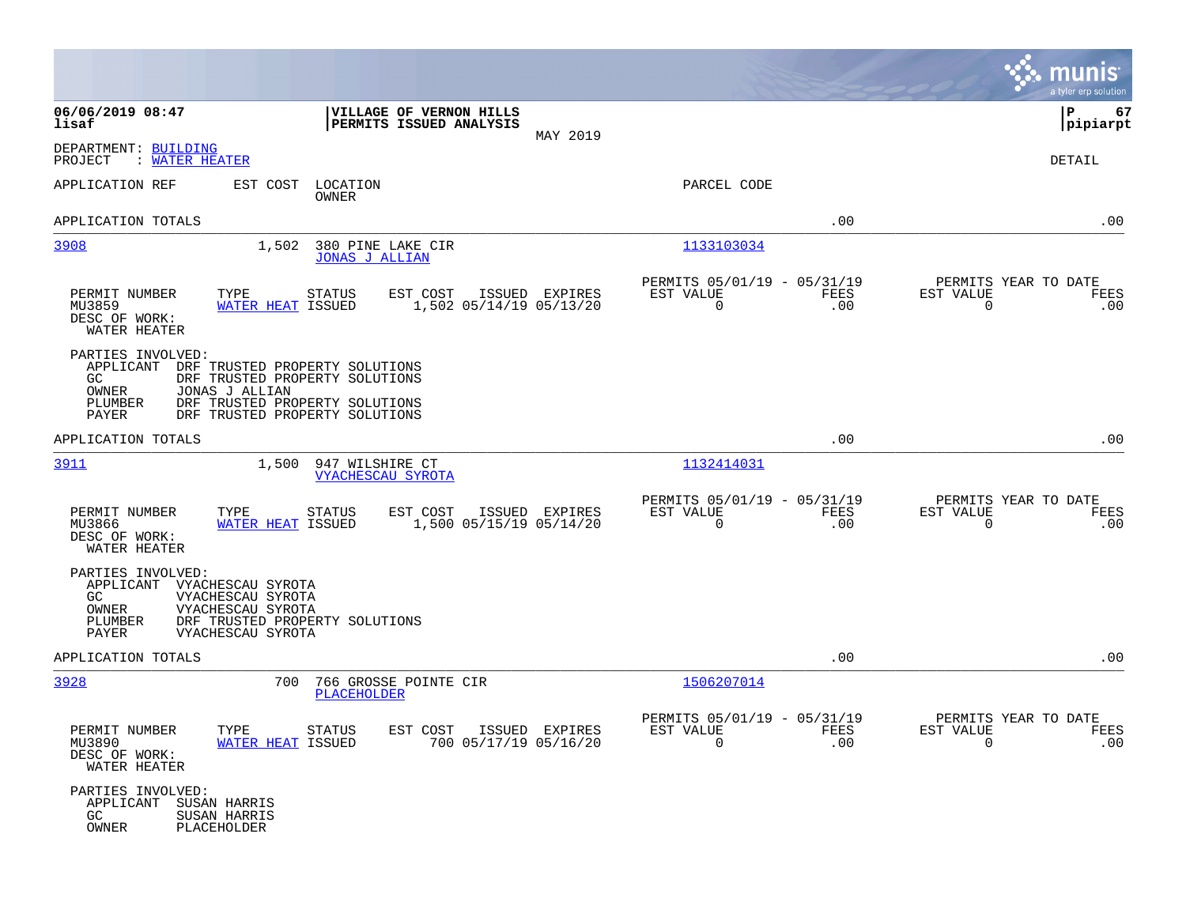|                                                                   |                                                                                                                                                        |                                                                        | munis<br>a tyler erp solution                                   |
|-------------------------------------------------------------------|--------------------------------------------------------------------------------------------------------------------------------------------------------|------------------------------------------------------------------------|-----------------------------------------------------------------|
| 06/06/2019 08:47<br>lisaf                                         | VILLAGE OF VERNON HILLS<br>PERMITS ISSUED ANALYSIS<br>MAY 2019                                                                                         |                                                                        | 67<br>P<br> pipiarpt                                            |
| DEPARTMENT: BUILDING<br>PROJECT<br>: WATER HEATER                 |                                                                                                                                                        |                                                                        | <b>DETAIL</b>                                                   |
| APPLICATION REF                                                   | EST COST<br>LOCATION<br>OWNER                                                                                                                          | PARCEL CODE                                                            |                                                                 |
| APPLICATION TOTALS                                                |                                                                                                                                                        | .00                                                                    | .00                                                             |
| 3908                                                              | 1,502<br>380 PINE LAKE CIR<br><b>JONAS J_ALLIAN</b>                                                                                                    | 1133103034                                                             |                                                                 |
| PERMIT NUMBER<br>MU3859<br>DESC OF WORK:<br>WATER HEATER          | TYPE<br>EST COST<br>ISSUED EXPIRES<br>STATUS<br>WATER HEAT ISSUED<br>1,502 05/14/19 05/13/20                                                           | PERMITS 05/01/19 - 05/31/19<br>EST VALUE<br>FEES<br>0<br>.00           | PERMITS YEAR TO DATE<br>EST VALUE<br>FEES<br>$\mathbf 0$<br>.00 |
| PARTIES INVOLVED:<br>APPLICANT<br>GC<br>OWNER<br>PLUMBER<br>PAYER | DRF TRUSTED PROPERTY SOLUTIONS<br>DRF TRUSTED PROPERTY SOLUTIONS<br>JONAS J ALLIAN<br>DRF TRUSTED PROPERTY SOLUTIONS<br>DRF TRUSTED PROPERTY SOLUTIONS |                                                                        |                                                                 |
| APPLICATION TOTALS                                                |                                                                                                                                                        | .00                                                                    | .00                                                             |
| 3911                                                              | 1,500<br>947 WILSHIRE CT<br><b>VYACHESCAU SYROTA</b>                                                                                                   | 1132414031                                                             |                                                                 |
| PERMIT NUMBER<br>MU3866<br>DESC OF WORK:<br>WATER HEATER          | EST COST<br>ISSUED EXPIRES<br>TYPE<br>STATUS<br>1,500 05/15/19 05/14/20<br>WATER HEAT ISSUED                                                           | PERMITS 05/01/19 - 05/31/19<br>EST VALUE<br>FEES<br>$\mathbf 0$<br>.00 | PERMITS YEAR TO DATE<br>EST VALUE<br>FEES<br>$\mathbf 0$<br>.00 |
| PARTIES INVOLVED:<br>APPLICANT<br>GC<br>OWNER<br>PLUMBER<br>PAYER | VYACHESCAU SYROTA<br>VYACHESCAU SYROTA<br>VYACHESCAU SYROTA<br>DRF TRUSTED PROPERTY SOLUTIONS<br>VYACHESCAU SYROTA                                     |                                                                        |                                                                 |
| APPLICATION TOTALS                                                |                                                                                                                                                        | .00                                                                    | .00                                                             |
| 3928                                                              | 700<br>766 GROSSE POINTE CIR<br><b>PLACEHOLDER</b>                                                                                                     | 1506207014                                                             |                                                                 |
| PERMIT NUMBER<br>MU3890<br>DESC OF WORK:<br>WATER HEATER          | TYPE<br>STATUS<br>EST COST ISSUED EXPIRES<br><b>WATER HEAT ISSUED</b><br>700 05/17/19 05/16/20                                                         | PERMITS 05/01/19 - 05/31/19<br>EST VALUE<br>FEES<br>$\Omega$<br>.00    | PERMITS YEAR TO DATE<br>EST VALUE<br>FEES<br>$\Omega$<br>.00    |
| PARTIES INVOLVED:<br>APPLICANT<br>GC<br>OWNER                     | SUSAN HARRIS<br>SUSAN HARRIS<br>PLACEHOLDER                                                                                                            |                                                                        |                                                                 |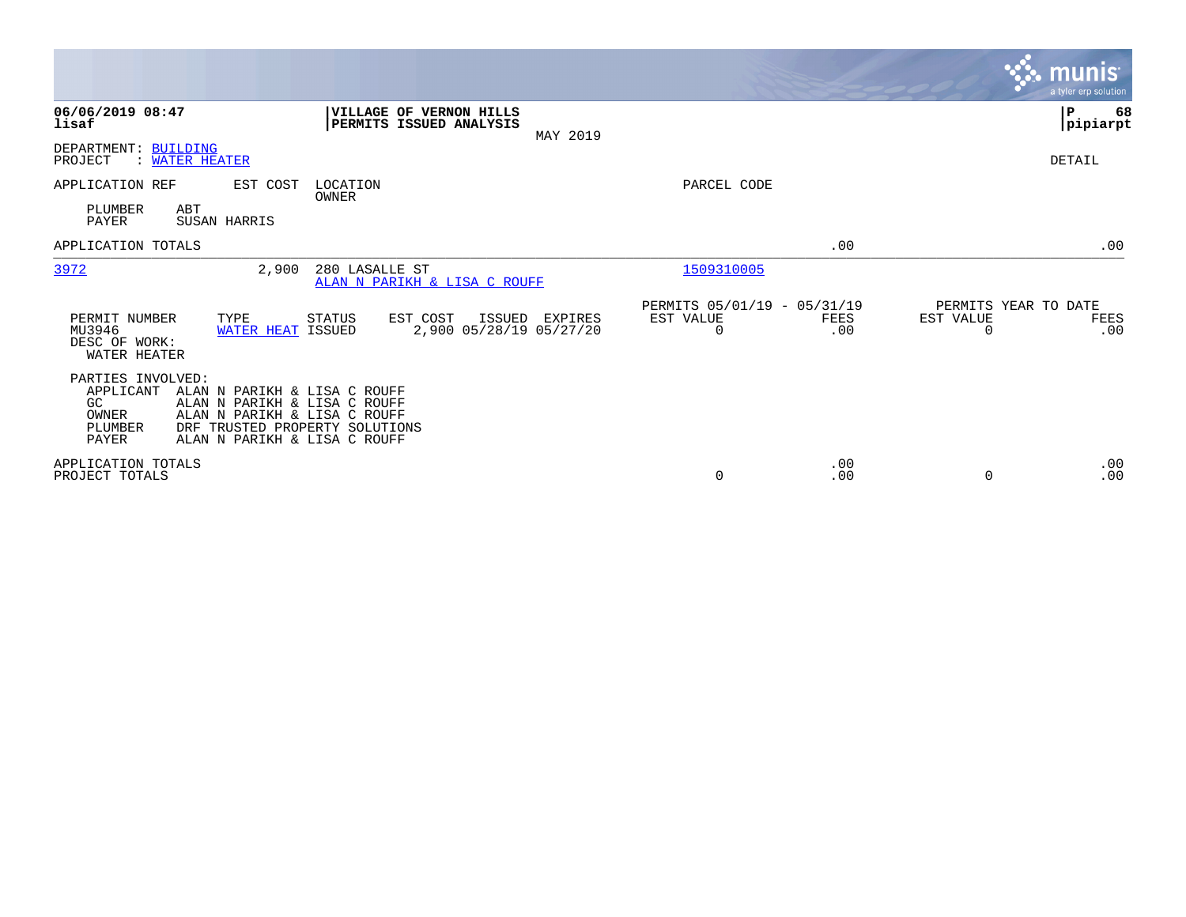|                                                                                                                                                                                                                                            |                                                                |                                               |             |                                        | <b>munis</b><br>a tyler erp solution. |
|--------------------------------------------------------------------------------------------------------------------------------------------------------------------------------------------------------------------------------------------|----------------------------------------------------------------|-----------------------------------------------|-------------|----------------------------------------|---------------------------------------|
| 06/06/2019 08:47<br>lisaf                                                                                                                                                                                                                  | VILLAGE OF VERNON HILLS<br>PERMITS ISSUED ANALYSIS<br>MAY 2019 |                                               |             |                                        | P<br>68<br> pipiarpt                  |
| DEPARTMENT: BUILDING<br>PROJECT<br>: WATER HEATER                                                                                                                                                                                          |                                                                |                                               |             |                                        | DETAIL                                |
| APPLICATION REF<br>EST COST<br>LOCATION<br>OWNER<br>PLUMBER<br>ABT<br>PAYER<br>SUSAN HARRIS                                                                                                                                                |                                                                | PARCEL CODE                                   |             |                                        |                                       |
| APPLICATION TOTALS                                                                                                                                                                                                                         |                                                                |                                               | .00         |                                        | .00                                   |
| 3972<br>2,900                                                                                                                                                                                                                              | 280 LASALLE ST<br>ALAN N PARIKH & LISA C ROUFF                 | 1509310005                                    |             |                                        |                                       |
| PERMIT NUMBER<br>TYPE<br>STATUS<br>MU3946<br>WATER HEAT ISSUED<br>DESC OF WORK:<br>WATER HEATER                                                                                                                                            | EST COST<br>ISSUED EXPIRES<br>2,900 05/28/19 05/27/20          | PERMITS 05/01/19 - 05/31/19<br>EST VALUE<br>0 | FEES<br>.00 | PERMITS YEAR TO DATE<br>EST VALUE<br>0 | FEES<br>.00                           |
| PARTIES INVOLVED:<br>APPLICANT<br>ALAN N PARIKH & LISA C ROUFF<br>GC<br>ALAN N PARIKH & LISA C ROUFF<br>OWNER<br>ALAN N PARIKH & LISA C ROUFF<br>PLUMBER<br>DRF TRUSTED PROPERTY SOLUTIONS<br><b>PAYER</b><br>ALAN N PARIKH & LISA C ROUFF |                                                                |                                               |             |                                        |                                       |
| APPLICATION TOTALS<br>PROJECT TOTALS                                                                                                                                                                                                       |                                                                | $\Omega$                                      | .00<br>.00  | $\Omega$                               | .00<br>.00                            |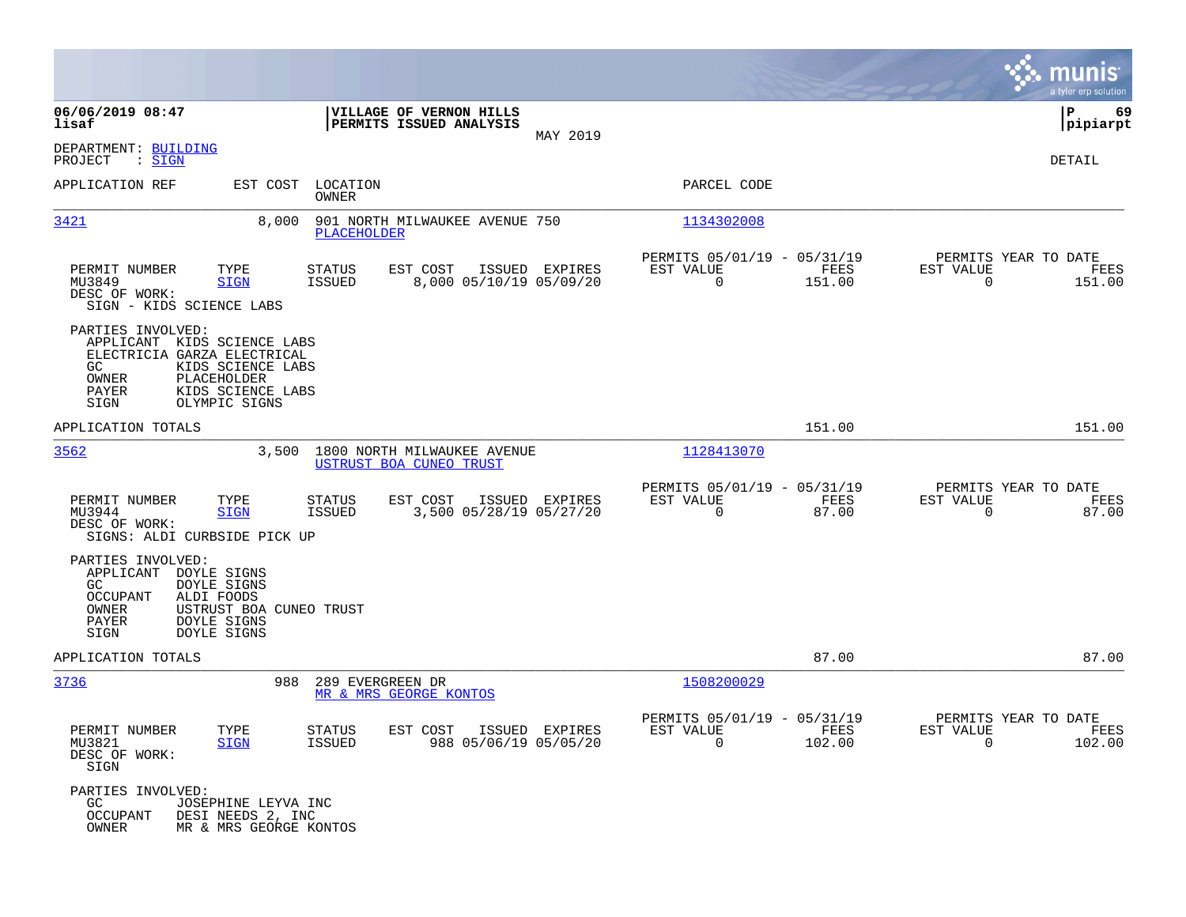|                                                                                                                                                                                            |                                                                                  |                                                                           | munis<br>a tyler erp solution                                      |
|--------------------------------------------------------------------------------------------------------------------------------------------------------------------------------------------|----------------------------------------------------------------------------------|---------------------------------------------------------------------------|--------------------------------------------------------------------|
| 06/06/2019 08:47<br>lisaf                                                                                                                                                                  | VILLAGE OF VERNON HILLS<br>PERMITS ISSUED ANALYSIS                               |                                                                           | 69<br>P<br> pipiarpt                                               |
| DEPARTMENT: BUILDING<br>PROJECT<br>: <u>SIGN</u>                                                                                                                                           | MAY 2019                                                                         |                                                                           | DETAIL                                                             |
| APPLICATION REF<br>EST COST                                                                                                                                                                | LOCATION<br>OWNER                                                                | PARCEL CODE                                                               |                                                                    |
| <u>3421</u><br>8,000                                                                                                                                                                       | 901 NORTH MILWAUKEE AVENUE 750<br><b>PLACEHOLDER</b>                             | 1134302008                                                                |                                                                    |
| PERMIT NUMBER<br>TYPE<br>MU3849<br><b>SIGN</b><br>DESC OF WORK:<br>SIGN - KIDS SCIENCE LABS                                                                                                | STATUS<br>EST COST<br>ISSUED EXPIRES<br>8,000 05/10/19 05/09/20<br><b>ISSUED</b> | PERMITS 05/01/19 - 05/31/19<br>FEES<br>EST VALUE<br>$\mathbf 0$<br>151.00 | PERMITS YEAR TO DATE<br>EST VALUE<br>FEES<br>$\mathbf 0$<br>151.00 |
| PARTIES INVOLVED:<br>APPLICANT KIDS SCIENCE LABS<br>ELECTRICIA GARZA ELECTRICAL<br>GC.<br>KIDS SCIENCE LABS<br>PLACEHOLDER<br>OWNER<br>PAYER<br>KIDS SCIENCE LABS<br>SIGN<br>OLYMPIC SIGNS |                                                                                  |                                                                           |                                                                    |
| APPLICATION TOTALS                                                                                                                                                                         |                                                                                  | 151.00                                                                    | 151.00                                                             |
| 3562                                                                                                                                                                                       | 3,500 1800 NORTH MILWAUKEE AVENUE<br>USTRUST BOA CUNEO TRUST                     | 1128413070                                                                |                                                                    |
| PERMIT NUMBER<br>TYPE<br>MU3944<br><b>SIGN</b><br>DESC OF WORK:<br>SIGNS: ALDI CURBSIDE PICK UP                                                                                            | EST COST<br>STATUS<br>ISSUED EXPIRES<br>ISSUED<br>3,500 05/28/19 05/27/20        | PERMITS 05/01/19 - 05/31/19<br>EST VALUE<br>FEES<br>0<br>87.00            | PERMITS YEAR TO DATE<br>EST VALUE<br>FEES<br>0<br>87.00            |
| PARTIES INVOLVED:<br>APPLICANT<br>DOYLE SIGNS<br>GC<br>DOYLE SIGNS<br>ALDI FOODS<br>OCCUPANT<br>OWNER<br>USTRUST BOA CUNEO TRUST<br><b>PAYER</b><br>DOYLE SIGNS<br>SIGN<br>DOYLE SIGNS     |                                                                                  |                                                                           |                                                                    |
| APPLICATION TOTALS                                                                                                                                                                         |                                                                                  | 87.00                                                                     | 87.00                                                              |
| 3736                                                                                                                                                                                       | 988<br>289 EVERGREEN DR<br>MR & MRS GEORGE KONTOS                                | 1508200029                                                                |                                                                    |
| PERMIT NUMBER<br>TYPE<br>MU3821<br><b>SIGN</b><br>DESC OF WORK:<br>SIGN                                                                                                                    | STATUS<br>EST COST ISSUED EXPIRES<br>988 05/06/19 05/05/20<br>ISSUED             | PERMITS 05/01/19 - 05/31/19<br>EST VALUE<br>FEES<br>$\Omega$<br>102.00    | PERMITS YEAR TO DATE<br>EST VALUE<br>FEES<br>$\Omega$<br>102.00    |
| PARTIES INVOLVED:<br>JOSEPHINE LEYVA INC<br>GC<br><b>OCCUPANT</b><br>DESI NEEDS 2, INC<br>OWNER<br>MR & MRS GEORGE KONTOS                                                                  |                                                                                  |                                                                           |                                                                    |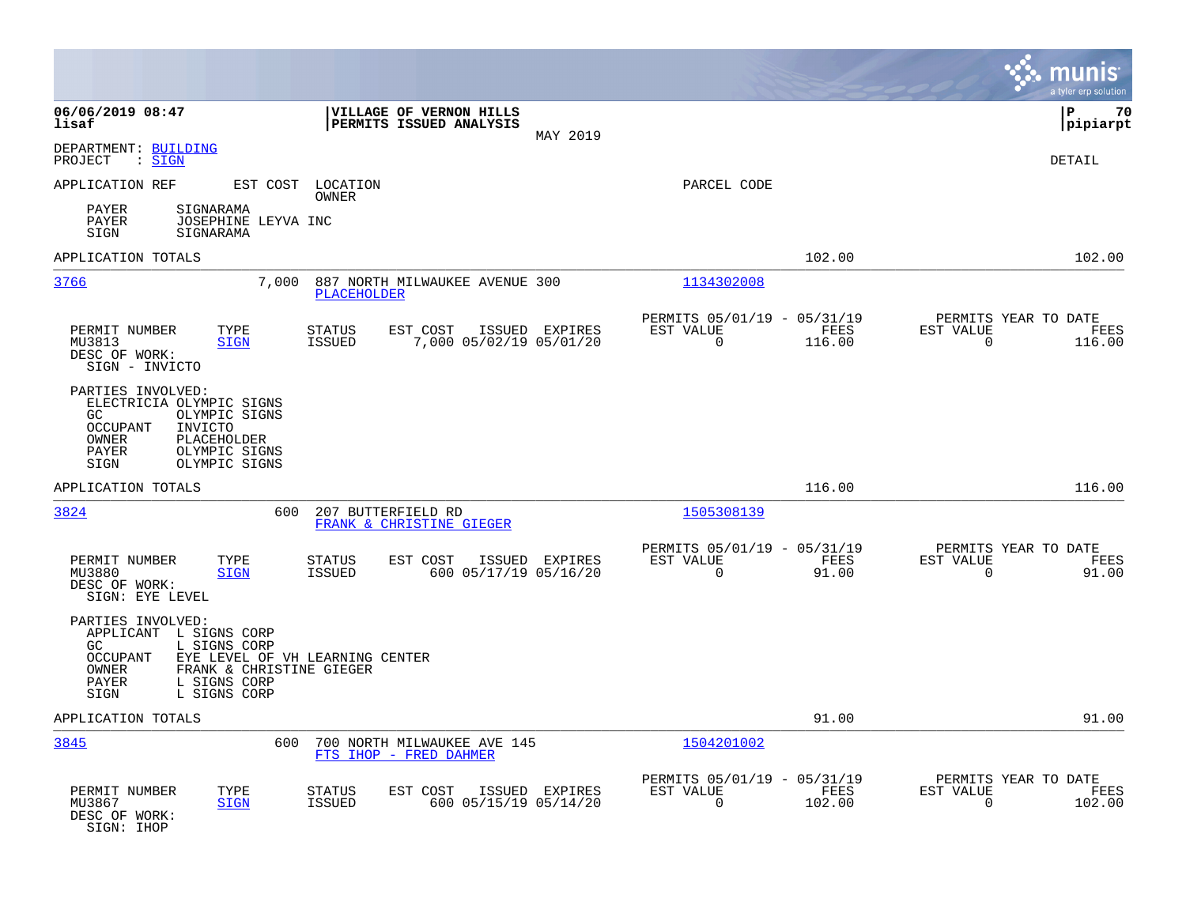|                                                                                                                                                                                       |                                                                                         |                                                                           | munis<br>a tyler erp solution                                      |
|---------------------------------------------------------------------------------------------------------------------------------------------------------------------------------------|-----------------------------------------------------------------------------------------|---------------------------------------------------------------------------|--------------------------------------------------------------------|
| 06/06/2019 08:47<br>lisaf                                                                                                                                                             | VILLAGE OF VERNON HILLS<br>PERMITS ISSUED ANALYSIS<br>MAY 2019                          |                                                                           | lР<br>70<br> pipiarpt                                              |
| DEPARTMENT: BUILDING<br>PROJECT<br>: SIGN                                                                                                                                             |                                                                                         |                                                                           | DETAIL                                                             |
| APPLICATION REF<br>EST COST                                                                                                                                                           | LOCATION<br>OWNER                                                                       | PARCEL CODE                                                               |                                                                    |
| PAYER<br>SIGNARAMA<br>PAYER<br>JOSEPHINE LEYVA INC<br>SIGN<br>SIGNARAMA                                                                                                               |                                                                                         |                                                                           |                                                                    |
| APPLICATION TOTALS                                                                                                                                                                    |                                                                                         | 102.00                                                                    | 102.00                                                             |
| 3766<br>7,000                                                                                                                                                                         | 887 NORTH MILWAUKEE AVENUE 300<br>PLACEHOLDER                                           | 1134302008                                                                |                                                                    |
| PERMIT NUMBER<br>TYPE<br>MU3813<br><b>SIGN</b><br>DESC OF WORK:<br>SIGN - INVICTO                                                                                                     | <b>STATUS</b><br>EST COST<br>ISSUED EXPIRES<br><b>ISSUED</b><br>7,000 05/02/19 05/01/20 | PERMITS 05/01/19 - 05/31/19<br>EST VALUE<br>FEES<br>0<br>116.00           | PERMITS YEAR TO DATE<br>EST VALUE<br>FEES<br>$\mathbf 0$<br>116.00 |
| PARTIES INVOLVED:<br>ELECTRICIA OLYMPIC SIGNS<br>GC<br>OLYMPIC SIGNS<br><b>OCCUPANT</b><br>INVICTO<br>OWNER<br>PLACEHOLDER<br>PAYER<br>OLYMPIC SIGNS<br>SIGN<br>OLYMPIC SIGNS         |                                                                                         |                                                                           |                                                                    |
| APPLICATION TOTALS                                                                                                                                                                    |                                                                                         | 116.00                                                                    | 116.00                                                             |
| 3824<br>600                                                                                                                                                                           | 207 BUTTERFIELD RD<br>FRANK & CHRISTINE GIEGER                                          | 1505308139                                                                |                                                                    |
| PERMIT NUMBER<br>TYPE<br>MU3880<br><b>SIGN</b><br>DESC OF WORK:<br>SIGN: EYE LEVEL                                                                                                    | <b>STATUS</b><br>EST COST<br>ISSUED EXPIRES<br><b>ISSUED</b><br>600 05/17/19 05/16/20   | PERMITS 05/01/19 - 05/31/19<br>EST VALUE<br>FEES<br>$\mathbf 0$<br>91.00  | PERMITS YEAR TO DATE<br>EST VALUE<br>FEES<br>0<br>91.00            |
| PARTIES INVOLVED:<br>APPLICANT<br>L SIGNS CORP<br>L SIGNS CORP<br>GC.<br><b>OCCUPANT</b><br><b>OWNER</b><br>FRANK & CHRISTINE GIEGER<br>L SIGNS CORP<br>PAYER<br>L SIGNS CORP<br>SIGN | EYE LEVEL OF VH LEARNING CENTER                                                         |                                                                           |                                                                    |
| APPLICATION TOTALS                                                                                                                                                                    |                                                                                         | 91.00                                                                     | 91.00                                                              |
| 3845<br>600                                                                                                                                                                           | 700 NORTH MILWAUKEE AVE 145<br>FTS IHOP - FRED DAHMER                                   | 1504201002                                                                |                                                                    |
| PERMIT NUMBER<br>TYPE<br>MU3867<br><b>SIGN</b><br>DESC OF WORK:<br>SIGN: IHOP                                                                                                         | <b>STATUS</b><br>EST COST<br>ISSUED EXPIRES<br>600 05/15/19 05/14/20<br><b>ISSUED</b>   | PERMITS 05/01/19 -<br>05/31/19<br>EST VALUE<br>FEES<br>$\Omega$<br>102.00 | PERMITS YEAR TO DATE<br>EST VALUE<br>FEES<br>$\Omega$<br>102.00    |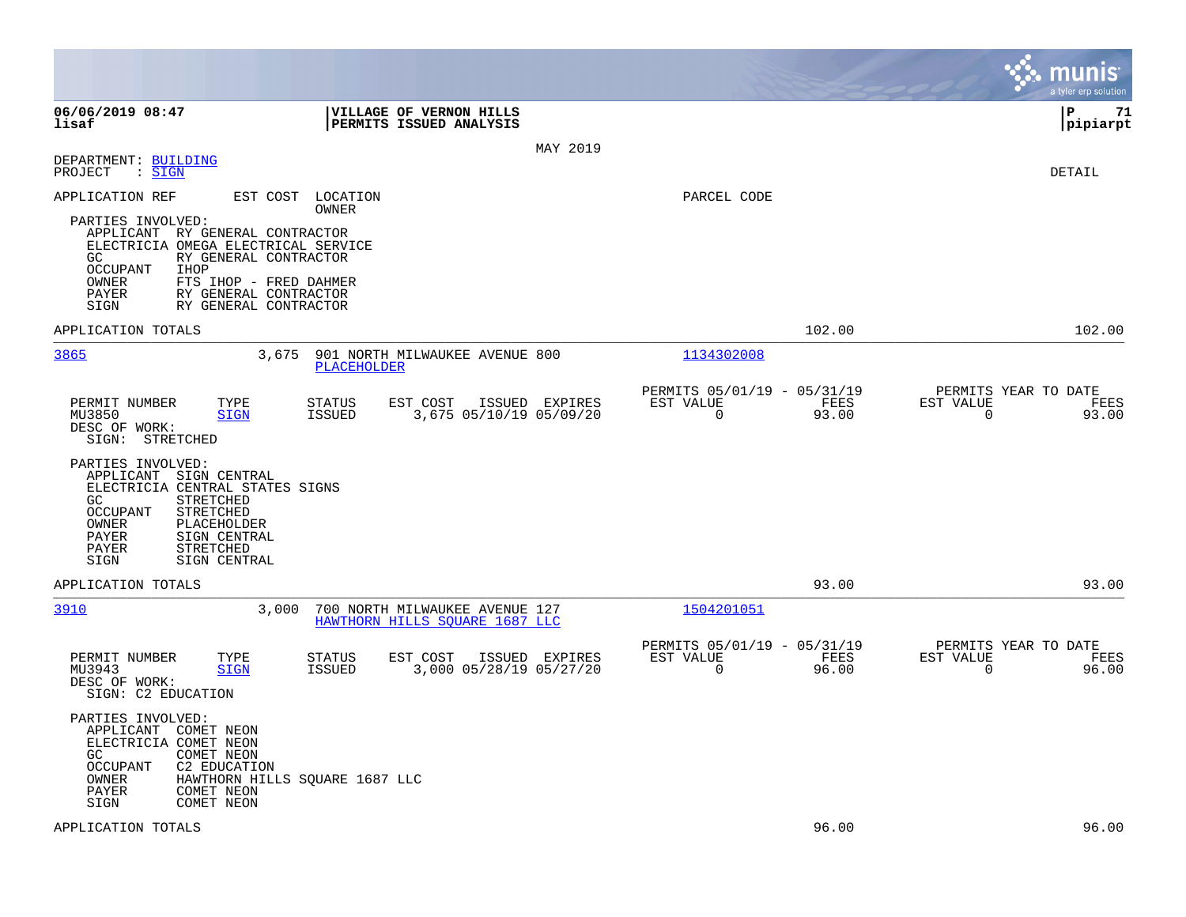|                                                                                                                                                                                                                                                               |                                                                          | munis<br>a tyler erp solution                                     |
|---------------------------------------------------------------------------------------------------------------------------------------------------------------------------------------------------------------------------------------------------------------|--------------------------------------------------------------------------|-------------------------------------------------------------------|
| 06/06/2019 08:47<br>VILLAGE OF VERNON HILLS<br>lisaf<br>PERMITS ISSUED ANALYSIS                                                                                                                                                                               |                                                                          | l P<br>71<br> pipiarpt                                            |
| MAY 2019                                                                                                                                                                                                                                                      |                                                                          |                                                                   |
| DEPARTMENT: BUILDING<br>PROJECT : SIGN                                                                                                                                                                                                                        |                                                                          | DETAIL                                                            |
| APPLICATION REF<br>EST COST LOCATION                                                                                                                                                                                                                          | PARCEL CODE                                                              |                                                                   |
| OWNER<br>PARTIES INVOLVED:<br>APPLICANT RY GENERAL CONTRACTOR<br>ELECTRICIA OMEGA ELECTRICAL SERVICE<br>GC<br>RY GENERAL CONTRACTOR<br>OCCUPANT<br>IHOP<br>OWNER<br>FTS IHOP - FRED DAHMER<br>PAYER<br>RY GENERAL CONTRACTOR<br>SIGN<br>RY GENERAL CONTRACTOR |                                                                          |                                                                   |
| APPLICATION TOTALS                                                                                                                                                                                                                                            | 102.00                                                                   | 102.00                                                            |
| 3865<br>3,675<br>901 NORTH MILWAUKEE AVENUE 800<br>PLACEHOLDER                                                                                                                                                                                                | 1134302008                                                               |                                                                   |
| PERMIT NUMBER<br>TYPE<br><b>STATUS</b><br>EST COST<br>ISSUED EXPIRES<br>MU3850<br><b>SIGN</b><br><b>ISSUED</b><br>3,675 05/10/19 05/09/20<br>DESC OF WORK:<br>SIGN: STRETCHED                                                                                 | PERMITS 05/01/19 - 05/31/19<br>EST VALUE<br>FEES<br>$\mathbf 0$<br>93.00 | PERMITS YEAR TO DATE<br>EST VALUE<br>FEES<br>93.00<br>$\mathbf 0$ |
| PARTIES INVOLVED:<br>APPLICANT SIGN CENTRAL<br>ELECTRICIA CENTRAL STATES SIGNS<br>GC.<br>STRETCHED<br><b>OCCUPANT</b><br>STRETCHED<br>OWNER<br>PLACEHOLDER<br>SIGN CENTRAL<br>PAYER<br>PAYER<br>STRETCHED<br>SIGN<br>SIGN CENTRAL                             |                                                                          |                                                                   |
| APPLICATION TOTALS                                                                                                                                                                                                                                            | 93.00                                                                    | 93.00                                                             |
| 3910<br>3,000<br>700 NORTH MILWAUKEE AVENUE 127<br>HAWTHORN HILLS SOUARE 1687 LLC                                                                                                                                                                             | 1504201051                                                               |                                                                   |
| PERMIT NUMBER<br>TYPE<br><b>STATUS</b><br>EST COST<br>ISSUED EXPIRES<br>MU3943<br><b>SIGN</b><br>ISSUED<br>3,000 05/28/19 05/27/20<br>DESC OF WORK:<br>SIGN: C2 EDUCATION                                                                                     | PERMITS 05/01/19 - 05/31/19<br>EST VALUE<br>FEES<br>0<br>96.00           | PERMITS YEAR TO DATE<br>EST VALUE<br>FEES<br>$\mathbf 0$<br>96.00 |
| PARTIES INVOLVED:<br>APPLICANT COMET NEON<br>ELECTRICIA COMET NEON<br>COMET NEON<br>GC.<br>OCCUPANT<br>C2 EDUCATION<br>OWNER<br>HAWTHORN HILLS SQUARE 1687 LLC<br>PAYER<br>COMET NEON<br>COMET NEON<br>SIGN                                                   |                                                                          |                                                                   |
| APPLICATION TOTALS                                                                                                                                                                                                                                            | 96.00                                                                    | 96.00                                                             |